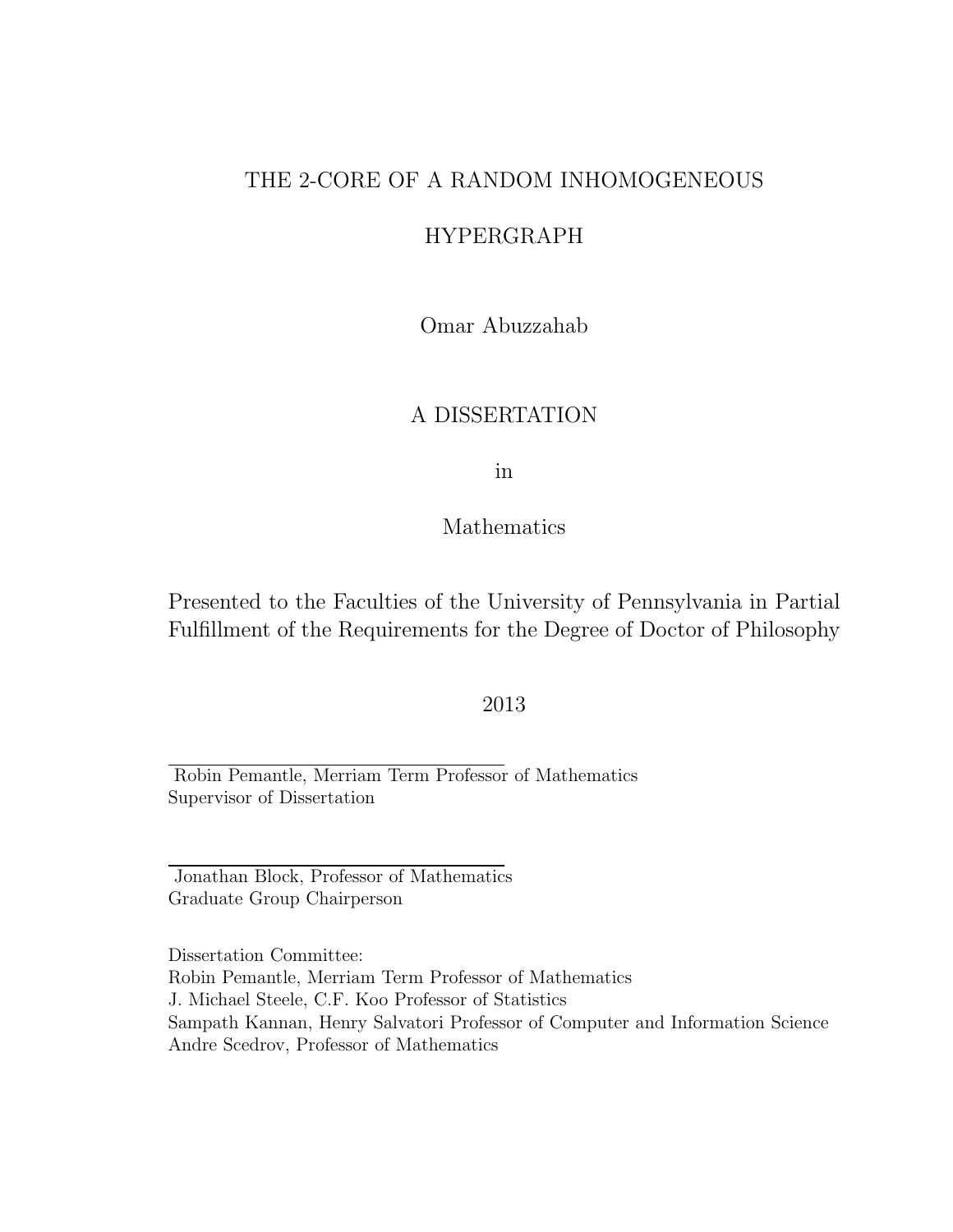#### THE 2-CORE OF A RANDOM INHOMOGENEOUS

#### HYPERGRAPH

Omar Abuzzahab

#### A DISSERTATION

in

Mathematics

Presented to the Faculties of the University of Pennsylvania in Partial Fulfillment of the Requirements for the Degree of Doctor of Philosophy

#### 2013

Robin Pemantle, Merriam Term Professor of Mathematics Supervisor of Dissertation

Jonathan Block, Professor of Mathematics Graduate Group Chairperson

Dissertation Committee: Robin Pemantle, Merriam Term Professor of Mathematics J. Michael Steele, C.F. Koo Professor of Statistics Sampath Kannan, Henry Salvatori Professor of Computer and Information Science Andre Scedrov, Professor of Mathematics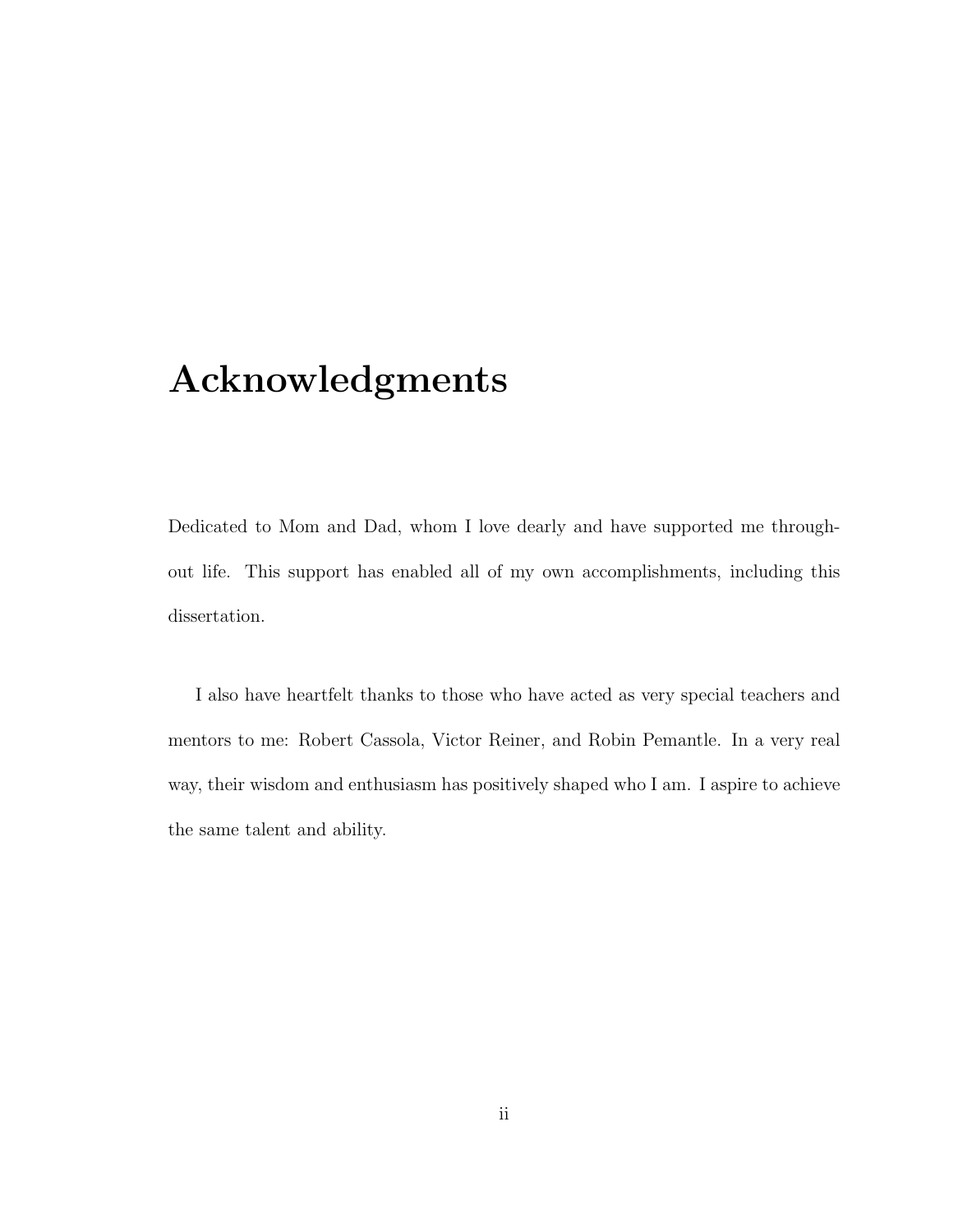# Acknowledgments

Dedicated to Mom and Dad, whom I love dearly and have supported me throughout life. This support has enabled all of my own accomplishments, including this dissertation.

I also have heartfelt thanks to those who have acted as very special teachers and mentors to me: Robert Cassola, Victor Reiner, and Robin Pemantle. In a very real way, their wisdom and enthusiasm has positively shaped who I am. I aspire to achieve the same talent and ability.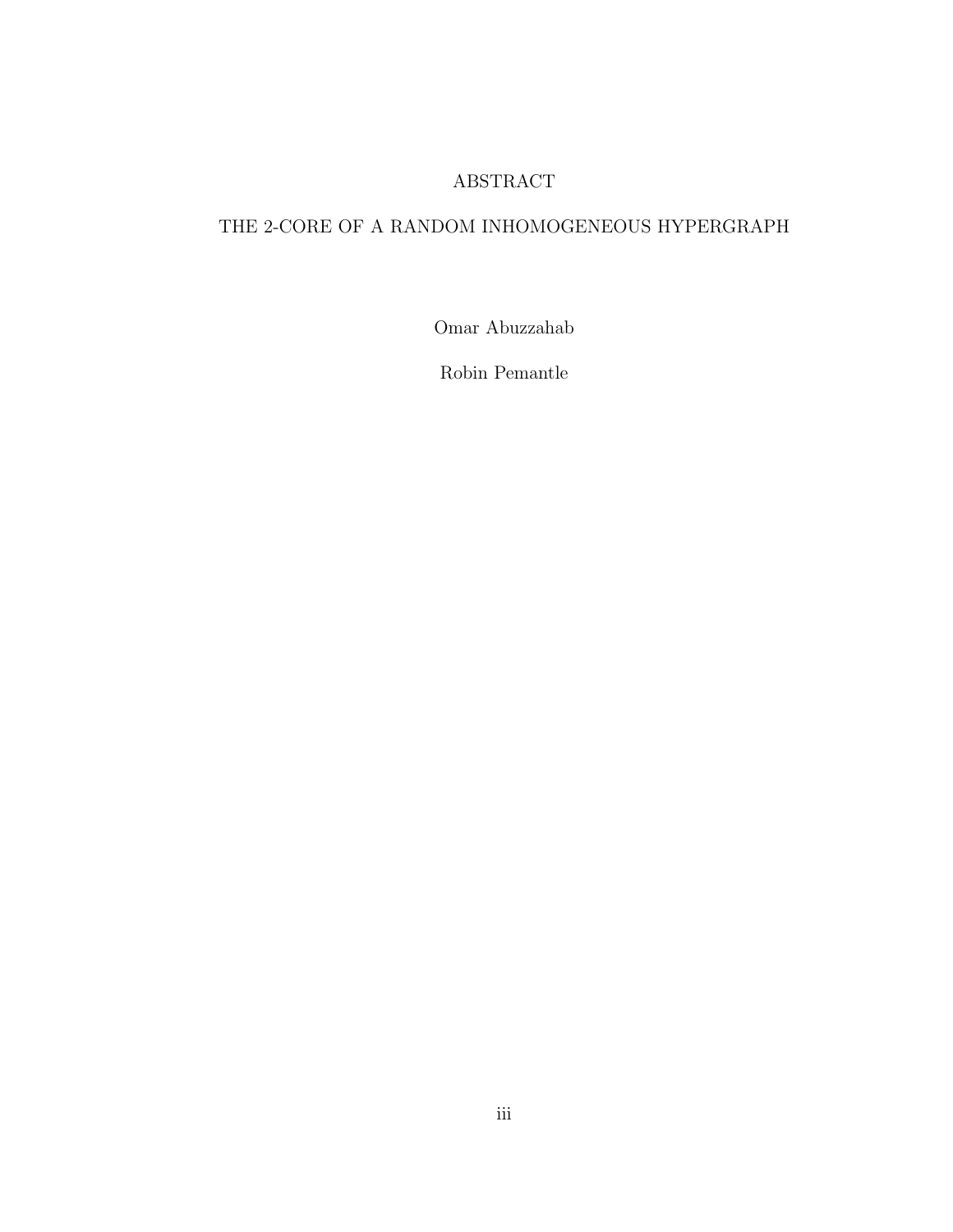#### ABSTRACT

### THE 2-CORE OF A RANDOM INHOMOGENEOUS HYPERGRAPH

Omar Abuzzahab

Robin Pemantle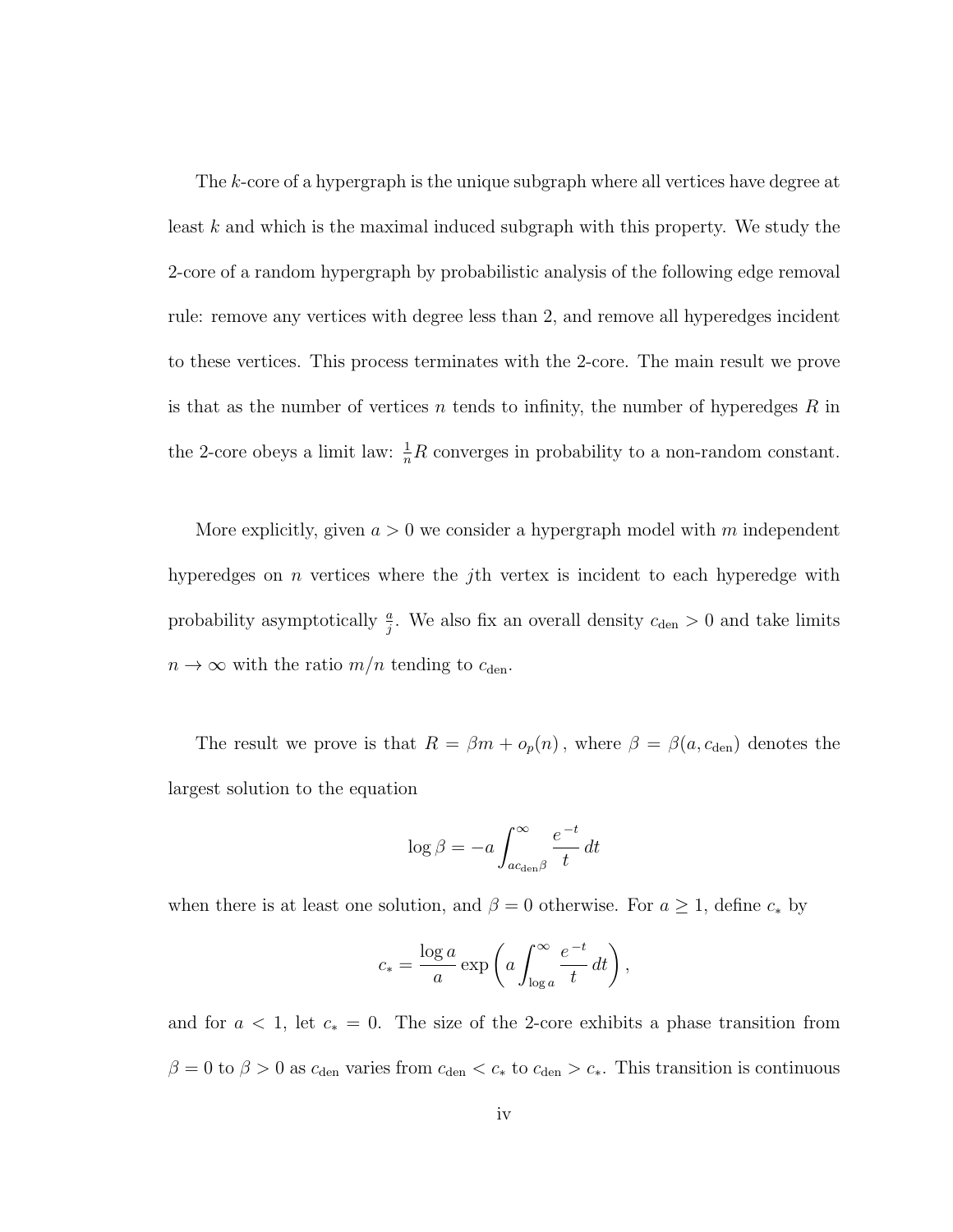The k-core of a hypergraph is the unique subgraph where all vertices have degree at least k and which is the maximal induced subgraph with this property. We study the 2-core of a random hypergraph by probabilistic analysis of the following edge removal rule: remove any vertices with degree less than 2, and remove all hyperedges incident to these vertices. This process terminates with the 2-core. The main result we prove is that as the number of vertices n tends to infinity, the number of hyperedges  $R$  in the 2-core obeys a limit law:  $\frac{1}{n}R$  converges in probability to a non-random constant.

More explicitly, given  $a > 0$  we consider a hypergraph model with m independent hyperedges on *n* vertices where the *j*th vertex is incident to each hyperedge with probability asymptotically  $\frac{a}{j}$ . We also fix an overall density  $c_{den} > 0$  and take limits  $n \to \infty$  with the ratio  $m/n$  tending to  $c_{den}$ .

The result we prove is that  $R = \beta m + o_p(n)$ , where  $\beta = \beta(a, c_{den})$  denotes the largest solution to the equation

$$
\log \beta = -a \int_{ac_{\text{den}} \beta}^{\infty} \frac{e^{-t}}{t} dt
$$

when there is at least one solution, and  $\beta = 0$  otherwise. For  $a \geq 1$ , define  $c_*$  by

$$
c_* = \frac{\log a}{a} \exp\left(a \int_{\log a}^{\infty} \frac{e^{-t}}{t} dt\right),\,
$$

and for  $a < 1$ , let  $c_* = 0$ . The size of the 2-core exhibits a phase transition from  $\beta = 0$  to  $\beta > 0$  as  $c_{den}$  varies from  $c_{den} < c_*$  to  $c_{den} > c_*$ . This transition is continuous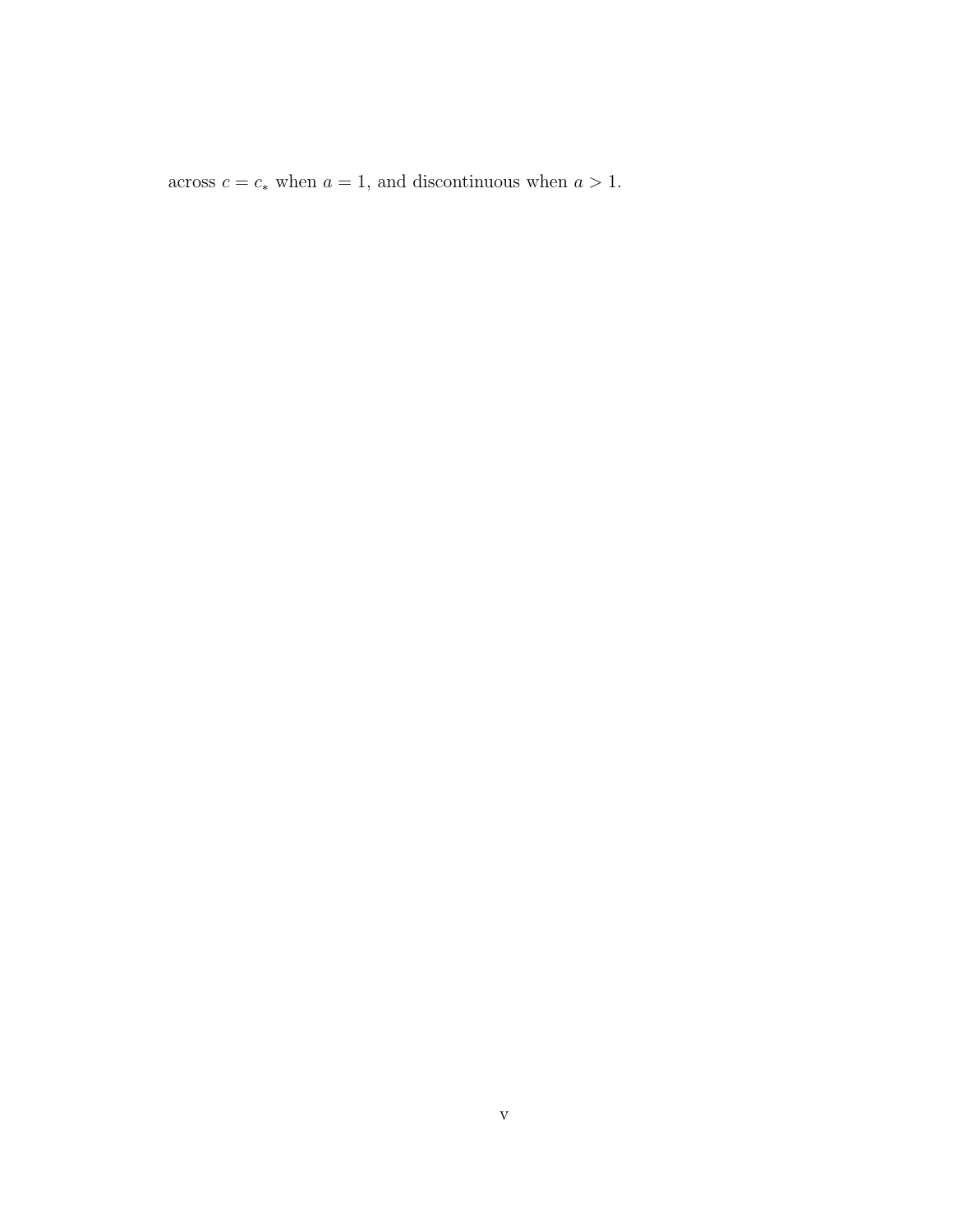across  $c = c_*$  when  $a = 1$ , and discontinuous when  $a > 1$ .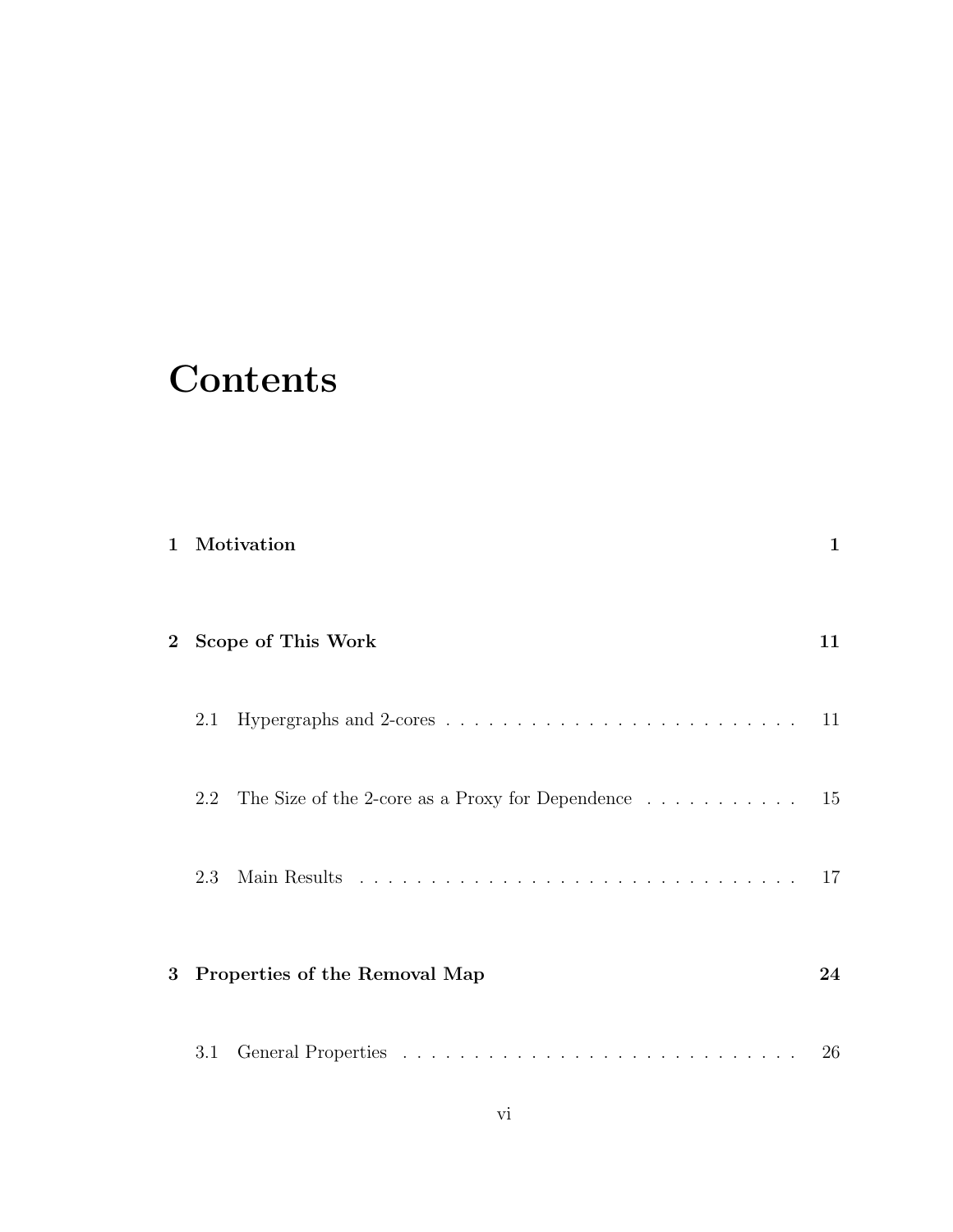# **Contents**

|                |     | 1 Motivation                                                                             | 1  |
|----------------|-----|------------------------------------------------------------------------------------------|----|
|                |     | 2 Scope of This Work                                                                     | 11 |
|                | 2.1 | Hypergraphs and 2-cores $\ldots \ldots \ldots \ldots \ldots \ldots \ldots \ldots \ldots$ | 11 |
|                | 2.2 | The Size of the 2-core as a Proxy for Dependence $\dots \dots \dots \dots \dots$ 15      |    |
|                | 2.3 |                                                                                          | 17 |
| 3 <sup>1</sup> |     | Properties of the Removal Map                                                            | 24 |
|                | 3.1 |                                                                                          | 26 |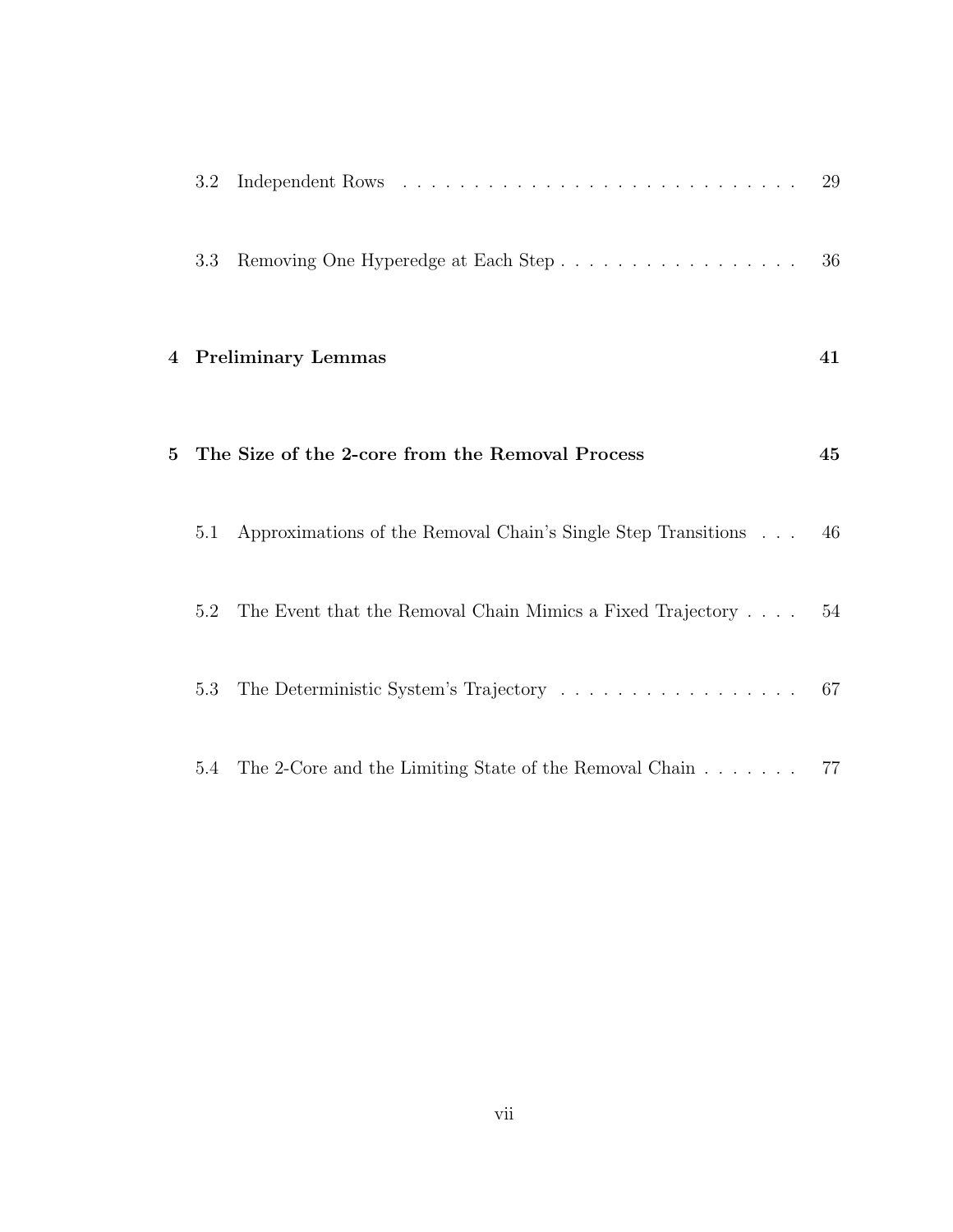|   | 3.2 |                                                                                   | 29 |
|---|-----|-----------------------------------------------------------------------------------|----|
|   | 3.3 | Removing One Hyperedge at Each Step                                               | 36 |
|   |     | 4 Preliminary Lemmas                                                              | 41 |
| 5 |     | The Size of the 2-core from the Removal Process                                   | 45 |
|   | 5.1 | Approximations of the Removal Chain's Single Step Transitions                     | 46 |
|   | 5.2 | The Event that the Removal Chain Mimics a Fixed Trajectory                        | 54 |
|   | 5.3 | The Deterministic System's Trajectory $\ldots \ldots \ldots \ldots \ldots \ldots$ | 67 |
|   | 5.4 | The 2-Core and the Limiting State of the Removal Chain                            | 77 |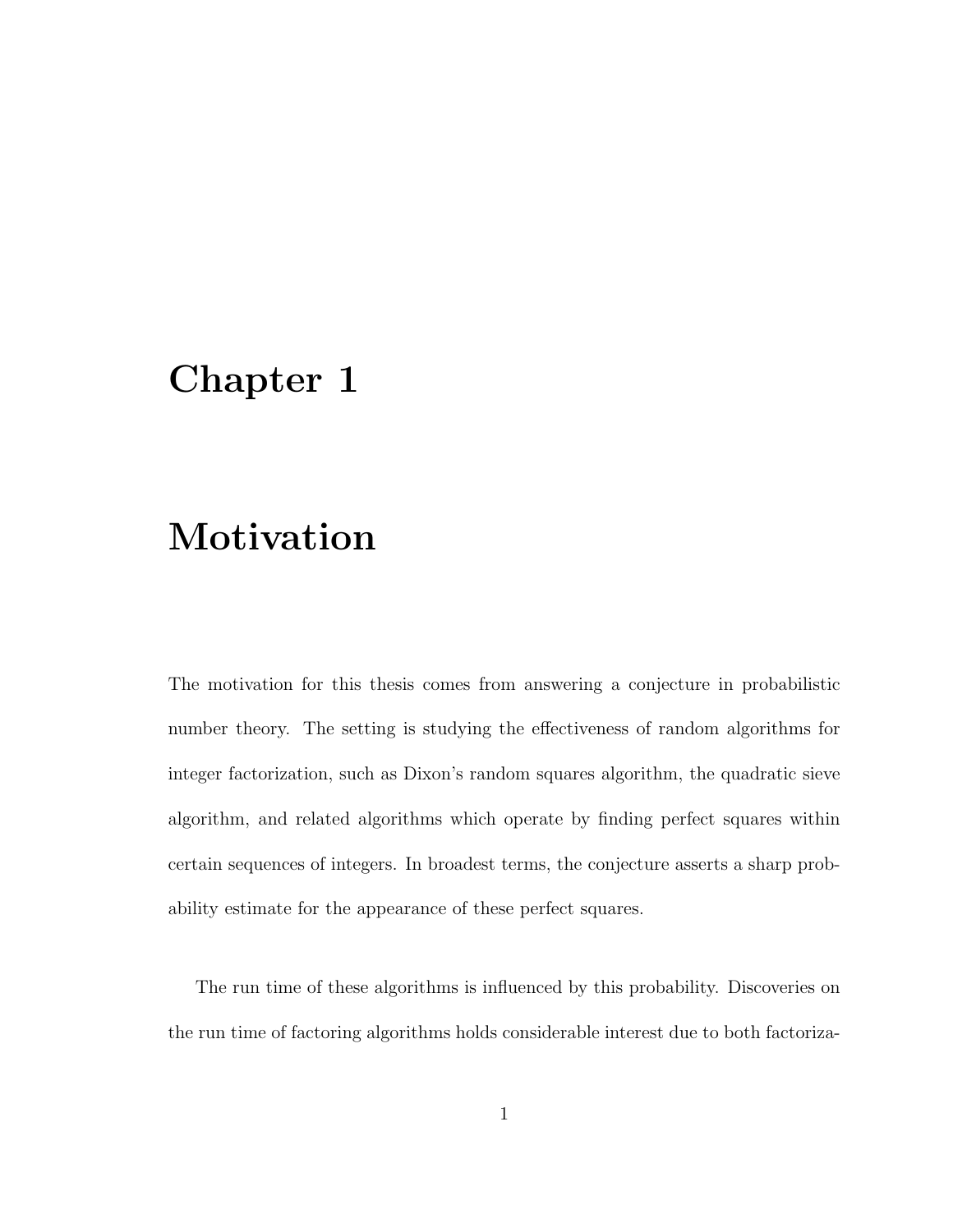# Chapter 1

# Motivation

The motivation for this thesis comes from answering a conjecture in probabilistic number theory. The setting is studying the effectiveness of random algorithms for integer factorization, such as Dixon's random squares algorithm, the quadratic sieve algorithm, and related algorithms which operate by finding perfect squares within certain sequences of integers. In broadest terms, the conjecture asserts a sharp probability estimate for the appearance of these perfect squares.

The run time of these algorithms is influenced by this probability. Discoveries on the run time of factoring algorithms holds considerable interest due to both factoriza-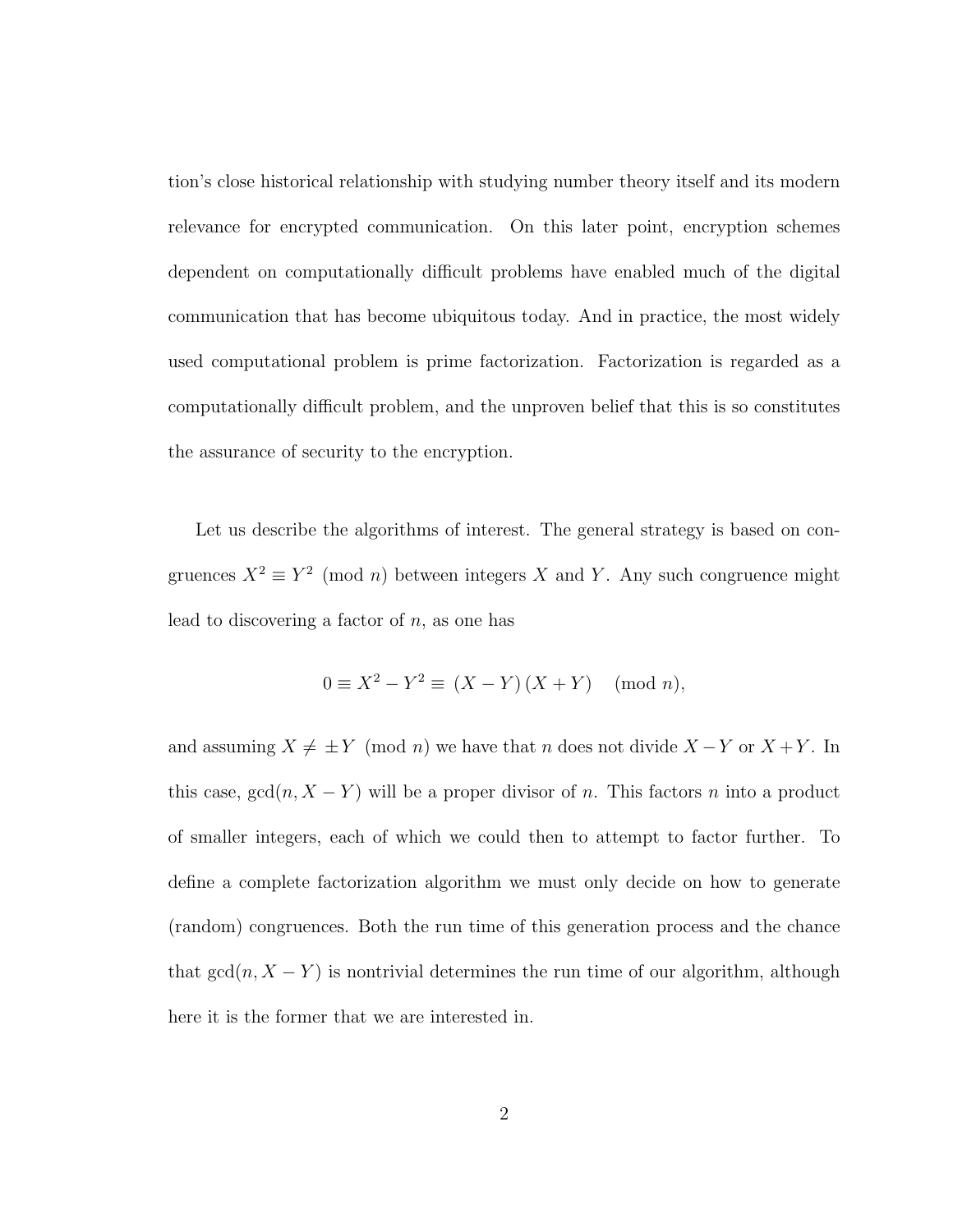tion's close historical relationship with studying number theory itself and its modern relevance for encrypted communication. On this later point, encryption schemes dependent on computationally difficult problems have enabled much of the digital communication that has become ubiquitous today. And in practice, the most widely used computational problem is prime factorization. Factorization is regarded as a computationally difficult problem, and the unproven belief that this is so constitutes the assurance of security to the encryption.

Let us describe the algorithms of interest. The general strategy is based on congruences  $X^2 \equiv Y^2 \pmod{n}$  between integers X and Y. Any such congruence might lead to discovering a factor of  $n$ , as one has

$$
0 \equiv X^2 - Y^2 \equiv (X - Y)(X + Y) \pmod{n},
$$

and assuming  $X \neq \pm Y \pmod{n}$  we have that n does not divide  $X - Y$  or  $X + Y$ . In this case,  $gcd(n, X - Y)$  will be a proper divisor of n. This factors n into a product of smaller integers, each of which we could then to attempt to factor further. To define a complete factorization algorithm we must only decide on how to generate (random) congruences. Both the run time of this generation process and the chance that  $gcd(n, X - Y)$  is nontrivial determines the run time of our algorithm, although here it is the former that we are interested in.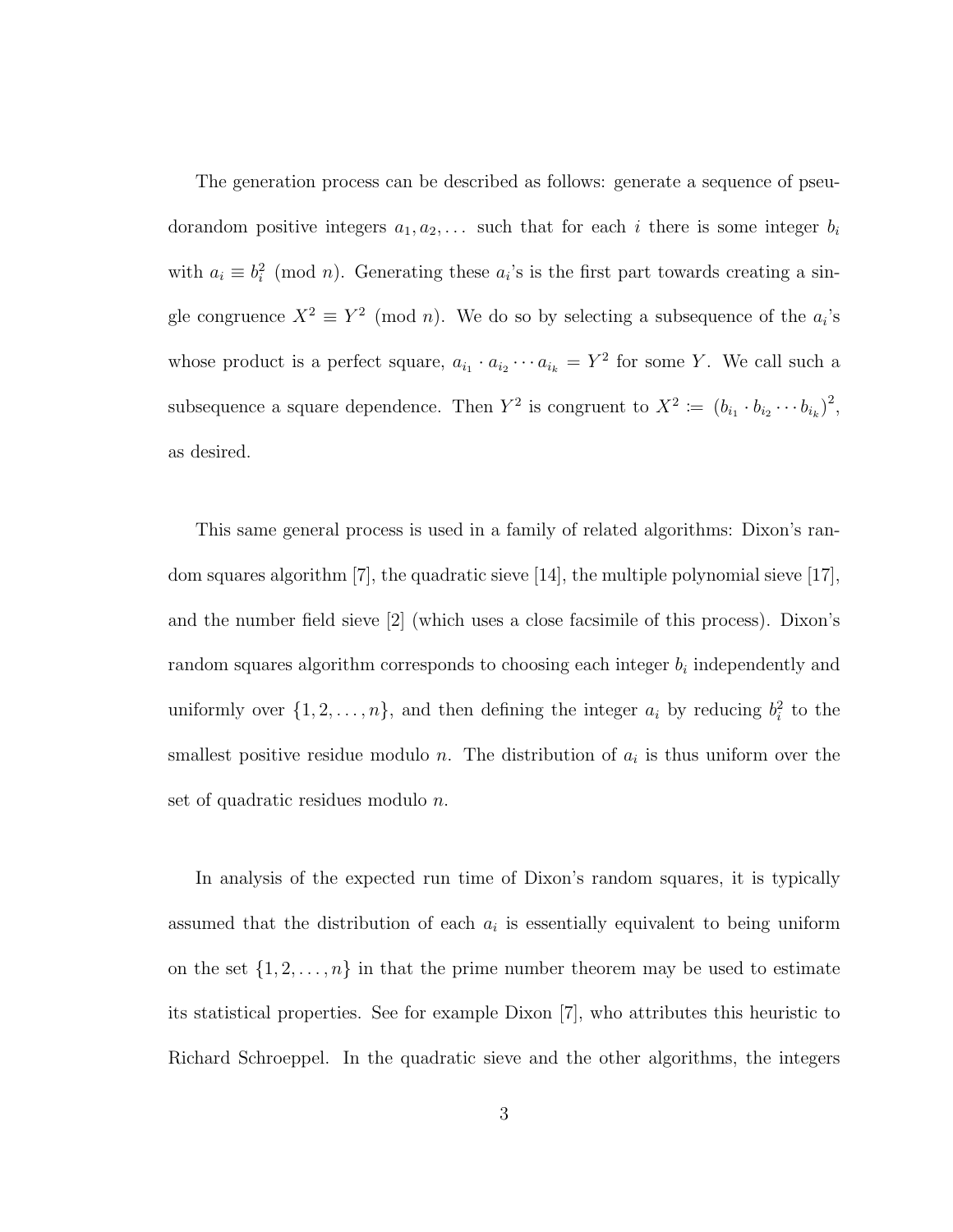The generation process can be described as follows: generate a sequence of pseudorandom positive integers  $a_1, a_2, \ldots$  such that for each i there is some integer  $b_i$ with  $a_i \equiv b_i^2 \pmod{n}$ . Generating these  $a_i$ 's is the first part towards creating a single congruence  $X^2 \equiv Y^2 \pmod{n}$ . We do so by selecting a subsequence of the  $a_i$ 's whose product is a perfect square,  $a_{i_1} \cdot a_{i_2} \cdots a_{i_k} = Y^2$  for some Y. We call such a subsequence a square dependence. Then  $Y^2$  is congruent to  $X^2 := (b_{i_1} \cdot b_{i_2} \cdots b_{i_k})^2$ , as desired.

This same general process is used in a family of related algorithms: Dixon's random squares algorithm [7], the quadratic sieve [14], the multiple polynomial sieve [17], and the number field sieve [2] (which uses a close facsimile of this process). Dixon's random squares algorithm corresponds to choosing each integer  $b_i$  independently and uniformly over  $\{1, 2, ..., n\}$ , and then defining the integer  $a_i$  by reducing  $b_i^2$  to the smallest positive residue modulo n. The distribution of  $a_i$  is thus uniform over the set of quadratic residues modulo n.

In analysis of the expected run time of Dixon's random squares, it is typically assumed that the distribution of each  $a_i$  is essentially equivalent to being uniform on the set  $\{1, 2, \ldots, n\}$  in that the prime number theorem may be used to estimate its statistical properties. See for example Dixon [7], who attributes this heuristic to Richard Schroeppel. In the quadratic sieve and the other algorithms, the integers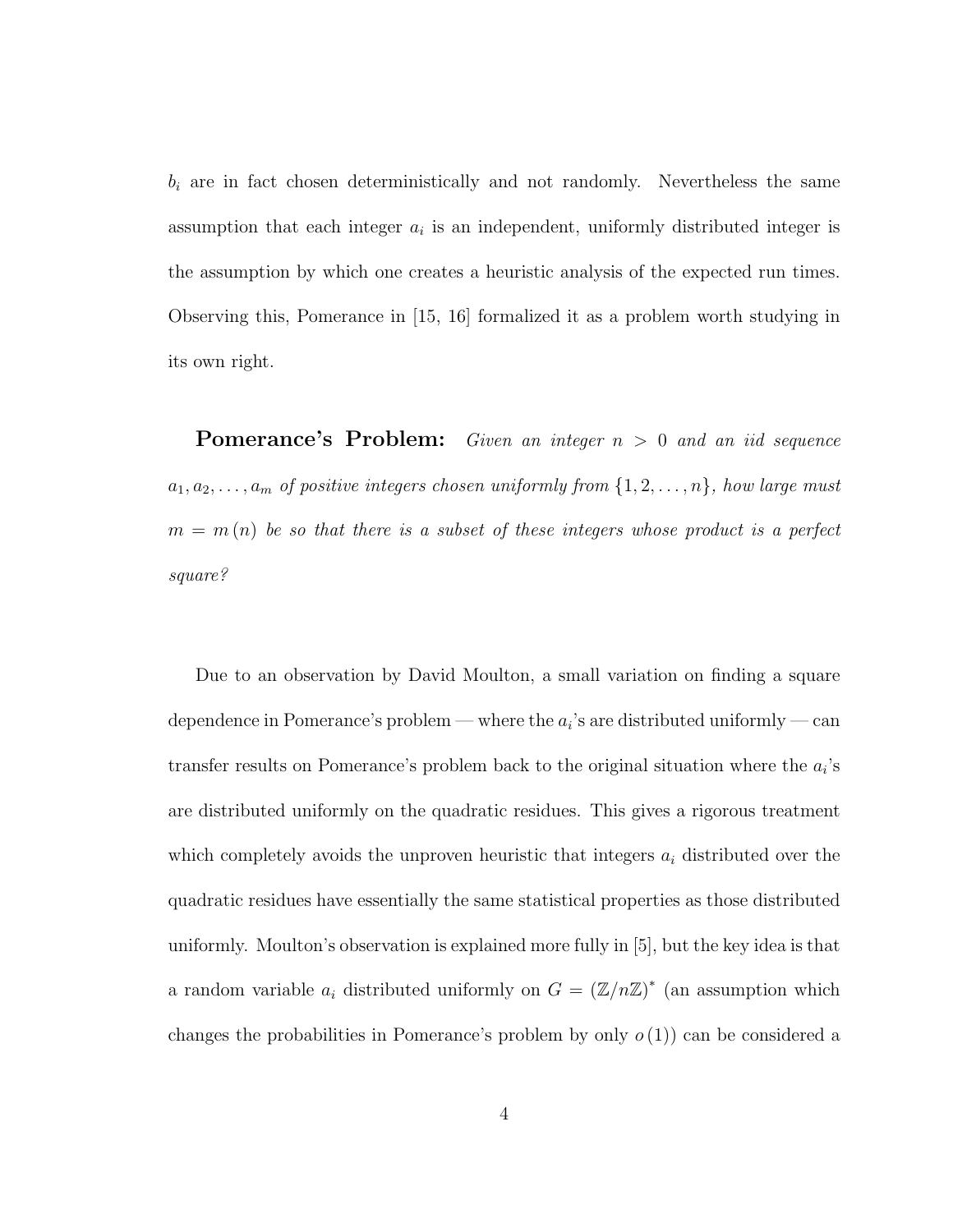$b_i$  are in fact chosen deterministically and not randomly. Nevertheless the same assumption that each integer  $a_i$  is an independent, uniformly distributed integer is the assumption by which one creates a heuristic analysis of the expected run times. Observing this, Pomerance in [15, 16] formalized it as a problem worth studying in its own right.

**Pomerance's Problem:** Given an integer  $n > 0$  and an iid sequence  $a_1, a_2, \ldots, a_m$  of positive integers chosen uniformly from  $\{1, 2, \ldots, n\}$ , how large must  $m = m(n)$  be so that there is a subset of these integers whose product is a perfect square?

Due to an observation by David Moulton, a small variation on finding a square dependence in Pomerance's problem — where the  $a_i$ 's are distributed uniformly — can transfer results on Pomerance's problem back to the original situation where the  $a_i$ 's are distributed uniformly on the quadratic residues. This gives a rigorous treatment which completely avoids the unproven heuristic that integers  $a_i$  distributed over the quadratic residues have essentially the same statistical properties as those distributed uniformly. Moulton's observation is explained more fully in [5], but the key idea is that a random variable  $a_i$  distributed uniformly on  $G = (\mathbb{Z}/n\mathbb{Z})^*$  (an assumption which changes the probabilities in Pomerance's problem by only  $o(1)$  can be considered a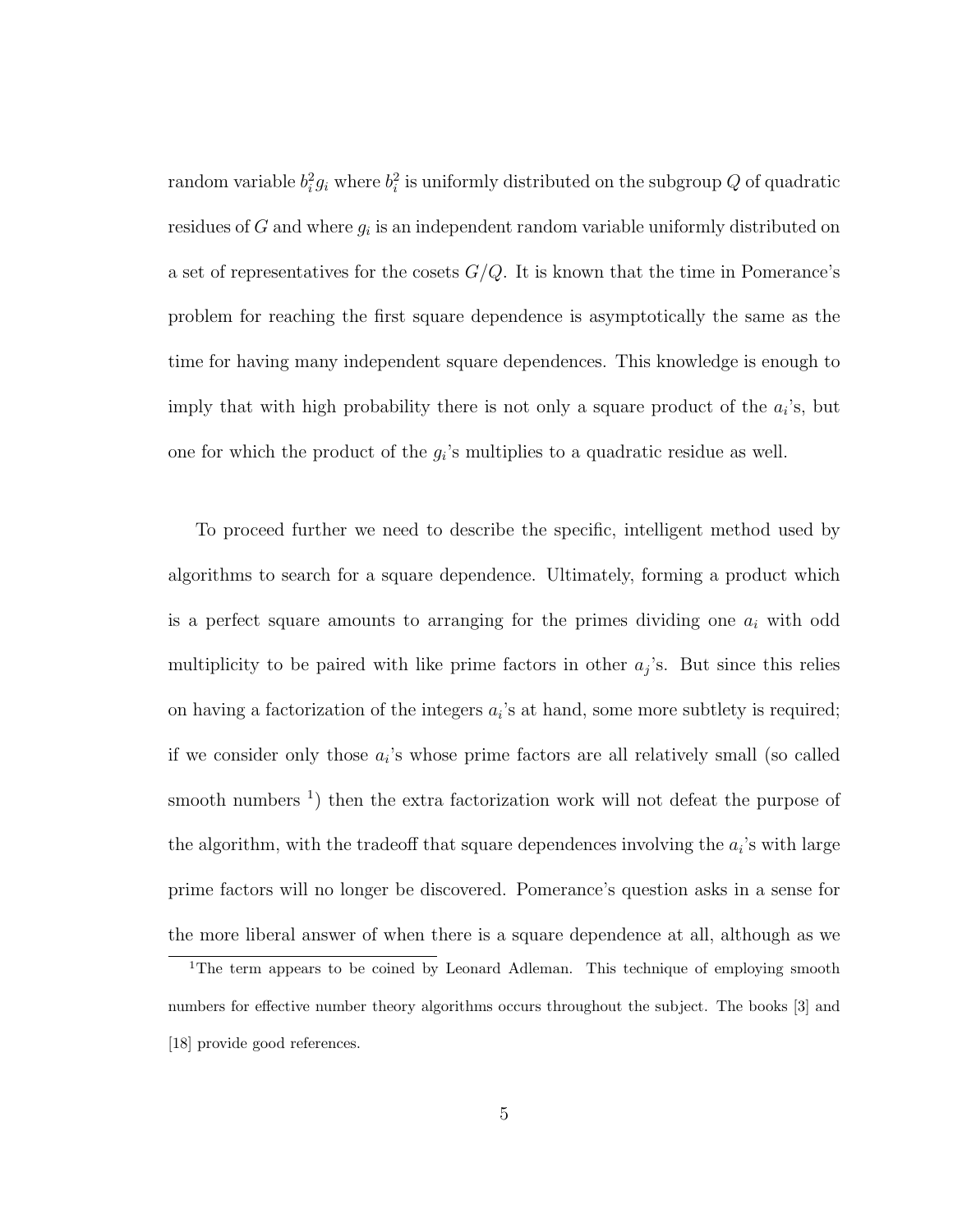random variable  $b_i^2 g_i$  where  $b_i^2$  is uniformly distributed on the subgroup  $Q$  of quadratic residues of G and where  $g_i$  is an independent random variable uniformly distributed on a set of representatives for the cosets  $G/Q$ . It is known that the time in Pomerance's problem for reaching the first square dependence is asymptotically the same as the time for having many independent square dependences. This knowledge is enough to imply that with high probability there is not only a square product of the  $a_i$ 's, but one for which the product of the  $g_i$ 's multiplies to a quadratic residue as well.

To proceed further we need to describe the specific, intelligent method used by algorithms to search for a square dependence. Ultimately, forming a product which is a perfect square amounts to arranging for the primes dividing one  $a_i$  with odd multiplicity to be paired with like prime factors in other  $a_j$ 's. But since this relies on having a factorization of the integers  $a_i$ 's at hand, some more subtlety is required; if we consider only those  $a_i$ 's whose prime factors are all relatively small (so called smooth numbers<sup>1</sup>) then the extra factorization work will not defeat the purpose of the algorithm, with the tradeoff that square dependences involving the  $a_i$ 's with large prime factors will no longer be discovered. Pomerance's question asks in a sense for the more liberal answer of when there is a square dependence at all, although as we

<sup>&</sup>lt;sup>1</sup>The term appears to be coined by Leonard Adleman. This technique of employing smooth numbers for effective number theory algorithms occurs throughout the subject. The books [3] and [18] provide good references.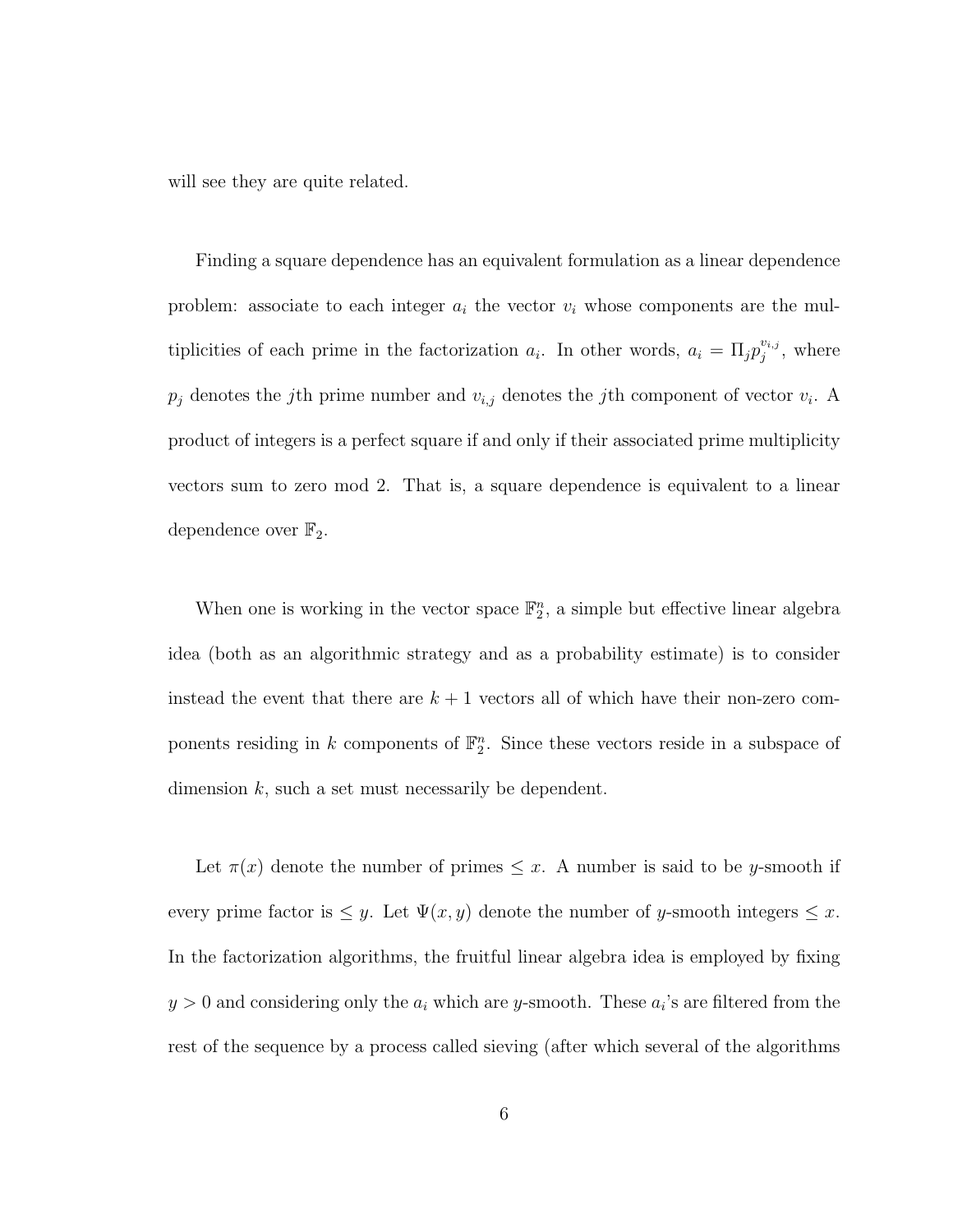will see they are quite related.

Finding a square dependence has an equivalent formulation as a linear dependence problem: associate to each integer  $a_i$  the vector  $v_i$  whose components are the multiplicities of each prime in the factorization  $a_i$ . In other words,  $a_i = \prod_j p_j^{v_{i,j}}$  $j^{v_{i,j}},$  where  $p_j$  denotes the *j*th prime number and  $v_{i,j}$  denotes the *j*th component of vector  $v_i$ . A product of integers is a perfect square if and only if their associated prime multiplicity vectors sum to zero mod 2. That is, a square dependence is equivalent to a linear dependence over  $\mathbb{F}_2$ .

When one is working in the vector space  $\mathbb{F}_2^n$ , a simple but effective linear algebra idea (both as an algorithmic strategy and as a probability estimate) is to consider instead the event that there are  $k + 1$  vectors all of which have their non-zero components residing in k components of  $\mathbb{F}_2^n$ . Since these vectors reside in a subspace of dimension  $k$ , such a set must necessarily be dependent.

Let  $\pi(x)$  denote the number of primes  $\leq x$ . A number is said to be y-smooth if every prime factor is  $\leq y$ . Let  $\Psi(x, y)$  denote the number of y-smooth integers  $\leq x$ . In the factorization algorithms, the fruitful linear algebra idea is employed by fixing  $y > 0$  and considering only the  $a_i$  which are y-smooth. These  $a_i$ 's are filtered from the rest of the sequence by a process called sieving (after which several of the algorithms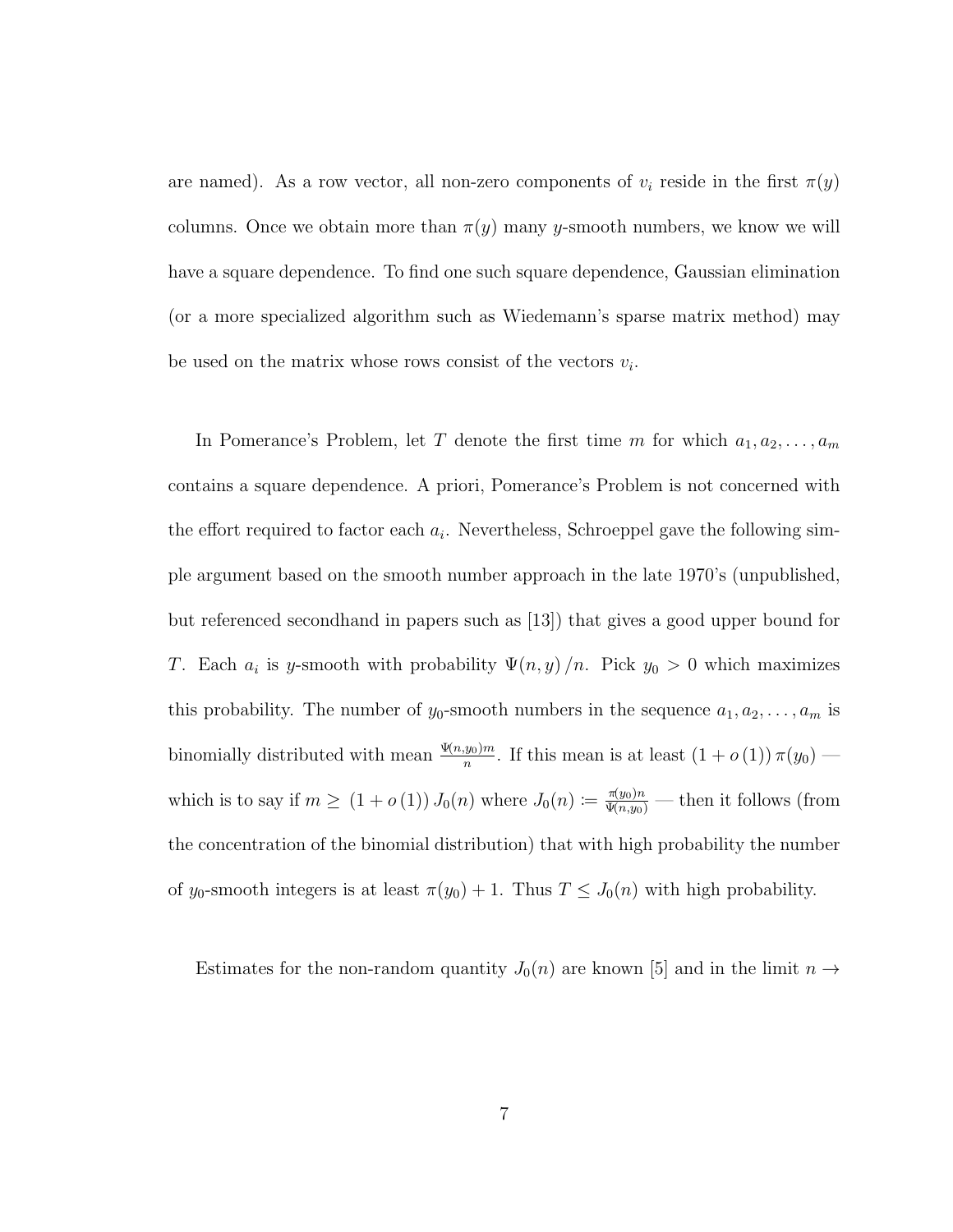are named). As a row vector, all non-zero components of  $v_i$  reside in the first  $\pi(y)$ columns. Once we obtain more than  $\pi(y)$  many y-smooth numbers, we know we will have a square dependence. To find one such square dependence, Gaussian elimination (or a more specialized algorithm such as Wiedemann's sparse matrix method) may be used on the matrix whose rows consist of the vectors  $v_i$ .

In Pomerance's Problem, let T denote the first time m for which  $a_1, a_2, \ldots, a_m$ contains a square dependence. A priori, Pomerance's Problem is not concerned with the effort required to factor each  $a_i$ . Nevertheless, Schroeppel gave the following simple argument based on the smooth number approach in the late 1970's (unpublished, but referenced secondhand in papers such as [13]) that gives a good upper bound for T. Each  $a_i$  is y-smooth with probability  $\Psi(n, y)/n$ . Pick  $y_0 > 0$  which maximizes this probability. The number of  $y_0$ -smooth numbers in the sequence  $a_1, a_2, \ldots, a_m$  is binomially distributed with mean  $\frac{\Psi(n,y_0)m}{n}$ . If this mean is at least  $(1+o(1))\pi(y_0)$  which is to say if  $m \ge (1 + o(1)) J_0(n)$  where  $J_0(n) := \frac{\pi(y_0)n}{\Psi(n,y_0)}$  — then it follows (from the concentration of the binomial distribution) that with high probability the number of  $y_0$ -smooth integers is at least  $\pi(y_0) + 1$ . Thus  $T \leq J_0(n)$  with high probability.

Estimates for the non-random quantity  $J_0(n)$  are known [5] and in the limit  $n \to$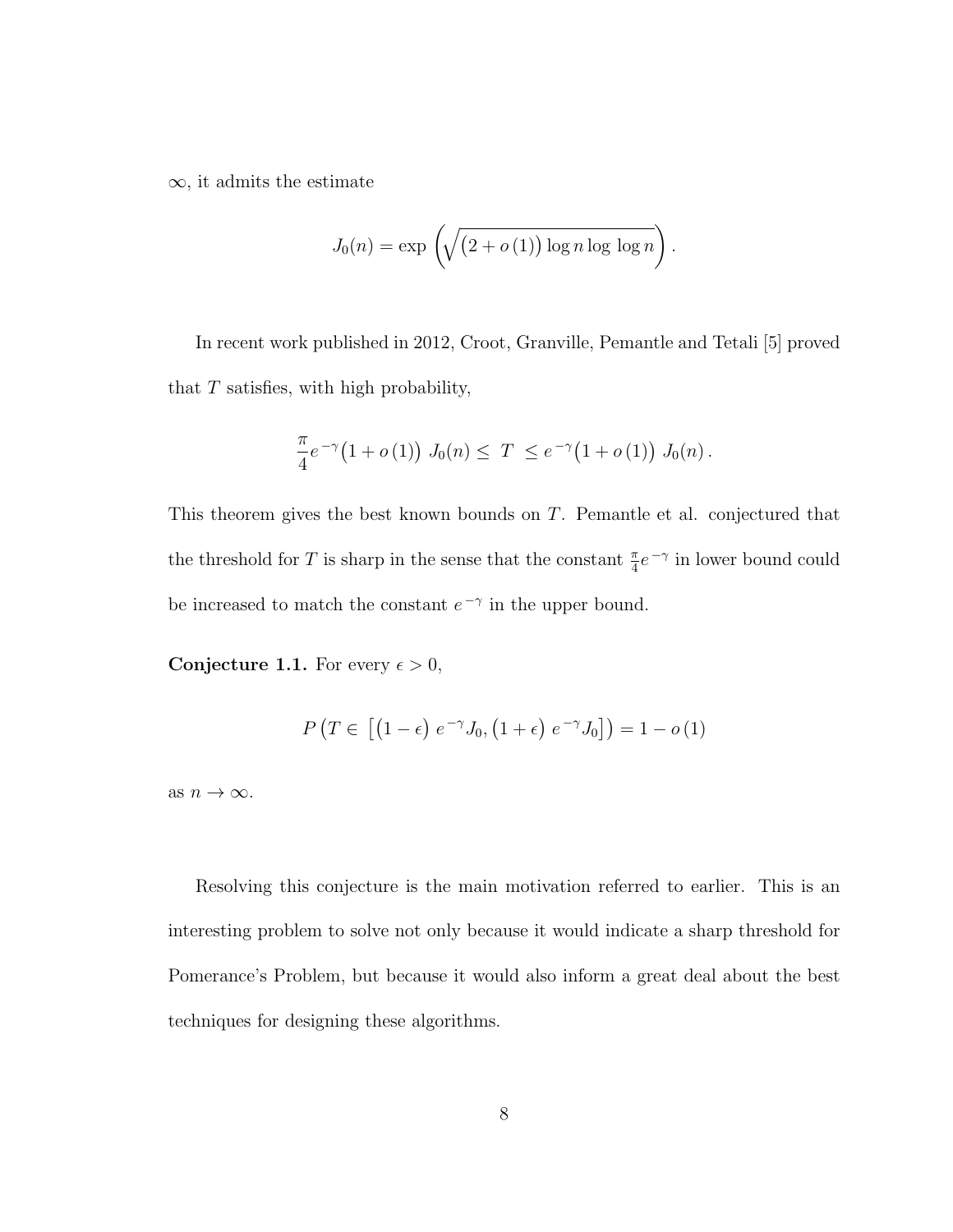$\infty$ , it admits the estimate

$$
J_0(n) = \exp \left( \sqrt{\left(2 + o(1)\right) \log n \log \log n} \right).
$$

In recent work published in 2012, Croot, Granville, Pemantle and Tetali [5] proved that  $T$  satisfies, with high probability,

$$
\frac{\pi}{4}e^{-\gamma}\big(1+o(1)\big) J_0(n) \leq T \leq e^{-\gamma}\big(1+o(1)\big) J_0(n).
$$

This theorem gives the best known bounds on T. Pemantle et al. conjectured that the threshold for T is sharp in the sense that the constant  $\frac{\pi}{4}e^{-\gamma}$  in lower bound could be increased to match the constant  $e^{-\gamma}$  in the upper bound.

**Conjecture 1.1.** For every  $\epsilon > 0$ ,

$$
P\left(T \in \left[\left(1-\epsilon\right)e^{-\gamma}J_0, \left(1+\epsilon\right)e^{-\gamma}J_0\right]\right) = 1 - o\left(1\right)
$$

as  $n \to \infty$ .

Resolving this conjecture is the main motivation referred to earlier. This is an interesting problem to solve not only because it would indicate a sharp threshold for Pomerance's Problem, but because it would also inform a great deal about the best techniques for designing these algorithms.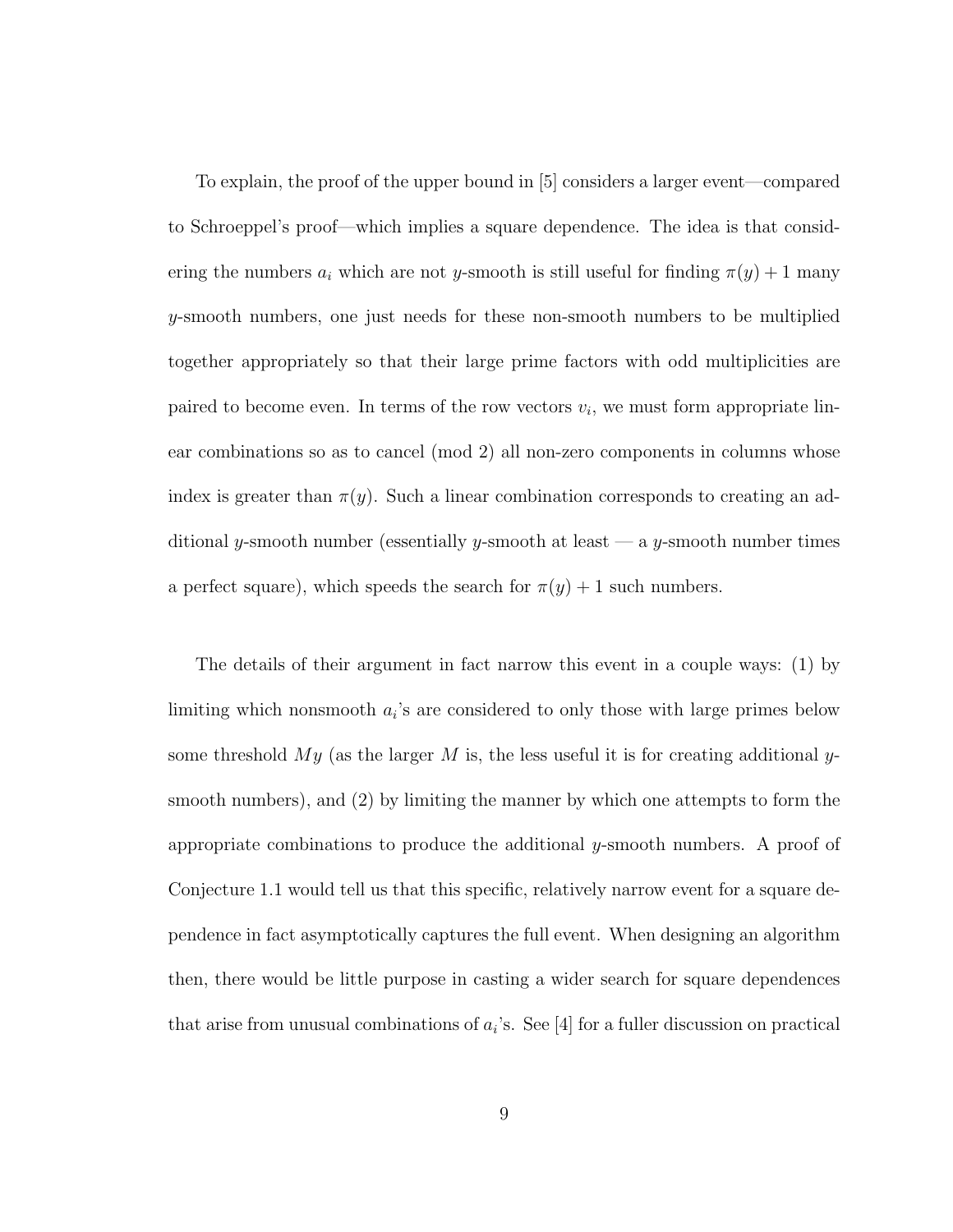To explain, the proof of the upper bound in [5] considers a larger event—compared to Schroeppel's proof—which implies a square dependence. The idea is that considering the numbers  $a_i$  which are not y-smooth is still useful for finding  $\pi(y) + 1$  many y-smooth numbers, one just needs for these non-smooth numbers to be multiplied together appropriately so that their large prime factors with odd multiplicities are paired to become even. In terms of the row vectors  $v_i$ , we must form appropriate linear combinations so as to cancel (mod 2) all non-zero components in columns whose index is greater than  $\pi(y)$ . Such a linear combination corresponds to creating an additional y-smooth number (essentially y-smooth at least  $-$  a y-smooth number times a perfect square), which speeds the search for  $\pi(y) + 1$  such numbers.

The details of their argument in fact narrow this event in a couple ways: (1) by limiting which nonsmooth  $a_i$ 's are considered to only those with large primes below some threshold  $My$  (as the larger M is, the less useful it is for creating additional ysmooth numbers), and (2) by limiting the manner by which one attempts to form the appropriate combinations to produce the additional y-smooth numbers. A proof of Conjecture 1.1 would tell us that this specific, relatively narrow event for a square dependence in fact asymptotically captures the full event. When designing an algorithm then, there would be little purpose in casting a wider search for square dependences that arise from unusual combinations of  $a_i$ 's. See [4] for a fuller discussion on practical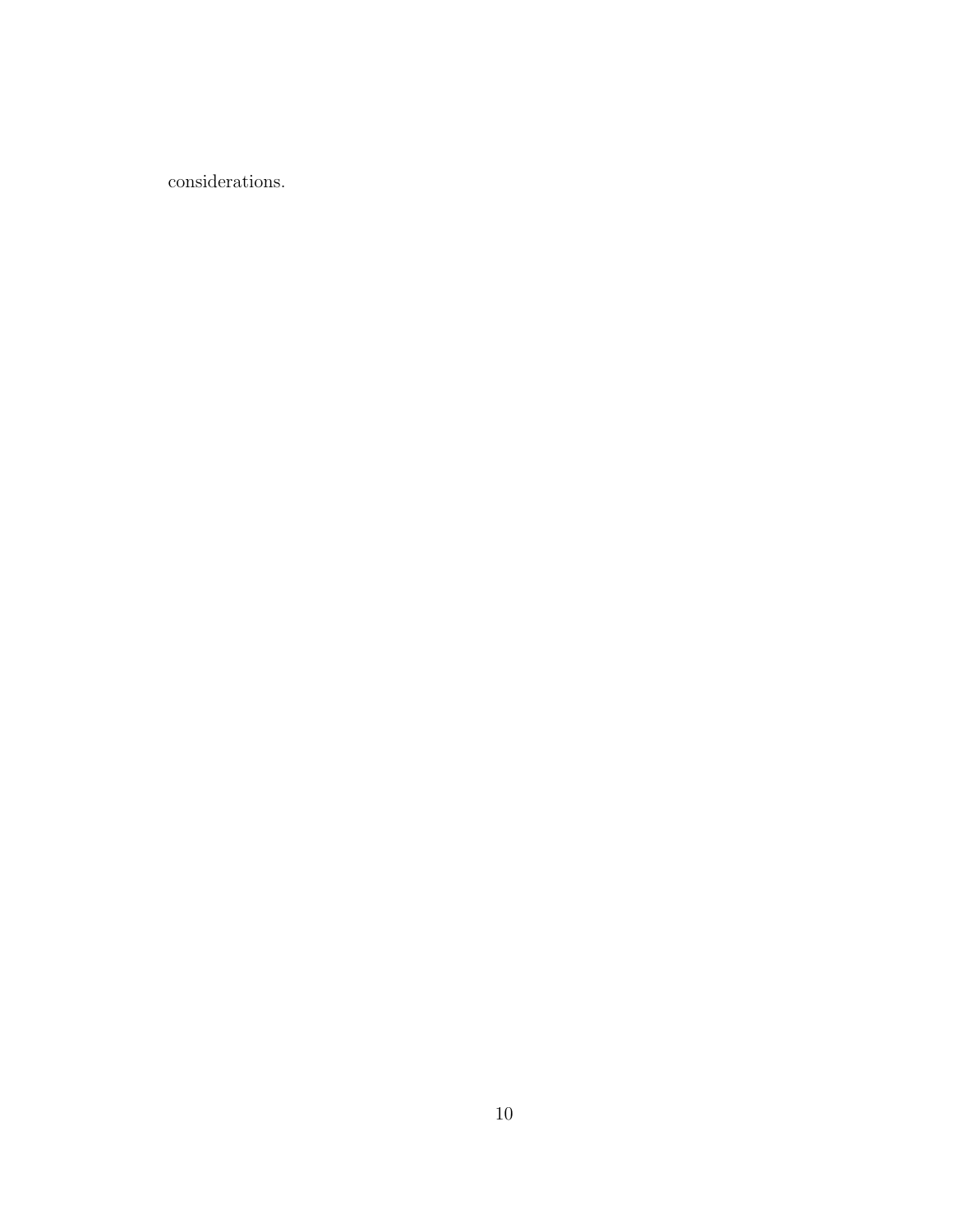considerations.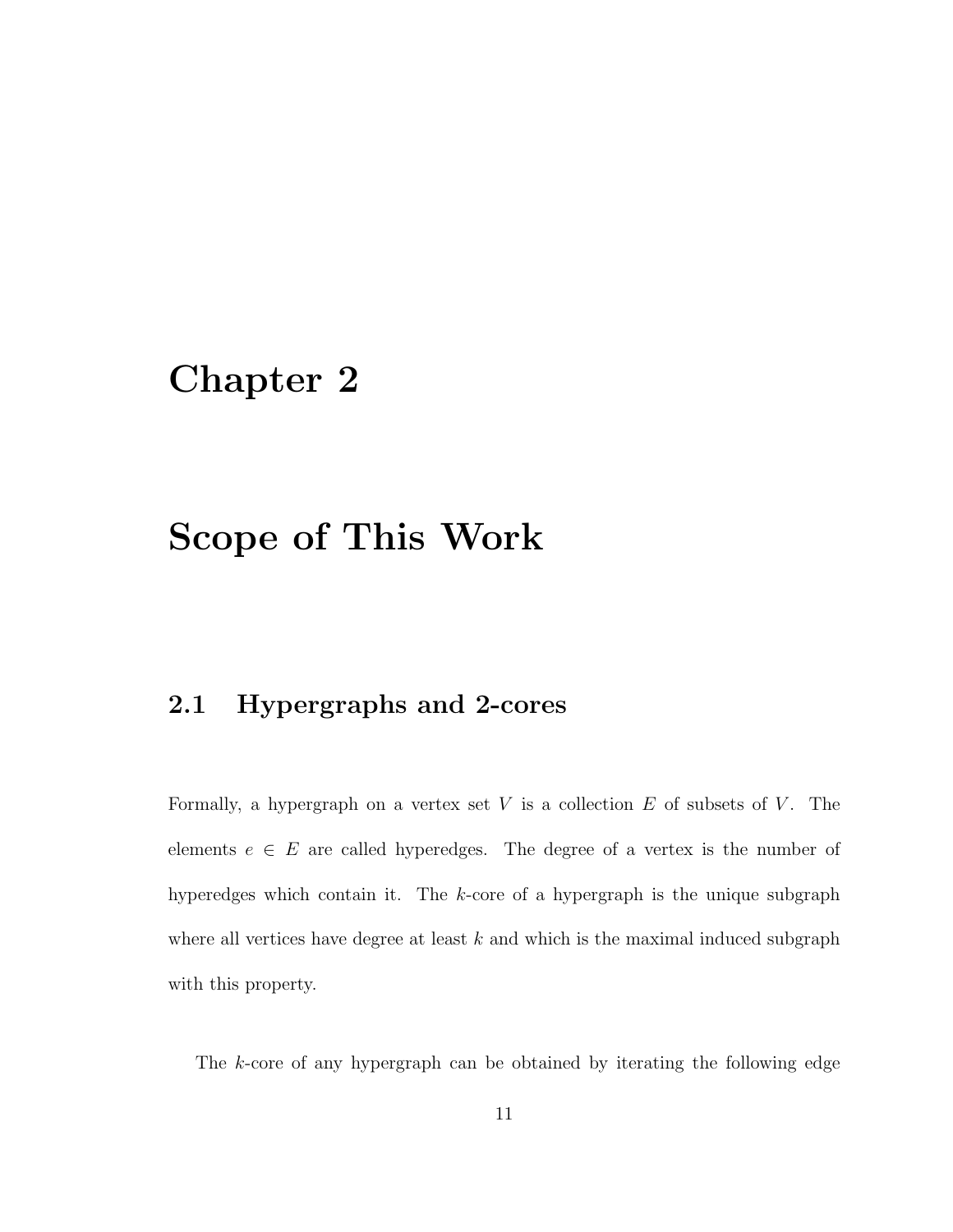# Chapter 2

# Scope of This Work

### 2.1 Hypergraphs and 2-cores

Formally, a hypergraph on a vertex set  $V$  is a collection  $E$  of subsets of  $V$ . The elements  $e \in E$  are called hyperedges. The degree of a vertex is the number of hyperedges which contain it. The k-core of a hypergraph is the unique subgraph where all vertices have degree at least  $k$  and which is the maximal induced subgraph with this property.

The k-core of any hypergraph can be obtained by iterating the following edge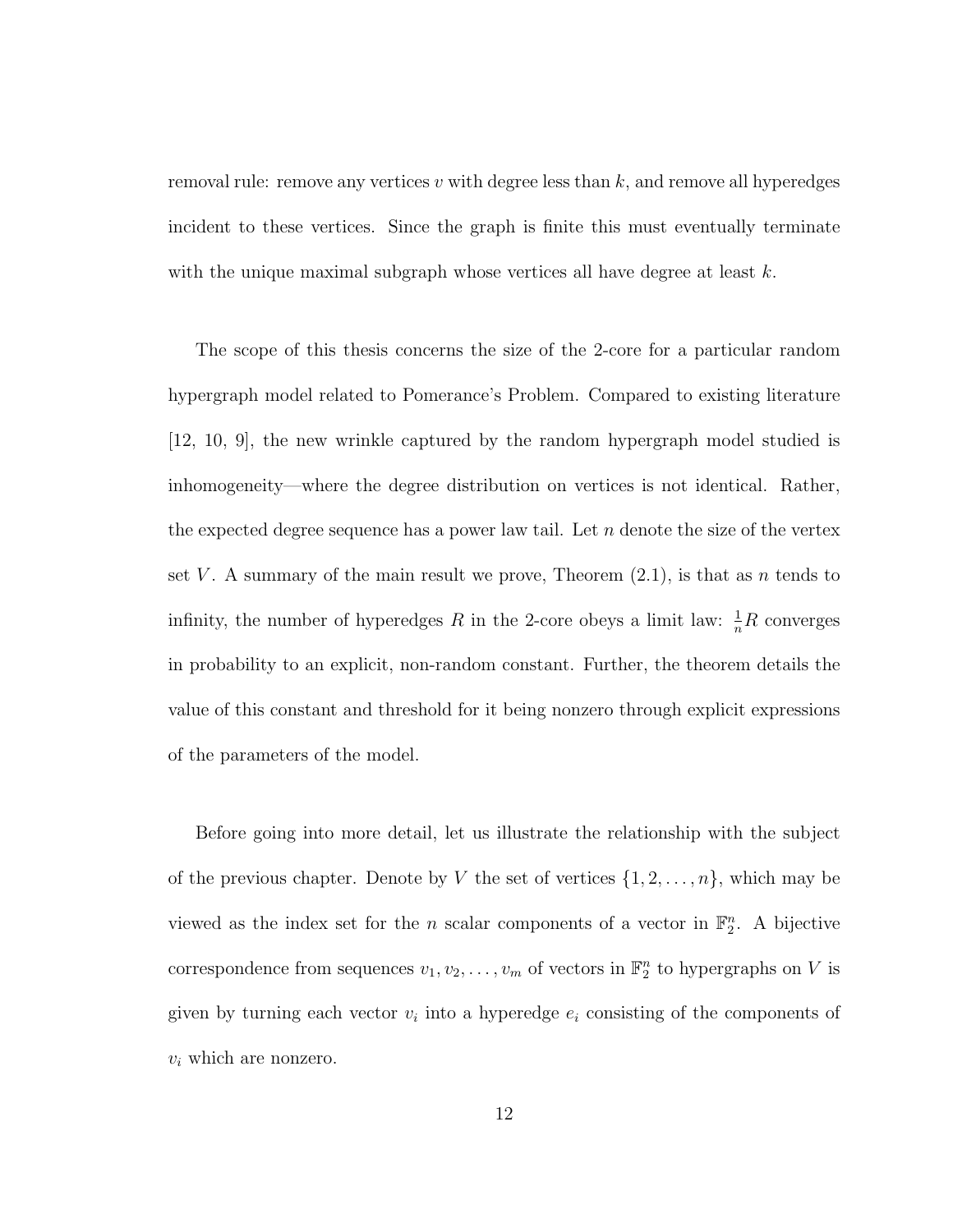removal rule: remove any vertices  $v$  with degree less than  $k$ , and remove all hyperedges incident to these vertices. Since the graph is finite this must eventually terminate with the unique maximal subgraph whose vertices all have degree at least  $k$ .

The scope of this thesis concerns the size of the 2-core for a particular random hypergraph model related to Pomerance's Problem. Compared to existing literature [12, 10, 9], the new wrinkle captured by the random hypergraph model studied is inhomogeneity—where the degree distribution on vertices is not identical. Rather, the expected degree sequence has a power law tail. Let  $n$  denote the size of the vertex set V. A summary of the main result we prove, Theorem  $(2.1)$ , is that as n tends to infinity, the number of hyperedges R in the 2-core obeys a limit law:  $\frac{1}{n}R$  converges in probability to an explicit, non-random constant. Further, the theorem details the value of this constant and threshold for it being nonzero through explicit expressions of the parameters of the model.

Before going into more detail, let us illustrate the relationship with the subject of the previous chapter. Denote by V the set of vertices  $\{1, 2, \ldots, n\}$ , which may be viewed as the index set for the *n* scalar components of a vector in  $\mathbb{F}_2^n$ . A bijective correspondence from sequences  $v_1, v_2, \ldots, v_m$  of vectors in  $\mathbb{F}_2^n$  to hypergraphs on V is given by turning each vector  $v_i$  into a hyperedge  $e_i$  consisting of the components of  $v_i$  which are nonzero.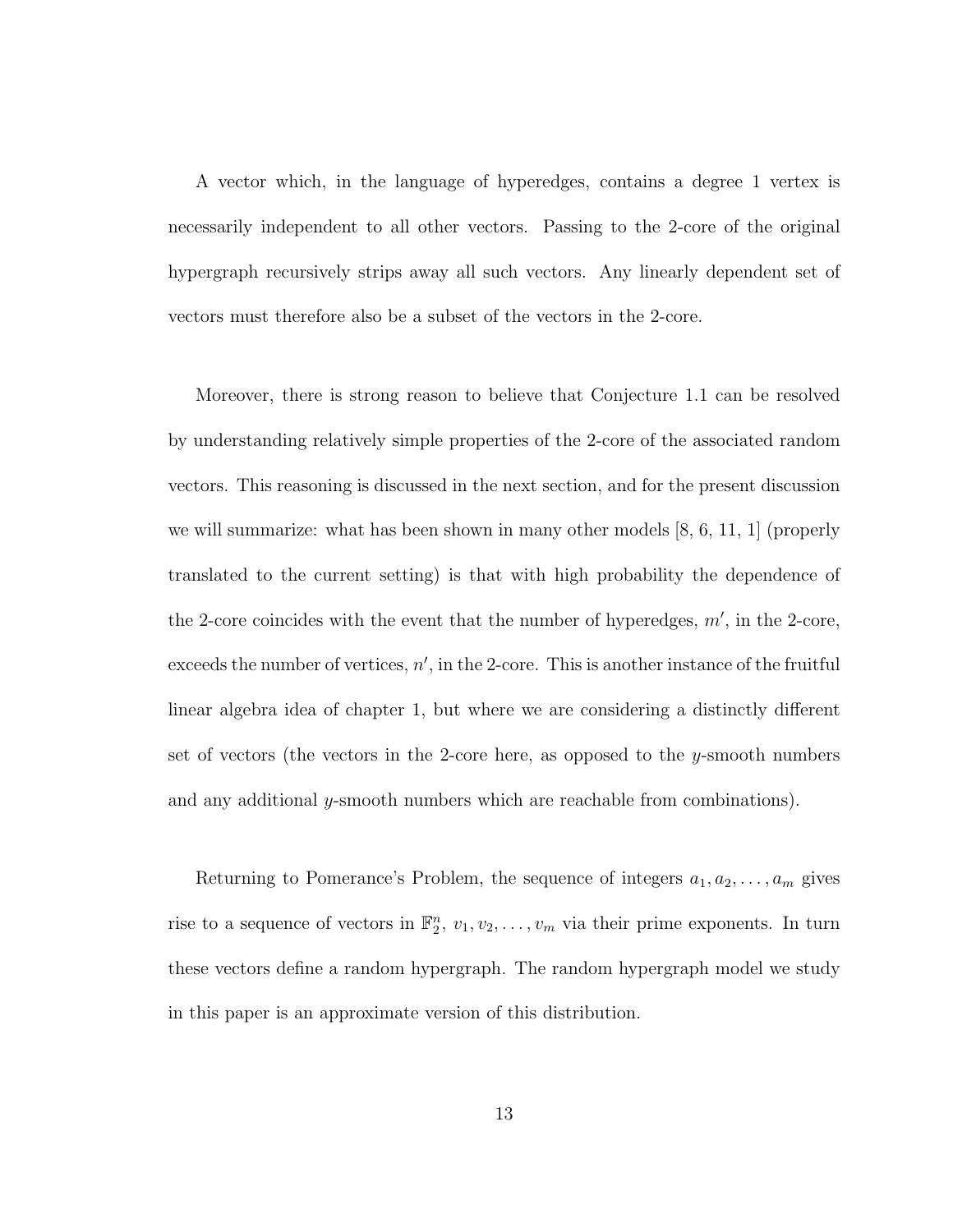A vector which, in the language of hyperedges, contains a degree 1 vertex is necessarily independent to all other vectors. Passing to the 2-core of the original hypergraph recursively strips away all such vectors. Any linearly dependent set of vectors must therefore also be a subset of the vectors in the 2-core.

Moreover, there is strong reason to believe that Conjecture 1.1 can be resolved by understanding relatively simple properties of the 2-core of the associated random vectors. This reasoning is discussed in the next section, and for the present discussion we will summarize: what has been shown in many other models  $[8, 6, 11, 1]$  (properly translated to the current setting) is that with high probability the dependence of the 2-core coincides with the event that the number of hyperedges,  $m'$ , in the 2-core, exceeds the number of vertices,  $n'$ , in the 2-core. This is another instance of the fruitful linear algebra idea of chapter 1, but where we are considering a distinctly different set of vectors (the vectors in the 2-core here, as opposed to the y-smooth numbers and any additional y-smooth numbers which are reachable from combinations).

Returning to Pomerance's Problem, the sequence of integers  $a_1, a_2, \ldots, a_m$  gives rise to a sequence of vectors in  $\mathbb{F}_2^n$ ,  $v_1, v_2, \ldots, v_m$  via their prime exponents. In turn these vectors define a random hypergraph. The random hypergraph model we study in this paper is an approximate version of this distribution.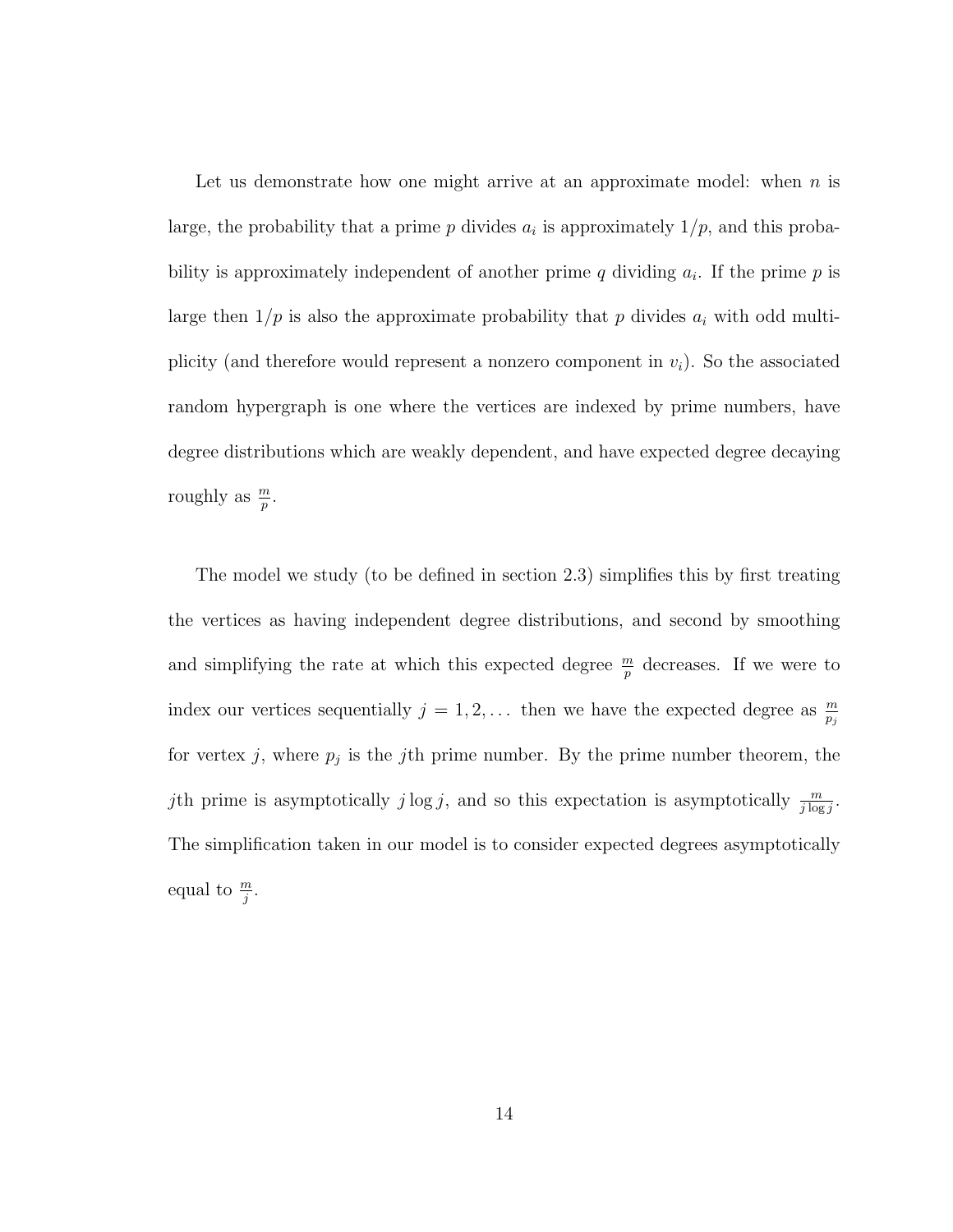Let us demonstrate how one might arrive at an approximate model: when  $n$  is large, the probability that a prime  $p$  divides  $a_i$  is approximately  $1/p$ , and this probability is approximately independent of another prime  $q$  dividing  $a_i$ . If the prime  $p$  is large then  $1/p$  is also the approximate probability that p divides  $a_i$  with odd multiplicity (and therefore would represent a nonzero component in  $v_i$ ). So the associated random hypergraph is one where the vertices are indexed by prime numbers, have degree distributions which are weakly dependent, and have expected degree decaying roughly as  $\frac{m}{p}$ .

The model we study (to be defined in section 2.3) simplifies this by first treating the vertices as having independent degree distributions, and second by smoothing and simplifying the rate at which this expected degree  $\frac{m}{p}$  decreases. If we were to index our vertices sequentially  $j = 1, 2, \ldots$  then we have the expected degree as  $\frac{m}{p_j}$ for vertex j, where  $p_j$  is the j<sup>th</sup> prime number. By the prime number theorem, the jth prime is asymptotically  $j \log j$ , and so this expectation is asymptotically  $\frac{m}{j \log j}$ . The simplification taken in our model is to consider expected degrees asymptotically equal to  $\frac{m}{j}$ .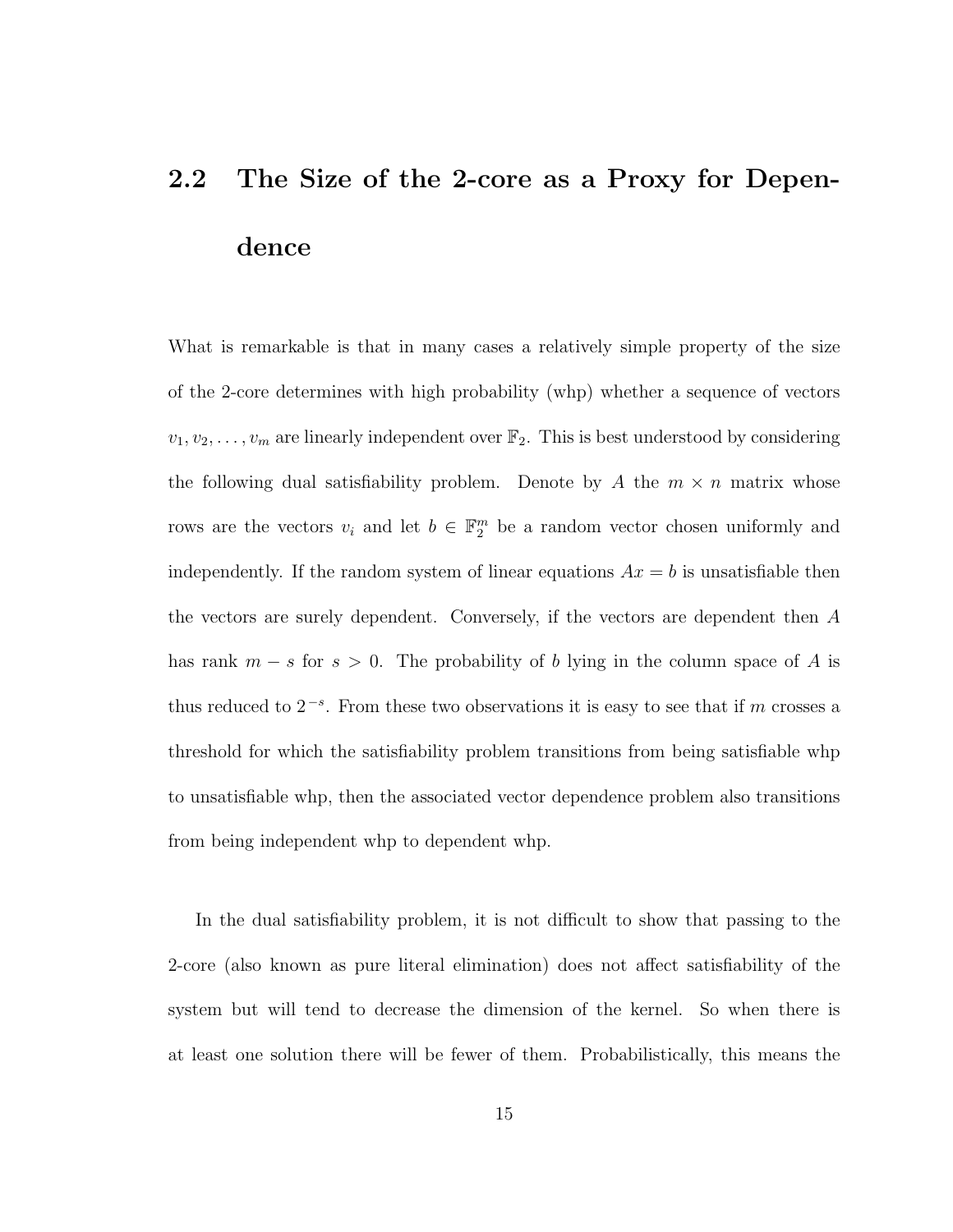# 2.2 The Size of the 2-core as a Proxy for Dependence

What is remarkable is that in many cases a relatively simple property of the size of the 2-core determines with high probability (whp) whether a sequence of vectors  $v_1, v_2, \ldots, v_m$  are linearly independent over  $\mathbb{F}_2$ . This is best understood by considering the following dual satisfiability problem. Denote by A the  $m \times n$  matrix whose rows are the vectors  $v_i$  and let  $b \in \mathbb{F}_2^m$  be a random vector chosen uniformly and independently. If the random system of linear equations  $Ax = b$  is unsatisfiable then the vectors are surely dependent. Conversely, if the vectors are dependent then A has rank  $m - s$  for  $s > 0$ . The probability of b lying in the column space of A is thus reduced to  $2^{-s}$ . From these two observations it is easy to see that if m crosses a threshold for which the satisfiability problem transitions from being satisfiable whp to unsatisfiable whp, then the associated vector dependence problem also transitions from being independent whp to dependent whp.

In the dual satisfiability problem, it is not difficult to show that passing to the 2-core (also known as pure literal elimination) does not affect satisfiability of the system but will tend to decrease the dimension of the kernel. So when there is at least one solution there will be fewer of them. Probabilistically, this means the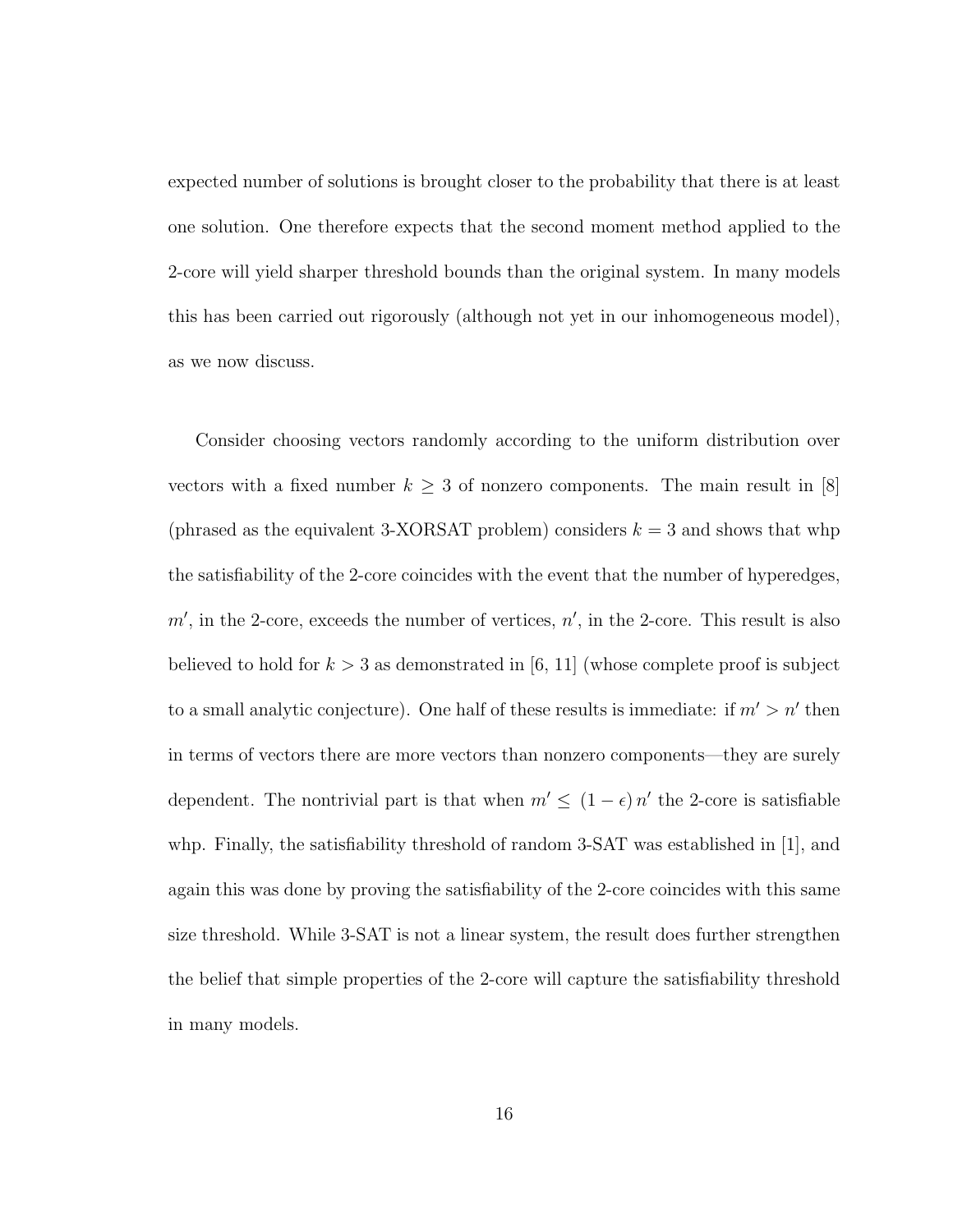expected number of solutions is brought closer to the probability that there is at least one solution. One therefore expects that the second moment method applied to the 2-core will yield sharper threshold bounds than the original system. In many models this has been carried out rigorously (although not yet in our inhomogeneous model), as we now discuss.

Consider choosing vectors randomly according to the uniform distribution over vectors with a fixed number  $k \geq 3$  of nonzero components. The main result in [8] (phrased as the equivalent 3-XORSAT problem) considers  $k = 3$  and shows that whp the satisfiability of the 2-core coincides with the event that the number of hyperedges,  $m'$ , in the 2-core, exceeds the number of vertices,  $n'$ , in the 2-core. This result is also believed to hold for  $k > 3$  as demonstrated in [6, 11] (whose complete proof is subject to a small analytic conjecture). One half of these results is immediate: if  $m' > n'$  then in terms of vectors there are more vectors than nonzero components—they are surely dependent. The nontrivial part is that when  $m' \leq (1 - \epsilon) n'$  the 2-core is satisfiable whp. Finally, the satisfiability threshold of random 3-SAT was established in [1], and again this was done by proving the satisfiability of the 2-core coincides with this same size threshold. While 3-SAT is not a linear system, the result does further strengthen the belief that simple properties of the 2-core will capture the satisfiability threshold in many models.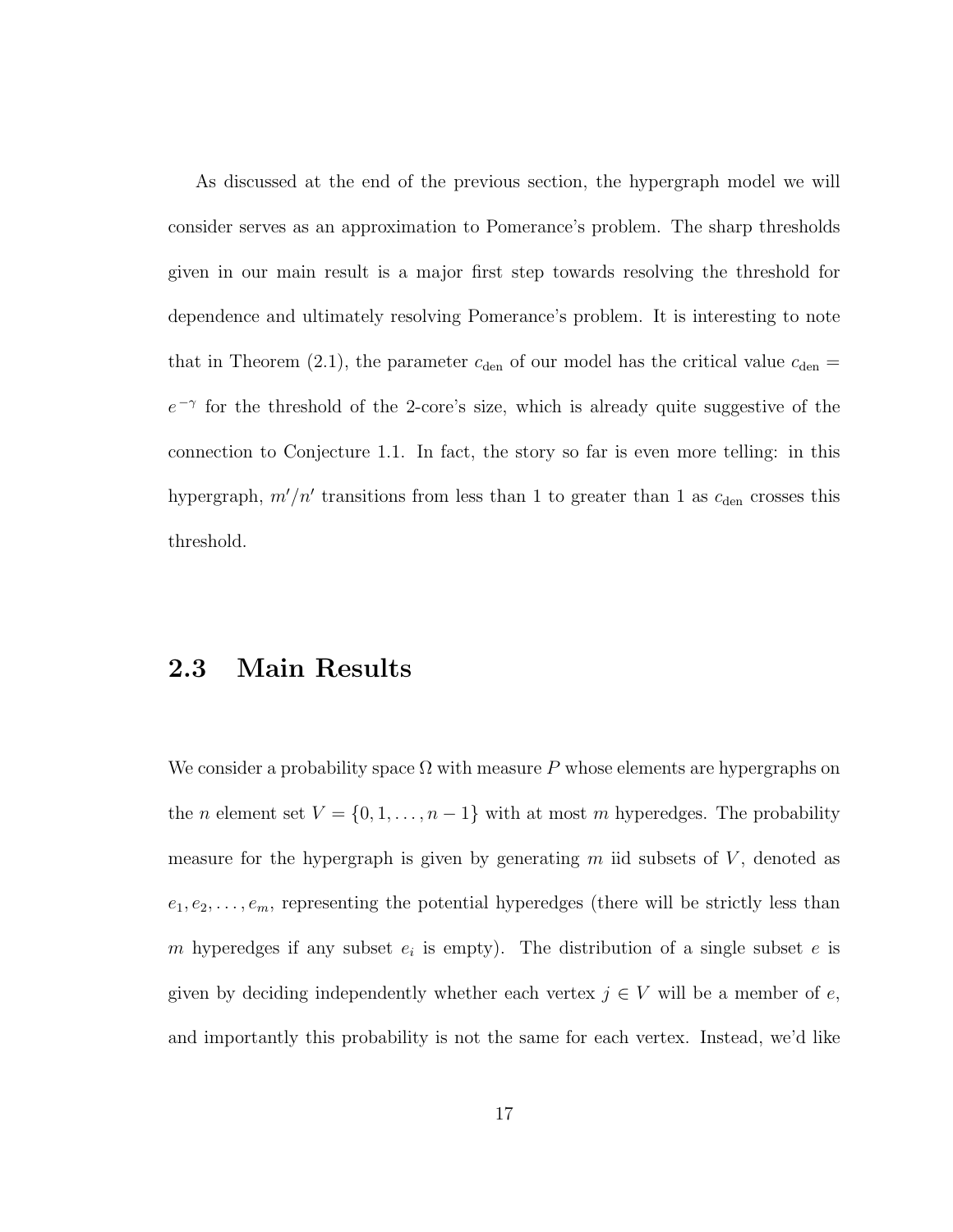As discussed at the end of the previous section, the hypergraph model we will consider serves as an approximation to Pomerance's problem. The sharp thresholds given in our main result is a major first step towards resolving the threshold for dependence and ultimately resolving Pomerance's problem. It is interesting to note that in Theorem (2.1), the parameter  $c_{den}$  of our model has the critical value  $c_{den} =$  $e^{-\gamma}$  for the threshold of the 2-core's size, which is already quite suggestive of the connection to Conjecture 1.1. In fact, the story so far is even more telling: in this hypergraph,  $m'/n'$  transitions from less than 1 to greater than 1 as  $c_{den}$  crosses this threshold.

### 2.3 Main Results

We consider a probability space  $\Omega$  with measure P whose elements are hypergraphs on the *n* element set  $V = \{0, 1, \ldots, n-1\}$  with at most *m* hyperedges. The probability measure for the hypergraph is given by generating  $m$  iid subsets of  $V$ , denoted as  $e_1, e_2, \ldots, e_m$ , representing the potential hyperedges (there will be strictly less than m hyperedges if any subset  $e_i$  is empty). The distribution of a single subset e is given by deciding independently whether each vertex  $j \in V$  will be a member of e, and importantly this probability is not the same for each vertex. Instead, we'd like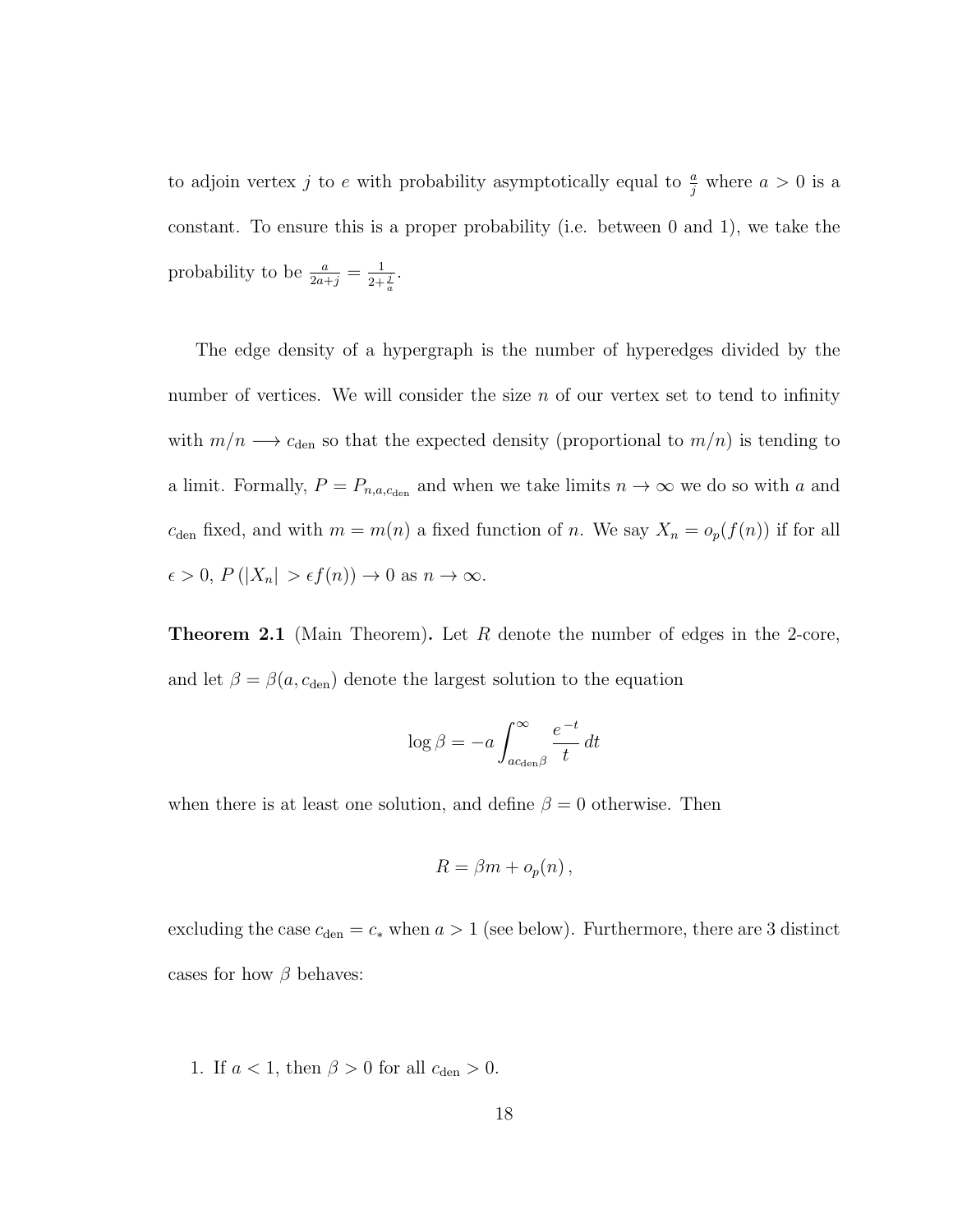to adjoin vertex j to e with probability asymptotically equal to  $\frac{a}{j}$  where  $a > 0$  is a constant. To ensure this is a proper probability (i.e. between 0 and 1), we take the probability to be  $\frac{a}{2a+j} = \frac{1}{2+\frac{j}{a}}$ .

The edge density of a hypergraph is the number of hyperedges divided by the number of vertices. We will consider the size  $n$  of our vertex set to tend to infinity with  $m/n \longrightarrow c_{den}$  so that the expected density (proportional to  $m/n$ ) is tending to a limit. Formally,  $P = P_{n,a,c_{den}}$  and when we take limits  $n \to \infty$  we do so with a and  $c<sub>den</sub>$  fixed, and with  $m = m(n)$  a fixed function of n. We say  $X_n = o_p(f(n))$  if for all  $\epsilon > 0, P(|X_n| > \epsilon f(n)) \to 0 \text{ as } n \to \infty.$ 

**Theorem 2.1** (Main Theorem). Let R denote the number of edges in the 2-core, and let  $\beta = \beta(a, c_{den})$  denote the largest solution to the equation

$$
\log \beta = -a \int_{ac_{\text{den}} \beta}^{\infty} \frac{e^{-t}}{t} dt
$$

when there is at least one solution, and define  $\beta = 0$  otherwise. Then

$$
R = \beta m + o_p(n),
$$

excluding the case  $c_{den} = c_*$  when  $a > 1$  (see below). Furthermore, there are 3 distinct cases for how  $\beta$  behaves:

1. If  $a < 1$ , then  $\beta > 0$  for all  $c_{den} > 0$ .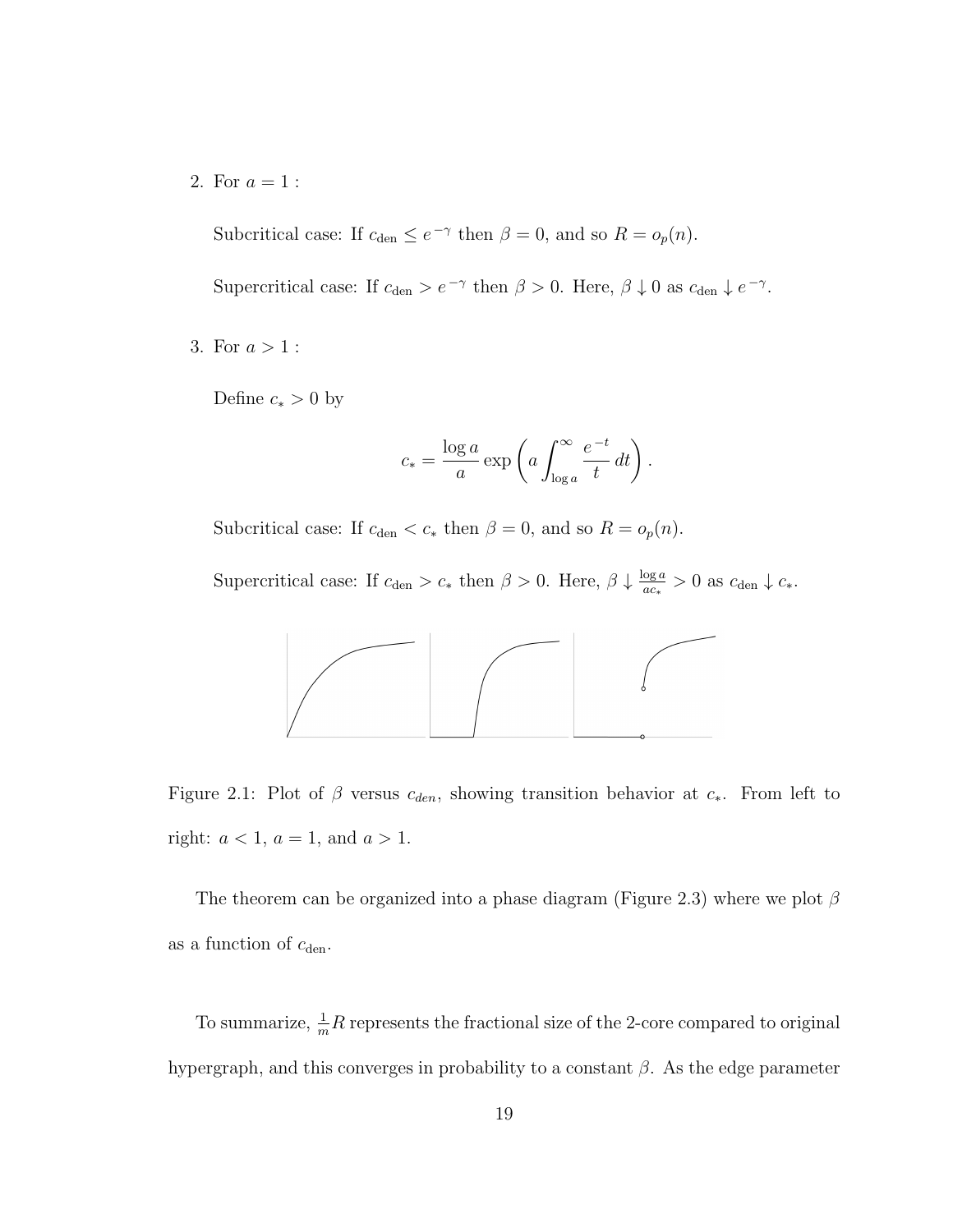2. For  $a = 1$  :

Subcritical case: If  $c_{den} \leq e^{-\gamma}$  then  $\beta = 0$ , and so  $R = o_p(n)$ .

Supercritical case: If  $c_{den} > e^{-\gamma}$  then  $\beta > 0$ . Here,  $\beta \downarrow 0$  as  $c_{den} \downarrow e^{-\gamma}$ .

3. For  $a > 1$  :

Define  $c_* > 0$  by

$$
c_* = \frac{\log a}{a} \exp\left(a \int_{\log a}^{\infty} \frac{e^{-t}}{t} dt\right).
$$

Subcritical case: If  $c_{den} < c_*$  then  $\beta = 0$ , and so  $R = o_p(n)$ .

Supercritical case: If  $c_{den} > c_*$  then  $\beta > 0$ . Here,  $\beta \downarrow \frac{\log a}{ac_*}$  $\frac{\log a}{ac_*} > 0$  as  $c_{\text{den}} \downarrow c_*$ .



Figure 2.1: Plot of  $\beta$  versus  $c_{den}$ , showing transition behavior at  $c_*$ . From left to right:  $a < 1$ ,  $a = 1$ , and  $a > 1$ .

The theorem can be organized into a phase diagram (Figure 2.3) where we plot  $\beta$ as a function of  $c_{\rm den}.$ 

To summarize,  $\frac{1}{m}R$  represents the fractional size of the 2-core compared to original hypergraph, and this converges in probability to a constant  $\beta$ . As the edge parameter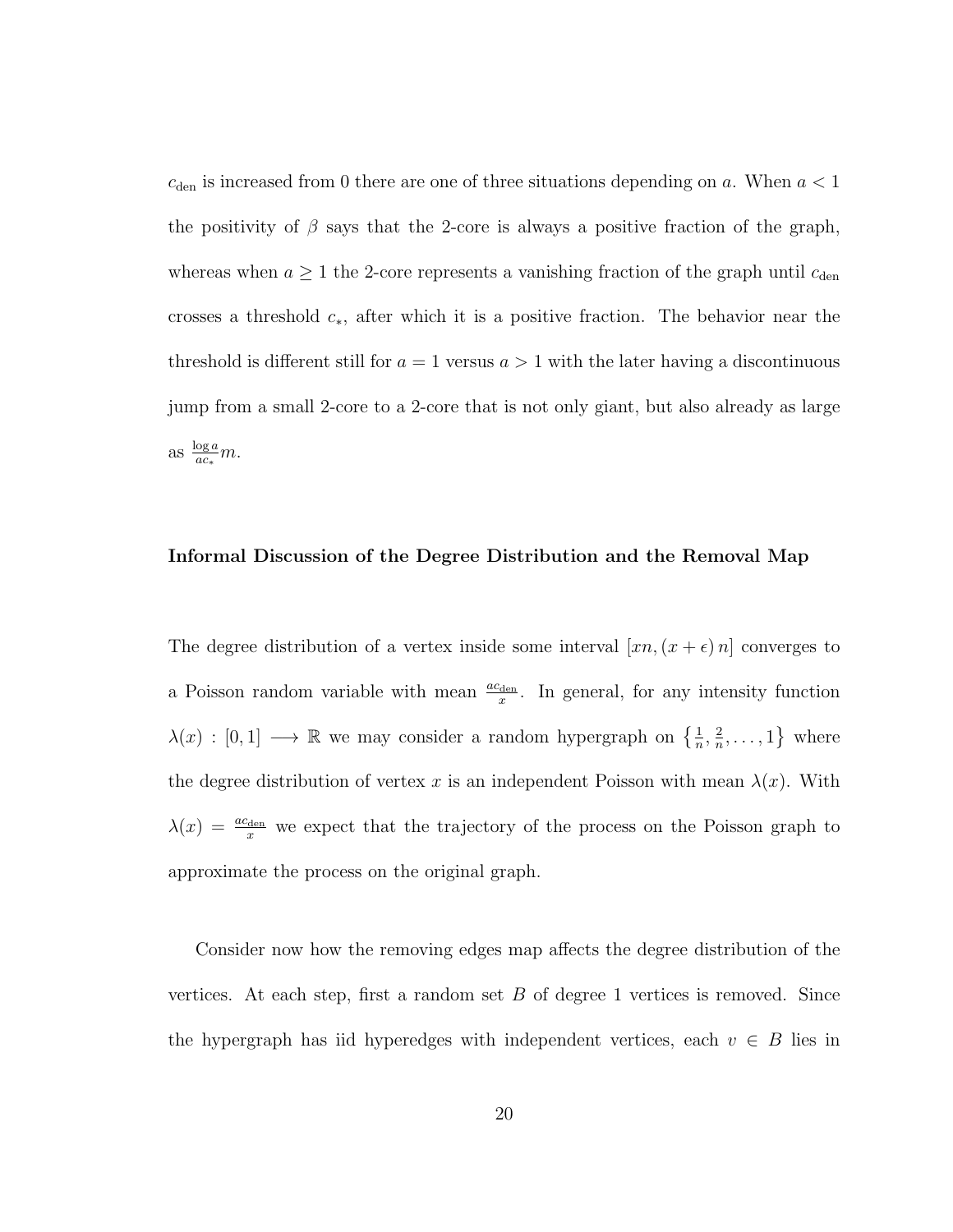$c<sub>den</sub>$  is increased from 0 there are one of three situations depending on a. When  $a < 1$ the positivity of  $\beta$  says that the 2-core is always a positive fraction of the graph, whereas when  $a \geq 1$  the 2-core represents a vanishing fraction of the graph until  $c_{den}$ crosses a threshold  $c_*,$  after which it is a positive fraction. The behavior near the threshold is different still for  $a = 1$  versus  $a > 1$  with the later having a discontinuous jump from a small 2-core to a 2-core that is not only giant, but also already as large as  $\frac{\log a}{ac_*}m$ .

#### Informal Discussion of the Degree Distribution and the Removal Map

The degree distribution of a vertex inside some interval  $[xn,(x + \epsilon)n]$  converges to a Poisson random variable with mean  $\frac{ac_{den}}{x}$ . In general, for any intensity function  $\lambda(x) : [0,1] \longrightarrow \mathbb{R}$  we may consider a random hypergraph on  $\{\frac{1}{n}, \frac{2}{n}\}$  $\frac{2}{n}, \ldots, 1\}$  where the degree distribution of vertex x is an independent Poisson with mean  $\lambda(x)$ . With  $\lambda(x) = \frac{ac_{\text{den}}}{x}$  we expect that the trajectory of the process on the Poisson graph to approximate the process on the original graph.

Consider now how the removing edges map affects the degree distribution of the vertices. At each step, first a random set  $B$  of degree 1 vertices is removed. Since the hypergraph has iid hyperedges with independent vertices, each  $v \in B$  lies in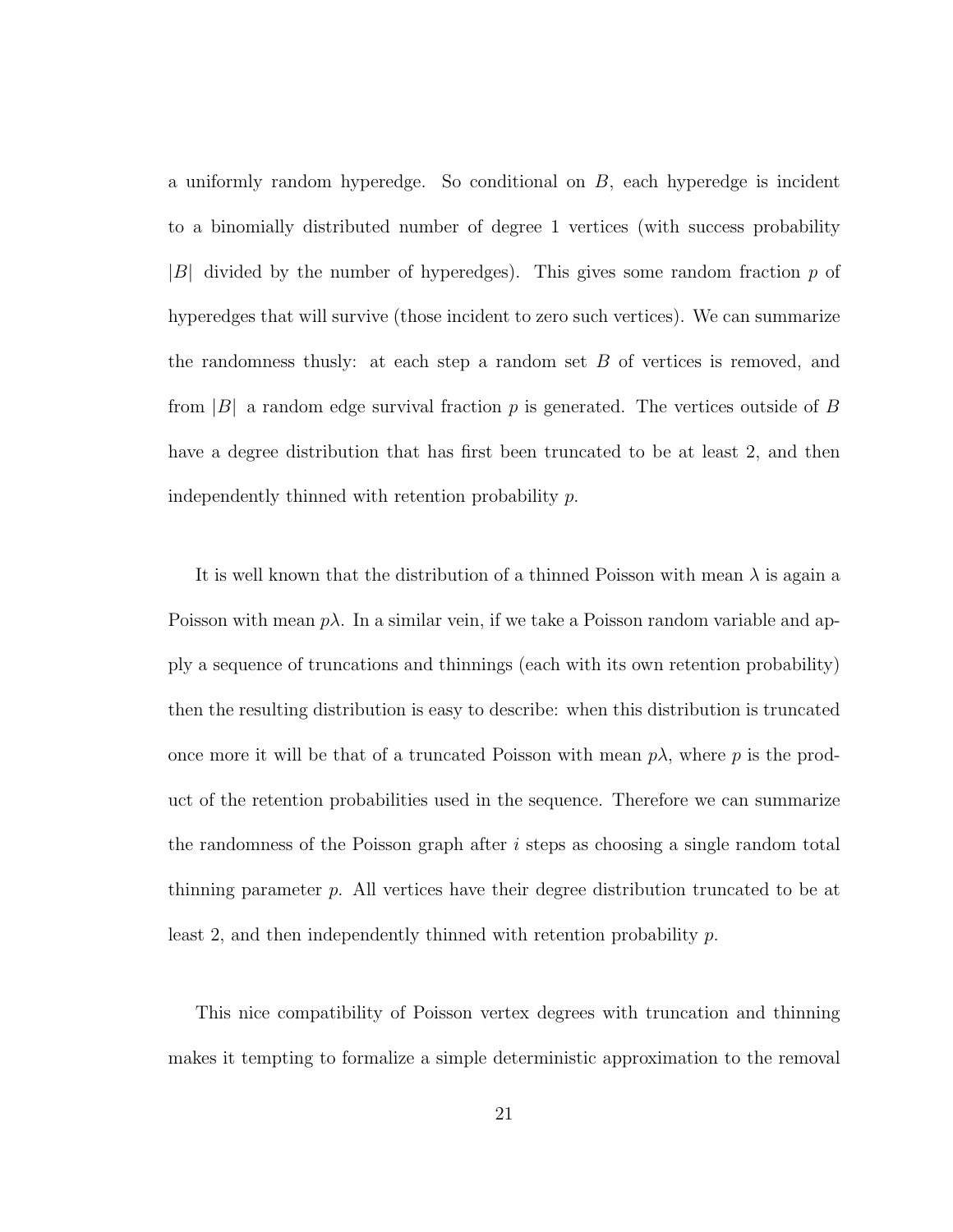a uniformly random hyperedge. So conditional on  $B$ , each hyperedge is incident to a binomially distributed number of degree 1 vertices (with success probability  $|B|$  divided by the number of hyperedges). This gives some random fraction p of hyperedges that will survive (those incident to zero such vertices). We can summarize the randomness thus ly: at each step a random set  $B$  of vertices is removed, and from  $|B|$  a random edge survival fraction p is generated. The vertices outside of B have a degree distribution that has first been truncated to be at least 2, and then independently thinned with retention probability p.

It is well known that the distribution of a thinned Poisson with mean  $\lambda$  is again a Poisson with mean  $p\lambda$ . In a similar vein, if we take a Poisson random variable and apply a sequence of truncations and thinnings (each with its own retention probability) then the resulting distribution is easy to describe: when this distribution is truncated once more it will be that of a truncated Poisson with mean  $p\lambda$ , where p is the product of the retention probabilities used in the sequence. Therefore we can summarize the randomness of the Poisson graph after  $i$  steps as choosing a single random total thinning parameter  $p$ . All vertices have their degree distribution truncated to be at least 2, and then independently thinned with retention probability p.

This nice compatibility of Poisson vertex degrees with truncation and thinning makes it tempting to formalize a simple deterministic approximation to the removal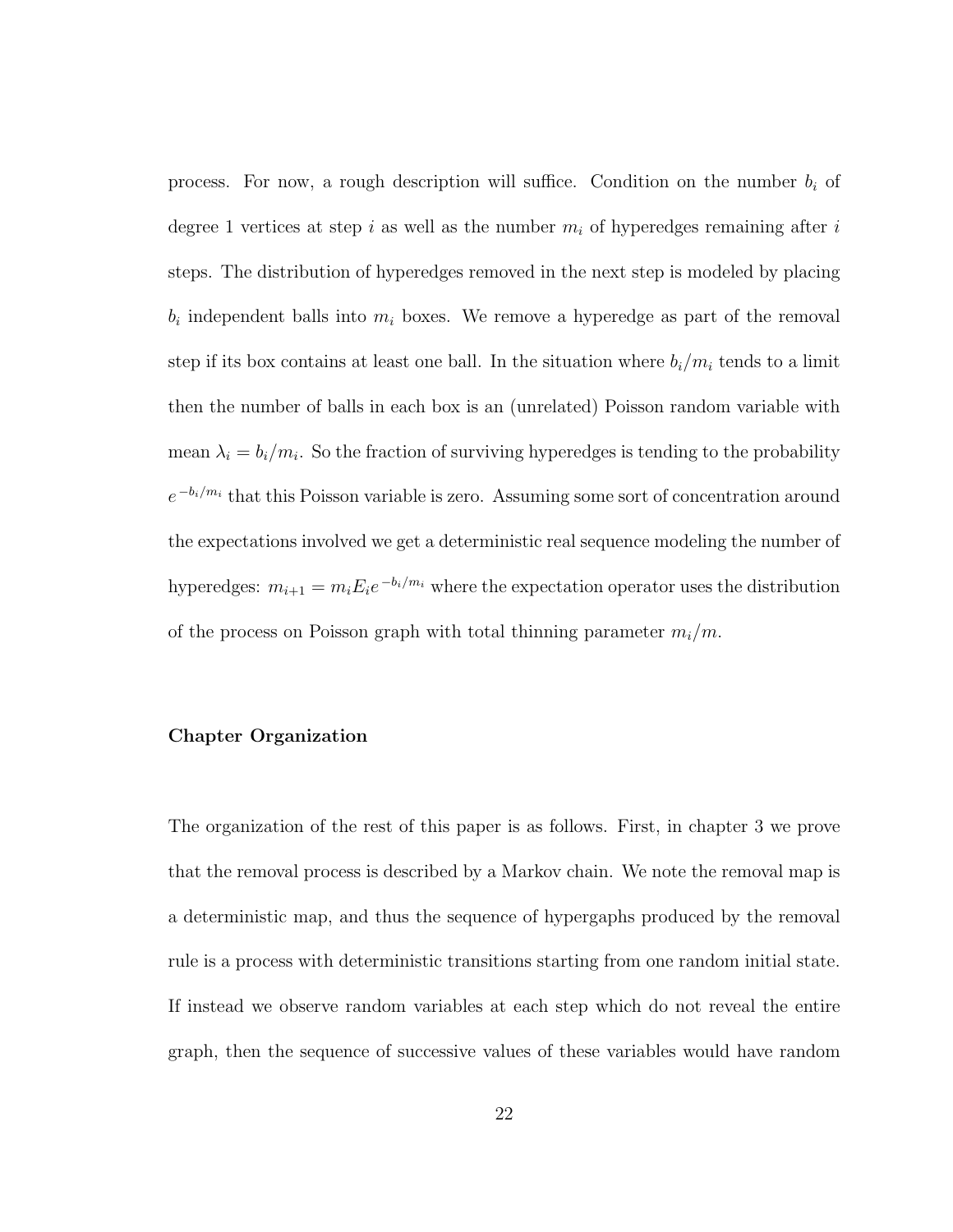process. For now, a rough description will suffice. Condition on the number  $b_i$  of degree 1 vertices at step i as well as the number  $m_i$  of hyperedges remaining after i steps. The distribution of hyperedges removed in the next step is modeled by placing  $b_i$  independent balls into  $m_i$  boxes. We remove a hyperedge as part of the removal step if its box contains at least one ball. In the situation where  $b_i/m_i$  tends to a limit then the number of balls in each box is an (unrelated) Poisson random variable with mean  $\lambda_i = b_i/m_i$ . So the fraction of surviving hyperedges is tending to the probability  $e^{-b_i/m_i}$  that this Poisson variable is zero. Assuming some sort of concentration around the expectations involved we get a deterministic real sequence modeling the number of hyperedges:  $m_{i+1} = m_i E_i e^{-b_i/m_i}$  where the expectation operator uses the distribution of the process on Poisson graph with total thinning parameter  $m_i/m$ .

#### Chapter Organization

The organization of the rest of this paper is as follows. First, in chapter 3 we prove that the removal process is described by a Markov chain. We note the removal map is a deterministic map, and thus the sequence of hypergaphs produced by the removal rule is a process with deterministic transitions starting from one random initial state. If instead we observe random variables at each step which do not reveal the entire graph, then the sequence of successive values of these variables would have random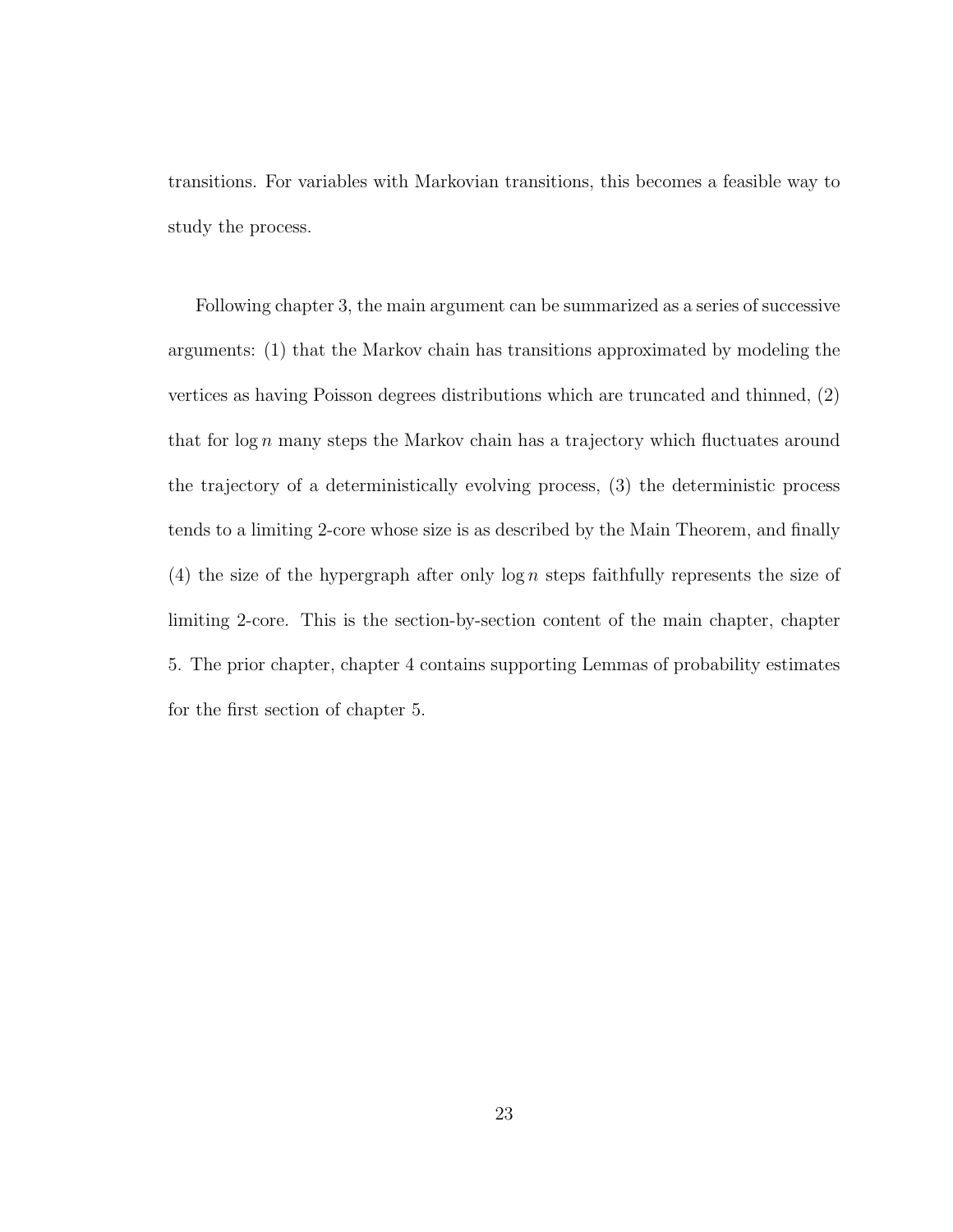transitions. For variables with Markovian transitions, this becomes a feasible way to study the process.

Following chapter 3, the main argument can be summarized as a series of successive arguments: (1) that the Markov chain has transitions approximated by modeling the vertices as having Poisson degrees distributions which are truncated and thinned, (2) that for  $\log n$  many steps the Markov chain has a trajectory which fluctuates around the trajectory of a deterministically evolving process, (3) the deterministic process tends to a limiting 2-core whose size is as described by the Main Theorem, and finally (4) the size of the hypergraph after only  $\log n$  steps faithfully represents the size of limiting 2-core. This is the section-by-section content of the main chapter, chapter 5. The prior chapter, chapter 4 contains supporting Lemmas of probability estimates for the first section of chapter 5.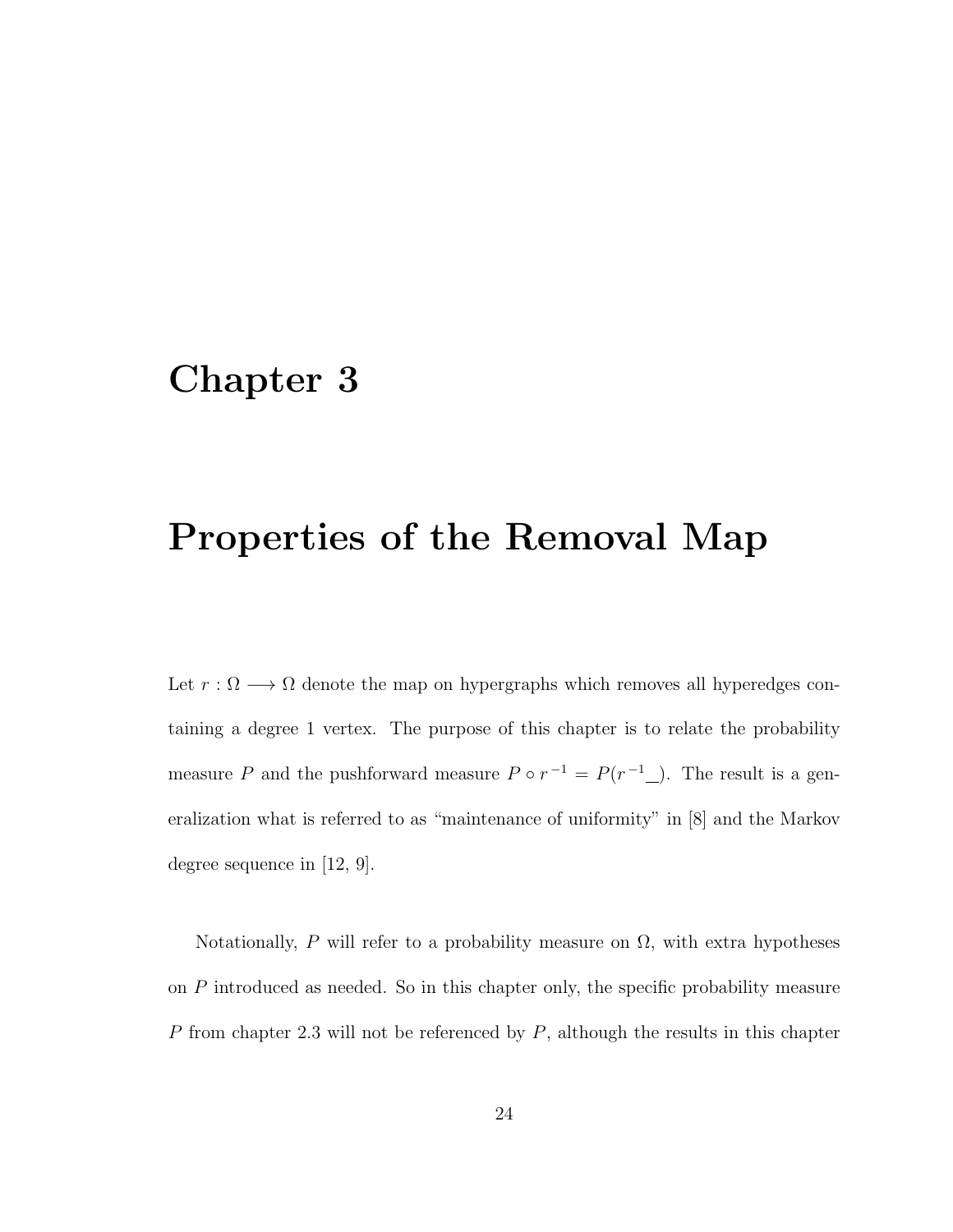## Chapter 3

## Properties of the Removal Map

Let  $r : \Omega \longrightarrow \Omega$  denote the map on hypergraphs which removes all hyperedges containing a degree 1 vertex. The purpose of this chapter is to relate the probability measure P and the pushforward measure  $P \circ r^{-1} = P(r^{-1})$ . The result is a generalization what is referred to as "maintenance of uniformity" in [8] and the Markov degree sequence in [12, 9].

Notationally, P will refer to a probability measure on  $\Omega$ , with extra hypotheses on P introduced as needed. So in this chapter only, the specific probability measure  $P$  from chapter 2.3 will not be referenced by  $P$ , although the results in this chapter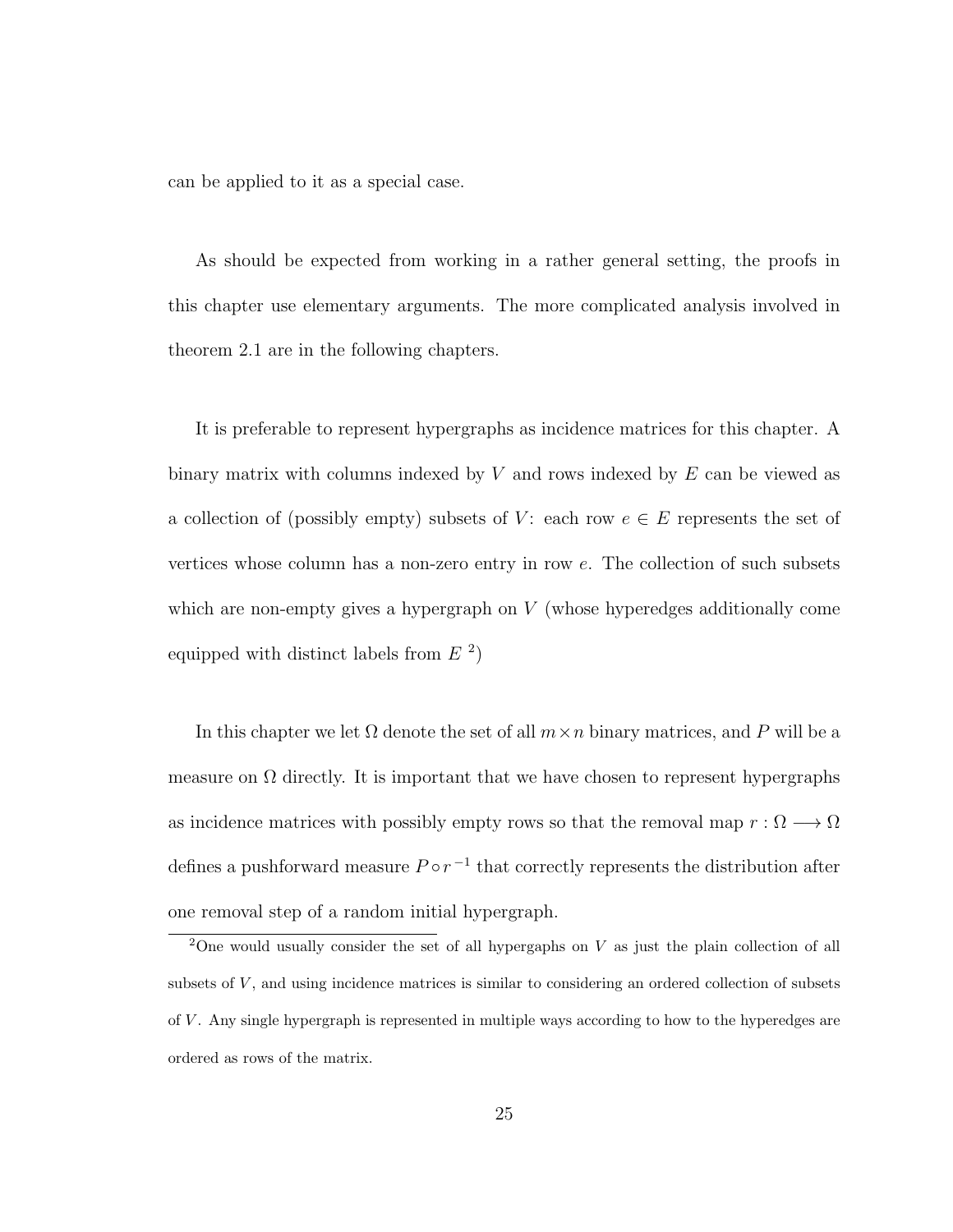can be applied to it as a special case.

As should be expected from working in a rather general setting, the proofs in this chapter use elementary arguments. The more complicated analysis involved in theorem 2.1 are in the following chapters.

It is preferable to represent hypergraphs as incidence matrices for this chapter. A binary matrix with columns indexed by  $V$  and rows indexed by  $E$  can be viewed as a collection of (possibly empty) subsets of V: each row  $e \in E$  represents the set of vertices whose column has a non-zero entry in row e. The collection of such subsets which are non-empty gives a hypergraph on  $V$  (whose hyperedges additionally come equipped with distinct labels from  $E<sup>2</sup>$ )

In this chapter we let  $\Omega$  denote the set of all  $m \times n$  binary matrices, and P will be a measure on  $\Omega$  directly. It is important that we have chosen to represent hypergraphs as incidence matrices with possibly empty rows so that the removal map  $r : \Omega \longrightarrow \Omega$ defines a pushforward measure  $P \circ r^{-1}$  that correctly represents the distribution after one removal step of a random initial hypergraph.

<sup>&</sup>lt;sup>2</sup>One would usually consider the set of all hypergaphs on  $V$  as just the plain collection of all subsets of V, and using incidence matrices is similar to considering an ordered collection of subsets of  $V$ . Any single hypergraph is represented in multiple ways according to how to the hyperedges are ordered as rows of the matrix.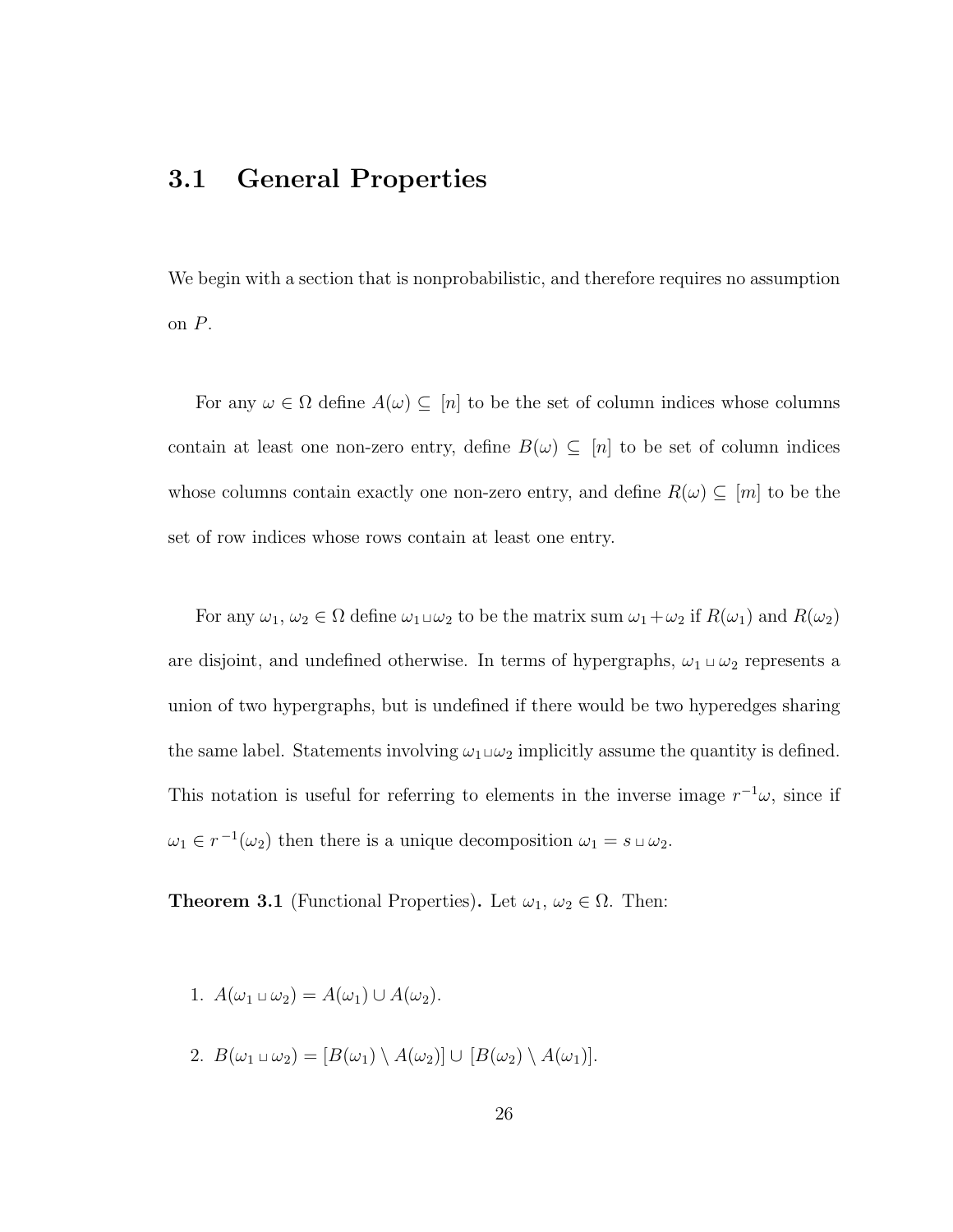### 3.1 General Properties

We begin with a section that is nonprobabilistic, and therefore requires no assumption on P.

For any  $\omega \in \Omega$  define  $A(\omega) \subseteq [n]$  to be the set of column indices whose columns contain at least one non-zero entry, define  $B(\omega) \subseteq [n]$  to be set of column indices whose columns contain exactly one non-zero entry, and define  $R(\omega) \subseteq [m]$  to be the set of row indices whose rows contain at least one entry.

For any  $\omega_1, \omega_2 \in \Omega$  define  $\omega_1 \sqcup \omega_2$  to be the matrix sum  $\omega_1 + \omega_2$  if  $R(\omega_1)$  and  $R(\omega_2)$ are disjoint, and undefined otherwise. In terms of hypergraphs,  $\omega_1 \sqcup \omega_2$  represents a union of two hypergraphs, but is undefined if there would be two hyperedges sharing the same label. Statements involving  $\omega_1 \sqcup \omega_2$  implicitly assume the quantity is defined. This notation is useful for referring to elements in the inverse image  $r^{-1}\omega$ , since if  $\omega_1 \in r^{-1}(\omega_2)$  then there is a unique decomposition  $\omega_1 = s \sqcup \omega_2$ .

**Theorem 3.1** (Functional Properties). Let  $\omega_1, \omega_2 \in \Omega$ . Then:

- 1.  $A(\omega_1 \sqcup \omega_2) = A(\omega_1) \cup A(\omega_2)$ .
- 2.  $B(\omega_1 \cup \omega_2) = [B(\omega_1) \setminus A(\omega_2)] \cup [B(\omega_2) \setminus A(\omega_1)].$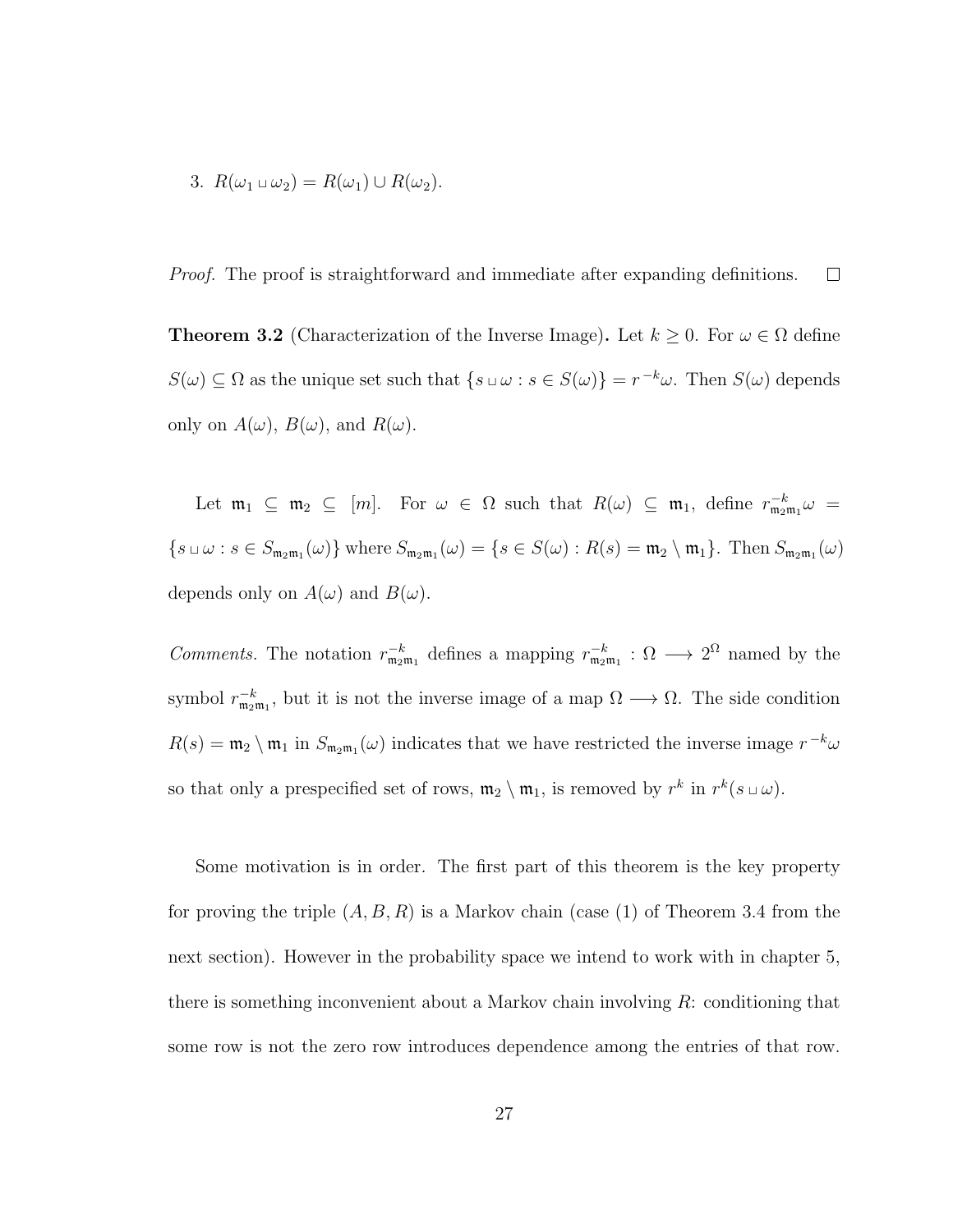3. 
$$
R(\omega_1 \cup \omega_2) = R(\omega_1) \cup R(\omega_2)
$$
.

Proof. The proof is straightforward and immediate after expanding definitions.  $\Box$ 

**Theorem 3.2** (Characterization of the Inverse Image). Let  $k \geq 0$ . For  $\omega \in \Omega$  define  $S(\omega) \subseteq \Omega$  as the unique set such that  $\{s \cup \omega : s \in S(\omega)\} = r^{-k}\omega$ . Then  $S(\omega)$  depends only on  $A(\omega)$ ,  $B(\omega)$ , and  $R(\omega)$ .

Let  $\mathfrak{m}_1 \subseteq \mathfrak{m}_2 \subseteq [m]$ . For  $\omega \in \Omega$  such that  $R(\omega) \subseteq \mathfrak{m}_1$ , define  $r_{\mathfrak{m}_2\mathfrak{m}_1}^{-k}\omega =$  $\{s \cup \omega : s \in S_{m_2m_1}(\omega)\}\$  where  $S_{m_2m_1}(\omega) = \{s \in S(\omega) : R(s) = m_2 \setminus m_1\}$ . Then  $S_{m_2m_1}(\omega)$ depends only on  $A(\omega)$  and  $B(\omega)$ .

Comments. The notation  $r_{\mathfrak{m}_2\mathfrak{m}_1}^{-k}$  defines a mapping  $r_{\mathfrak{m}_2\mathfrak{m}_1}^{-k}$ :  $\Omega \longrightarrow 2^{\Omega}$  named by the symbol  $r_{\mathfrak{m}_2\mathfrak{m}_1}^{-k}$ , but it is not the inverse image of a map  $\Omega \longrightarrow \Omega$ . The side condition  $R(s) = \mathfrak{m}_2 \setminus \mathfrak{m}_1$  in  $S_{\mathfrak{m}_2\mathfrak{m}_1}(\omega)$  indicates that we have restricted the inverse image  $r^{-k}\omega$ so that only a prespecified set of rows,  $\mathfrak{m}_2 \setminus \mathfrak{m}_1$ , is removed by  $r^k$  in  $r^k(s \sqcup \omega)$ .

Some motivation is in order. The first part of this theorem is the key property for proving the triple  $(A, B, R)$  is a Markov chain (case (1) of Theorem 3.4 from the next section). However in the probability space we intend to work with in chapter 5, there is something inconvenient about a Markov chain involving  $R$ : conditioning that some row is not the zero row introduces dependence among the entries of that row.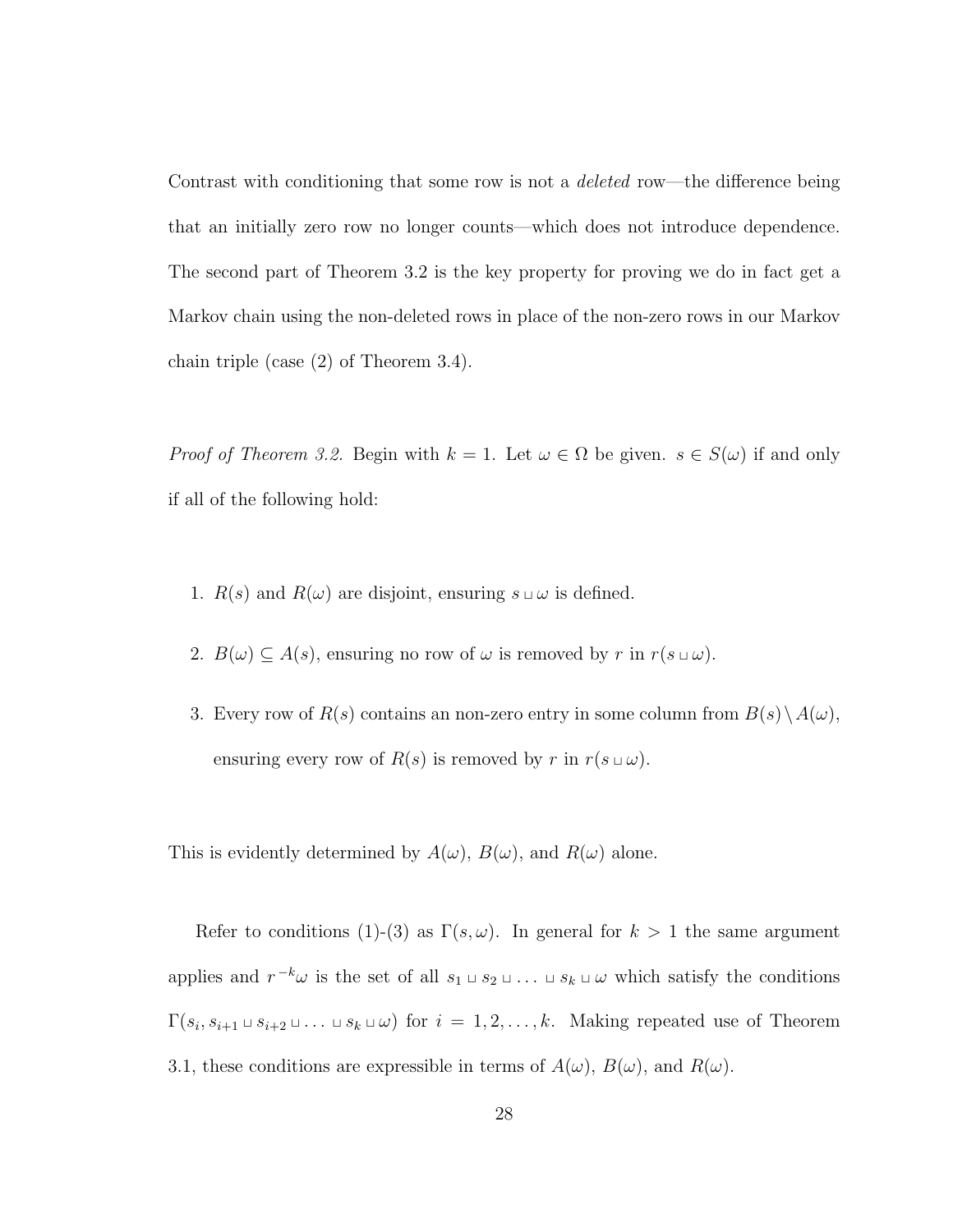Contrast with conditioning that some row is not a *deleted* row—the difference being that an initially zero row no longer counts—which does not introduce dependence. The second part of Theorem 3.2 is the key property for proving we do in fact get a Markov chain using the non-deleted rows in place of the non-zero rows in our Markov chain triple (case (2) of Theorem 3.4).

*Proof of Theorem 3.2.* Begin with  $k = 1$ . Let  $\omega \in \Omega$  be given.  $s \in S(\omega)$  if and only if all of the following hold:

- 1.  $R(s)$  and  $R(\omega)$  are disjoint, ensuring  $s \sqcup \omega$  is defined.
- 2.  $B(\omega) \subseteq A(s)$ , ensuring no row of  $\omega$  is removed by r in  $r(s \cup \omega)$ .
- 3. Every row of  $R(s)$  contains an non-zero entry in some column from  $B(s)\setminus A(\omega)$ , ensuring every row of  $R(s)$  is removed by r in  $r(s \sqcup \omega)$ .

This is evidently determined by  $A(\omega)$ ,  $B(\omega)$ , and  $R(\omega)$  alone.

Refer to conditions (1)-(3) as  $\Gamma(s,\omega)$ . In general for  $k>1$  the same argument applies and  $r^{-k}\omega$  is the set of all  $s_1 \sqcup s_2 \sqcup \ldots \sqcup s_k \sqcup \omega$  which satisfy the conditions  $\Gamma(s_i, s_{i+1} \sqcup s_{i+2} \sqcup \ldots \sqcup s_k \sqcup \omega)$  for  $i = 1, 2, \ldots, k$ . Making repeated use of Theorem 3.1, these conditions are expressible in terms of  $A(\omega)$ ,  $B(\omega)$ , and  $R(\omega)$ .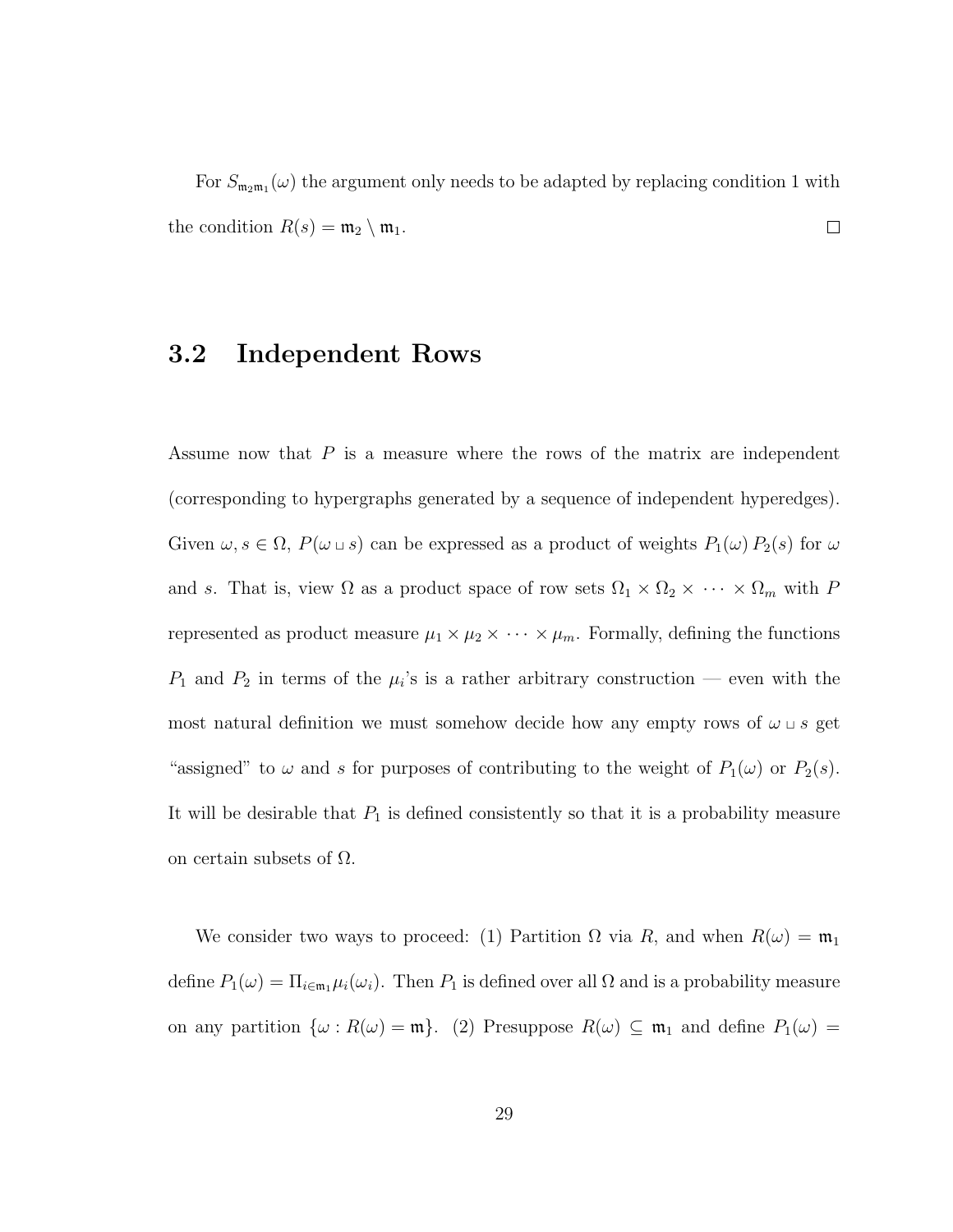For  $S_{m_2m_1}(\omega)$  the argument only needs to be adapted by replacing condition 1 with the condition  $R(s) = \mathfrak{m}_2 \setminus \mathfrak{m}_1$ .  $\Box$ 

### 3.2 Independent Rows

Assume now that  $P$  is a measure where the rows of the matrix are independent (corresponding to hypergraphs generated by a sequence of independent hyperedges). Given  $\omega, s \in \Omega$ ,  $P(\omega \cup s)$  can be expressed as a product of weights  $P_1(\omega) P_2(s)$  for  $\omega$ and s. That is, view  $\Omega$  as a product space of row sets  $\Omega_1 \times \Omega_2 \times \cdots \times \Omega_m$  with P represented as product measure  $\mu_1 \times \mu_2 \times \cdots \times \mu_m$ . Formally, defining the functions  $P_1$  and  $P_2$  in terms of the  $\mu_i$ 's is a rather arbitrary construction — even with the most natural definition we must somehow decide how any empty rows of  $\omega \sqcup s$  get "assigned" to  $\omega$  and s for purposes of contributing to the weight of  $P_1(\omega)$  or  $P_2(s)$ . It will be desirable that  $P_1$  is defined consistently so that it is a probability measure on certain subsets of  $\Omega$ .

We consider two ways to proceed: (1) Partition  $\Omega$  via R, and when  $R(\omega) = \mathfrak{m}_1$ define  $P_1(\omega) = \prod_{i \in \mathfrak{m}_1} \mu_i(\omega_i)$ . Then  $P_1$  is defined over all  $\Omega$  and is a probability measure on any partition  $\{\omega : R(\omega) = \mathfrak{m}\}\$ . (2) Presuppose  $R(\omega) \subseteq \mathfrak{m}_1$  and define  $P_1(\omega) =$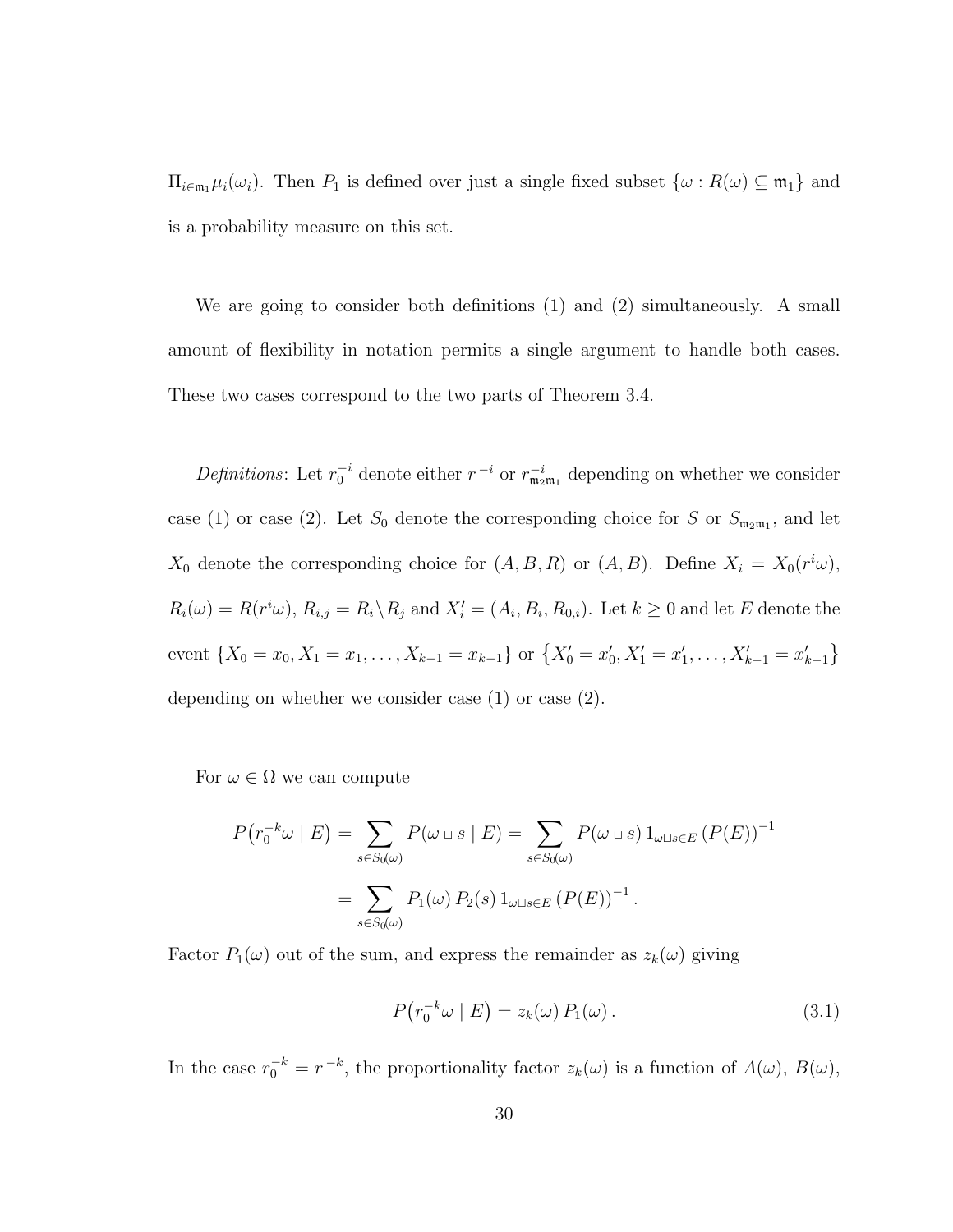$\Pi_{i\in\mathfrak{m}_1}\mu_i(\omega_i)$ . Then  $P_1$  is defined over just a single fixed subset  $\{\omega: R(\omega) \subseteq \mathfrak{m}_1\}$  and is a probability measure on this set.

We are going to consider both definitions (1) and (2) simultaneously. A small amount of flexibility in notation permits a single argument to handle both cases. These two cases correspond to the two parts of Theorem 3.4.

Definitions: Let  $r_0^{-i}$  denote either  $r_i^{-i}$  or  $r_{m_2m_1}^{-i}$  depending on whether we consider case (1) or case (2). Let  $S_0$  denote the corresponding choice for S or  $S_{m_2m_1}$ , and let  $X_0$  denote the corresponding choice for  $(A, B, R)$  or  $(A, B)$ . Define  $X_i = X_0(r^i\omega)$ ,  $R_i(\omega) = R(r^i \omega), R_{i,j} = R_i \backslash R_j$  and  $X'_i = (A_i, B_i, R_{0,i})$ . Let  $k \geq 0$  and let E denote the event  $\{X_0 = x_0, X_1 = x_1, \ldots, X_{k-1} = x_{k-1}\}$  or  $\{X'_0 = x'_0, X'_1 = x'_1, \ldots, X'_{k-1} = x'_{k-1}\}$ depending on whether we consider case (1) or case (2).

For  $\omega \in \Omega$  we can compute

$$
P(r_0^{-k}\omega \mid E) = \sum_{s \in S_0(\omega)} P(\omega \sqcup s \mid E) = \sum_{s \in S_0(\omega)} P(\omega \sqcup s) 1_{\omega \sqcup s \in E} (P(E))^{-1}
$$

$$
= \sum_{s \in S_0(\omega)} P_1(\omega) P_2(s) 1_{\omega \sqcup s \in E} (P(E))^{-1}.
$$

Factor  $P_1(\omega)$  out of the sum, and express the remainder as  $z_k(\omega)$  giving

$$
P(r_0^{-k}\omega \mid E) = z_k(\omega) P_1(\omega).
$$
 (3.1)

In the case  $r_0^{-k} = r^{-k}$ , the proportionality factor  $z_k(\omega)$  is a function of  $A(\omega)$ ,  $B(\omega)$ ,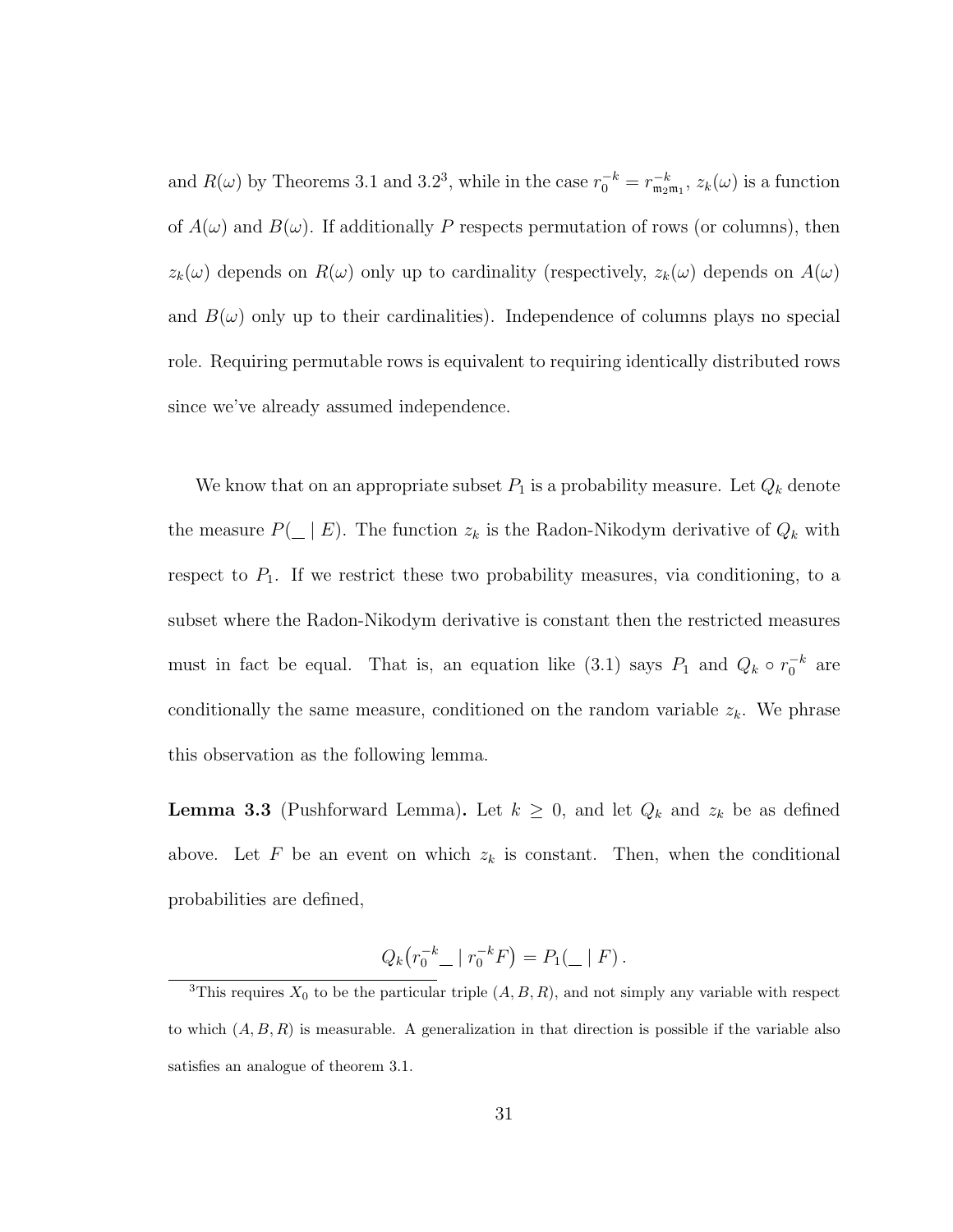and  $R(\omega)$  by Theorems 3.1 and 3.2<sup>3</sup>, while in the case  $r_0^{-k} = r_{m_2m_1}^{-k}$ ,  $z_k(\omega)$  is a function of  $A(\omega)$  and  $B(\omega)$ . If additionally P respects permutation of rows (or columns), then  $z_k(\omega)$  depends on  $R(\omega)$  only up to cardinality (respectively,  $z_k(\omega)$  depends on  $A(\omega)$ and  $B(\omega)$  only up to their cardinalities). Independence of columns plays no special role. Requiring permutable rows is equivalent to requiring identically distributed rows since we've already assumed independence.

We know that on an appropriate subset  $P_1$  is a probability measure. Let  $Q_k$  denote the measure  $P(\_ \mid E)$ . The function  $z_k$  is the Radon-Nikodym derivative of  $Q_k$  with respect to  $P_1$ . If we restrict these two probability measures, via conditioning, to a subset where the Radon-Nikodym derivative is constant then the restricted measures must in fact be equal. That is, an equation like (3.1) says  $P_1$  and  $Q_k \circ r_0^{-k}$  are conditionally the same measure, conditioned on the random variable  $z_k$ . We phrase this observation as the following lemma.

**Lemma 3.3** (Pushforward Lemma). Let  $k \geq 0$ , and let  $Q_k$  and  $z_k$  be as defined above. Let F be an event on which  $z_k$  is constant. Then, when the conditional probabilities are defined,

$$
Q_k(r_0^{-k} - |r_0^{-k}F) = P_1(- | F).
$$

<sup>&</sup>lt;sup>3</sup>This requires  $X_0$  to be the particular triple  $(A, B, R)$ , and not simply any variable with respect to which  $(A, B, R)$  is measurable. A generalization in that direction is possible if the variable also satisfies an analogue of theorem 3.1.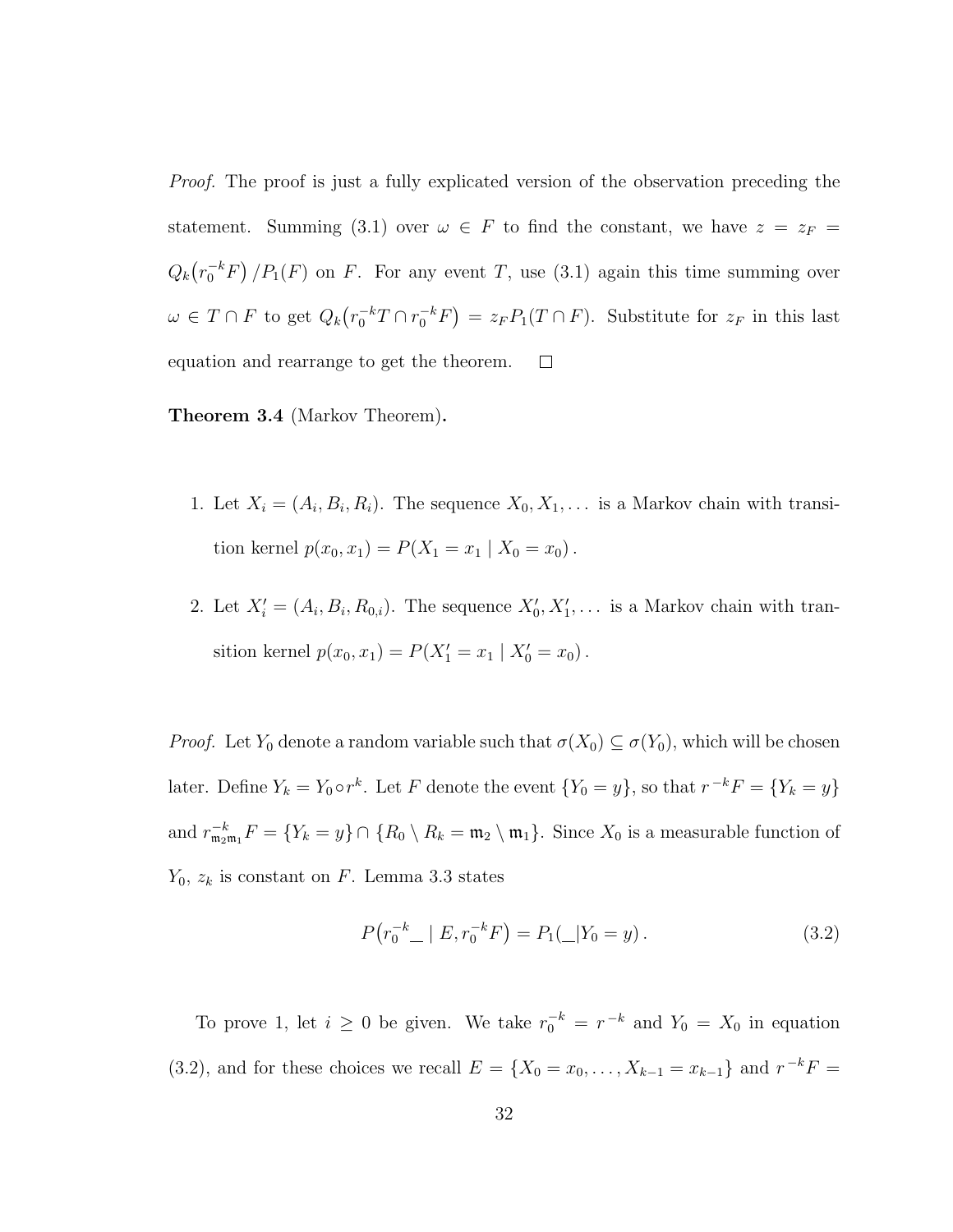Proof. The proof is just a fully explicated version of the observation preceding the statement. Summing (3.1) over  $\omega \in F$  to find the constant, we have  $z = z_F =$  $Q_k(r_0^{-k}F)/P_1(F)$  on F. For any event T, use (3.1) again this time summing over  $\omega \in T \cap F$  to get  $Q_k(r_0^{-k}T \cap r_0^{-k}F) = z_F P_1(T \cap F)$ . Substitute for  $z_F$  in this last equation and rearrange to get the theorem.  $\Box$ 

Theorem 3.4 (Markov Theorem).

- 1. Let  $X_i = (A_i, B_i, R_i)$ . The sequence  $X_0, X_1, \ldots$  is a Markov chain with transition kernel  $p(x_0, x_1) = P(X_1 = x_1 | X_0 = x_0)$ .
- 2. Let  $X'_i = (A_i, B_i, R_{0,i})$ . The sequence  $X'_0, X'_1, \ldots$  is a Markov chain with transition kernel  $p(x_0, x_1) = P(X'_1 = x_1 | X'_0 = x_0)$ .

*Proof.* Let  $Y_0$  denote a random variable such that  $\sigma(X_0) \subseteq \sigma(Y_0)$ , which will be chosen later. Define  $Y_k = Y_0 \circ r^k$ . Let F denote the event  $\{Y_0 = y\}$ , so that  $r^{-k}F = \{Y_k = y\}$ and  $r_{\mathfrak{m}_2\mathfrak{m}_1}^{-k}F = \{Y_k = y\} \cap \{R_0 \setminus R_k = \mathfrak{m}_2 \setminus \mathfrak{m}_1\}$ . Since  $X_0$  is a measurable function of  $Y_0$ ,  $z_k$  is constant on F. Lemma 3.3 states

$$
P(r_0^{-k} \_ \mid E, r_0^{-k} F) = P_1(\_ | Y_0 = y). \tag{3.2}
$$

To prove 1, let  $i \geq 0$  be given. We take  $r_0^{-k} = r^{-k}$  and  $Y_0 = X_0$  in equation (3.2), and for these choices we recall  $E = \{X_0 = x_0, ..., X_{k-1} = x_{k-1}\}\$  and  $r^{-k}F =$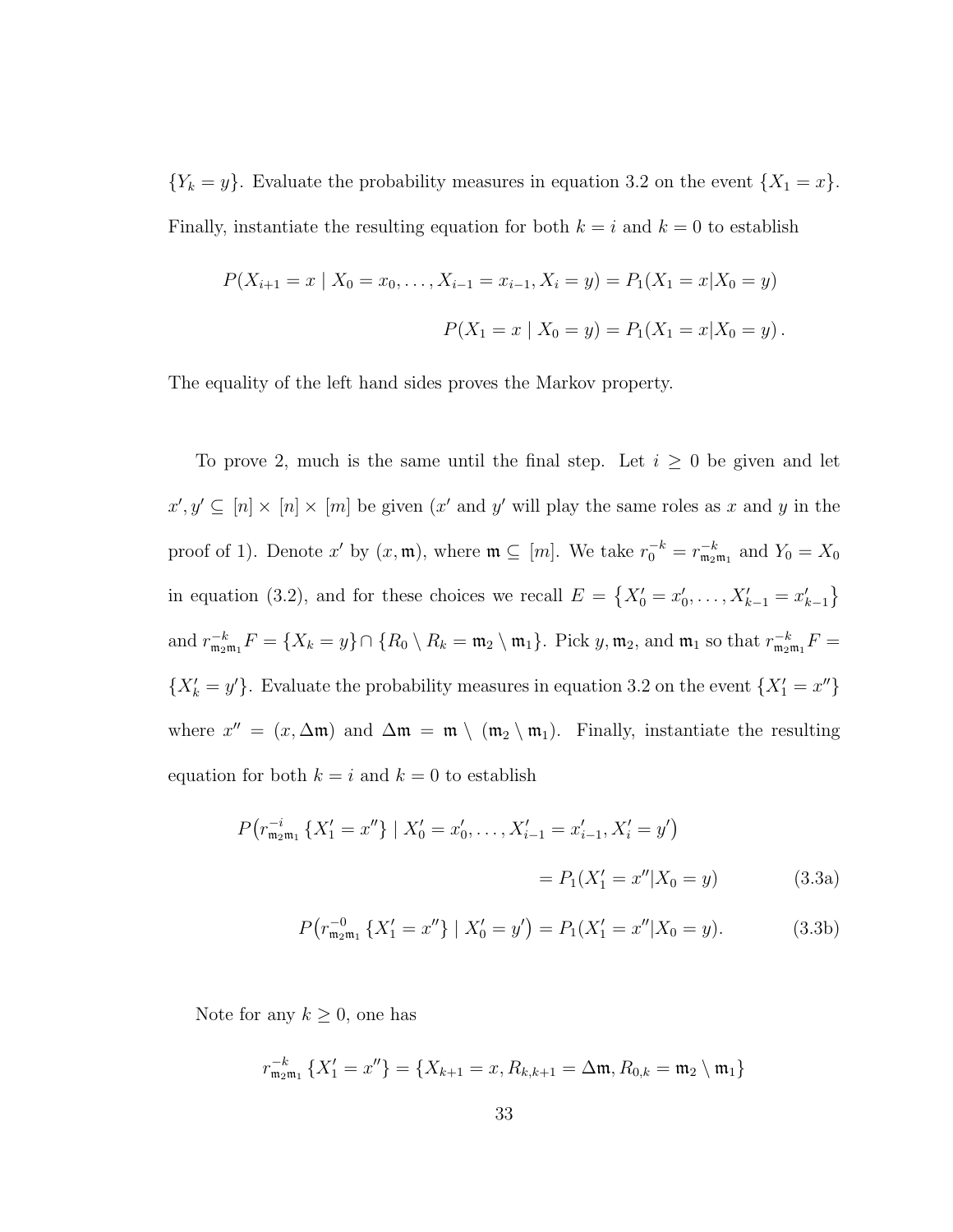${Y_k = y}$ . Evaluate the probability measures in equation 3.2 on the event  ${X_1 = x}$ . Finally, instantiate the resulting equation for both  $k = i$  and  $k = 0$  to establish

$$
P(X_{i+1} = x \mid X_0 = x_0, \dots, X_{i-1} = x_{i-1}, X_i = y) = P_1(X_1 = x | X_0 = y)
$$
  

$$
P(X_1 = x \mid X_0 = y) = P_1(X_1 = x | X_0 = y).
$$

The equality of the left hand sides proves the Markov property.

To prove 2, much is the same until the final step. Let  $i \geq 0$  be given and let  $x', y' \subseteq [n] \times [n] \times [m]$  be given  $(x'$  and y' will play the same roles as x and y in the proof of 1). Denote x' by  $(x, \mathfrak{m})$ , where  $\mathfrak{m} \subseteq [m]$ . We take  $r_0^{-k} = r_{\mathfrak{m}_2 \mathfrak{m}_1}^{-k}$  and  $Y_0 = X_0$ in equation (3.2), and for these choices we recall  $E = \{X'_0 = x'_0, \ldots, X'_{k-1} = x'_{k-1}\}\$ and  $r_{\mathfrak{m}_2\mathfrak{m}_1}^{-k}F = \{X_k = y\} \cap \{R_0 \setminus R_k = \mathfrak{m}_2 \setminus \mathfrak{m}_1\}.$  Pick  $y, \mathfrak{m}_2$ , and  $\mathfrak{m}_1$  so that  $r_{\mathfrak{m}_2\mathfrak{m}_1}^{-k}F =$  $\{X'_k = y'\}.$  Evaluate the probability measures in equation 3.2 on the event  $\{X'_1 = x''\}$ where  $x'' = (x, \Delta \mathfrak{m})$  and  $\Delta \mathfrak{m} = \mathfrak{m} \setminus (\mathfrak{m}_2 \setminus \mathfrak{m}_1)$ . Finally, instantiate the resulting equation for both  $k = i$  and  $k = 0$  to establish

$$
P(r_{\mathfrak{m}_2\mathfrak{m}_1}^{-i} \{X_1' = x''\} | X_0' = x_0', \dots, X_{i-1}' = x_{i-1}', X_i' = y')
$$
  
=  $P_1(X_1' = x'' | X_0 = y)$  (3.3a)

$$
P(r_{\mathfrak{m}_2\mathfrak{m}_1}^{-0} \{X_1' = x''\} \mid X_0' = y') = P_1(X_1' = x''|X_0 = y). \tag{3.3b}
$$

Note for any  $k \geq 0$ , one has

$$
r_{\mathfrak{m}_2\mathfrak{m}_1}^{-k} \{ X_1' = x'' \} = \{ X_{k+1} = x, R_{k,k+1} = \Delta \mathfrak{m}, R_{0,k} = \mathfrak{m}_2 \setminus \mathfrak{m}_1 \}
$$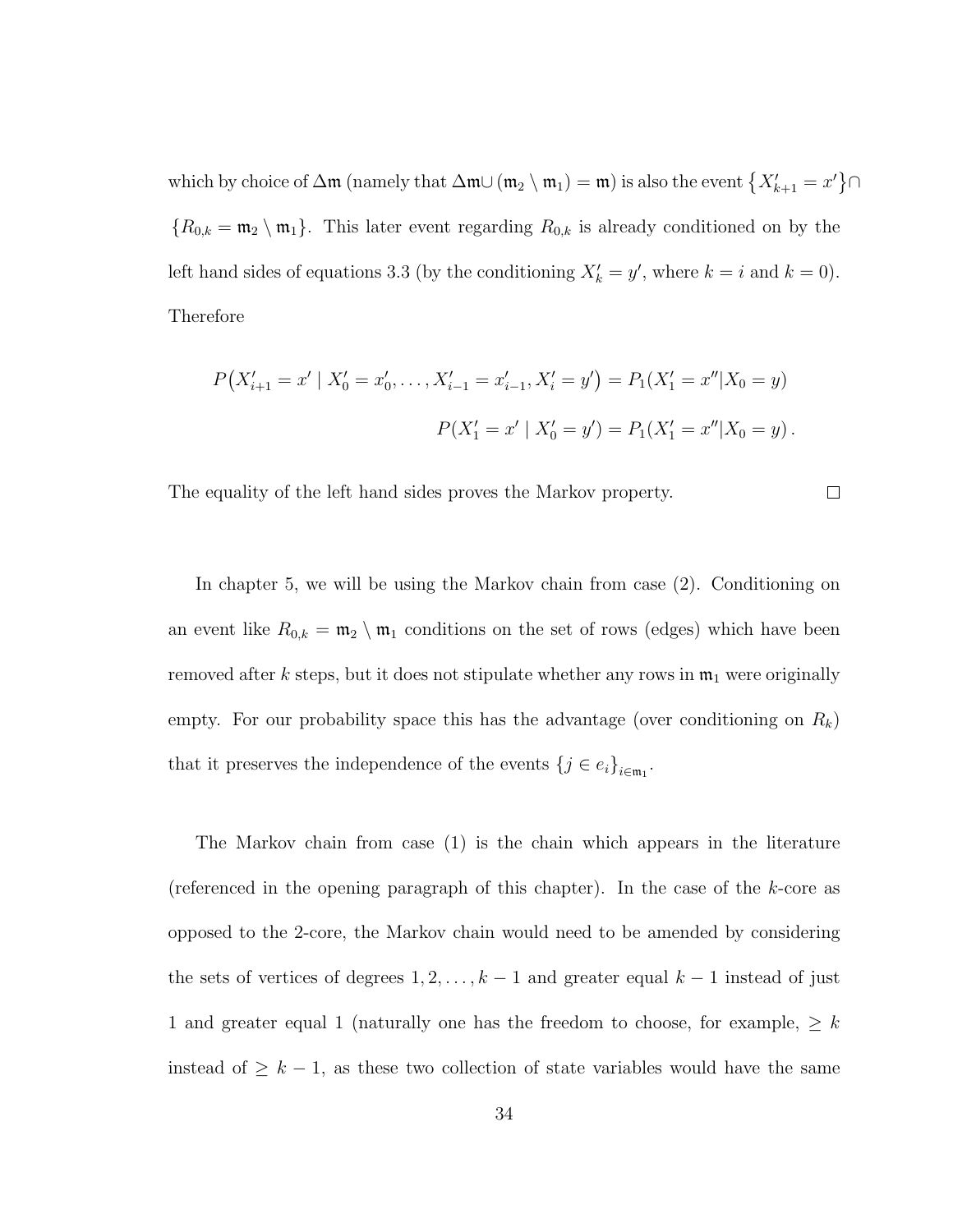which by choice of  $\Delta \mathfrak{m}$  (namely that  $\Delta \mathfrak{m} \cup (\mathfrak{m}_2 \setminus \mathfrak{m}_1) = \mathfrak{m}$ ) is also the event  $\{X'_{k+1} = x'\} \cap$  ${R_{0,k} = \mathfrak{m}_2 \setminus \mathfrak{m}_1}.$  This later event regarding  $R_{0,k}$  is already conditioned on by the left hand sides of equations 3.3 (by the conditioning  $X'_k = y'$ , where  $k = i$  and  $k = 0$ ). Therefore

$$
P(X'_{i+1} = x' | X'_0 = x'_0, \dots, X'_{i-1} = x'_{i-1}, X'_i = y') = P_1(X'_1 = x'' | X_0 = y)
$$
  

$$
P(X'_1 = x' | X'_0 = y') = P_1(X'_1 = x'' | X_0 = y).
$$

The equality of the left hand sides proves the Markov property.

 $\Box$ 

In chapter 5, we will be using the Markov chain from case (2). Conditioning on an event like  $R_{0,k} = \mathfrak{m}_2 \setminus \mathfrak{m}_1$  conditions on the set of rows (edges) which have been removed after k steps, but it does not stipulate whether any rows in  $\mathfrak{m}_1$  were originally empty. For our probability space this has the advantage (over conditioning on  $R_k$ ) that it preserves the independence of the events  $\{j \in e_i\}_{i \in \mathfrak{m}_1}$ .

The Markov chain from case (1) is the chain which appears in the literature (referenced in the opening paragraph of this chapter). In the case of the k-core as opposed to the 2-core, the Markov chain would need to be amended by considering the sets of vertices of degrees  $1, 2, \ldots, k - 1$  and greater equal  $k - 1$  instead of just 1 and greater equal 1 (naturally one has the freedom to choose, for example,  $\geq$   $k$ instead of  $\geq k-1$ , as these two collection of state variables would have the same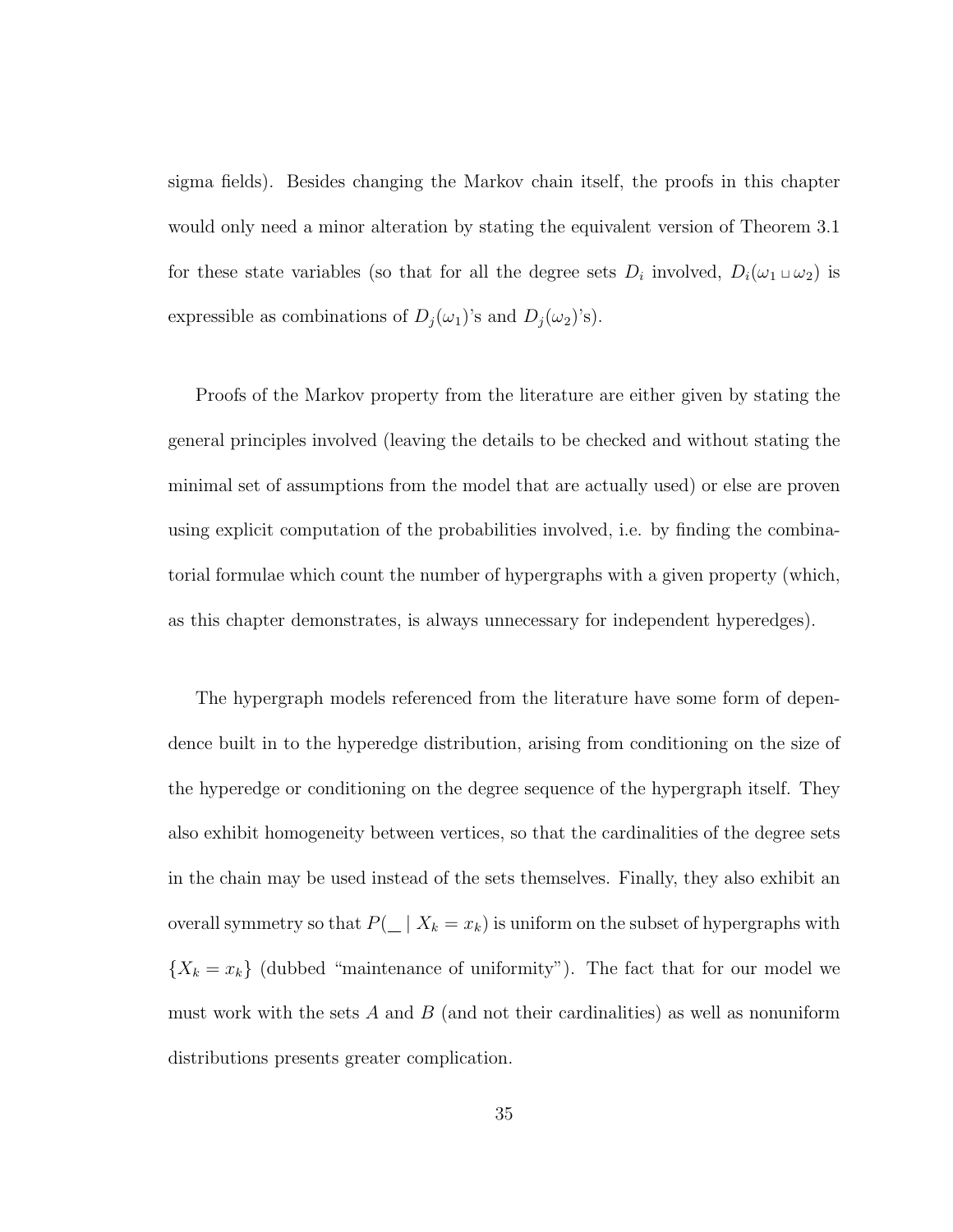sigma fields). Besides changing the Markov chain itself, the proofs in this chapter would only need a minor alteration by stating the equivalent version of Theorem 3.1 for these state variables (so that for all the degree sets  $D_i$  involved,  $D_i(\omega_1 \cup \omega_2)$  is expressible as combinations of  $D_j(\omega_1)$ 's and  $D_j(\omega_2)$ 's).

Proofs of the Markov property from the literature are either given by stating the general principles involved (leaving the details to be checked and without stating the minimal set of assumptions from the model that are actually used) or else are proven using explicit computation of the probabilities involved, i.e. by finding the combinatorial formulae which count the number of hypergraphs with a given property (which, as this chapter demonstrates, is always unnecessary for independent hyperedges).

The hypergraph models referenced from the literature have some form of dependence built in to the hyperedge distribution, arising from conditioning on the size of the hyperedge or conditioning on the degree sequence of the hypergraph itself. They also exhibit homogeneity between vertices, so that the cardinalities of the degree sets in the chain may be used instead of the sets themselves. Finally, they also exhibit an overall symmetry so that  $P(\_ | X_k = x_k)$  is uniform on the subset of hypergraphs with  ${X_k = x_k}$  (dubbed "maintenance of uniformity"). The fact that for our model we must work with the sets  $A$  and  $B$  (and not their cardinalities) as well as nonuniform distributions presents greater complication.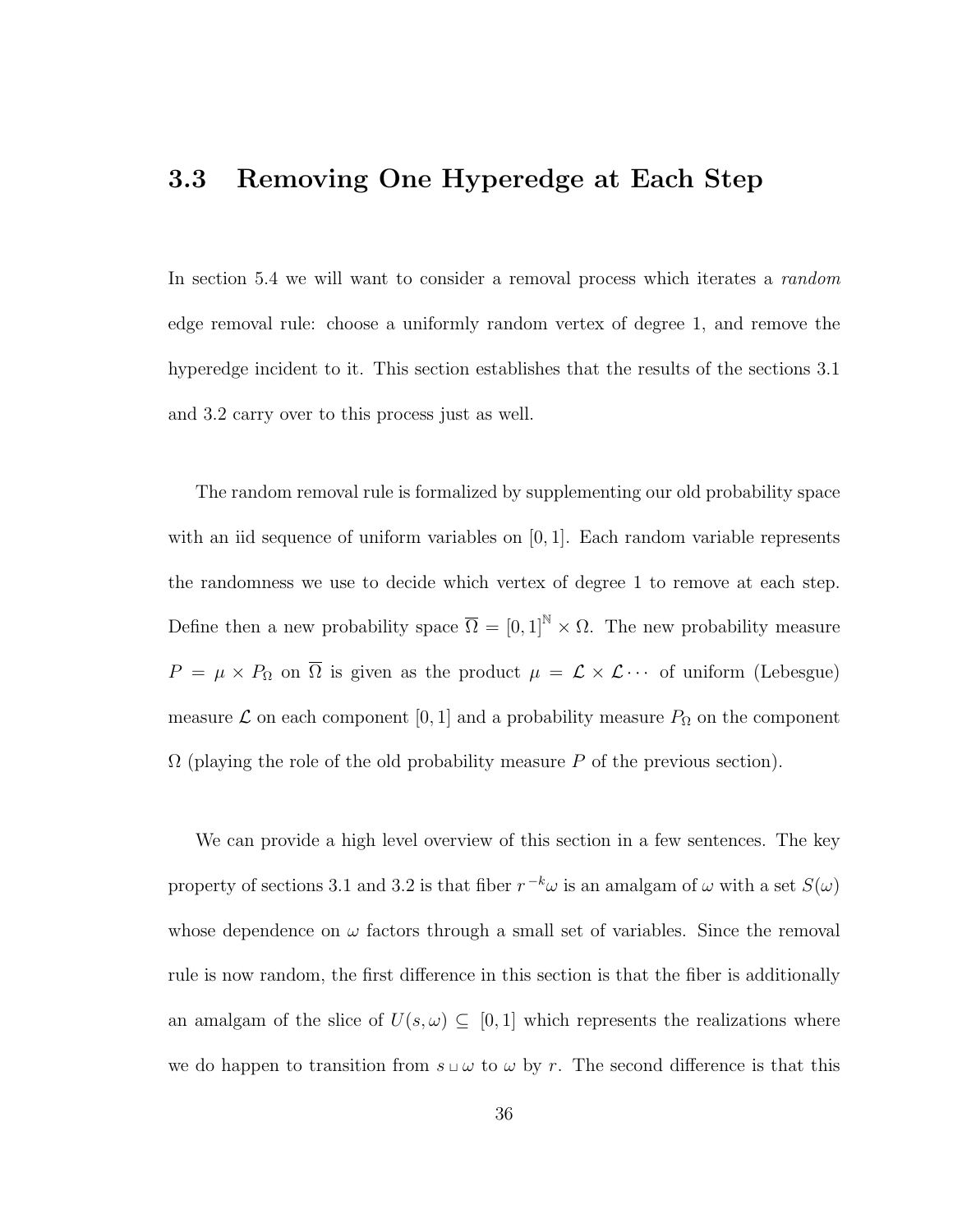#### 3.3 Removing One Hyperedge at Each Step

In section 5.4 we will want to consider a removal process which iterates a random edge removal rule: choose a uniformly random vertex of degree 1, and remove the hyperedge incident to it. This section establishes that the results of the sections 3.1 and 3.2 carry over to this process just as well.

The random removal rule is formalized by supplementing our old probability space with an iid sequence of uniform variables on  $[0, 1]$ . Each random variable represents the randomness we use to decide which vertex of degree 1 to remove at each step. Define then a new probability space  $\overline{\Omega} = [0,1]^{\mathbb{N}} \times \Omega$ . The new probability measure  $P = \mu \times P_{\Omega}$  on  $\overline{\Omega}$  is given as the product  $\mu = \mathcal{L} \times \mathcal{L} \cdots$  of uniform (Lebesgue) measure  $\mathcal L$  on each component [0, 1] and a probability measure  $P_{\Omega}$  on the component  $\Omega$  (playing the role of the old probability measure P of the previous section).

We can provide a high level overview of this section in a few sentences. The key property of sections 3.1 and 3.2 is that fiber  $r^{-k}\omega$  is an amalgam of  $\omega$  with a set  $S(\omega)$ whose dependence on  $\omega$  factors through a small set of variables. Since the removal rule is now random, the first difference in this section is that the fiber is additionally an amalgam of the slice of  $U(s, \omega) \subseteq [0, 1]$  which represents the realizations where we do happen to transition from  $s \sqcup \omega$  to  $\omega$  by r. The second difference is that this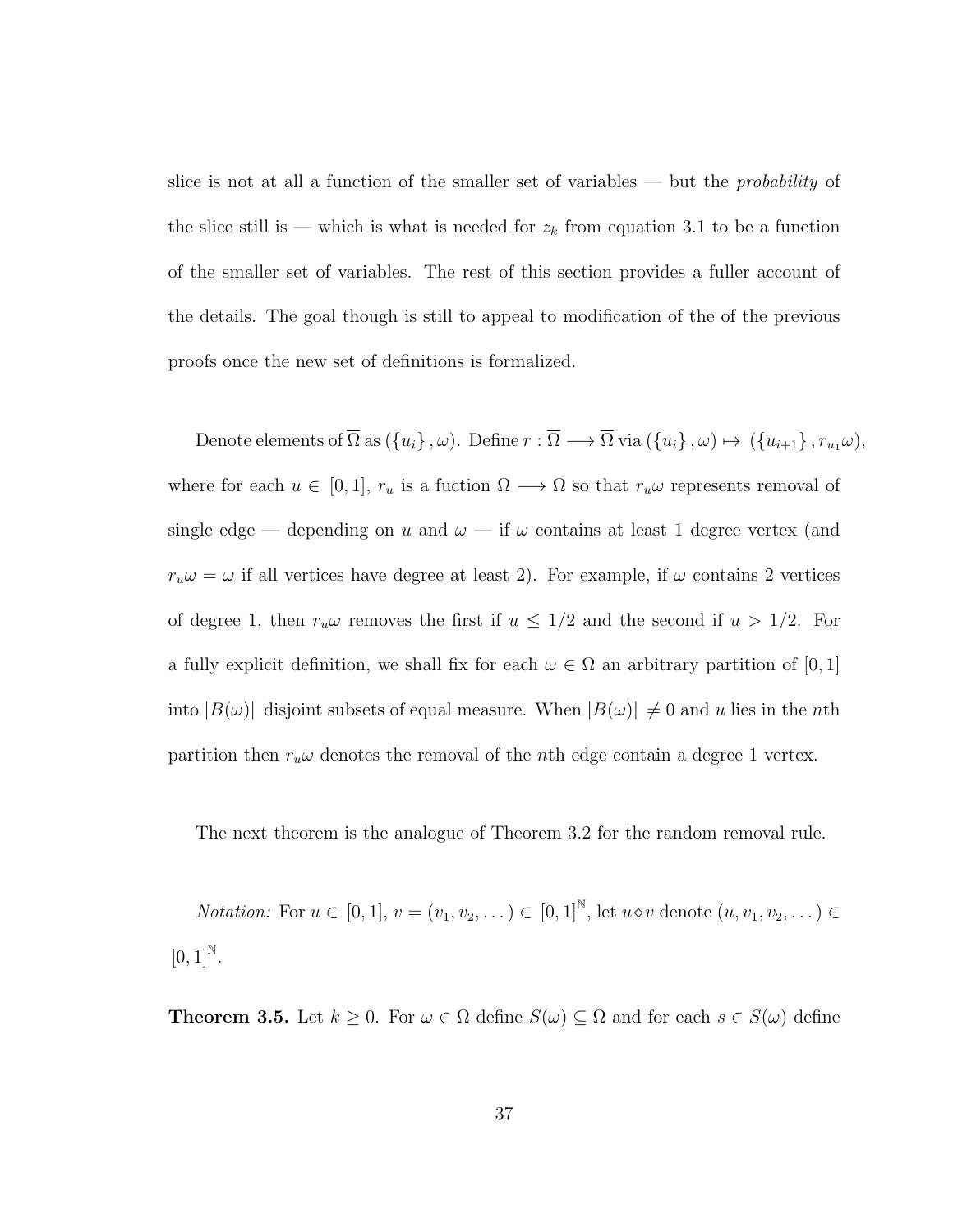slice is not at all a function of the smaller set of variables — but the *probability* of the slice still is — which is what is needed for  $z_k$  from equation 3.1 to be a function of the smaller set of variables. The rest of this section provides a fuller account of the details. The goal though is still to appeal to modification of the of the previous proofs once the new set of definitions is formalized.

Denote elements of  $\overline{\Omega}$  as  $(\{u_i\}, \omega)$ . Define  $r : \overline{\Omega} \longrightarrow \overline{\Omega}$  via  $(\{u_i\}, \omega) \mapsto (\{u_{i+1}\}, r_{u_1}\omega)$ , where for each  $u \in [0, 1]$ ,  $r_u$  is a fuction  $\Omega \longrightarrow \Omega$  so that  $r_u \omega$  represents removal of single edge — depending on  $u$  and  $\omega$  — if  $\omega$  contains at least 1 degree vertex (and  $r_u \omega = \omega$  if all vertices have degree at least 2). For example, if  $\omega$  contains 2 vertices of degree 1, then  $r_u\omega$  removes the first if  $u \leq 1/2$  and the second if  $u > 1/2$ . For a fully explicit definition, we shall fix for each  $\omega \in \Omega$  an arbitrary partition of [0, 1] into  $|B(\omega)|$  disjoint subsets of equal measure. When  $|B(\omega)| \neq 0$  and u lies in the nth partition then  $r_u\omega$  denotes the removal of the *n*th edge contain a degree 1 vertex.

The next theorem is the analogue of Theorem 3.2 for the random removal rule.

*Notation:* For  $u \in [0, 1], v = (v_1, v_2, ...) \in [0, 1]^{\mathbb{N}}$ , let  $u \diamond v$  denote  $(u, v_1, v_2, ...) \in$  $[0, 1]^{N}$ .

**Theorem 3.5.** Let  $k \geq 0$ . For  $\omega \in \Omega$  define  $S(\omega) \subseteq \Omega$  and for each  $s \in S(\omega)$  define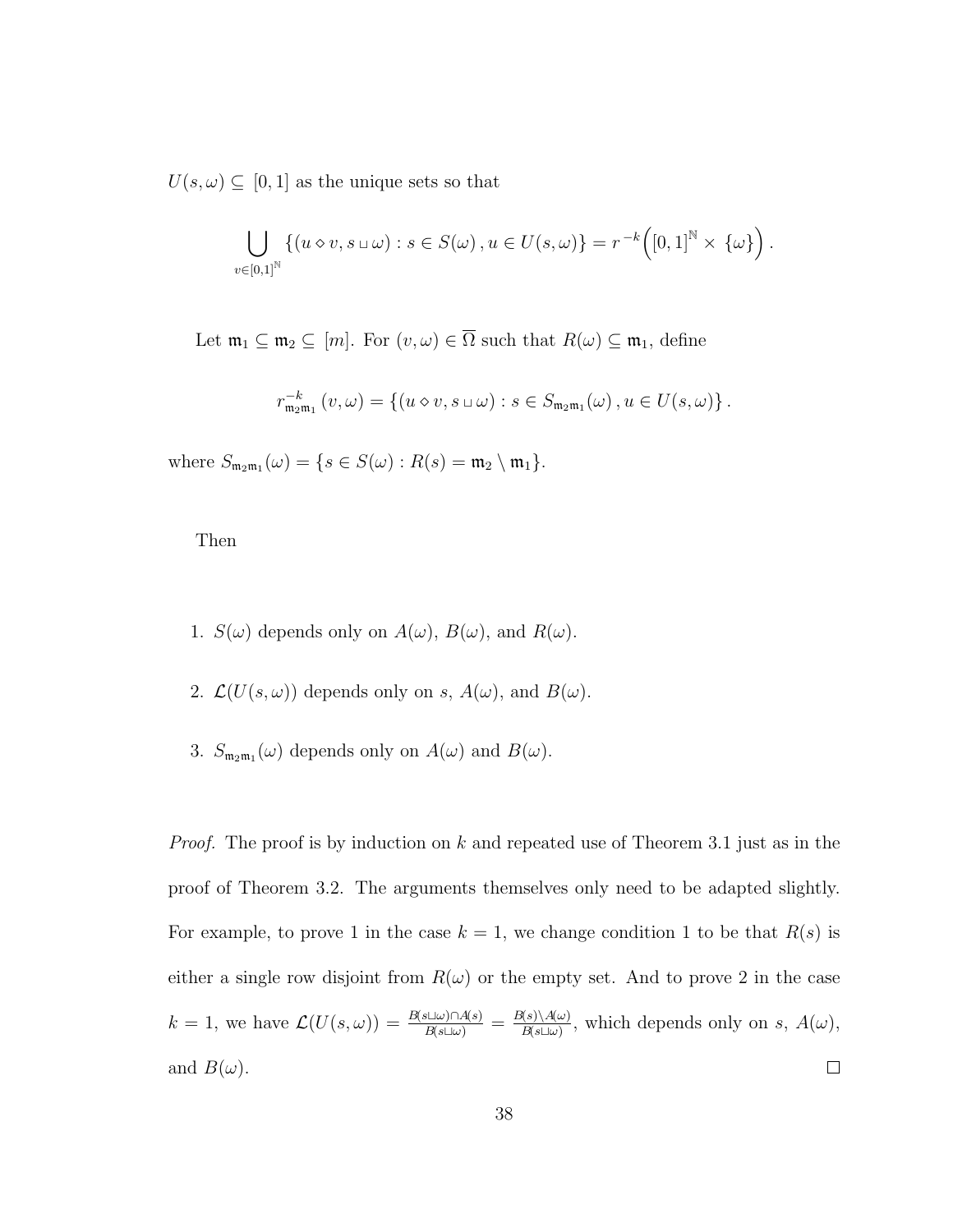$U(s, \omega) \subseteq [0, 1]$  as the unique sets so that

$$
\bigcup_{v \in [0,1]^{\mathbb{N}}} \left\{ (u \diamond v, s \sqcup \omega) : s \in S(\omega), u \in U(s, \omega) \right\} = r^{-k} \left( [0,1]^{\mathbb{N}} \times \{\omega\} \right).
$$

Let  $\mathfrak{m}_1 \subseteq \mathfrak{m}_2 \subseteq [m]$ . For  $(v, \omega) \in \overline{\Omega}$  such that  $R(\omega) \subseteq \mathfrak{m}_1$ , define

$$
r_{\mathfrak{m}_2\mathfrak{m}_1}^{-k} (v, \omega) = \{ (u \diamond v, s \sqcup \omega) : s \in S_{\mathfrak{m}_2\mathfrak{m}_1}(\omega), u \in U(s, \omega) \}.
$$

where  $S_{\mathfrak{m}_2\mathfrak{m}_1}(\omega) = \{ s \in S(\omega) : R(s) = \mathfrak{m}_2 \setminus \mathfrak{m}_1 \}.$ 

Then

- 1.  $S(\omega)$  depends only on  $A(\omega)$ ,  $B(\omega)$ , and  $R(\omega)$ .
- 2.  $\mathcal{L}(U(s,\omega))$  depends only on s,  $A(\omega)$ , and  $B(\omega)$ .
- 3.  $S_{m_2m_1}(\omega)$  depends only on  $A(\omega)$  and  $B(\omega)$ .

*Proof.* The proof is by induction on  $k$  and repeated use of Theorem 3.1 just as in the proof of Theorem 3.2. The arguments themselves only need to be adapted slightly. For example, to prove 1 in the case  $k = 1$ , we change condition 1 to be that  $R(s)$  is either a single row disjoint from  $R(\omega)$  or the empty set. And to prove 2 in the case  $k = 1$ , we have  $\mathcal{L}(U(s, \omega)) = \frac{B(s \sqcup \omega) \cap A(s)}{B(s \sqcup \omega)} = \frac{B(s) \setminus A(\omega)}{B(s \sqcup \omega)}$  $\frac{A(\mathcal{S})\setminus A(\omega)}{B(\mathcal{S}\square\omega)}$ , which depends only on s,  $A(\omega)$ , and  $B(\omega)$ .  $\Box$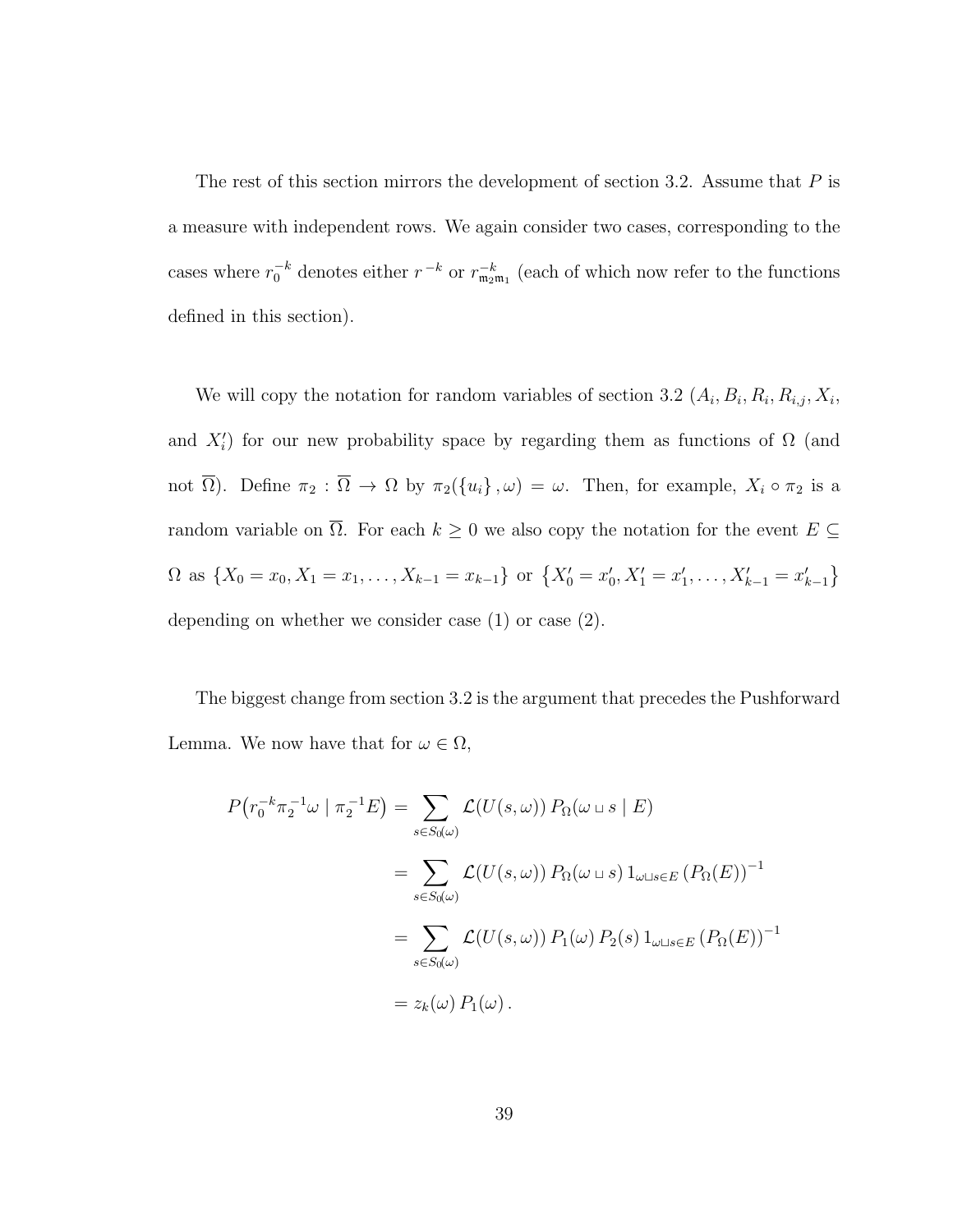The rest of this section mirrors the development of section 3.2. Assume that  $P$  is a measure with independent rows. We again consider two cases, corresponding to the cases where  $r_0^{-k}$  denotes either  $r_{m_2m_1}^{-k}$  (each of which now refer to the functions defined in this section).

We will copy the notation for random variables of section 3.2  $(A_i, B_i, R_i, R_{i,j}, X_i,$ and  $X_i'$ ) for our new probability space by regarding them as functions of  $\Omega$  (and not  $\overline{\Omega}$ ). Define  $\pi_2 : \overline{\Omega} \to \Omega$  by  $\pi_2(\{u_i\}, \omega) = \omega$ . Then, for example,  $X_i \circ \pi_2$  is a random variable on  $\overline{\Omega}$ . For each  $k \geq 0$  we also copy the notation for the event  $E \subseteq$  $\Omega$  as  $\{X_0 = x_0, X_1 = x_1, \ldots, X_{k-1} = x_{k-1}\}$  or  $\{X'_0 = x'_0, X'_1 = x'_1, \ldots, X'_{k-1} = x'_{k-1}\}$ depending on whether we consider case (1) or case (2).

The biggest change from section 3.2 is the argument that precedes the Pushforward Lemma. We now have that for  $\omega \in \Omega$ ,

$$
P(r_0^{-k} \pi_2^{-1} \omega \mid \pi_2^{-1} E) = \sum_{s \in S_0(\omega)} \mathcal{L}(U(s, \omega)) P_{\Omega}(\omega \sqcup s \mid E)
$$
  
= 
$$
\sum_{s \in S_0(\omega)} \mathcal{L}(U(s, \omega)) P_{\Omega}(\omega \sqcup s) 1_{\omega \sqcup s \in E} (P_{\Omega}(E))^{-1}
$$
  
= 
$$
\sum_{s \in S_0(\omega)} \mathcal{L}(U(s, \omega)) P_{\Omega}(\omega) P_{\Omega}(s) 1_{\omega \sqcup s \in E} (P_{\Omega}(E))^{-1}
$$
  
= 
$$
z_k(\omega) P_{\Omega}(\omega).
$$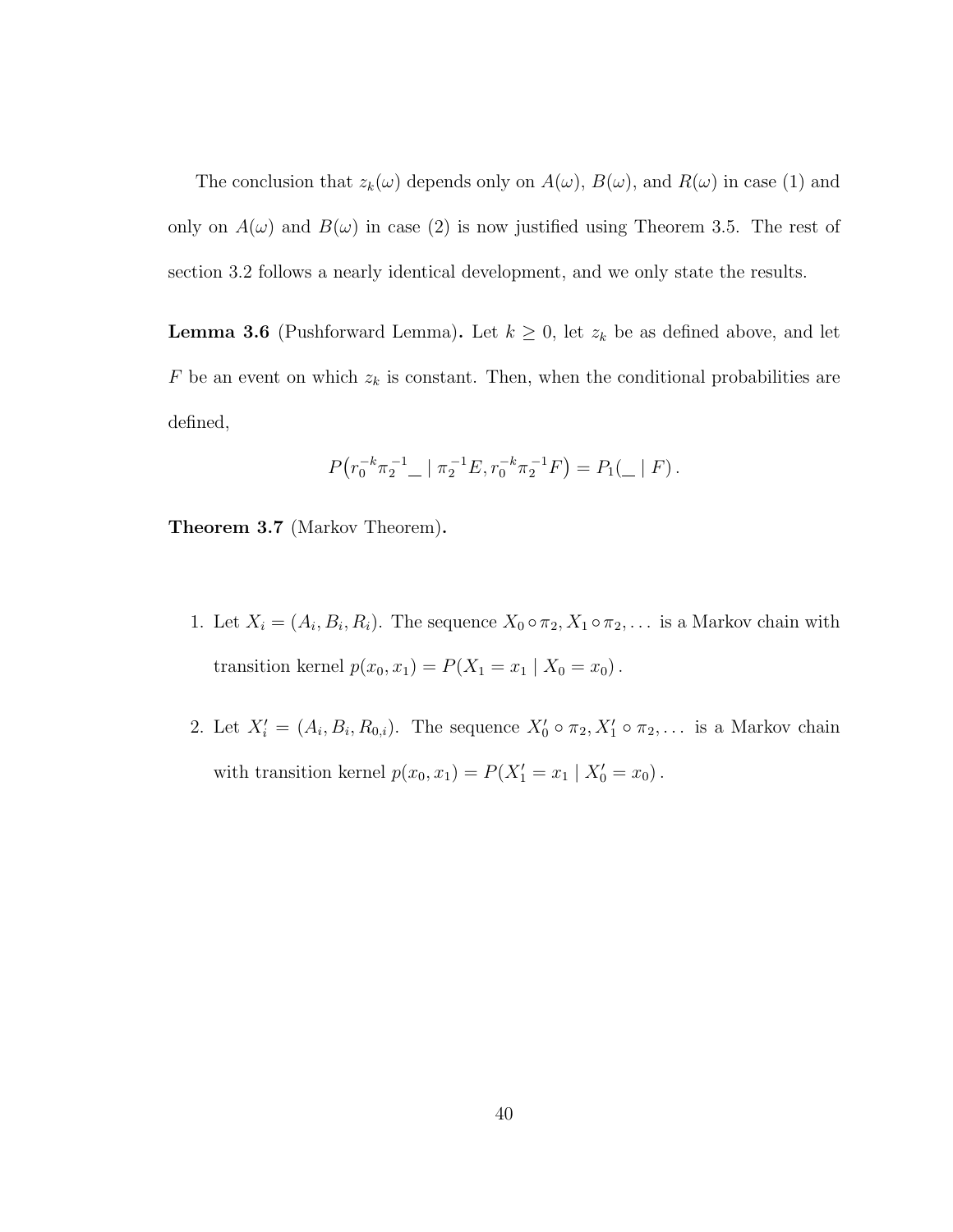The conclusion that  $z_k(\omega)$  depends only on  $A(\omega)$ ,  $B(\omega)$ , and  $R(\omega)$  in case (1) and only on  $A(\omega)$  and  $B(\omega)$  in case (2) is now justified using Theorem 3.5. The rest of section 3.2 follows a nearly identical development, and we only state the results.

**Lemma 3.6** (Pushforward Lemma). Let  $k \geq 0$ , let  $z_k$  be as defined above, and let  $F$  be an event on which  $z_k$  is constant. Then, when the conditional probabilities are defined,

$$
P(r_0^{-k}\pi_2^{-1} \_ |\pi_2^{-1}E, r_0^{-k}\pi_2^{-1}F) = P_1(\_ |F).
$$

Theorem 3.7 (Markov Theorem).

- 1. Let  $X_i = (A_i, B_i, R_i)$ . The sequence  $X_0 \circ \pi_2, X_1 \circ \pi_2, \ldots$  is a Markov chain with transition kernel  $p(x_0, x_1) = P(X_1 = x_1 | X_0 = x_0)$ .
- 2. Let  $X'_i = (A_i, B_i, R_{0,i})$ . The sequence  $X'_0 \circ \pi_2, X'_1 \circ \pi_2, \ldots$  is a Markov chain with transition kernel  $p(x_0, x_1) = P(X'_1 = x_1 | X'_0 = x_0)$ .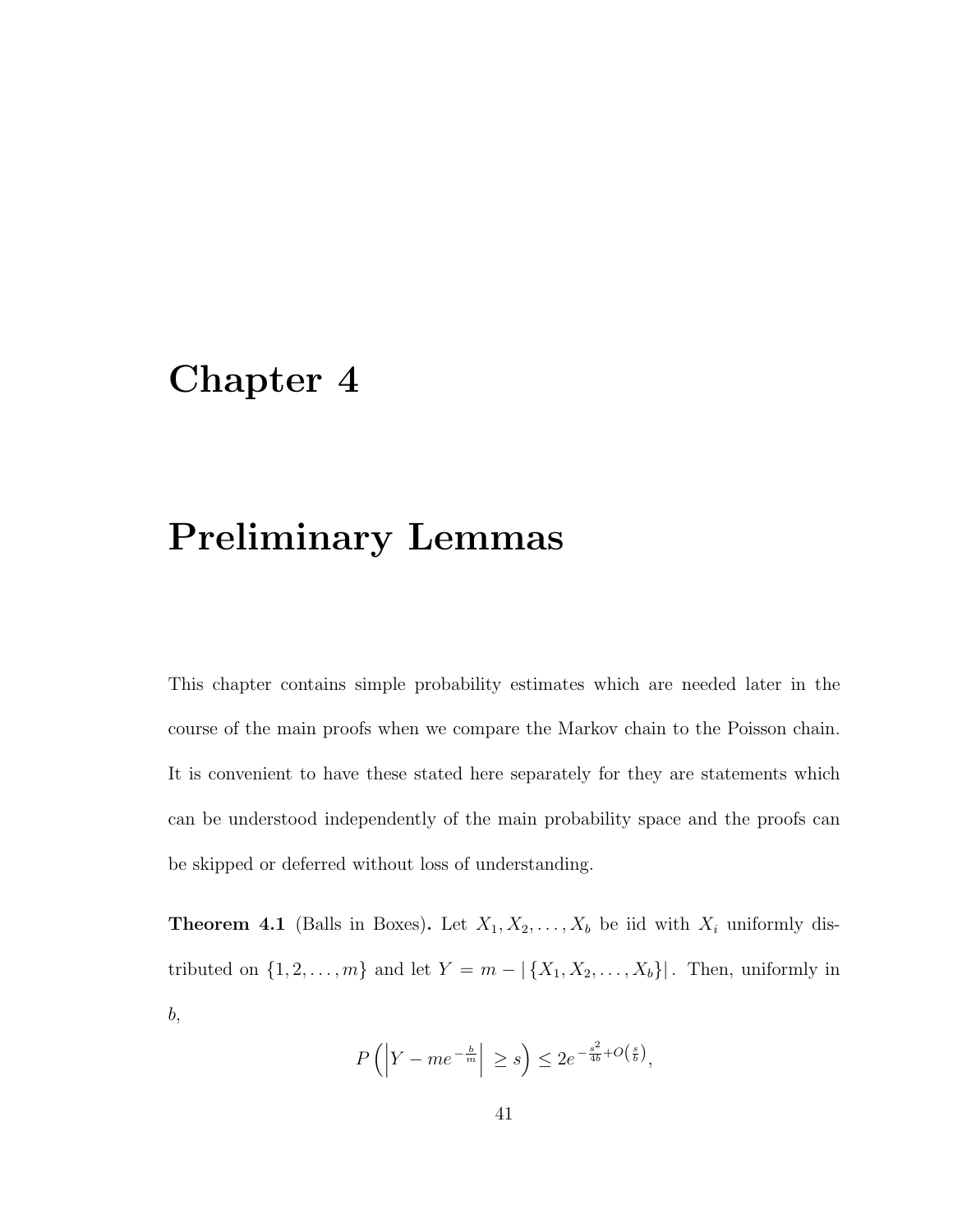### Chapter 4

#### Preliminary Lemmas

This chapter contains simple probability estimates which are needed later in the course of the main proofs when we compare the Markov chain to the Poisson chain. It is convenient to have these stated here separately for they are statements which can be understood independently of the main probability space and the proofs can be skipped or deferred without loss of understanding.

**Theorem 4.1** (Balls in Boxes). Let  $X_1, X_2, \ldots, X_b$  be iid with  $X_i$  uniformly distributed on  $\{1, 2, \ldots, m\}$  and let  $Y = m - |{X_1, X_2, \ldots, X_b}\}|$ . Then, uniformly in b,

$$
P\left(\left|Y - me^{-\frac{b}{m}}\right| \ge s\right) \le 2e^{-\frac{s^2}{4b} + O\left(\frac{s}{b}\right)},
$$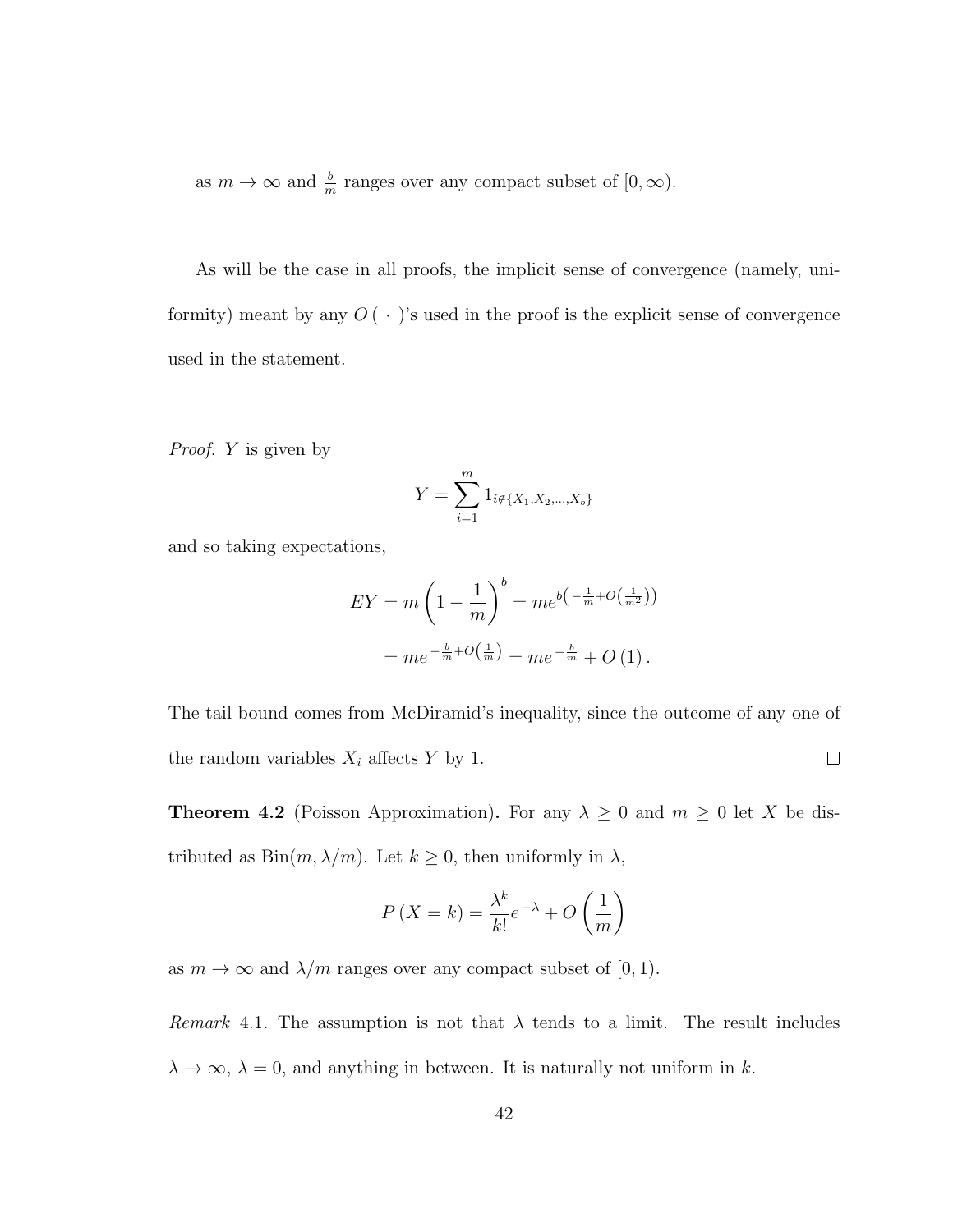as  $m \to \infty$  and  $\frac{b}{m}$  ranges over any compact subset of  $[0, \infty)$ .

As will be the case in all proofs, the implicit sense of convergence (namely, uniformity) meant by any  $O(\cdot)$ 's used in the proof is the explicit sense of convergence used in the statement.

Proof. Y is given by

$$
Y = \sum_{i=1}^{m} 1_{i \notin \{X_1, X_2, \dots, X_b\}}
$$

and so taking expectations,

$$
EY = m\left(1 - \frac{1}{m}\right)^b = me^{b\left(-\frac{1}{m} + O\left(\frac{1}{m^2}\right)\right)}
$$

$$
= me^{-\frac{b}{m} + O\left(\frac{1}{m}\right)} = me^{-\frac{b}{m}} + O\left(1\right).
$$

The tail bound comes from McDiramid's inequality, since the outcome of any one of the random variables  $X_i$  affects Y by 1.  $\Box$ 

**Theorem 4.2** (Poisson Approximation). For any  $\lambda \geq 0$  and  $m \geq 0$  let X be distributed as  $Bin(m, \lambda/m)$ . Let  $k \geq 0$ , then uniformly in  $\lambda$ ,

$$
P(X = k) = \frac{\lambda^k}{k!} e^{-\lambda} + O\left(\frac{1}{m}\right)
$$

as  $m \to \infty$  and  $\lambda/m$  ranges over any compact subset of [0, 1).

*Remark* 4.1. The assumption is not that  $\lambda$  tends to a limit. The result includes  $\lambda \to \infty$ ,  $\lambda = 0$ , and anything in between. It is naturally not uniform in k.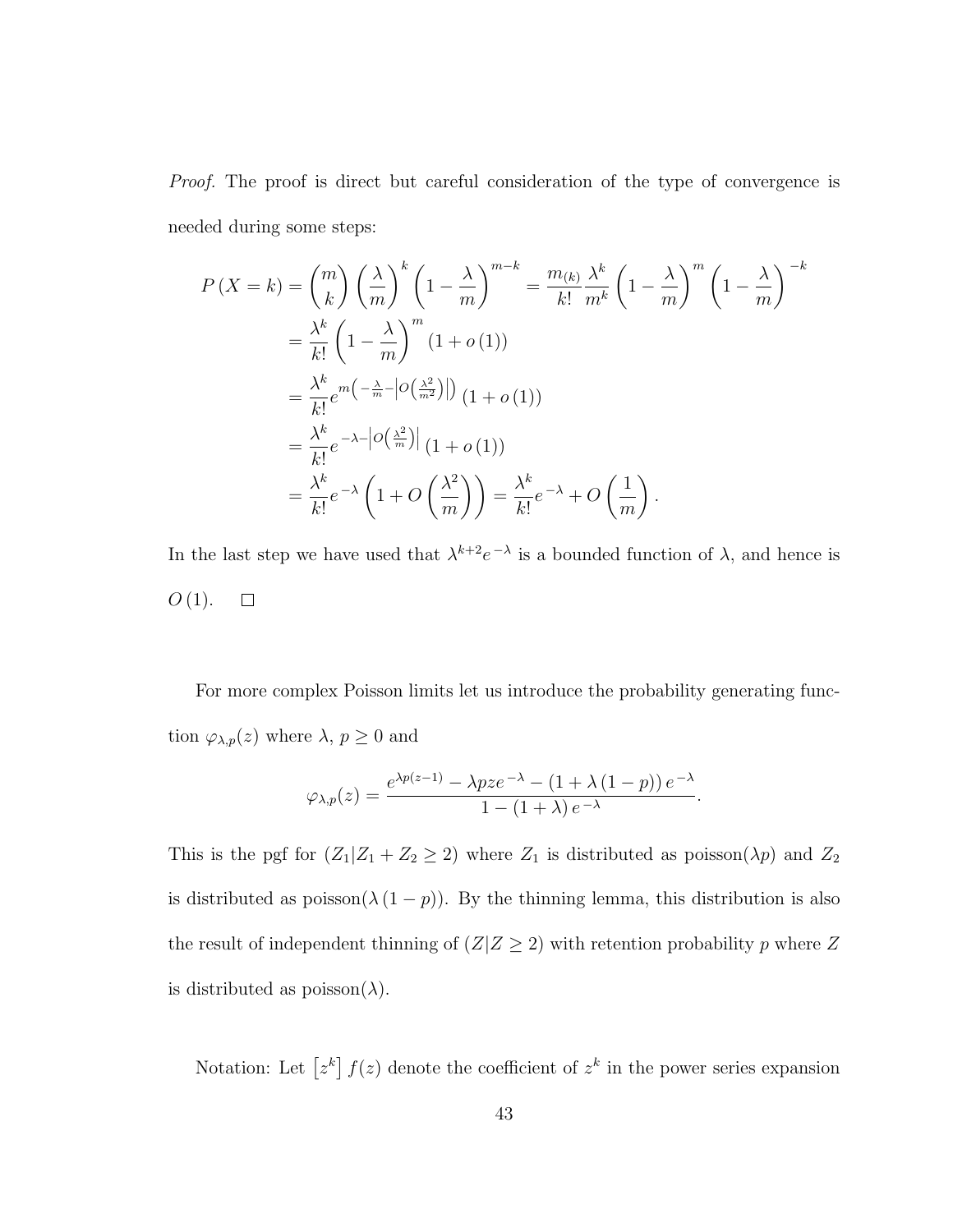Proof. The proof is direct but careful consideration of the type of convergence is needed during some steps:

$$
P(X = k) = {m \choose k} \left(\frac{\lambda}{m}\right)^k \left(1 - \frac{\lambda}{m}\right)^{m-k} = \frac{m_{(k)}}{k!} \frac{\lambda^k}{m^k} \left(1 - \frac{\lambda}{m}\right)^m \left(1 - \frac{\lambda}{m}\right)^{-k}
$$
  
\n
$$
= \frac{\lambda^k}{k!} \left(1 - \frac{\lambda}{m}\right)^m (1 + o(1))
$$
  
\n
$$
= \frac{\lambda^k}{k!} e^{m\left(-\frac{\lambda}{m} - \left|O\left(\frac{\lambda^2}{m^2}\right)\right|\right)} (1 + o(1))
$$
  
\n
$$
= \frac{\lambda^k}{k!} e^{-\lambda - \left|O\left(\frac{\lambda^2}{m}\right)\right|} (1 + o(1))
$$
  
\n
$$
= \frac{\lambda^k}{k!} e^{-\lambda} \left(1 + O\left(\frac{\lambda^2}{m}\right)\right) = \frac{\lambda^k}{k!} e^{-\lambda} + O\left(\frac{1}{m}\right).
$$

In the last step we have used that  $\lambda^{k+2}e^{-\lambda}$  is a bounded function of  $\lambda$ , and hence is  $O(1)$ .  $\Box$ 

For more complex Poisson limits let us introduce the probability generating function  $\varphi_{\lambda,p}(z)$  where  $\lambda, p \geq 0$  and

$$
\varphi_{\lambda,p}(z) = \frac{e^{\lambda p(z-1)} - \lambda pze^{-\lambda} - (1+\lambda(1-p))e^{-\lambda}}{1 - (1+\lambda)e^{-\lambda}}.
$$

This is the pgf for  $(Z_1|Z_1 + Z_2 \ge 2)$  where  $Z_1$  is distributed as poisson( $\lambda p$ ) and  $Z_2$ is distributed as  $\text{poisson}(\lambda(1-p))$ . By the thinning lemma, this distribution is also the result of independent thinning of  $(Z|Z\geq2)$  with retention probability  $p$  where  $Z$ is distributed as  $\text{poisson}(\lambda)$ .

Notation: Let  $[z^k] f(z)$  denote the coefficient of  $z^k$  in the power series expansion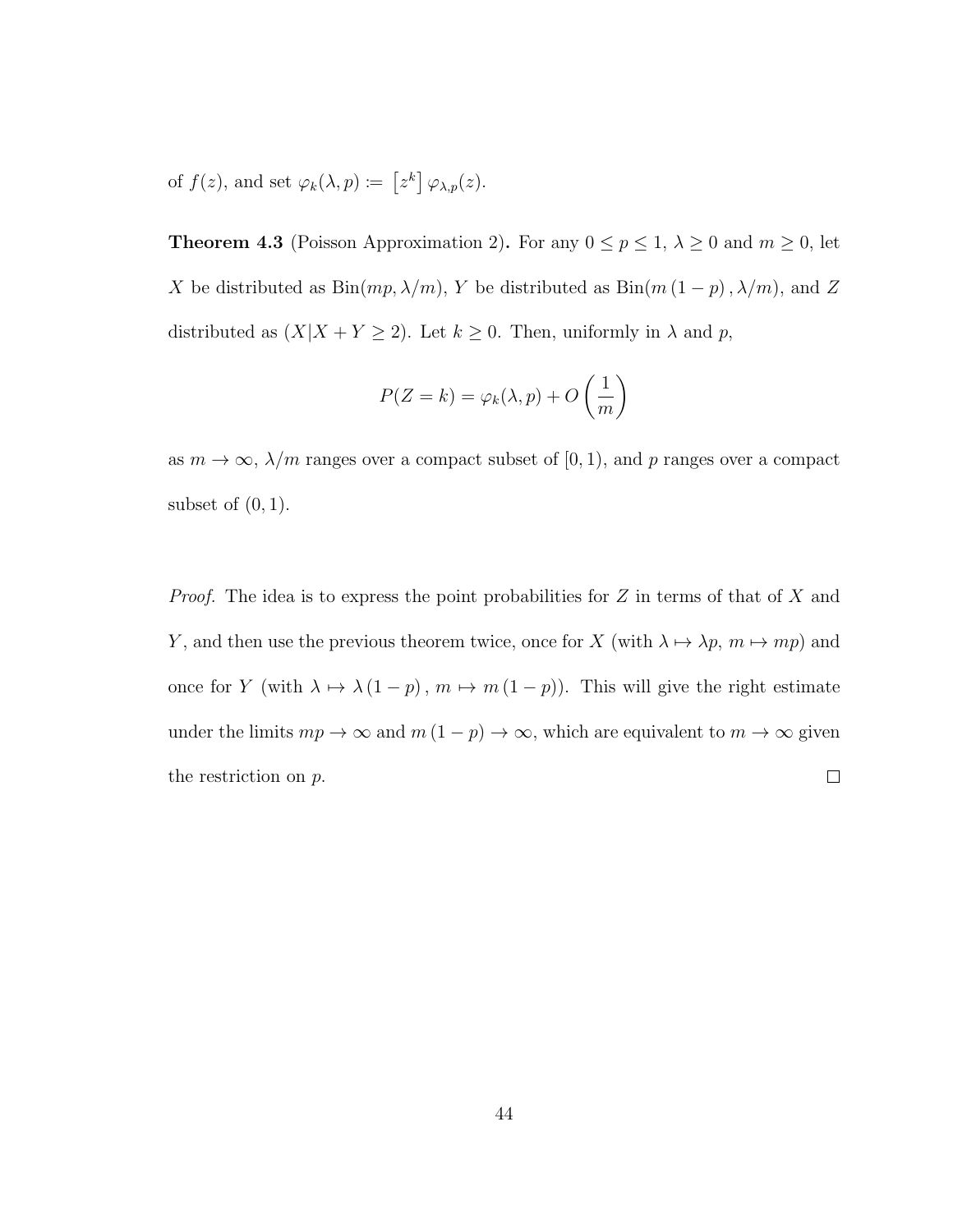of  $f(z)$ , and set  $\varphi_k(\lambda, p) := [z^k] \varphi_{\lambda, p}(z)$ .

**Theorem 4.3** (Poisson Approximation 2). For any  $0 \le p \le 1$ ,  $\lambda \ge 0$  and  $m \ge 0$ , let X be distributed as  $Bin(mp, \lambda/m)$ , Y be distributed as  $Bin(m(1-p), \lambda/m)$ , and Z distributed as  $(X|X + Y \ge 2)$ . Let  $k \ge 0$ . Then, uniformly in  $\lambda$  and  $p$ ,

$$
P(Z = k) = \varphi_k(\lambda, p) + O\left(\frac{1}{m}\right)
$$

as  $m \to \infty$ ,  $\lambda/m$  ranges over a compact subset of [0, 1), and p ranges over a compact subset of  $(0, 1)$ .

*Proof.* The idea is to express the point probabilities for  $Z$  in terms of that of  $X$  and Y, and then use the previous theorem twice, once for X (with  $\lambda \mapsto \lambda p, m \mapsto mp$ ) and once for Y (with  $\lambda \mapsto \lambda (1 - p)$ ,  $m \mapsto m (1 - p)$ ). This will give the right estimate under the limits  $mp \to \infty$  and  $m(1 - p) \to \infty$ , which are equivalent to  $m \to \infty$  given the restriction on p.  $\Box$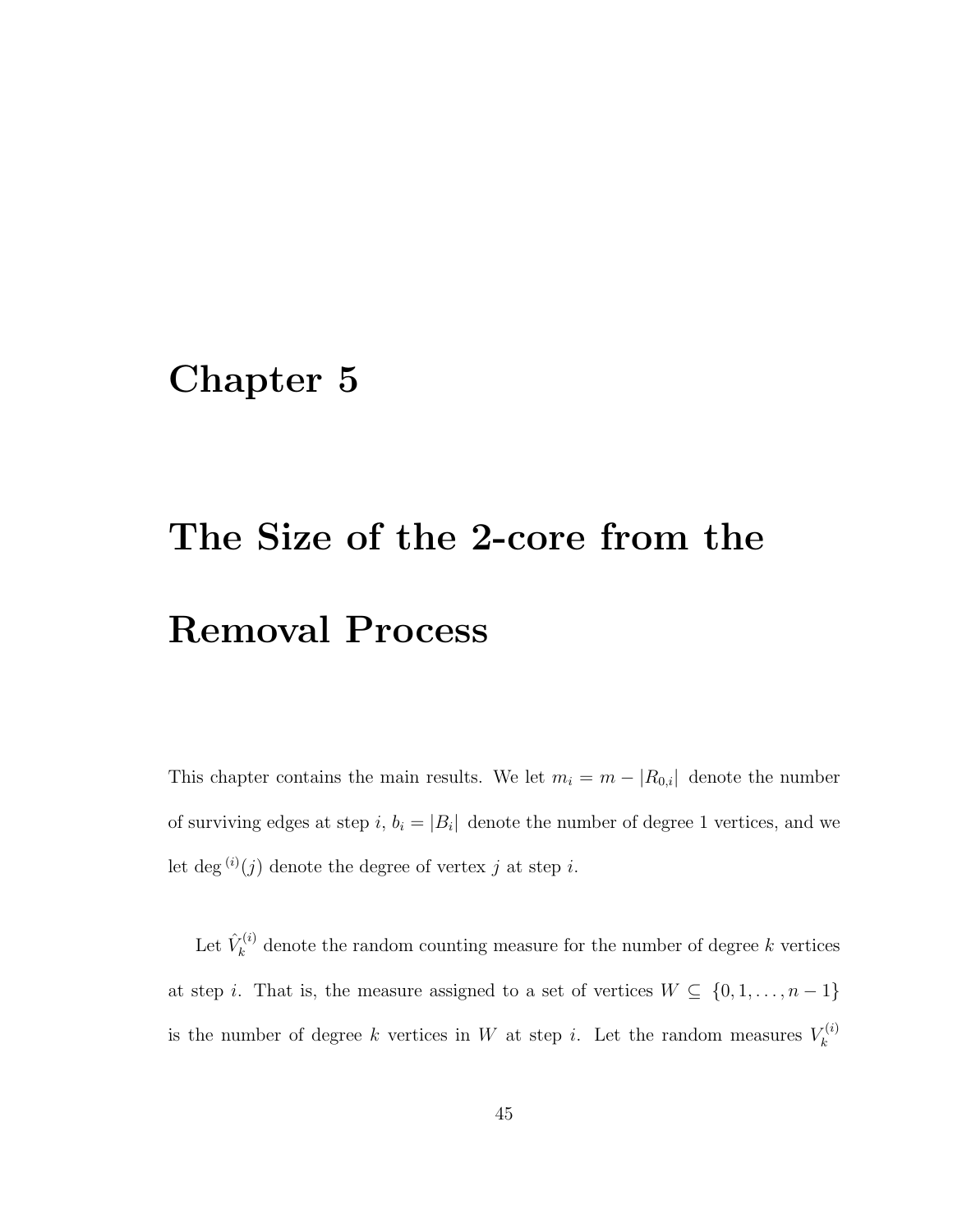#### Chapter 5

# The Size of the 2-core from the Removal Process

This chapter contains the main results. We let  $m_i = m - |R_{0,i}|$  denote the number of surviving edges at step i,  $b_i = |B_i|$  denote the number of degree 1 vertices, and we let deg<sup>(i)</sup>(j) denote the degree of vertex j at step i.

Let  $\hat{V}_k^{(i)}$  $k_k^{(i)}$  denote the random counting measure for the number of degree k vertices at step *i*. That is, the measure assigned to a set of vertices  $W \subseteq \{0, 1, \ldots, n-1\}$ is the number of degree k vertices in W at step i. Let the random measures  $V_k^{(i)}$ k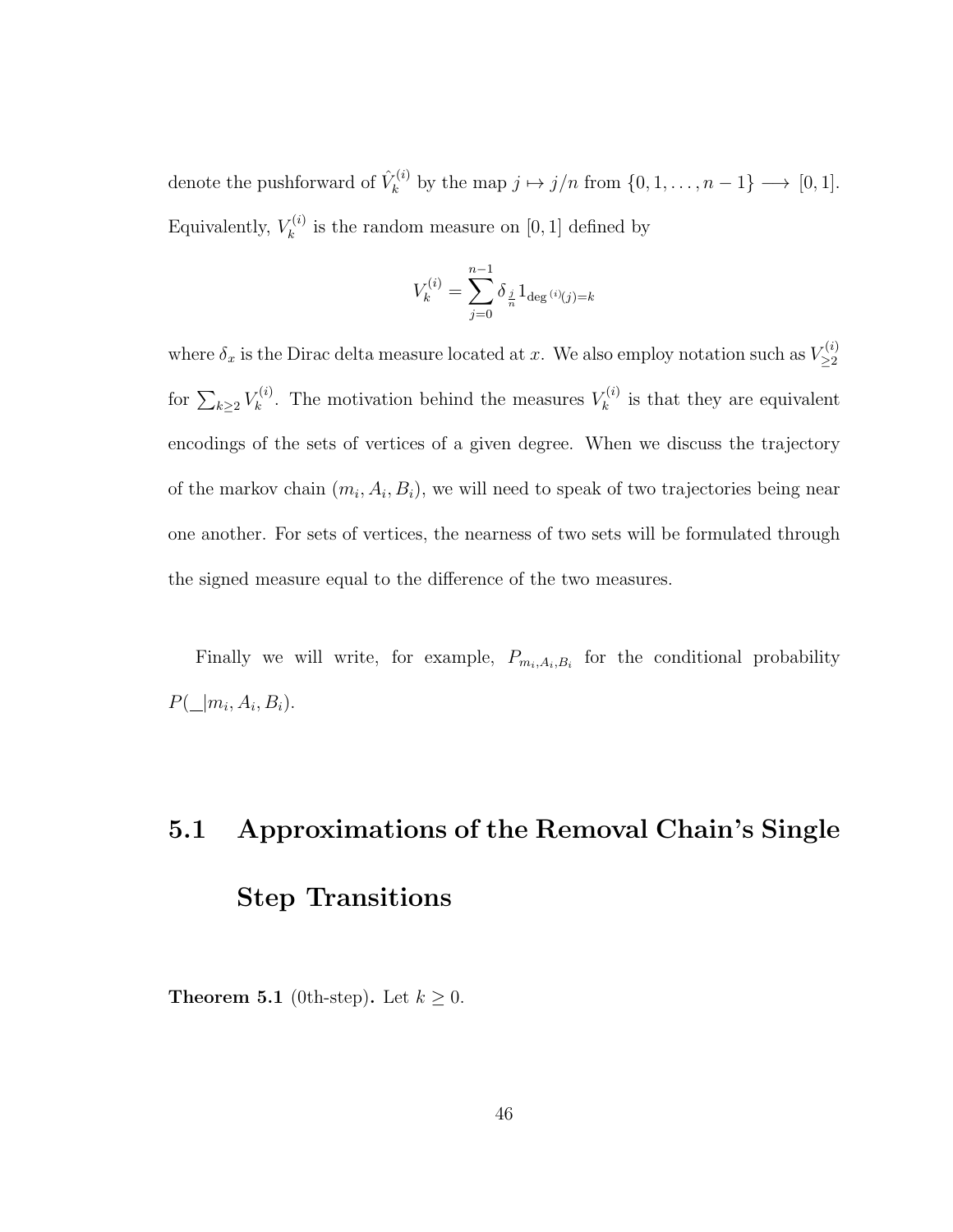denote the pushforward of  $\hat{V}_k^{(i)}$  $b_k^{(i)}$  by the map  $j \mapsto j/n$  from  $\{0, 1, \ldots, n-1\} \longrightarrow [0, 1].$ Equivalently,  $V_k^{(i)}$  $\kappa_k^{(i)}$  is the random measure on [0, 1] defined by

$$
V_k^{(i)} = \sum_{j=0}^{n-1} \delta_{\frac{j}{n}} 1_{\deg^{(i)}(j) = k}
$$

where  $\delta_x$  is the Dirac delta measure located at x. We also employ notation such as  $V_{\geq 2}^{(i)}$ ≥2 for  $\sum_{k\geq 2} V_k^{(i)}$  $k^{(i)}$ . The motivation behind the measures  $V_k^{(i)}$ .  $\kappa^{(i)}$  is that they are equivalent encodings of the sets of vertices of a given degree. When we discuss the trajectory of the markov chain  $(m_i, A_i, B_i)$ , we will need to speak of two trajectories being near one another. For sets of vertices, the nearness of two sets will be formulated through the signed measure equal to the difference of the two measures.

Finally we will write, for example,  $P_{m_i, A_i, B_i}$  for the conditional probability  $P(\_\mid m_i, A_i, B_i).$ 

## 5.1 Approximations of the Removal Chain's Single Step Transitions

**Theorem 5.1** (0th-step). Let  $k \geq 0$ .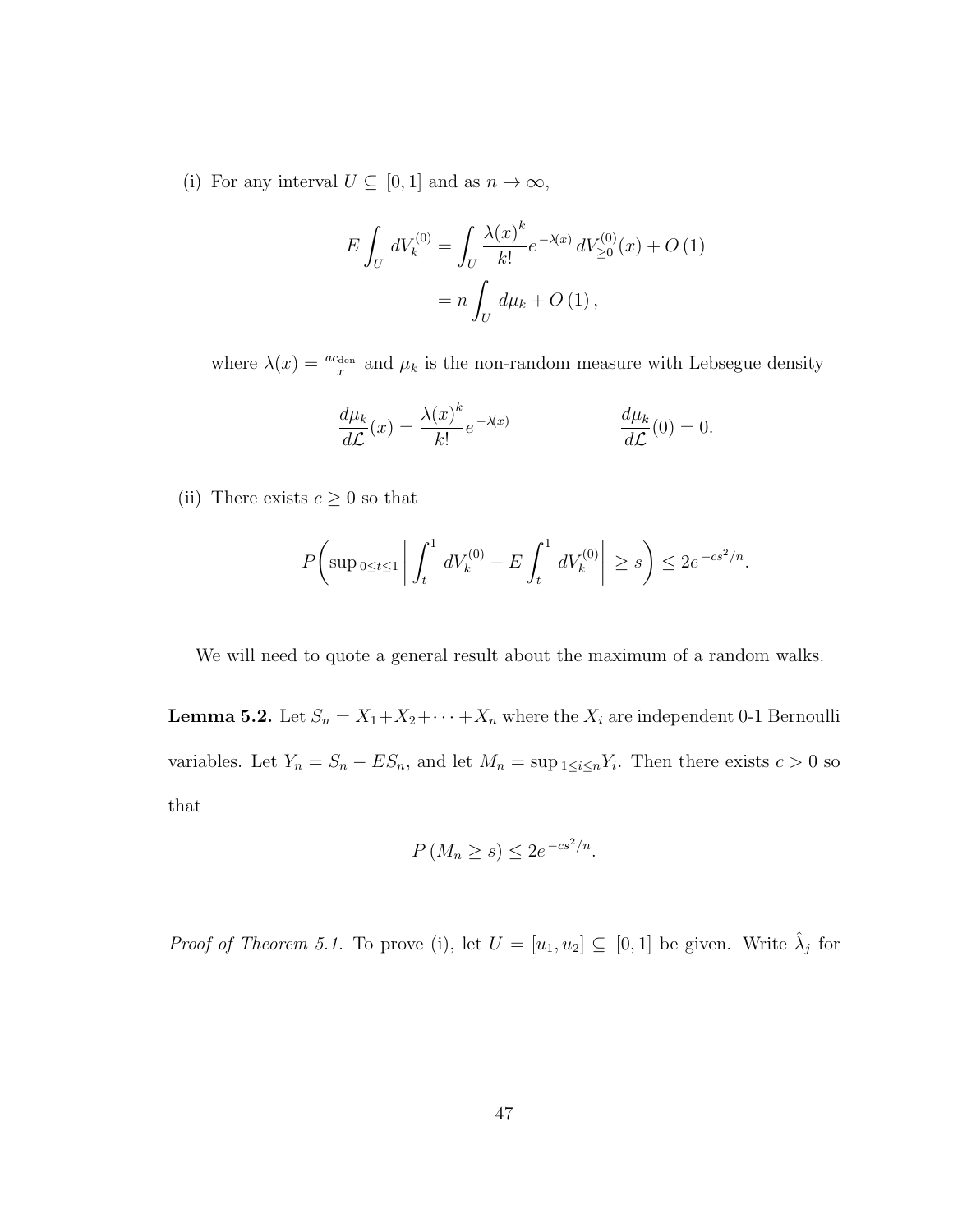(i) For any interval  $U \subseteq [0,1]$  and as  $n \to \infty$ ,

$$
E \int_{U} dV_{k}^{(0)} = \int_{U} \frac{\lambda(x)^{k}}{k!} e^{-\lambda(x)} dV_{\geq 0}^{(0)}(x) + O(1)
$$
  
=  $n \int_{U} d\mu_{k} + O(1),$ 

where  $\lambda(x) = \frac{ac_{\text{den}}}{x}$  and  $\mu_k$  is the non-random measure with Lebsegue density

$$
\frac{d\mu_k}{d\mathcal{L}}(x) = \frac{\lambda(x)^k}{k!} e^{-\lambda(x)} \qquad \qquad \frac{d\mu_k}{d\mathcal{L}}(0) = 0.
$$

(ii) There exists  $c\geq 0$  so that

$$
P\bigg(\sup_{0\leq t\leq 1}\bigg|\int_{t}^{1} dV_k^{(0)} - E\int_{t}^{1} dV_k^{(0)}\bigg|\geq s\bigg) \leq 2e^{-cs^2/n}.
$$

We will need to quote a general result about the maximum of a random walks.

**Lemma 5.2.** Let  $S_n = X_1 + X_2 + \cdots + X_n$  where the  $X_i$  are independent 0-1 Bernoulli variables. Let  $Y_n = S_n - ES_n$ , and let  $M_n = \sup_{1 \le i \le n} Y_i$ . Then there exists  $c > 0$  so that

$$
P\left(M_n \ge s\right) \le 2e^{-cs^2/n}.
$$

*Proof of Theorem 5.1.* To prove (i), let  $U = [u_1, u_2] \subseteq [0, 1]$  be given. Write  $\hat{\lambda}_j$  for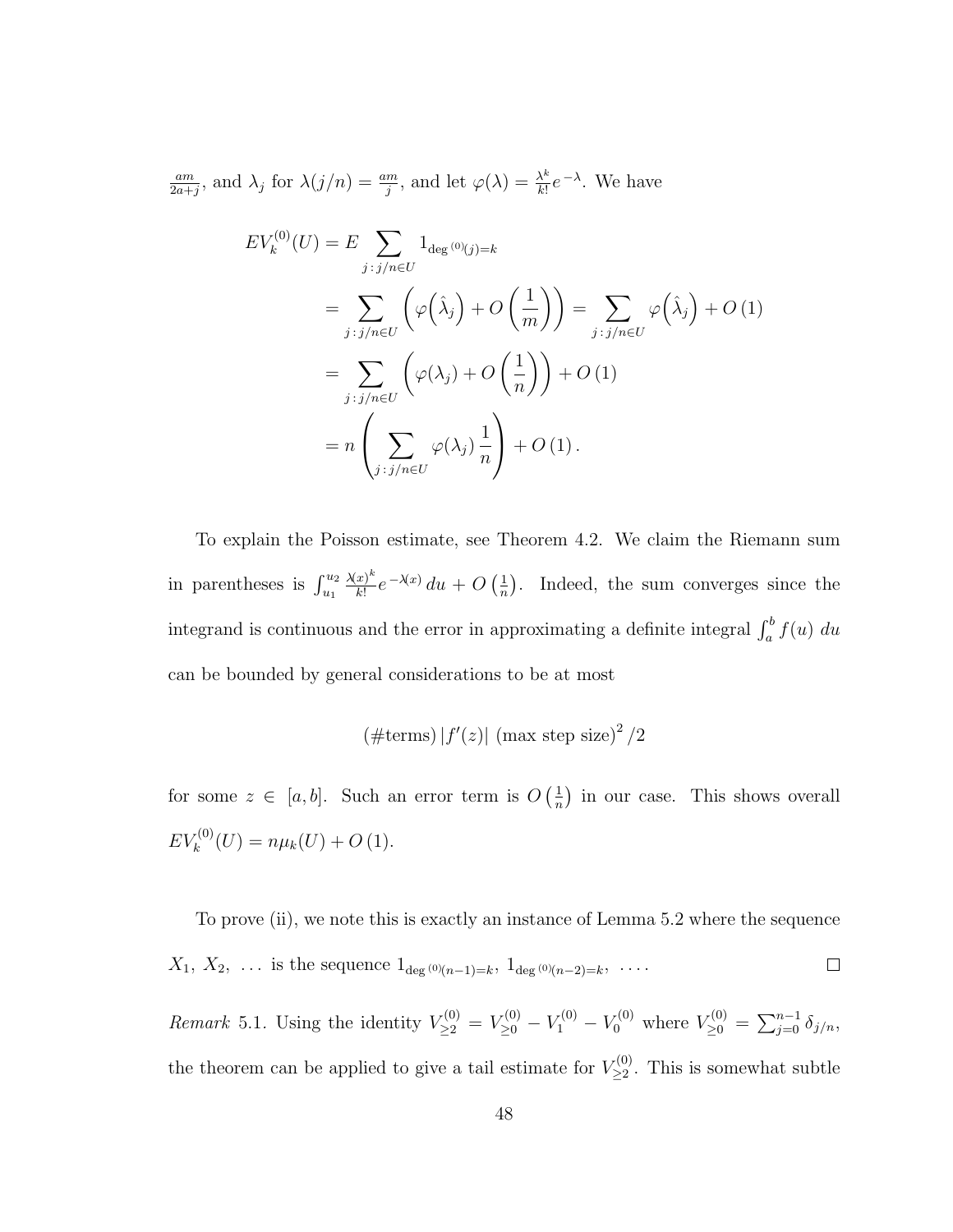am  $\frac{am}{2a+j}$ , and  $\lambda_j$  for  $\lambda(j/n) = \frac{am}{j}$ , and let  $\varphi(\lambda) = \frac{\lambda^k}{k!}$  $\frac{\lambda^k}{k!}e^{-\lambda}$ . We have

$$
EV_k^{(0)}(U) = E \sum_{j:j/n \in U} 1_{\deg^{(0)}(j)=k}
$$
  
= 
$$
\sum_{j:j/n \in U} \left( \varphi(\hat{\lambda}_j) + O\left(\frac{1}{m}\right) \right) = \sum_{j:j/n \in U} \varphi(\hat{\lambda}_j) + O(1)
$$
  
= 
$$
\sum_{j:j/n \in U} \left( \varphi(\lambda_j) + O\left(\frac{1}{n}\right) \right) + O(1)
$$
  
= 
$$
n \left( \sum_{j:j/n \in U} \varphi(\lambda_j) \frac{1}{n} \right) + O(1).
$$

To explain the Poisson estimate, see Theorem 4.2. We claim the Riemann sum in parentheses is  $\int_{u_1}^{u_2}$  $\lambda(x)^k$  $\frac{x)^k}{k!}e^{-\lambda(x)}du + O\left(\frac{1}{n}\right)$  $\frac{1}{n}$ ). Indeed, the sum converges since the integrand is continuous and the error in approximating a definite integral  $\int_a^b f(u) du$ can be bounded by general considerations to be at most

$$
(\#\text{terms}) |f'(z)|
$$
 (max step size)<sup>2</sup> /2

for some  $z \in [a, b]$ . Such an error term is  $O\left(\frac{1}{n}\right)$  $\frac{1}{n}$ ) in our case. This shows overall  $EV_k^{(0)}(U) = n\mu_k(U) + O(1).$ 

To prove (ii), we note this is exactly an instance of Lemma 5.2 where the sequence  $X_1, X_2, \ldots$  is the sequence  $1_{\deg(0)(n-1)=k}, 1_{\deg(0)(n-2)=k}, \ldots$  $\Box$ 

*Remark* 5.1. Using the identity  $V_{\geq 2}^{(0)} = V_{\geq 0}^{(0)} - V_1^{(0)} - V_0^{(0)}$  where  $V_{\geq 0}^{(0)} = \sum_{j=0}^{n-1} \delta_{j/n}$ , the theorem can be applied to give a tail estimate for  $V_{\geq 2}^{(0)}$  $\sum_{\geq 2}^{(0)}$ . This is somewhat subtle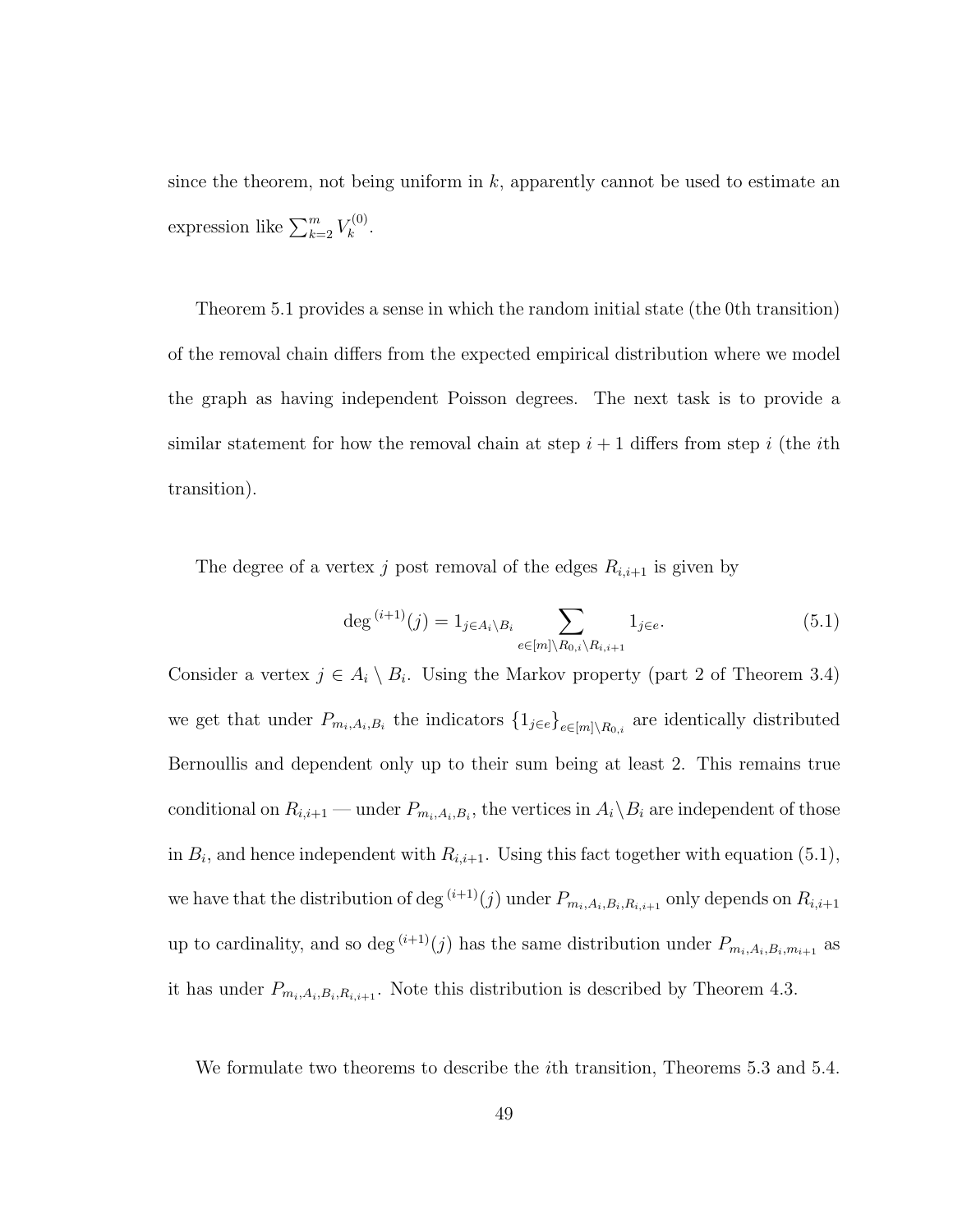since the theorem, not being uniform in  $k$ , apparently cannot be used to estimate an expression like  $\sum_{k=2}^{m} V_k^{(0)}$  $\frac{k^{(0)}}{k}$ .

Theorem 5.1 provides a sense in which the random initial state (the 0th transition) of the removal chain differs from the expected empirical distribution where we model the graph as having independent Poisson degrees. The next task is to provide a similar statement for how the removal chain at step  $i + 1$  differs from step i (the ith transition).

The degree of a vertex  $j$  post removal of the edges  $R_{i,i+1}$  is given by

$$
\deg^{(i+1)}(j) = 1_{j \in A_i \setminus B_i} \sum_{e \in [m] \setminus R_{0,i} \setminus R_{i,i+1}} 1_{j \in e}.
$$
\n
$$
(5.1)
$$

Consider a vertex  $j \in A_i \setminus B_i$ . Using the Markov property (part 2 of Theorem 3.4) we get that under  $P_{m_i, A_i, B_i}$  the indicators  $\{1_{j\in e}\}_{e\in[m]\setminus R_{0,i}}$  are identically distributed Bernoullis and dependent only up to their sum being at least 2. This remains true conditional on  $R_{i,i+1}$  — under  $P_{m_i,A_i,B_i}$ , the vertices in  $A_i \backslash B_i$  are independent of those in  $B_i$ , and hence independent with  $R_{i,i+1}$ . Using this fact together with equation (5.1), we have that the distribution of deg<sup>(i+1)</sup>(j) under  $P_{m_i,A_i,B_i,R_{i,i+1}}$  only depends on  $R_{i,i+1}$ up to cardinality, and so deg<sup>(i+1)</sup>(j) has the same distribution under  $P_{m_i,A_i,B_i,m_{i+1}}$  as it has under  $P_{m_i,A_i,B_i,R_{i,i+1}}$ . Note this distribution is described by Theorem 4.3.

We formulate two theorems to describe the ith transition, Theorems 5.3 and 5.4.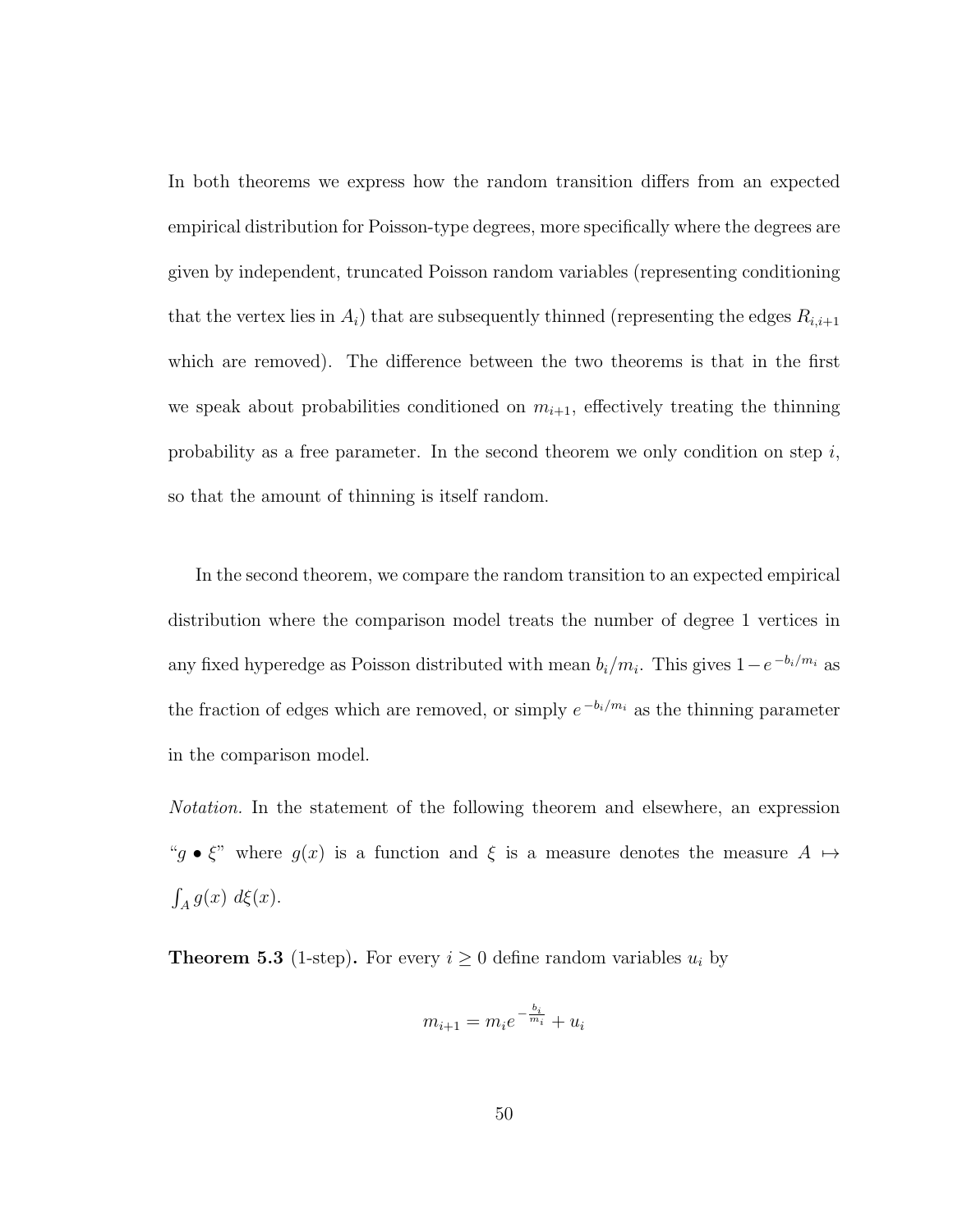In both theorems we express how the random transition differs from an expected empirical distribution for Poisson-type degrees, more specifically where the degrees are given by independent, truncated Poisson random variables (representing conditioning that the vertex lies in  $A_i$ ) that are subsequently thinned (representing the edges  $R_{i,i+1}$ which are removed). The difference between the two theorems is that in the first we speak about probabilities conditioned on  $m_{i+1}$ , effectively treating the thinning probability as a free parameter. In the second theorem we only condition on step  $i$ , so that the amount of thinning is itself random.

In the second theorem, we compare the random transition to an expected empirical distribution where the comparison model treats the number of degree 1 vertices in any fixed hyperedge as Poisson distributed with mean  $b_i/m_i$ . This gives  $1-e^{-b_i/m_i}$  as the fraction of edges which are removed, or simply  $e^{-b_i/m_i}$  as the thinning parameter in the comparison model.

Notation. In the statement of the following theorem and elsewhere, an expression " $g \bullet \xi$ " where  $g(x)$  is a function and  $\xi$  is a measure denotes the measure  $A \mapsto$  $\int_A g(x) d\xi(x)$ .

**Theorem 5.3** (1-step). For every  $i \geq 0$  define random variables  $u_i$  by

$$
m_{i+1} = m_i e^{-\frac{b_i}{m_i}} + u_i
$$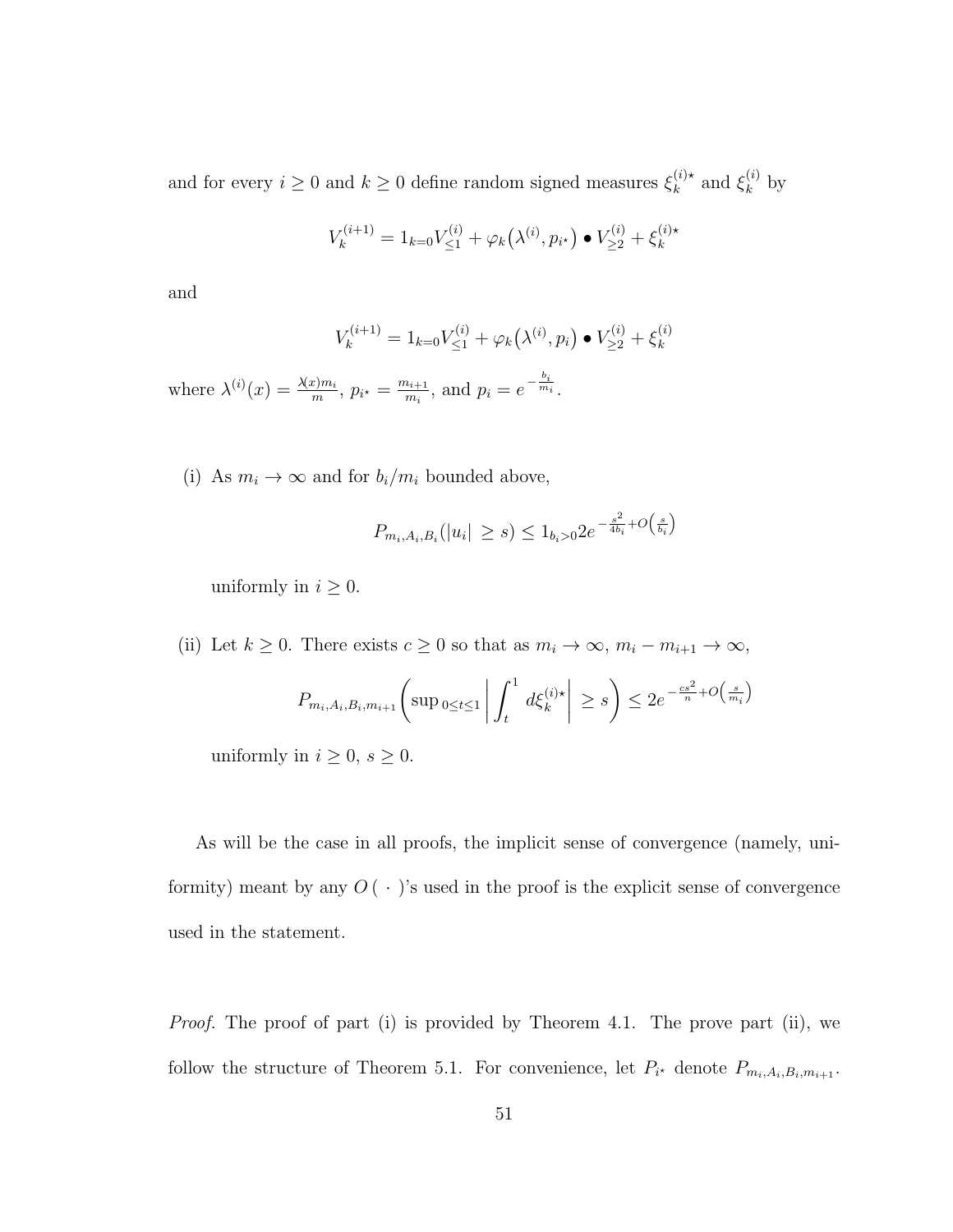and for every  $i \geq 0$  and  $k \geq 0$  define random signed measures  $\xi_k^{(i)*}$  $_k^{(i)\star}$  and  $\xi_k^{(i)}$  $\kappa^{(i)}$  by

$$
V_k^{(i+1)} = 1_{k=0} V_{\leq 1}^{(i)} + \varphi_k(\lambda^{(i)}, p_{i^*}) \bullet V_{\geq 2}^{(i)} + \xi_k^{(i)*}
$$

and

$$
V_k^{(i+1)} = 1_{k=0} V_{\leq 1}^{(i)} + \varphi_k(\lambda^{(i)}, p_i) \bullet V_{\geq 2}^{(i)} + \xi_k^{(i)}
$$

where  $\lambda^{(i)}(x) = \frac{\lambda(x)m_i}{m}, p_{i^*} = \frac{m_{i+1}}{m_i}$  $\frac{n_{i+1}}{m_i}$ , and  $p_i = e^{-\frac{b_i}{m_i}}$ .

(i) As  $m_i \to \infty$  and for  $b_i/m_i$  bounded above,

$$
P_{m_i, A_i, B_i}(|u_i| \ge s) \le 1_{b_i > 0} 2e^{-\frac{s^2}{4b_i} + O\left(\frac{s}{b_i}\right)}
$$

uniformly in  $i \geq 0$ .

(ii) Let  $k \geq 0$ . There exists  $c \geq 0$  so that as  $m_i \to \infty$ ,  $m_i - m_{i+1} \to \infty$ ,

$$
P_{m_i, A_i, B_i, m_{i+1}}\left(\sup_{0\leq t\leq 1}\left|\int_t^1 d\xi_k^{(i)\star}\right| \geq s\right) \leq 2e^{-\frac{cs^2}{n} + O\left(\frac{s}{m_i}\right)}
$$

uniformly in  $i \geq 0$ ,  $s \geq 0$ .

As will be the case in all proofs, the implicit sense of convergence (namely, uniformity) meant by any  $O(\cdot)$ 's used in the proof is the explicit sense of convergence used in the statement.

*Proof.* The proof of part (i) is provided by Theorem 4.1. The prove part (ii), we follow the structure of Theorem 5.1. For convenience, let  $P_{i^*}$  denote  $P_{m_i,A_i,B_i,m_{i+1}}$ .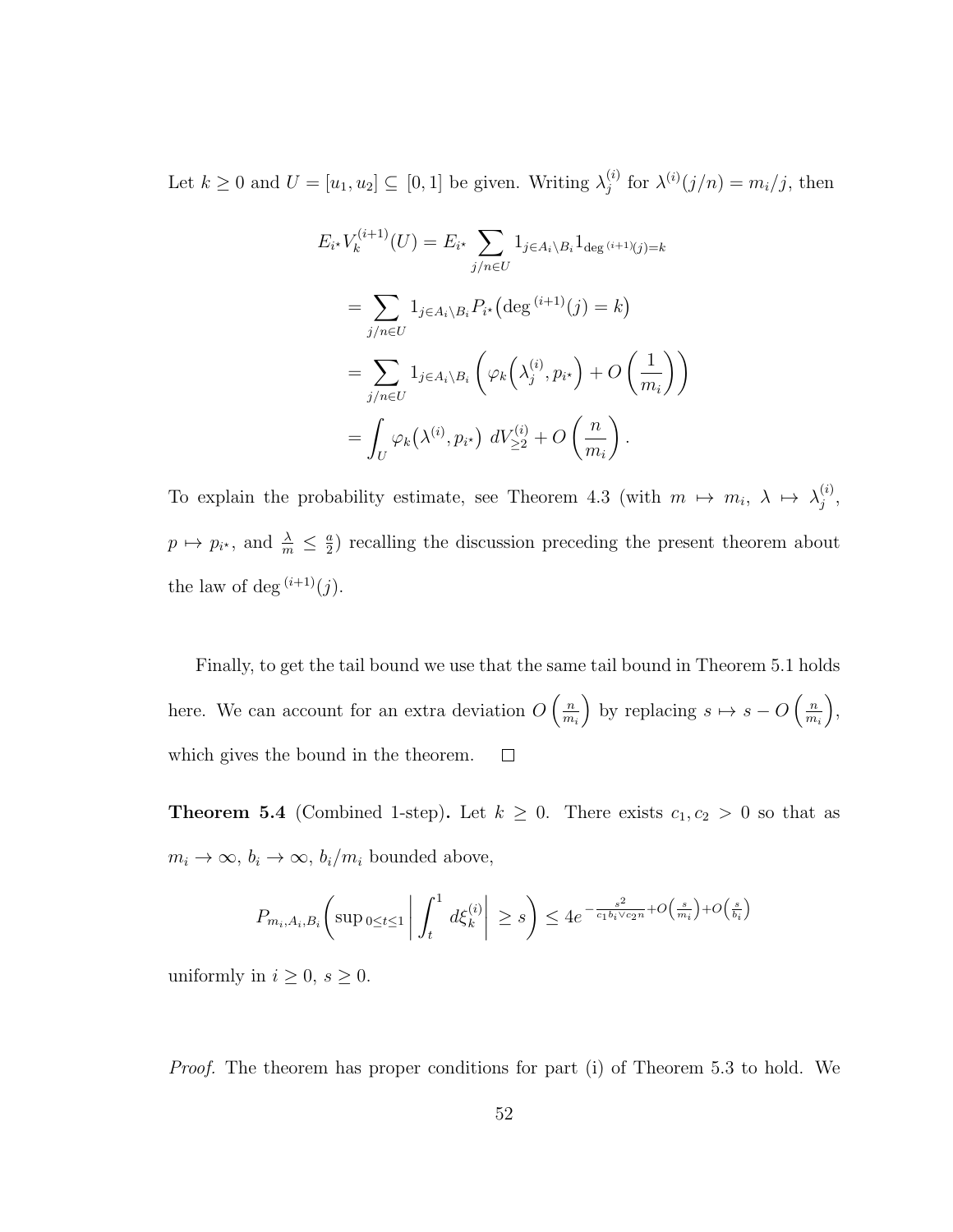Let  $k \geq 0$  and  $U = [u_1, u_2] \subseteq [0, 1]$  be given. Writing  $\lambda_i^{(i)}$  $j^{(i)}$  for  $\lambda^{(i)}(j/n) = m_i/j$ , then

$$
E_{i^*}V_k^{(i+1)}(U) = E_{i^*} \sum_{j/n \in U} 1_{j \in A_i \setminus B_i} 1_{\deg(i+1)(j) = k}
$$
  
= 
$$
\sum_{j/n \in U} 1_{j \in A_i \setminus B_i} P_{i^*} (\deg^{(i+1)}(j) = k)
$$
  
= 
$$
\sum_{j/n \in U} 1_{j \in A_i \setminus B_i} \left( \varphi_k(\lambda_j^{(i)}, p_{i^*}) + O\left(\frac{1}{m_i}\right) \right)
$$
  
= 
$$
\int_U \varphi_k(\lambda^{(i)}, p_{i^*}) dV_{\geq 2}^{(i)} + O\left(\frac{n}{m_i}\right).
$$

To explain the probability estimate, see Theorem 4.3 (with  $m \mapsto m_i, \lambda \mapsto \lambda_j^{(i)}$  $\binom{i}{j}$  $p \mapsto p_{i^*}$ , and  $\frac{\lambda}{m} \leq \frac{a}{2}$  $\frac{a}{2}$ ) recalling the discussion preceding the present theorem about the law of deg  $(i+1)(j)$ .

Finally, to get the tail bound we use that the same tail bound in Theorem 5.1 holds here. We can account for an extra deviation  $O\left(\frac{n}{m}\right)$ by replacing  $s \mapsto s - O\left(\frac{n}{m}\right)$  ,  $m_i$  $m_i$ which gives the bound in the theorem.  $\Box$ 

**Theorem 5.4** (Combined 1-step). Let  $k \geq 0$ . There exists  $c_1, c_2 > 0$  so that as  $m_i \to \infty$ ,  $b_i \to \infty$ ,  $b_i/m_i$  bounded above,

$$
P_{m_i, A_i, B_i} \left( \sup_{0 \le t \le 1} \left| \int_t^1 d\xi_k^{(i)} \right| \ge s \right) \le 4e^{-\frac{s^2}{c_1 b_i \vee c_2 n} + O\left(\frac{s}{m_i}\right) + O\left(\frac{s}{b_i}\right)}
$$

uniformly in  $i \geq 0$ ,  $s \geq 0$ .

Proof. The theorem has proper conditions for part (i) of Theorem 5.3 to hold. We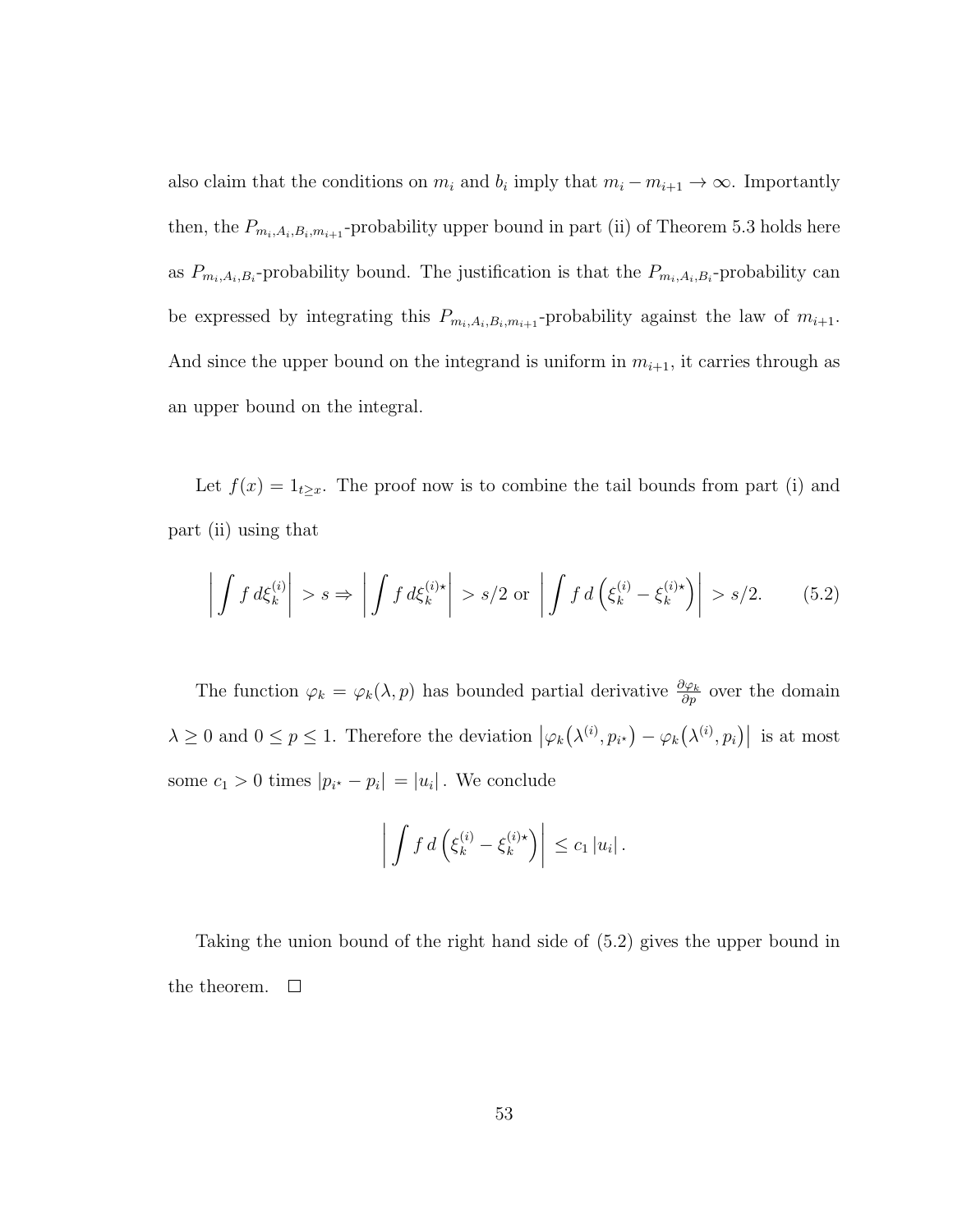also claim that the conditions on  $m_i$  and  $b_i$  imply that  $m_i - m_{i+1} \to \infty$ . Importantly then, the  $P_{m_i,A_i,B_i,m_{i+1}}$ -probability upper bound in part (ii) of Theorem 5.3 holds here as  $P_{m_i,A_i,B_i}$ -probability bound. The justification is that the  $P_{m_i,A_i,B_i}$ -probability can be expressed by integrating this  $P_{m_i,A_i,B_i,m_{i+1}}$ -probability against the law of  $m_{i+1}$ . And since the upper bound on the integrand is uniform in  $m_{i+1}$ , it carries through as an upper bound on the integral.

Let  $f(x) = 1_{t \geq x}$ . The proof now is to combine the tail bounds from part (i) and part (ii) using that

$$
\left| \int f \, d\xi_k^{(i)} \right| > s \Rightarrow \left| \int f \, d\xi_k^{(i)\star} \right| > s/2 \text{ or } \left| \int f \, d\left(\xi_k^{(i)} - \xi_k^{(i)\star}\right) \right| > s/2. \tag{5.2}
$$

The function  $\varphi_k = \varphi_k(\lambda, p)$  has bounded partial derivative  $\frac{\partial \varphi_k}{\partial p}$  over the domain  $\lambda \geq 0$  and  $0 \leq p \leq 1$ . Therefore the deviation  $|\varphi_k(\lambda^{(i)}, p_{i^*}) - \varphi_k(\lambda^{(i)}, p_i)|$  is at most some  $c_1 > 0$  times  $|p_{i^*} - p_i| = |u_i|$ . We conclude

$$
\left| \int f \, d \left( \xi_k^{(i)} - \xi_k^{(i)\star} \right) \right| \leq c_1 \, |u_i| \, .
$$

Taking the union bound of the right hand side of (5.2) gives the upper bound in the theorem.  $\Box$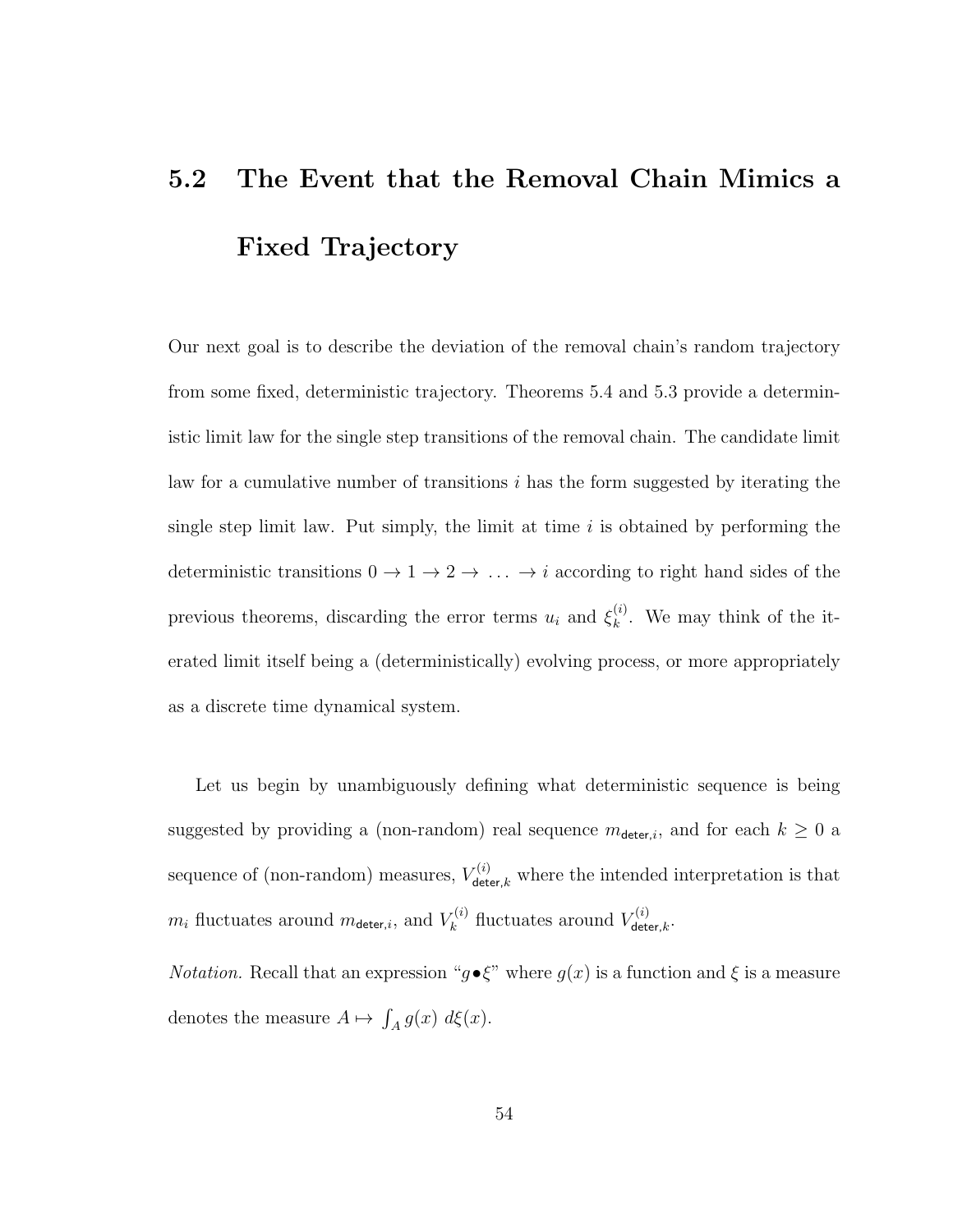## 5.2 The Event that the Removal Chain Mimics a Fixed Trajectory

Our next goal is to describe the deviation of the removal chain's random trajectory from some fixed, deterministic trajectory. Theorems 5.4 and 5.3 provide a deterministic limit law for the single step transitions of the removal chain. The candidate limit law for a cumulative number of transitions  $i$  has the form suggested by iterating the single step limit law. Put simply, the limit at time  $i$  is obtained by performing the deterministic transitions  $0 \to 1 \to 2 \to \ldots \to i$  according to right hand sides of the previous theorems, discarding the error terms  $u_i$  and  $\xi_k^{(i)}$  $\kappa^{(i)}$ . We may think of the iterated limit itself being a (deterministically) evolving process, or more appropriately as a discrete time dynamical system.

Let us begin by unambiguously defining what deterministic sequence is being suggested by providing a (non-random) real sequence  $m_{\text{detect},i}$ , and for each  $k \geq 0$  a sequence of (non-random) measures,  $V_{\text{detect},k}^{(i)}$  where the intended interpretation is that  $m_i$  fluctuates around  $m_{\text{deter},i}$ , and  $V_k^{(i)}$  $V_k^{(i)}$  fluctuates around  $V_{\text{det}}^{(i)}$  $\det^{\tau(\imath)}$ deter, $k$   $\cdot$ 

*Notation.* Recall that an expression " $g \cdot \xi$ " where  $g(x)$  is a function and  $\xi$  is a measure denotes the measure  $A \mapsto \int_A g(x) \ d\xi(x)$ .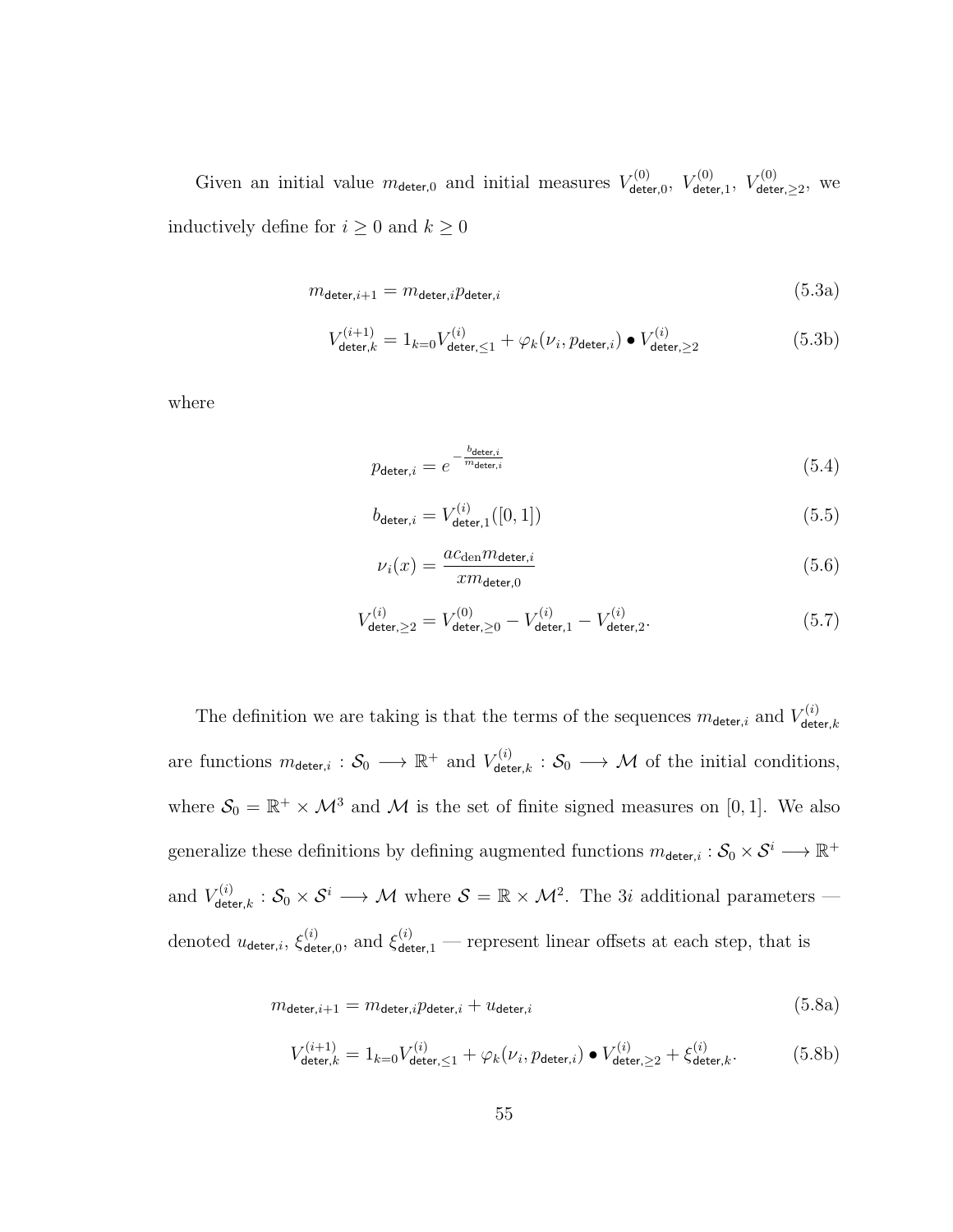Given an initial value  $m_{\text{deter,0}}$  and initial measures  $V_{\text{deter}}^{(0)}$  $V^{(0)}_{\mathsf{deter},0},\ V^{(0)}_{\mathsf{dete}}$  $V^{(0)}_{\mathsf{deter},1},\ V^{(0)}_{\mathsf{dete}}$  $\delta^{\rm (U)}_{\rm deter, \geq 2}, \ \ {\rm we}$ inductively define for  $i \geq 0$  and  $k \geq 0$ 

$$
m_{\text{deter},i+1} = m_{\text{deter},i} p_{\text{deter},i} \tag{5.3a}
$$

$$
V_{\text{deter},k}^{(i+1)} = 1_{k=0} V_{\text{deter},\leq 1}^{(i)} + \varphi_k(\nu_i, p_{\text{deter},i}) \bullet V_{\text{deter},\geq 2}^{(i)} \tag{5.3b}
$$

where

$$
p_{\text{deter},i} = e^{-\frac{b_{\text{deter},i}}{m_{\text{deter},i}}} \tag{5.4}
$$

$$
b_{\text{deter},i} = V_{\text{deter},1}^{(i)}([0,1])
$$
\n(5.5)

$$
\nu_i(x) = \frac{ac_{\text{den}} m_{\text{deter},i}}{x m_{\text{deter},0}} \tag{5.6}
$$

$$
V_{\text{deter},\geq 2}^{(i)} = V_{\text{deter},\geq 0}^{(0)} - V_{\text{deter},1}^{(i)} - V_{\text{deter},2}^{(i)}.
$$
\n(5.7)

The definition we are taking is that the terms of the sequences  $m_{\text{deter},i}$  and  $V_{\text{det}}^{(i)}$ deter, $k$ are functions  $m_{\text{deter},i}: \mathcal{S}_0 \longrightarrow \mathbb{R}^+$  and  $V_{\text{det}}^{(i)}$  $\mathcal{S}_{\text{deter},k}^{(i)}: \mathcal{S}_{0} \longrightarrow \mathcal{M}$  of the initial conditions, where  $S_0 = \mathbb{R}^+ \times \mathcal{M}^3$  and M is the set of finite signed measures on [0, 1]. We also generalize these definitions by defining augmented functions  $m_{\text{deter},i}: \mathcal{S}_0 \times \mathcal{S}^i \longrightarrow \mathbb{R}^+$ and  $V_{\text{det}}^{(i)}$  $\mathcal{S}^{(i)}_{\text{deter},k}: \mathcal{S}_0\times\mathcal{S}^i\longrightarrow \mathcal{M}$  where  $\mathcal{S}=\mathbb{R}\times\mathcal{M}^2$ . The 3i additional parameters denoted  $u_{\mathsf{deter},i}, \, \xi_{\mathsf{det}}^{(i)}$  $\zeta_{\text{deter},0}^{(i)}$ , and  $\zeta_{\text{deter},1}^{(i)}$  — represent linear offsets at each step, that is

$$
m_{\text{deter},i+1} = m_{\text{deter},i} p_{\text{deter},i} + u_{\text{deter},i} \tag{5.8a}
$$

$$
V_{\text{deter},k}^{(i+1)} = 1_{k=0} V_{\text{deter},\leq 1}^{(i)} + \varphi_k(\nu_i, p_{\text{deter},i}) \bullet V_{\text{deter},\geq 2}^{(i)} + \xi_{\text{deter},k}^{(i)}.
$$
 (5.8b)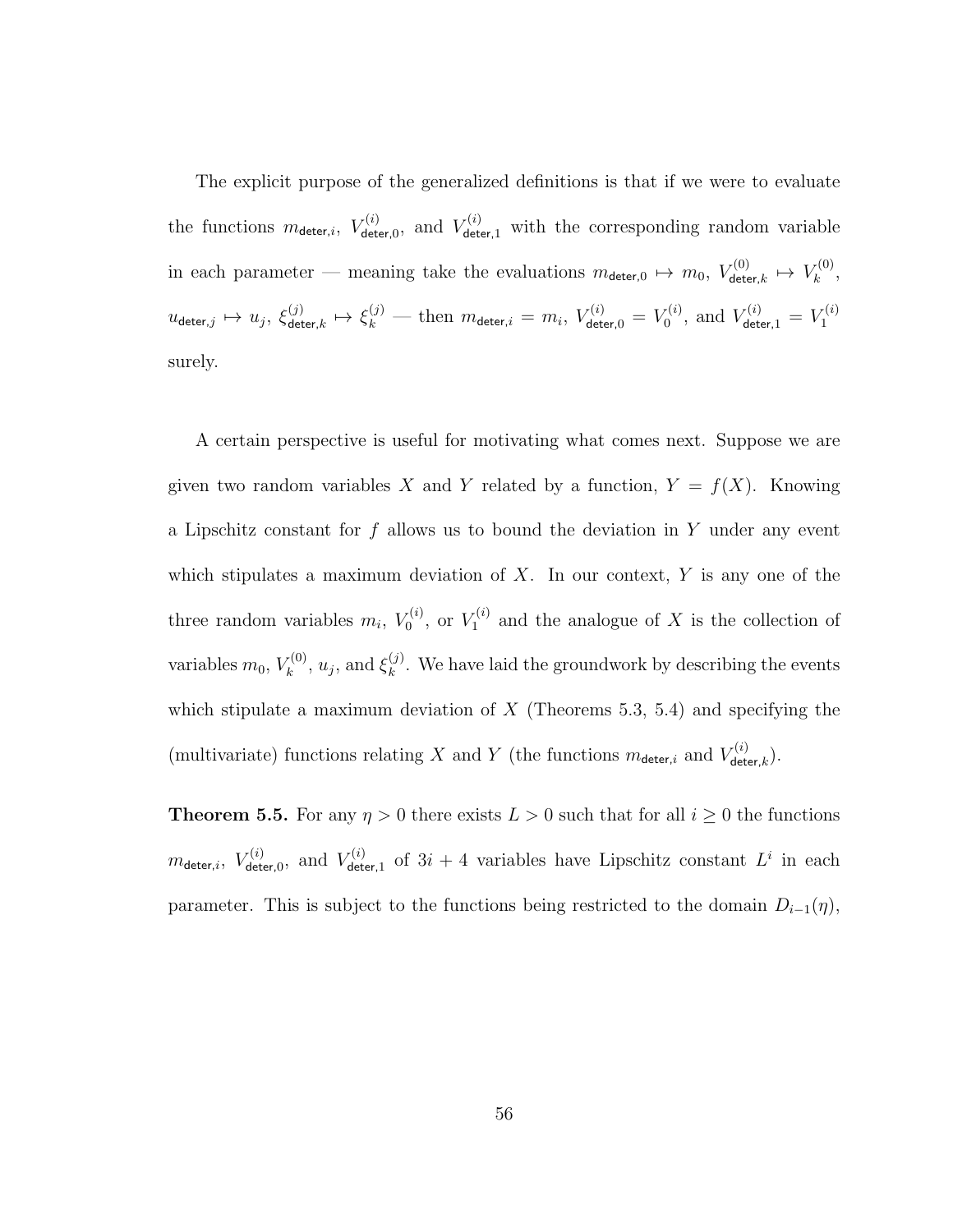The explicit purpose of the generalized definitions is that if we were to evaluate the functions  $m_{\text{deter},i}$ ,  $V_{\text{det}}^{(i)}$  $V_{\text{deter},0}^{(i)}$ , and  $V_{\text{deter},1}^{(i)}$  with the corresponding random variable in each parameter — meaning take the evaluations  $m_{\text{detect},0} \mapsto m_0, V_{\text{det}}^{(0)}$  $\begin{array}{l} \tau^{(0)} \ \epsilon^{(0)} \end{array} \mapsto \, V^{(0)}_k$  $\begin{matrix} \kappa^{(0)}, \end{matrix}$  $u_{\mathsf{deter},j} \mapsto u_j^{},\ \xi_\mathsf{det}^{(j)}$  $\zeta_{\mathsf{deter},k}^{(j)} \mapsto \xi_k^{(j)}$  — then  $m_{\mathsf{deter},i} = m_i, \ V_{\mathsf{deter},0}^{(i)} = V_0^{(i)}$  $V_0^{(i)}$ , and  $V_{\mathsf{deter},1}^{(i)} = V_1^{(i)}$ 1 surely.

A certain perspective is useful for motivating what comes next. Suppose we are given two random variables X and Y related by a function,  $Y = f(X)$ . Knowing a Lipschitz constant for  $f$  allows us to bound the deviation in  $Y$  under any event which stipulates a maximum deviation of  $X$ . In our context,  $Y$  is any one of the three random variables  $m_i$ ,  $V_0^{(i)}$  $V_0^{(i)}, \text{ or } V_1^{(i)}$  $\mathcal{I}^{(i)}_1$  and the analogue of X is the collection of variables  $m_0, V_k^{(0)}$  $\zeta_k^{(0)}, u_j$ , and  $\xi_k^{(j)}$  $\kappa^{(j)}$ . We have laid the groundwork by describing the events which stipulate a maximum deviation of  $X$  (Theorems 5.3, 5.4) and specifying the (multivariate) functions relating X and Y (the functions  $m_{\text{detect},i}$  and  $V_{\text{det}}^{(i)}$  $\frac{\sigma(\imath)}{\mathsf{deter}, k}$ ).

**Theorem 5.5.** For any  $\eta > 0$  there exists  $L > 0$  such that for all  $i \geq 0$  the functions  $m_{\mathsf{detect},i},\; V_{\mathsf{det}}^{(i)}$  $V_{\mathsf{deter},0}^{(i)}, \,\, \text{and} \,\, V_{\mathsf{detr}}^{(i)}$  $\mathcal{L}^{(i)}_{\text{deter},1}$  of  $3i + 4$  variables have Lipschitz constant  $L^i$  in each parameter. This is subject to the functions being restricted to the domain  $D_{i-1}(\eta)$ ,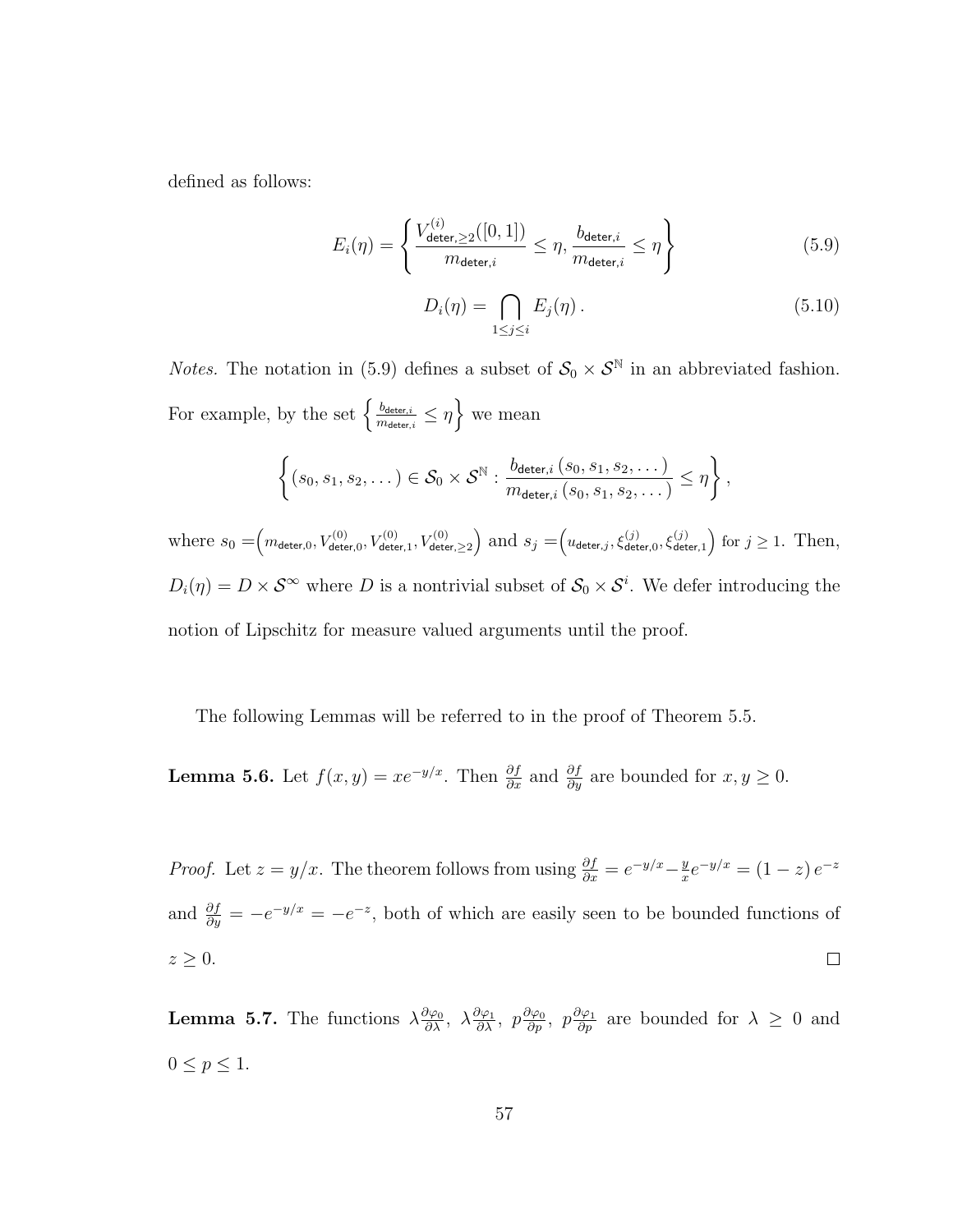defined as follows:

$$
E_i(\eta) = \left\{ \frac{V_{\text{deter},\geq 2}^{(i)}([0,1])}{m_{\text{deter},i}} \leq \eta, \frac{b_{\text{deter},i}}{m_{\text{deter},i}} \leq \eta \right\}
$$
(5.9)

$$
D_i(\eta) = \bigcap_{1 \le j \le i} E_j(\eta). \tag{5.10}
$$

*Notes*. The notation in (5.9) defines a subset of  $S_0 \times S^{\mathbb{N}}$  in an abbreviated fashion. For example, by the set  $\left\{\frac{b_{\text{deter},i}}{m} \right\}$  $\frac{b_{\text{deter},i}}{m_{\text{deter},i}} \leq \eta$  we mean

$$
\left\{(s_0,s_1,s_2,\dots)\in\mathcal{S}_0\times\mathcal{S}^\mathbb{N}: \frac{b_{\mathsf{deter},i}\left(s_0,s_1,s_2,\dots\right)}{m_{\mathsf{deter},i}\left(s_0,s_1,s_2,\dots\right)}\leq\eta\right\},\
$$

where  $s_0 = (m_{\text{deter},0}, V_{\text{deter},0}^{(0)}, V_{\text{deter},1}^{(0)}, V_{\text{deter},\geq 2}^{(0)})$  and  $s_j = (u_{\text{deter},j}, \xi_{\text{deter},0}^{(j)}, \xi_{\text{deter},1}^{(j)})$  for  $j \geq 1$ . Then,  $D_i(\eta) = D \times S^{\infty}$  where D is a nontrivial subset of  $S_0 \times S^i$ . We defer introducing the notion of Lipschitz for measure valued arguments until the proof.

The following Lemmas will be referred to in the proof of Theorem 5.5.

**Lemma 5.6.** Let  $f(x, y) = xe^{-y/x}$ . Then  $\frac{\partial f}{\partial x}$  and  $\frac{\partial f}{\partial y}$  are bounded for  $x, y \ge 0$ .

*Proof.* Let  $z = y/x$ . The theorem follows from using  $\frac{\partial f}{\partial x} = e^{-y/x} - \frac{y}{x}$  $\frac{y}{x}e^{-y/x} = (1-z)e^{-z}$ and  $\frac{\partial f}{\partial y} = -e^{-y/x} = -e^{-z}$ , both of which are easily seen to be bounded functions of  $z \geq 0$ .  $\Box$ 

**Lemma 5.7.** The functions  $\lambda \frac{\partial \varphi_0}{\partial \lambda}$ ,  $\lambda \frac{\partial \varphi_1}{\partial \lambda}$ ,  $p \frac{\partial \varphi_0}{\partial p}$ ,  $p \frac{\partial \varphi_1}{\partial p}$  are bounded for  $\lambda \geq 0$  and  $0 \le p \le 1$ .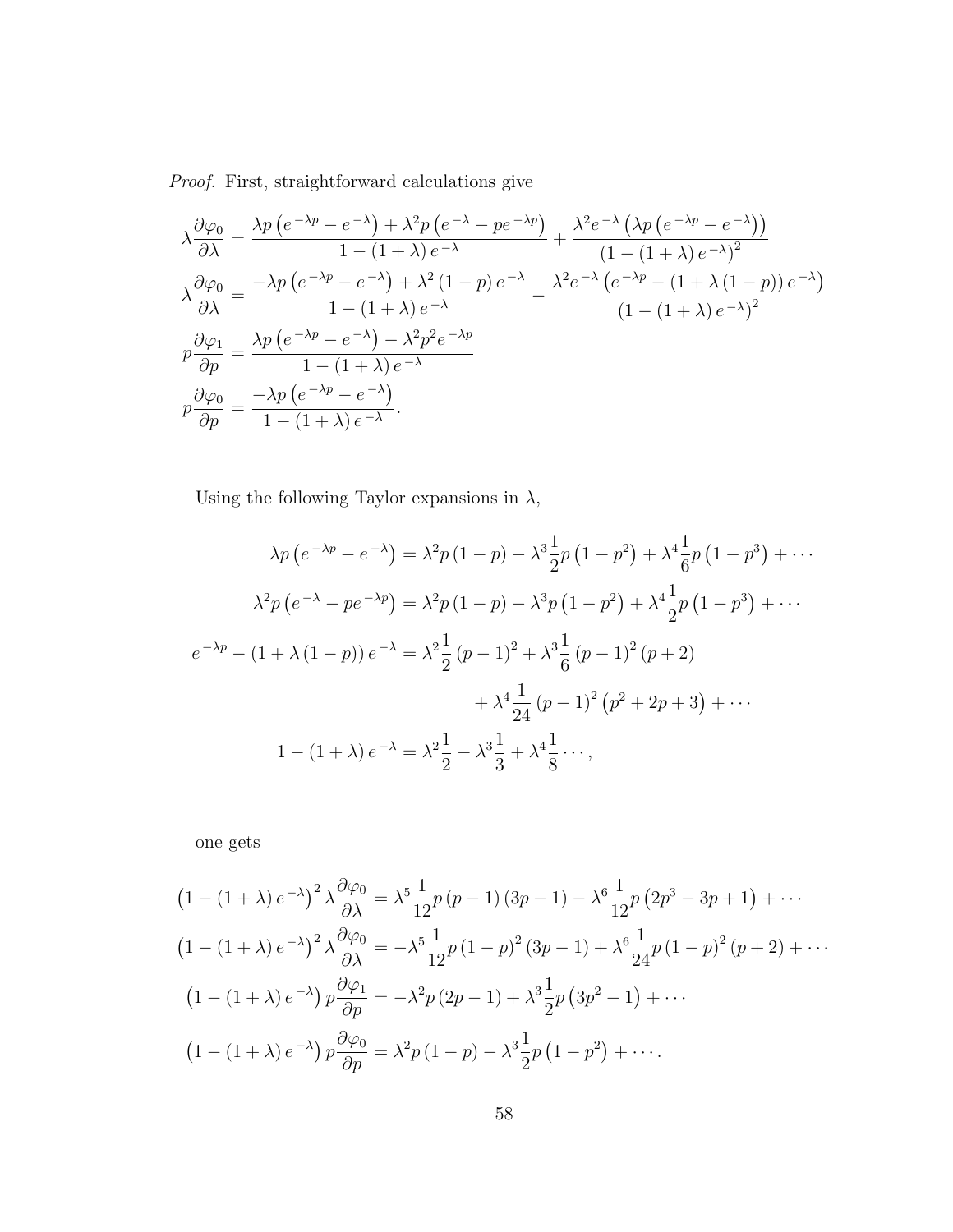Proof. First, straightforward calculations give

$$
\lambda \frac{\partial \varphi_0}{\partial \lambda} = \frac{\lambda p \left(e^{-\lambda p} - e^{-\lambda}\right) + \lambda^2 p \left(e^{-\lambda} - pe^{-\lambda p}\right)}{1 - (1 + \lambda) e^{-\lambda}} + \frac{\lambda^2 e^{-\lambda} \left(\lambda p \left(e^{-\lambda p} - e^{-\lambda}\right)\right)}{(1 - (1 + \lambda) e^{-\lambda})^2}
$$
\n
$$
\lambda \frac{\partial \varphi_0}{\partial \lambda} = \frac{-\lambda p \left(e^{-\lambda p} - e^{-\lambda}\right) + \lambda^2 (1 - p) e^{-\lambda}}{1 - (1 + \lambda) e^{-\lambda}} - \frac{\lambda^2 e^{-\lambda} \left(e^{-\lambda p} - (1 + \lambda (1 - p)) e^{-\lambda}\right)}{(1 - (1 + \lambda) e^{-\lambda})^2}
$$
\n
$$
p \frac{\partial \varphi_1}{\partial p} = \frac{\lambda p \left(e^{-\lambda p} - e^{-\lambda}\right) - \lambda^2 p^2 e^{-\lambda p}}{1 - (1 + \lambda) e^{-\lambda}}
$$
\n
$$
p \frac{\partial \varphi_0}{\partial p} = \frac{-\lambda p \left(e^{-\lambda p} - e^{-\lambda}\right)}{1 - (1 + \lambda) e^{-\lambda}}.
$$

Using the following Taylor expansions in  $\lambda,$ 

$$
\lambda p (e^{-\lambda p} - e^{-\lambda}) = \lambda^2 p (1 - p) - \lambda^3 \frac{1}{2} p (1 - p^2) + \lambda^4 \frac{1}{6} p (1 - p^3) + \cdots
$$
  

$$
\lambda^2 p (e^{-\lambda} - pe^{-\lambda p}) = \lambda^2 p (1 - p) - \lambda^3 p (1 - p^2) + \lambda^4 \frac{1}{2} p (1 - p^3) + \cdots
$$
  

$$
e^{-\lambda p} - (1 + \lambda (1 - p)) e^{-\lambda} = \lambda^2 \frac{1}{2} (p - 1)^2 + \lambda^3 \frac{1}{6} (p - 1)^2 (p + 2)
$$
  

$$
+ \lambda^4 \frac{1}{24} (p - 1)^2 (p^2 + 2p + 3) + \cdots
$$
  

$$
1 - (1 + \lambda) e^{-\lambda} = \lambda^2 \frac{1}{2} - \lambda^3 \frac{1}{3} + \lambda^4 \frac{1}{8} \cdots,
$$

one gets

$$
(1 - (1 + \lambda) e^{-\lambda})^2 \lambda \frac{\partial \varphi_0}{\partial \lambda} = \lambda^5 \frac{1}{12} p (p - 1) (3p - 1) - \lambda^6 \frac{1}{12} p (2p^3 - 3p + 1) + \cdots
$$
  

$$
(1 - (1 + \lambda) e^{-\lambda})^2 \lambda \frac{\partial \varphi_0}{\partial \lambda} = -\lambda^5 \frac{1}{12} p (1 - p)^2 (3p - 1) + \lambda^6 \frac{1}{24} p (1 - p)^2 (p + 2) + \cdots
$$
  

$$
(1 - (1 + \lambda) e^{-\lambda}) p \frac{\partial \varphi_1}{\partial p} = -\lambda^2 p (2p - 1) + \lambda^3 \frac{1}{2} p (3p^2 - 1) + \cdots
$$
  

$$
(1 - (1 + \lambda) e^{-\lambda}) p \frac{\partial \varphi_0}{\partial p} = \lambda^2 p (1 - p) - \lambda^3 \frac{1}{2} p (1 - p^2) + \cdots
$$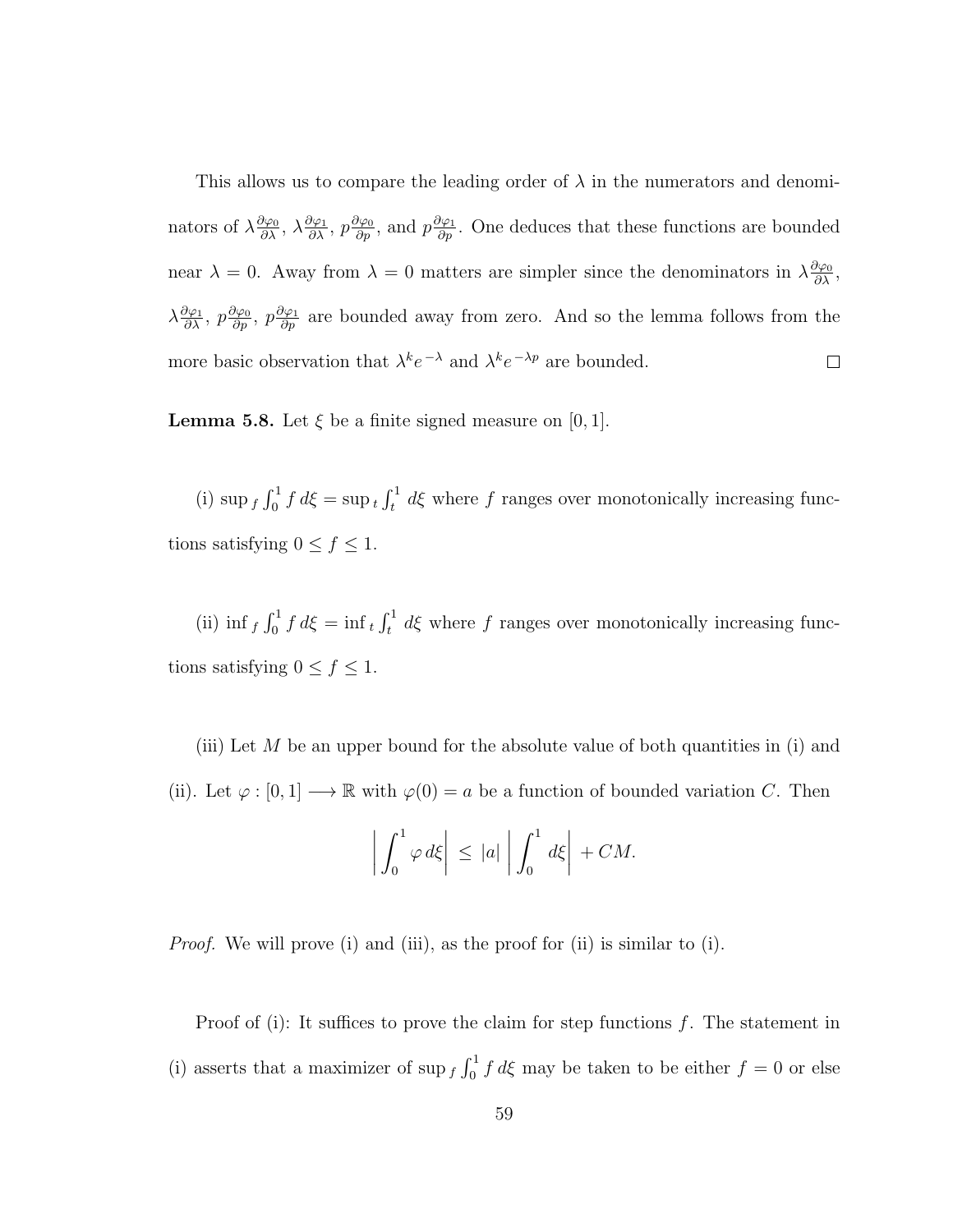This allows us to compare the leading order of  $\lambda$  in the numerators and denominators of  $\lambda \frac{\partial \varphi_0}{\partial \lambda}$ ,  $\lambda \frac{\partial \varphi_1}{\partial \lambda}$ ,  $p \frac{\partial \varphi_0}{\partial p}$ , and  $p \frac{\partial \varphi_1}{\partial p}$ . One deduces that these functions are bounded near  $\lambda = 0$ . Away from  $\lambda = 0$  matters are simpler since the denominators in  $\lambda \frac{\partial \varphi_0}{\partial \lambda}$ ,  $\lambda \frac{\partial \varphi_1}{\partial \lambda}, p \frac{\partial \varphi_0}{\partial p}$ ,  $p \frac{\partial \varphi_1}{\partial p}$  are bounded away from zero. And so the lemma follows from the more basic observation that  $\lambda^k e^{-\lambda}$  and  $\lambda^k e^{-\lambda p}$  are bounded.  $\Box$ 

**Lemma 5.8.** Let  $\xi$  be a finite signed measure on [0, 1].

(i)  $\sup_{f} \int_0^1 f d\xi = \sup_t \int_t^1 d\xi$  where f ranges over monotonically increasing functions satisfying  $0 \le f \le 1$ .

(ii) inf  $f \int_0^1 f d\xi = \inf_t \int_t^1 d\xi$  where f ranges over monotonically increasing functions satisfying  $0 \le f \le 1$ .

(iii) Let M be an upper bound for the absolute value of both quantities in (i) and (ii). Let  $\varphi : [0,1] \longrightarrow \mathbb{R}$  with  $\varphi(0) = a$  be a function of bounded variation C. Then

$$
\left| \int_0^1 \varphi \, d\xi \right| \, \leq \, |a| \left| \int_0^1 \, d\xi \right| + CM.
$$

Proof. We will prove (i) and (iii), as the proof for (ii) is similar to (i).

Proof of (i): It suffices to prove the claim for step functions  $f$ . The statement in (i) asserts that a maximizer of sup  $f \int_0^1 f d\xi$  may be taken to be either  $f = 0$  or else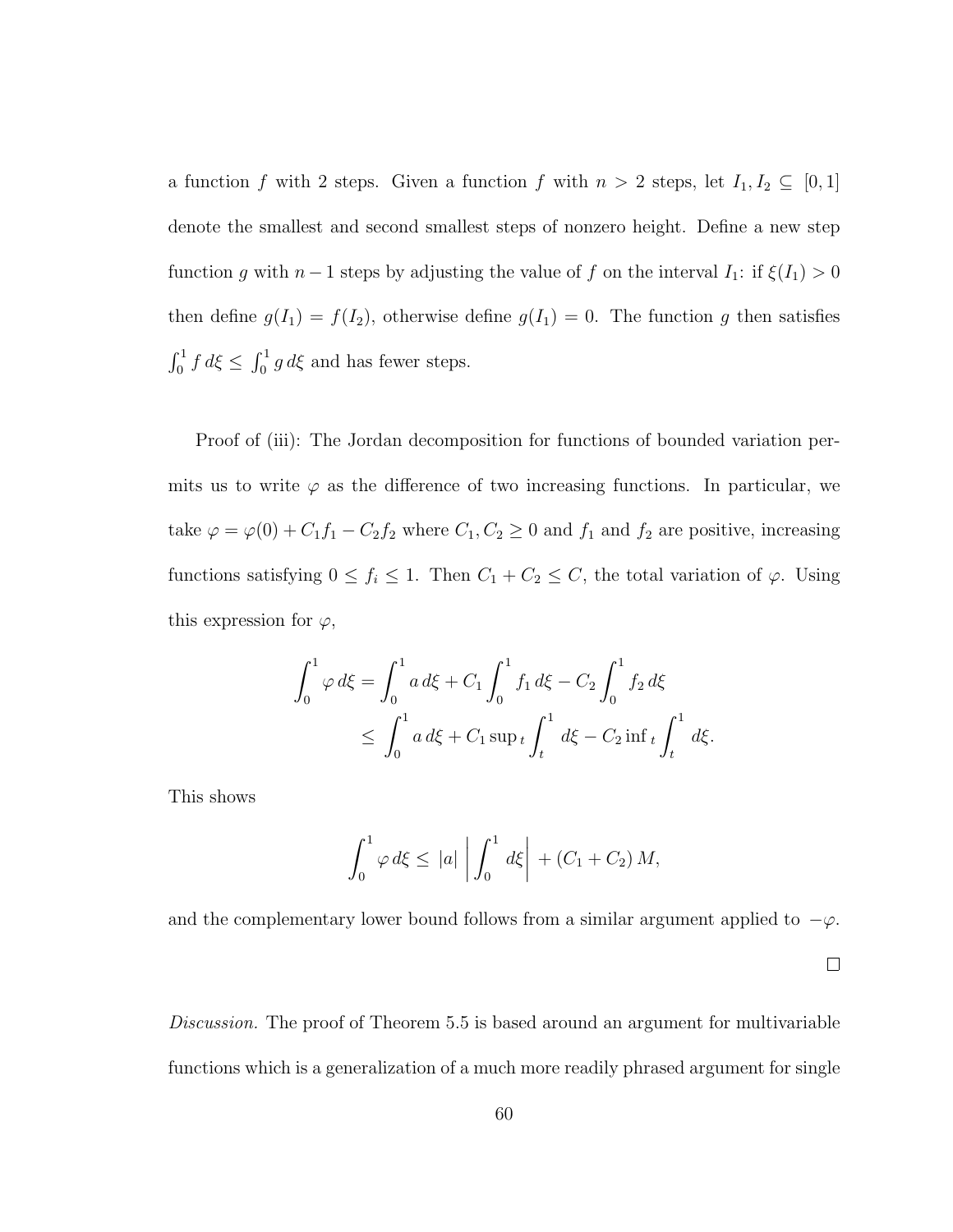a function f with 2 steps. Given a function f with  $n > 2$  steps, let  $I_1, I_2 \subseteq [0, 1]$ denote the smallest and second smallest steps of nonzero height. Define a new step function g with  $n-1$  steps by adjusting the value of f on the interval  $I_1$ : if  $\xi(I_1) > 0$ then define  $g(I_1) = f(I_2)$ , otherwise define  $g(I_1) = 0$ . The function g then satisfies  $\int_0^1 f d\xi \le \int_0^1 g d\xi$  and has fewer steps.

Proof of (iii): The Jordan decomposition for functions of bounded variation permits us to write  $\varphi$  as the difference of two increasing functions. In particular, we take  $\varphi = \varphi(0) + C_1 f_1 - C_2 f_2$  where  $C_1, C_2 \ge 0$  and  $f_1$  and  $f_2$  are positive, increasing functions satisfying  $0 \le f_i \le 1$ . Then  $C_1 + C_2 \le C$ , the total variation of  $\varphi$ . Using this expression for  $\varphi$ ,

$$
\int_0^1 \varphi \, d\xi = \int_0^1 a \, d\xi + C_1 \int_0^1 f_1 \, d\xi - C_2 \int_0^1 f_2 \, d\xi
$$
  
 
$$
\leq \int_0^1 a \, d\xi + C_1 \sup_t \int_t^1 d\xi - C_2 \inf_t \int_t^1 d\xi.
$$

This shows

$$
\int_0^1 \varphi \, d\xi \le |a| \left| \int_0^1 d\xi \right| + (C_1 + C_2) M,
$$

and the complementary lower bound follows from a similar argument applied to  $-\varphi$ .

 $\Box$ 

Discussion. The proof of Theorem 5.5 is based around an argument for multivariable functions which is a generalization of a much more readily phrased argument for single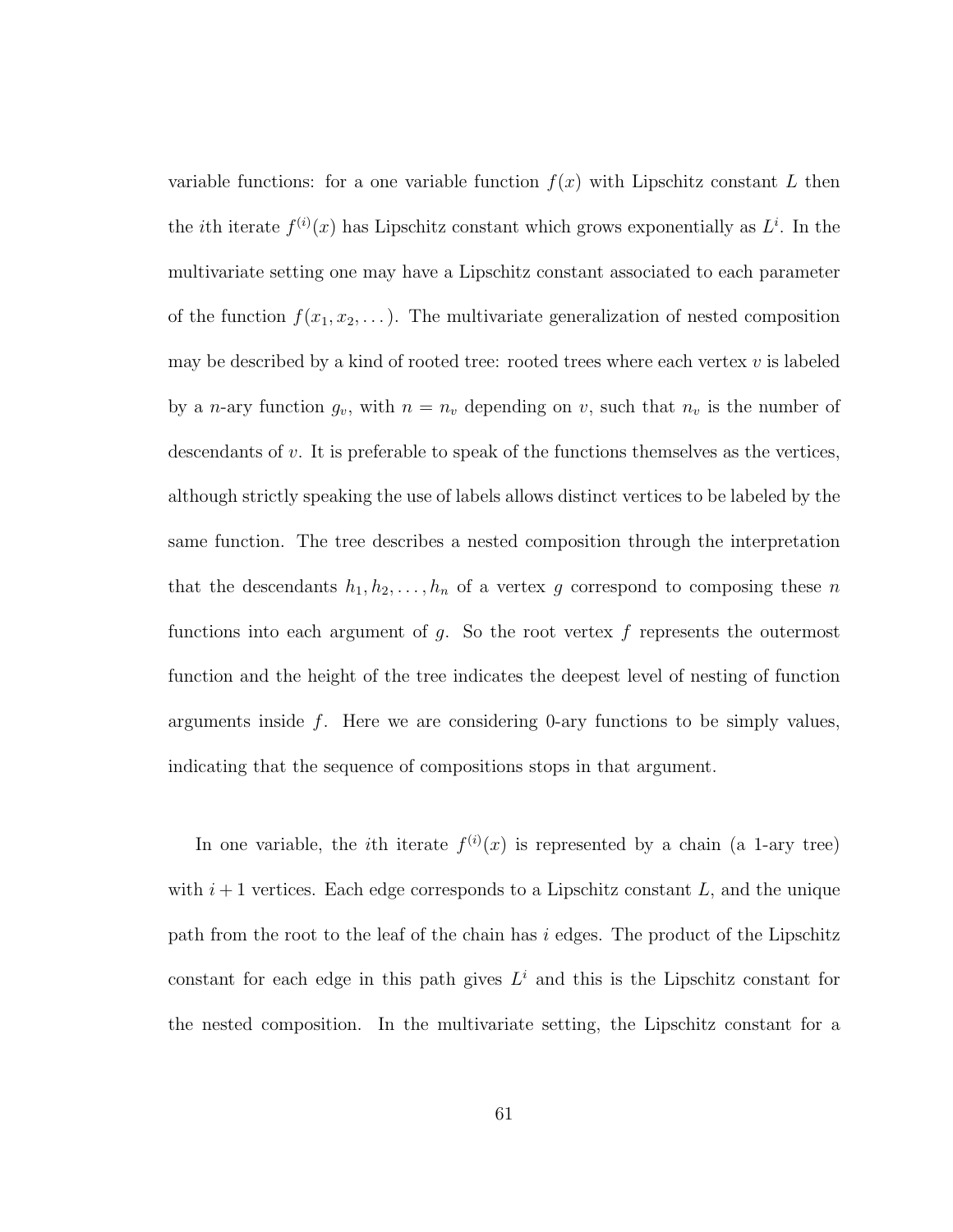variable functions: for a one variable function  $f(x)$  with Lipschitz constant L then the *i*th iterate  $f^{(i)}(x)$  has Lipschitz constant which grows exponentially as  $L^i$ . In the multivariate setting one may have a Lipschitz constant associated to each parameter of the function  $f(x_1, x_2, \ldots)$ . The multivariate generalization of nested composition may be described by a kind of rooted tree: rooted trees where each vertex  $v$  is labeled by a *n*-ary function  $g_v$ , with  $n = n_v$  depending on v, such that  $n_v$  is the number of descendants of v. It is preferable to speak of the functions themselves as the vertices, although strictly speaking the use of labels allows distinct vertices to be labeled by the same function. The tree describes a nested composition through the interpretation that the descendants  $h_1, h_2, \ldots, h_n$  of a vertex g correspond to composing these n functions into each argument of  $g$ . So the root vertex  $f$  represents the outermost function and the height of the tree indicates the deepest level of nesting of function arguments inside  $f$ . Here we are considering 0-ary functions to be simply values, indicating that the sequence of compositions stops in that argument.

In one variable, the *i*th iterate  $f^{(i)}(x)$  is represented by a chain (a 1-ary tree) with  $i+1$  vertices. Each edge corresponds to a Lipschitz constant L, and the unique path from the root to the leaf of the chain has  $i$  edges. The product of the Lipschitz constant for each edge in this path gives  $L^i$  and this is the Lipschitz constant for the nested composition. In the multivariate setting, the Lipschitz constant for a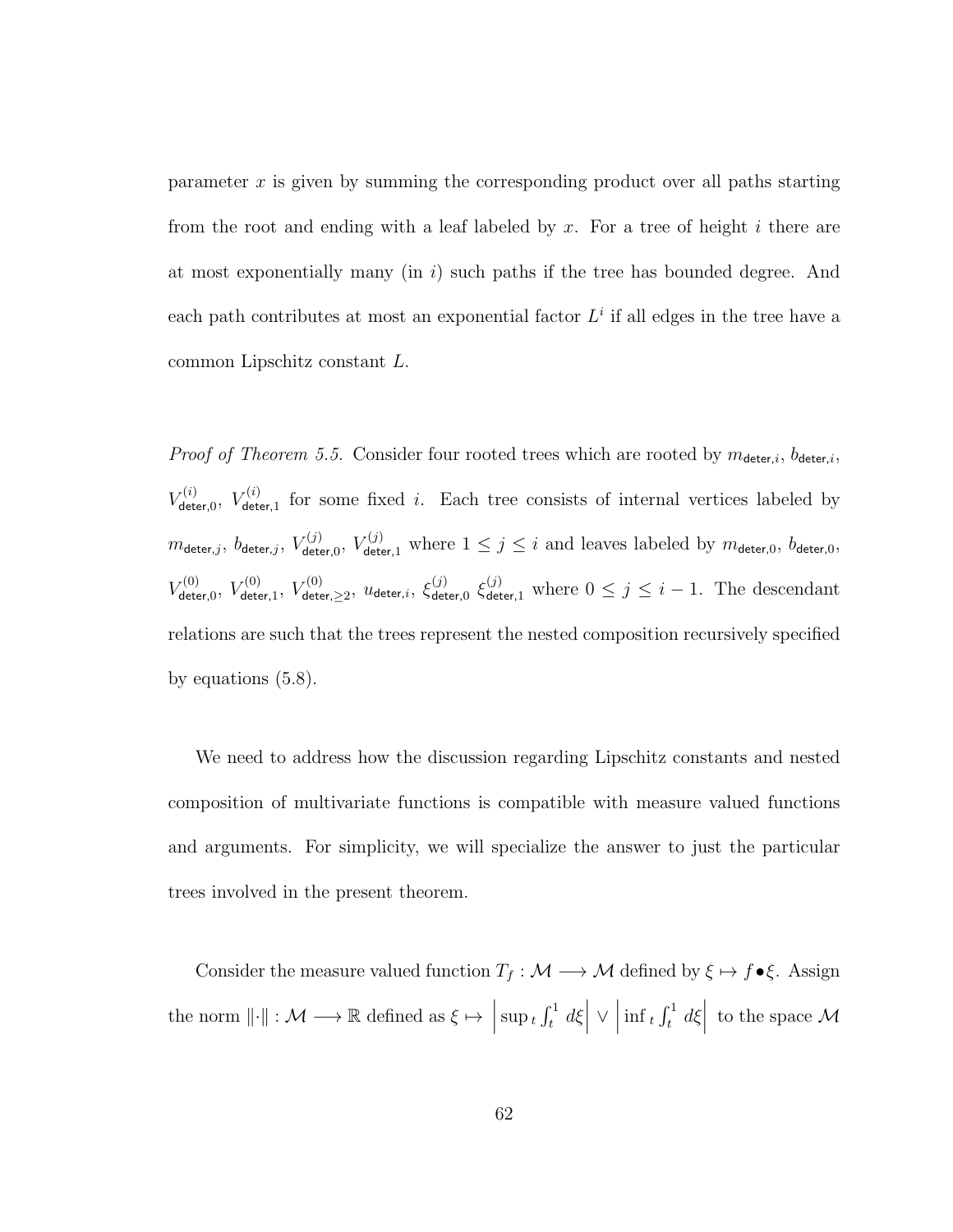parameter x is given by summing the corresponding product over all paths starting from the root and ending with a leaf labeled by x. For a tree of height i there are at most exponentially many  $(in i)$  such paths if the tree has bounded degree. And each path contributes at most an exponential factor  $L<sup>i</sup>$  if all edges in the tree have a common Lipschitz constant L.

*Proof of Theorem 5.5.* Consider four rooted trees which are rooted by  $m_{\text{detect},i}$ ,  $b_{\text{detect},i}$ ,  $V_{\sf det}^{(i)}$  $V^{(i)}_{\mathsf{deter},0},\ V^{(i)}_{\mathsf{det},0}$  $\mathcal{F}_{\text{deter},1}^{(i)}$  for some fixed i. Each tree consists of internal vertices labeled by  $m_{\mathsf{deter},j},\ b_{\mathsf{deter},j},\ V_{\mathsf{det}}^{(j)}$  $V^{(j)}_{\text{deter},0}$ ,  $V^{(j)}_{\text{deter},1}$  where  $1 \leq j \leq i$  and leaves labeled by  $m_{\text{deter},0}$ ,  $b_{\text{deter},0}$ ,  $V_{\sf det}^{(0)}$  $V^{(0)}_{\mathsf{deter},0},\ V^{(0)}_{\mathsf{deter}}$  $V^{(0)}_{\mathsf{deter},1},\ V^{(0)}_{\mathsf{dete}}$  $\zeta^{(0)}_{\mathsf{deter},\geq 2},\ u_{\mathsf{deter},i},\ \xi^{(j)}_{\mathsf{det}}$  $\frac{(j)}{deter,0} \xi_{\text{deter},1}^{(j)}$  where  $0 \leq j \leq i-1$ . The descendant relations are such that the trees represent the nested composition recursively specified by equations (5.8).

We need to address how the discussion regarding Lipschitz constants and nested composition of multivariate functions is compatible with measure valued functions and arguments. For simplicity, we will specialize the answer to just the particular trees involved in the present theorem.

Consider the measure valued function  $T_f : \mathcal{M} \longrightarrow \mathcal{M}$  defined by  $\xi \mapsto f \bullet \xi$ . Assign the norm  $\lVert \cdot \rVert : \mathcal{M} \longrightarrow \mathbb{R}$  defined as  $\xi \mapsto \left| \sup_t f_t^1 d\xi \right|$ ∨     $\inf_t \int_t^1 d\xi \, dt$  to the space M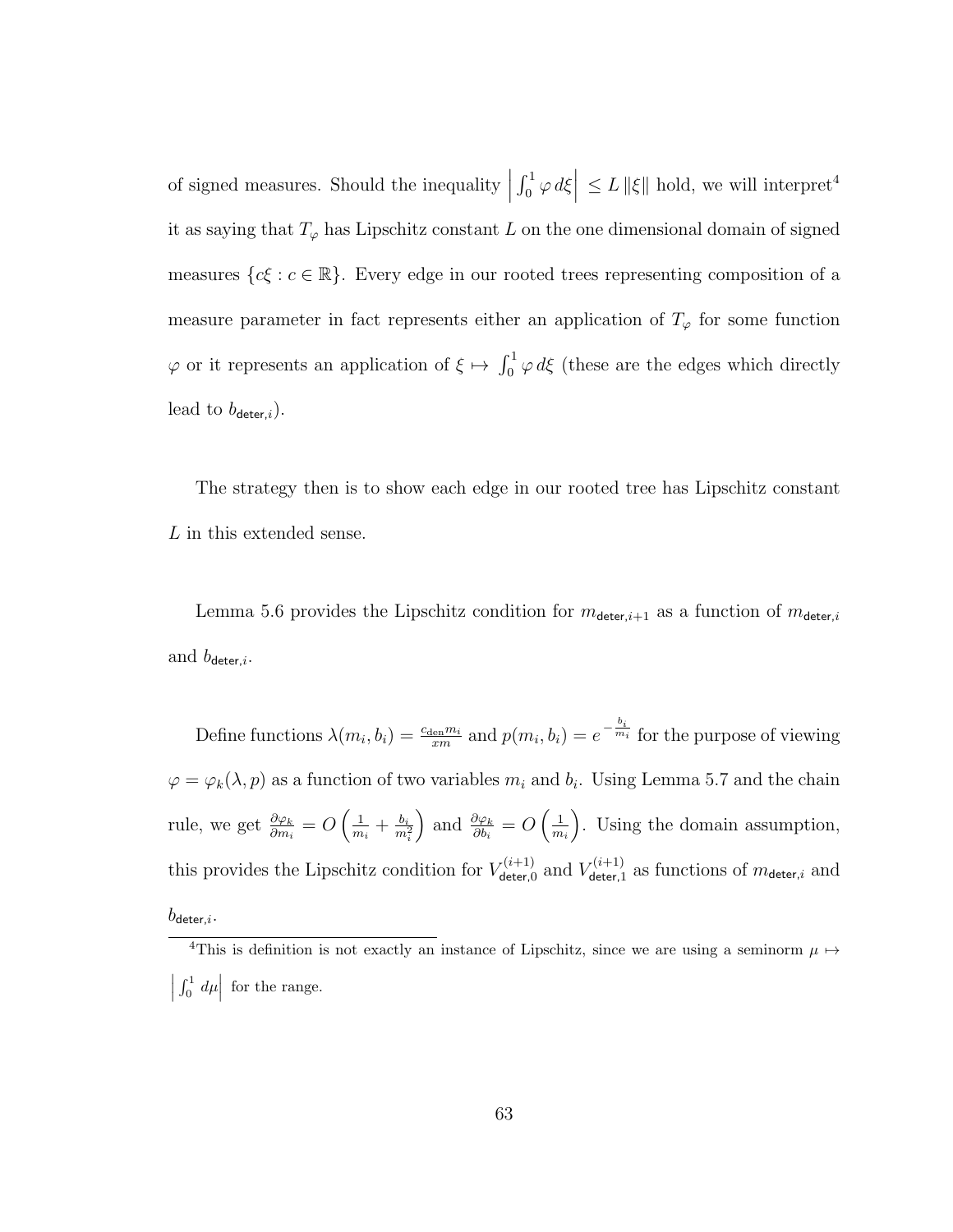% of signed measures. Should the inequality  $\Big\vert$  $\left| \int_0^1 \varphi \, d\xi \right| \leq L \, \|\xi\|$  hold, we will interpret<sup>4</sup> it as saying that  $T_{\varphi}$  has Lipschitz constant L on the one dimensional domain of signed measures  $\{c\xi : c \in \mathbb{R}\}.$  Every edge in our rooted trees representing composition of a measure parameter in fact represents either an application of  $T_{\varphi}$  for some function  $\varphi$  or it represents an application of  $\xi \mapsto \int_0^1 \varphi \, d\xi$  (these are the edges which directly lead to  $b_{\text{deter},i}$ ).

The strategy then is to show each edge in our rooted tree has Lipschitz constant L in this extended sense.

Lemma 5.6 provides the Lipschitz condition for  $m_{\text{detect},i+1}$  as a function of  $m_{\text{detect},i}$ and  $b_{\text{deter},i}$ .

Define functions  $\lambda(m_i, b_i) = \frac{c_{\text{den}} m_i}{xm}$  and  $p(m_i, b_i) = e^{-\frac{b_i}{m_i}}$  for the purpose of viewing  $\varphi = \varphi_k(\lambda, p)$  as a function of two variables  $m_i$  and  $b_i$ . Using Lemma 5.7 and the chain rule, we get  $\frac{\partial \varphi_k}{\partial m_i} = O\left(\frac{1}{m}\right)$  $\frac{1}{m_i}+\frac{b_i}{m_i}$  $\overline{m_i^2}$ ) and  $\frac{\partial \varphi_k}{\partial b_i} = O\left(\frac{1}{m}\right)$  $m_i$  . Using the domain assumption, this provides the Lipschitz condition for  $V_{\text{deferf}}^{(i+1)}$  $V_{\mathsf{deter},0}^{(i+1)}$  and  $V_{\mathsf{deter},1}^{(i+1)}$  $\sigma^{(i+1)}_{\text{deter},i}$  as functions of  $m_{\text{deter},i}$  and  $b_{\mathsf{deter},i}.$ 

<sup>&</sup>lt;sup>4</sup>This is definition is not exactly an instance of Lipschitz, since we are using a seminorm  $\mu \mapsto$   $\int_0^1 d\mu\vert$  for the range.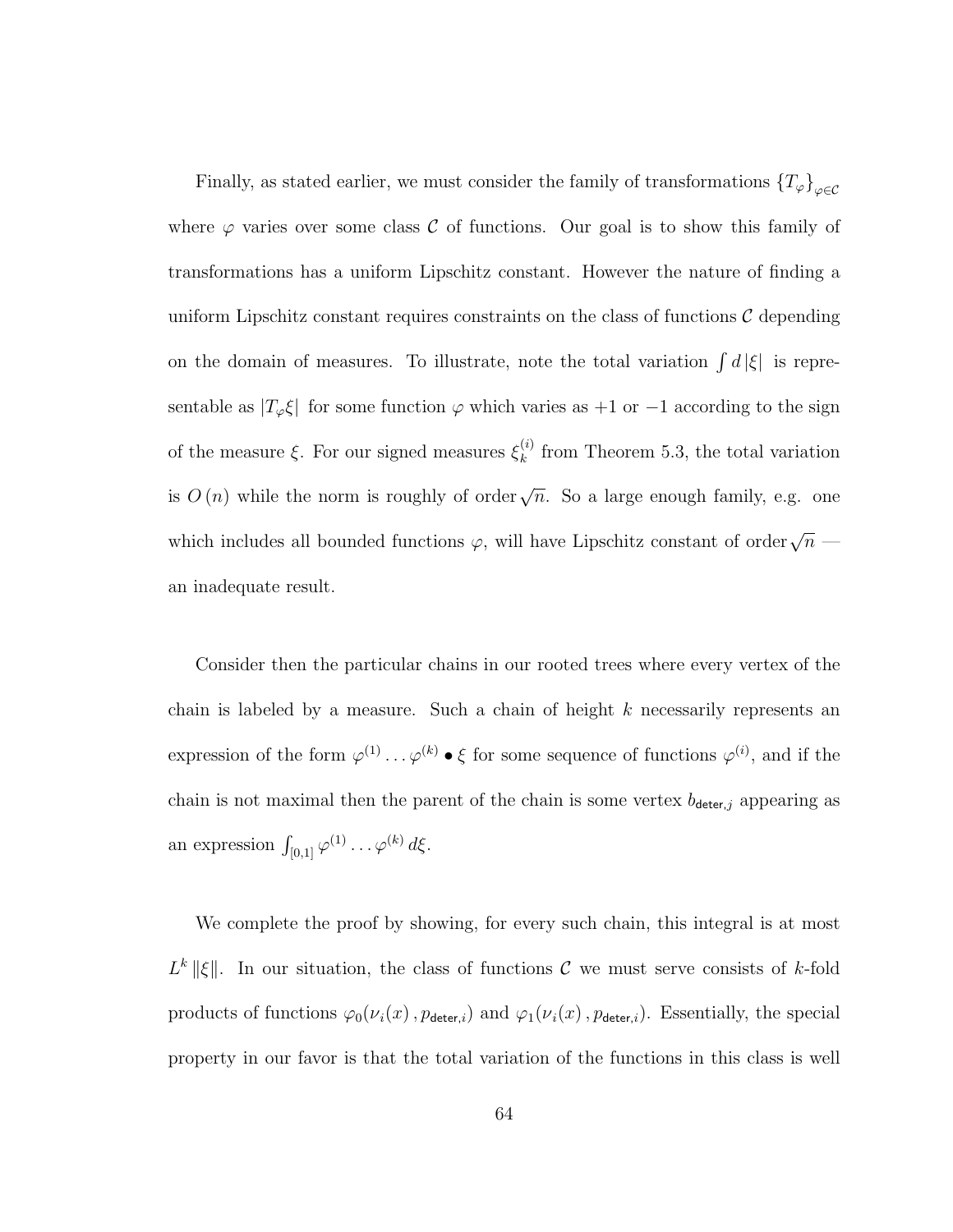Finally, as stated earlier, we must consider the family of transformations  $\{T_\varphi\}_{\varphi\in\mathcal{C}}$ where  $\varphi$  varies over some class C of functions. Our goal is to show this family of transformations has a uniform Lipschitz constant. However the nature of finding a uniform Lipschitz constant requires constraints on the class of functions  $\mathcal C$  depending on the domain of measures. To illustrate, note the total variation  $\int d|\xi|$  is representable as  $|T_{\varphi}\xi|$  for some function  $\varphi$  which varies as +1 or -1 according to the sign of the measure  $\xi$ . For our signed measures  $\xi_k^{(i)}$  $\binom{n}{k}$  from Theorem 5.3, the total variation is  $O(n)$  while the norm is roughly of order  $\sqrt{n}$ . So a large enough family, e.g. one which includes all bounded functions  $\varphi$ , will have Lipschitz constant of order $\sqrt{n}$ an inadequate result.

Consider then the particular chains in our rooted trees where every vertex of the chain is labeled by a measure. Such a chain of height  $k$  necessarily represents an expression of the form  $\varphi^{(1)} \dots \varphi^{(k)} \bullet \xi$  for some sequence of functions  $\varphi^{(i)}$ , and if the chain is not maximal then the parent of the chain is some vertex  $b_{\text{detect},j}$  appearing as an expression  $\int_{[0,1]} \varphi^{(1)} \dots \varphi^{(k)} d\xi$ .

We complete the proof by showing, for every such chain, this integral is at most  $L^k ||\xi||$ . In our situation, the class of functions C we must serve consists of k-fold products of functions  $\varphi_0(\nu_i(x), p_{\text{detect},i})$  and  $\varphi_1(\nu_i(x), p_{\text{detect},i})$ . Essentially, the special property in our favor is that the total variation of the functions in this class is well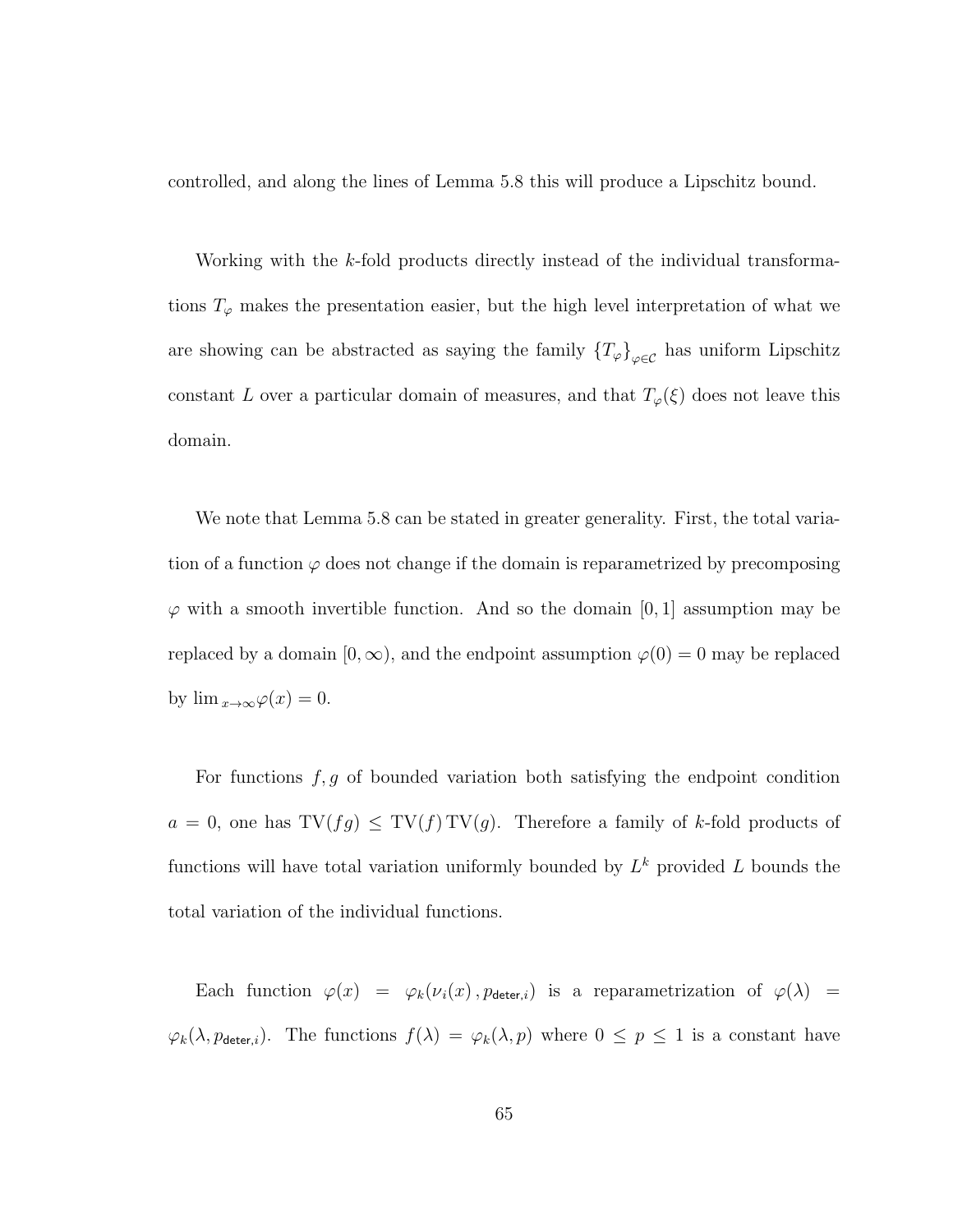controlled, and along the lines of Lemma 5.8 this will produce a Lipschitz bound.

Working with the k-fold products directly instead of the individual transformations  $T_{\varphi}$  makes the presentation easier, but the high level interpretation of what we are showing can be abstracted as saying the family  $\{T_{\varphi}\}_{\varphi \in \mathcal{C}}$  has uniform Lipschitz constant L over a particular domain of measures, and that  $T_{\varphi}(\xi)$  does not leave this domain.

We note that Lemma 5.8 can be stated in greater generality. First, the total variation of a function  $\varphi$  does not change if the domain is reparametrized by precomposing  $\varphi$  with a smooth invertible function. And so the domain [0, 1] assumption may be replaced by a domain  $[0, \infty)$ , and the endpoint assumption  $\varphi(0) = 0$  may be replaced by  $\lim_{x\to\infty}\varphi(x)=0$ .

For functions  $f, g$  of bounded variation both satisfying the endpoint condition  $a = 0$ , one has  $TV(fg) \leq TV(f) TV(g)$ . Therefore a family of k-fold products of functions will have total variation uniformly bounded by  $L^k$  provided L bounds the total variation of the individual functions.

Each function  $\varphi(x) = \varphi_k(\nu_i(x), p_{\text{detect},i})$  is a reparametrization of  $\varphi(\lambda)$  =  $\varphi_k(\lambda, p_{\text{deter},i})$ . The functions  $f(\lambda) = \varphi_k(\lambda, p)$  where  $0 \le p \le 1$  is a constant have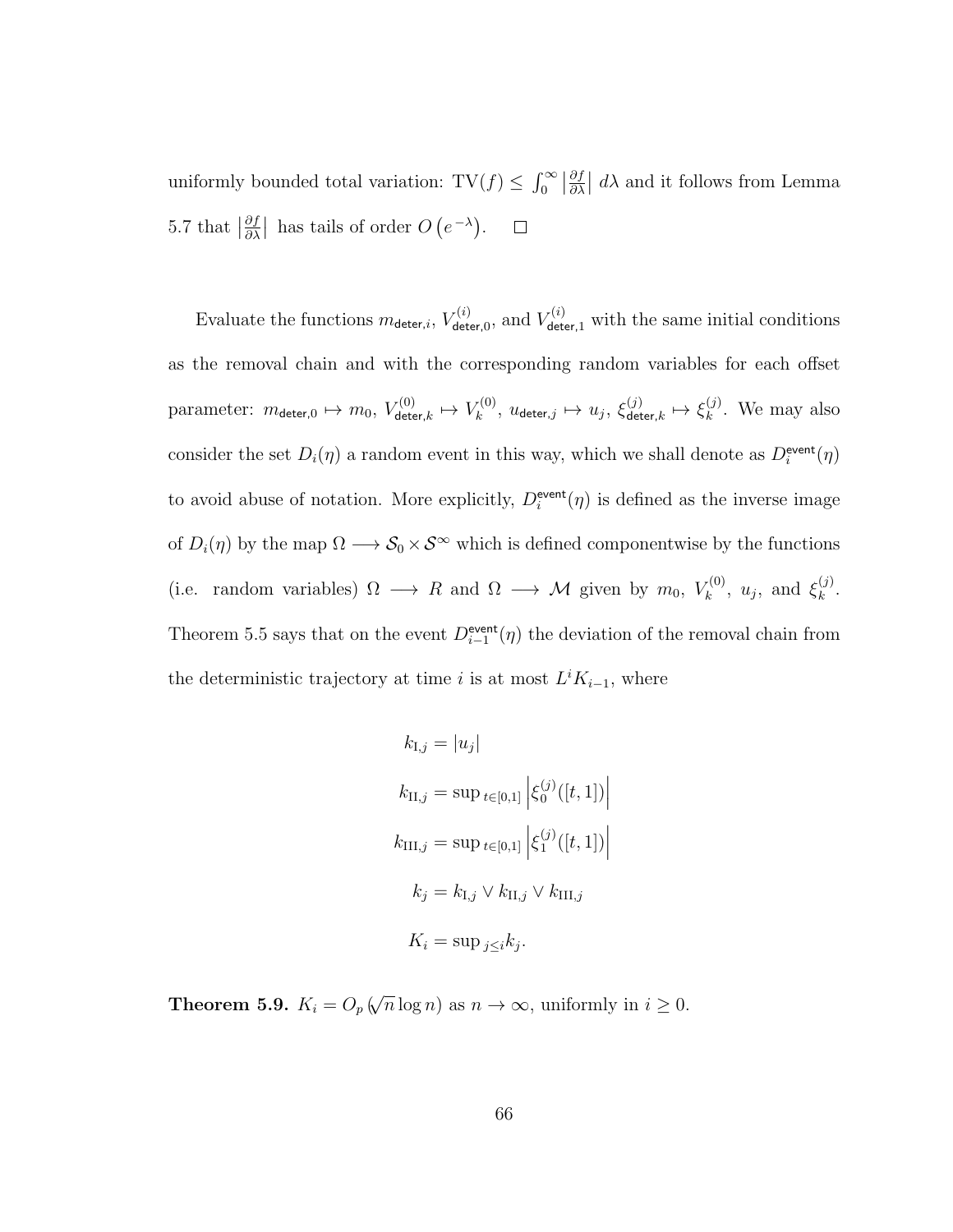uniformly bounded total variation:  $\text{TV}(f) \leq \int_0^\infty \left| \frac{\partial f}{\partial \lambda} \right|$  $\frac{\partial f}{\partial \lambda}$  and it follows from Lemma 5.7 that  $\left|\frac{\partial f}{\partial \lambda}\right|$  $\frac{\partial f}{\partial \lambda}$  has tails of order  $O(e^{-\lambda})$ .  $\Box$ 

Evaluate the functions  $m_{\text{detect},i}$ ,  $V_{\text{det}}^{(i)}$  $V_{\text{deter},0}^{(i)}$ , and  $V_{\text{deter},1}^{(i)}$  with the same initial conditions as the removal chain and with the corresponding random variables for each offset parameter:  $m_{\mathsf{detect},0} \mapsto m_0, V_{\mathsf{det}}^{(0)}$  $\epsilon_{\mathsf{deter},k}^{(0)} \mapsto V_k^{(0)}$  $u_k^{(0)},\ u_{\mathsf{deter},j} \mapsto u_j,\ \xi_{\mathsf{det}}^{(j)}$  $\stackrel{(j)}{\det}$ eter, $k \mapsto \xi_k^{(j)}$  $\binom{1}{k}$ . We may also consider the set  $D_i(\eta)$  a random event in this way, which we shall denote as  $D_i^{\text{event}}(\eta)$ to avoid abuse of notation. More explicitly,  $D_i^{\text{event}}(\eta)$  is defined as the inverse image of  $D_i(\eta)$  by the map  $\Omega \longrightarrow \mathcal{S}_0 \times \mathcal{S}^{\infty}$  which is defined componentwise by the functions (i.e. random variables)  $\Omega \longrightarrow R$  and  $\Omega \longrightarrow M$  given by  $m_0, V_k^{(0)}$  $\mathbf{z}_k^{(0)}, u_j$ , and  $\mathbf{\xi}_k^{(j)}$  $\frac{(J)}{k}$ . Theorem 5.5 says that on the event  $D_{i-1}^{\text{event}}(\eta)$  the deviation of the removal chain from the deterministic trajectory at time i is at most  $L^i K_{i-1}$ , where

$$
k_{\text{I},j} = |u_j|
$$
  
\n
$$
k_{\text{II},j} = \sup_{t \in [0,1]} \left| \xi_0^{(j)}([t,1]) \right|
$$
  
\n
$$
k_{\text{III},j} = \sup_{t \in [0,1]} \left| \xi_1^{(j)}([t,1]) \right|
$$
  
\n
$$
k_j = k_{\text{I},j} \vee k_{\text{II},j} \vee k_{\text{III},j}
$$
  
\n
$$
K_i = \sup_{j \le i} k_j.
$$

Theorem 5.9.  $K_i = O_p$  ( √  $\overline{n} \log n$ ) as  $n \to \infty$ , uniformly in  $i \geq 0$ .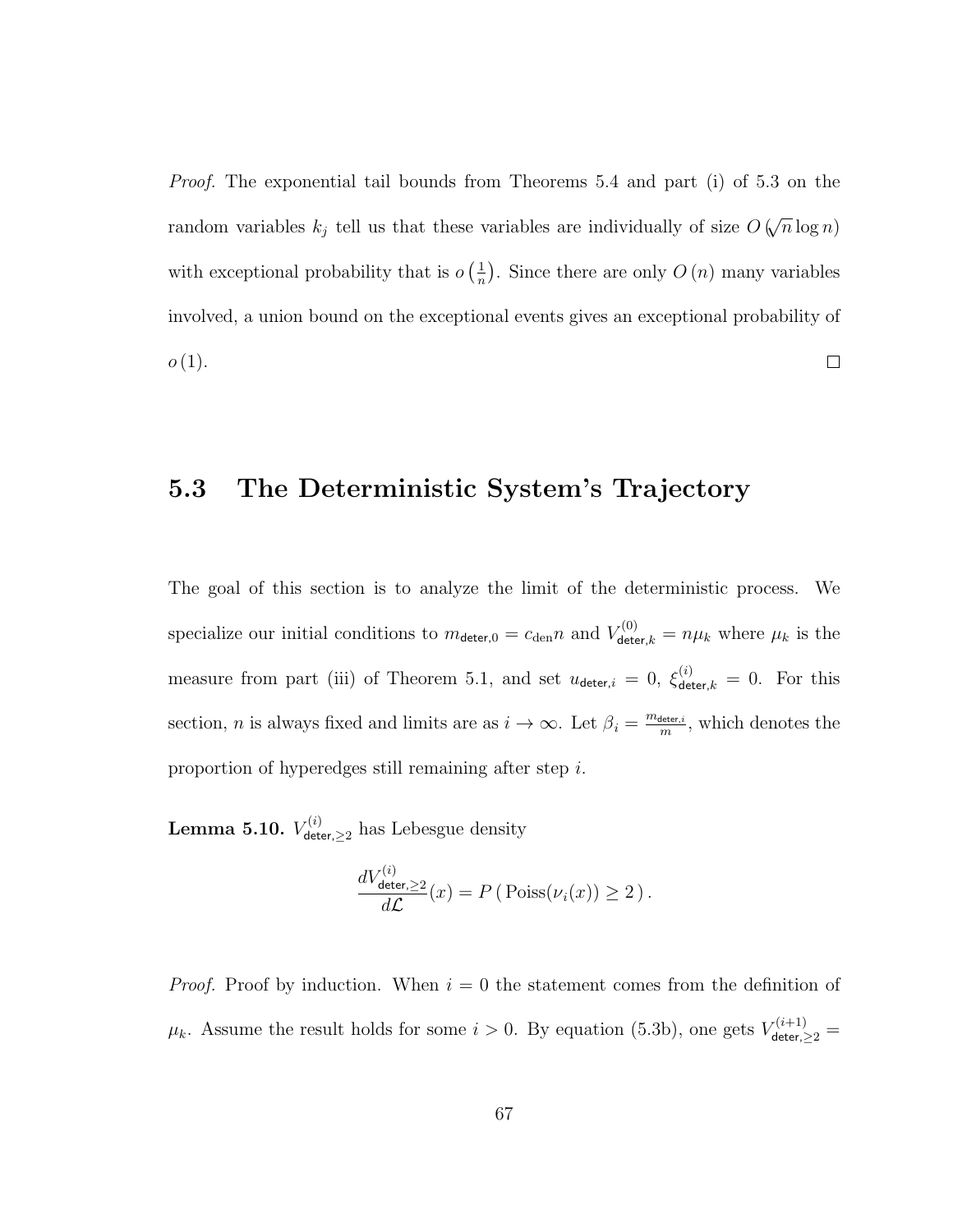Proof. The exponential tail bounds from Theorems 5.4 and part (i) of 5.3 on the √ random variables  $k_j$  tell us that these variables are individually of size O (  $\overline{n} \log n)$ with exceptional probability that is  $o\left(\frac{1}{n}\right)$  $\frac{1}{n}$ . Since there are only  $O(n)$  many variables involved, a union bound on the exceptional events gives an exceptional probability of  $o(1)$ .  $\Box$ 

## 5.3 The Deterministic System's Trajectory

The goal of this section is to analyze the limit of the deterministic process. We specialize our initial conditions to  $m_{\text{deter,0}} = c_{\text{den}} n$  and  $V_{\text{deter,}k}^{(0)} = n\mu_k$  where  $\mu_k$  is the measure from part (iii) of Theorem 5.1, and set  $u_{\det e,i} = 0$ ,  $\xi_{\det e,k}^{(i)} = 0$ . For this section, *n* is always fixed and limits are as  $i \to \infty$ . Let  $\beta_i = \frac{m_{\text{deter},i}}{m}$  $\frac{H_{\text{eter},i}}{m}$ , which denotes the proportion of hyperedges still remaining after step i.

 $\rm{Lemma \ 5.10.} \ V_{\rm det}^{(i)}$  $\chi^{(i)}_{\text{deter},\geq 2}$  has Lebesgue density

$$
\frac{dV_{\text{deter},\geq 2}^{(i)}}{d\mathcal{L}}(x) = P\left(\text{Poiss}(\nu_i(x)) \geq 2\right).
$$

*Proof.* Proof by induction. When  $i = 0$  the statement comes from the definition of  $\mu_k$ . Assume the result holds for some  $i > 0$ . By equation (5.3b), one gets  $V_{\text{detect},\geq 2}^{(i+1)}$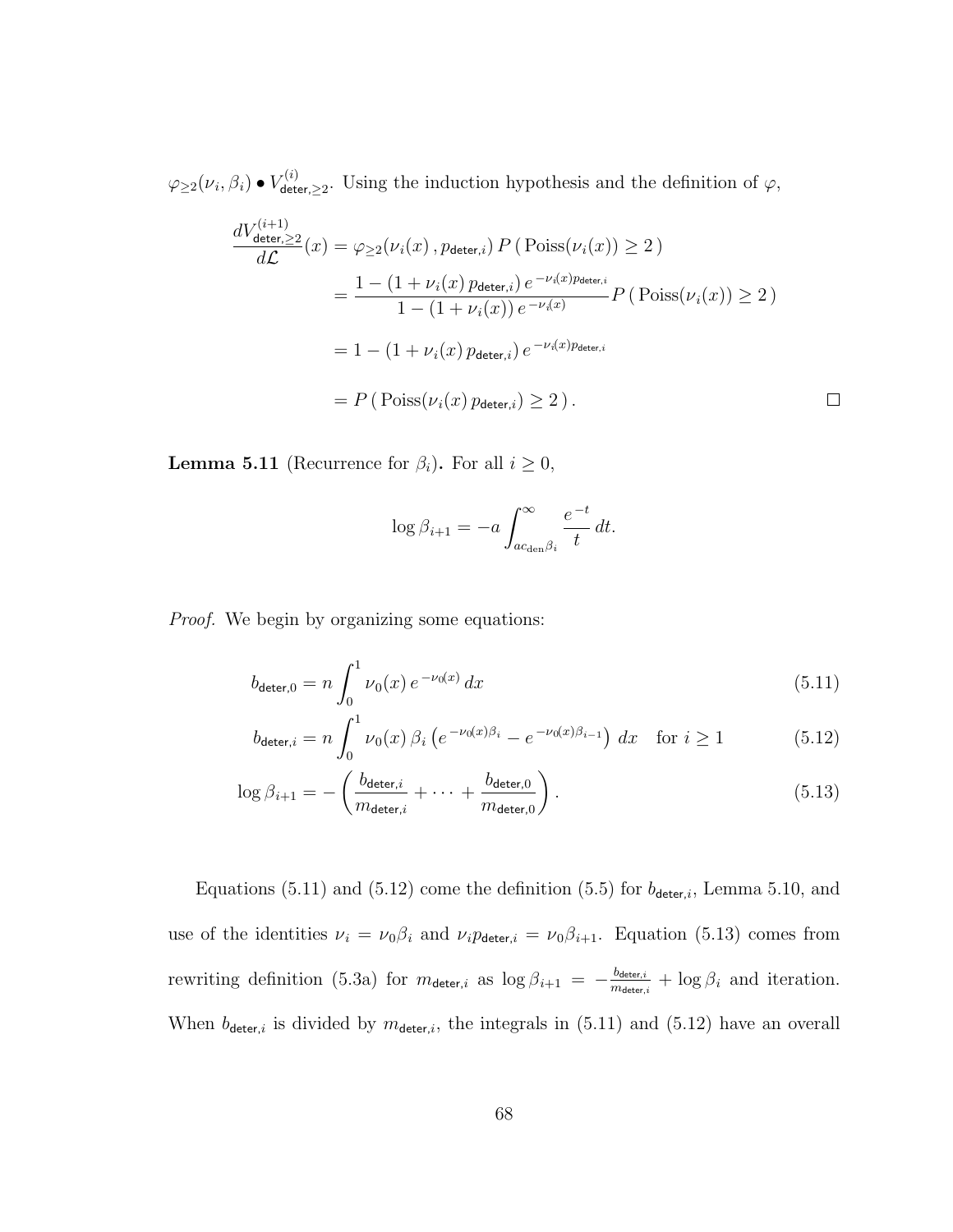$\varphi_{\geq 2}({\nu}_i,\beta_i)\bullet V_{\mathsf{det}\iota}^{(i)}$  $\mathcal{L}^{(2)}_{\text{deter},\geq 2}$ . Using the induction hypothesis and the definition of  $\varphi$ ,

$$
\frac{dV_{\text{detect},\geq 2}^{(i+1)}}{d\mathcal{L}}(x) = \varphi_{\geq 2}(\nu_i(x), p_{\text{detect},i}) P(\text{Poiss}(\nu_i(x)) \geq 2)
$$
\n
$$
= \frac{1 - (1 + \nu_i(x) p_{\text{detect},i}) e^{-\nu_i(x) p_{\text{detect},i}}}{1 - (1 + \nu_i(x)) e^{-\nu_i(x)}} P(\text{Poiss}(\nu_i(x)) \geq 2)
$$
\n
$$
= 1 - (1 + \nu_i(x) p_{\text{detect},i}) e^{-\nu_i(x) p_{\text{detect},i}}
$$
\n
$$
= P(\text{Poiss}(\nu_i(x) p_{\text{detect},i}) \geq 2).
$$

**Lemma 5.11** (Recurrence for  $\beta_i$ ). For all  $i \geq 0$ ,

$$
\log \beta_{i+1} = -a \int_{ac_{\text{den}}\beta_i}^{\infty} \frac{e^{-t}}{t} dt.
$$

Proof. We begin by organizing some equations:

$$
b_{\text{deter,0}} = n \int_0^1 \nu_0(x) e^{-\nu_0(x)} dx \tag{5.11}
$$

$$
b_{\text{deter},i} = n \int_0^1 \nu_0(x) \, \beta_i \left( e^{-\nu_0(x)\beta_i} - e^{-\nu_0(x)\beta_{i-1}} \right) \, dx \quad \text{for } i \ge 1 \tag{5.12}
$$

$$
\log \beta_{i+1} = -\left(\frac{b_{\text{deter},i}}{m_{\text{deter},i}} + \dots + \frac{b_{\text{deter},0}}{m_{\text{deter},0}}\right). \tag{5.13}
$$

Equations (5.11) and (5.12) come the definition (5.5) for  $b_{\text{detect},i}$ , Lemma 5.10, and use of the identities  $\nu_i = \nu_0 \beta_i$  and  $\nu_i p_{\text{detect},i} = \nu_0 \beta_{i+1}$ . Equation (5.13) comes from rewriting definition (5.3a) for  $m_{\text{deter},i}$  as  $\log \beta_{i+1} = -\frac{b_{\text{deter},i}}{m_{\text{dimer}}}$  $\frac{b_{\text{deter},i}}{m_{\text{deter},i}} + \log \beta_i$  and iteration. When  $b_{\text{detect},i}$  is divided by  $m_{\text{detect},i}$ , the integrals in (5.11) and (5.12) have an overall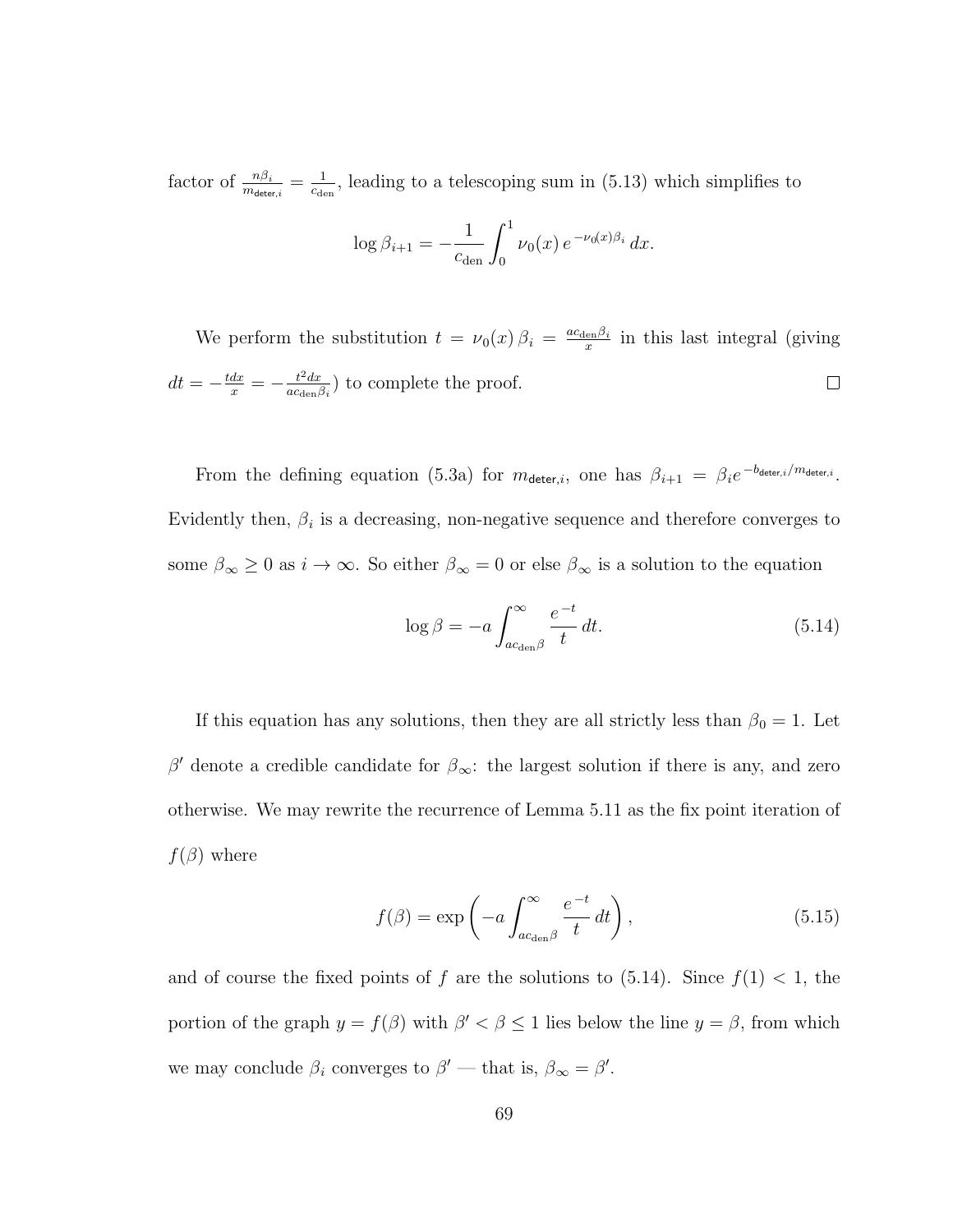factor of  $\frac{n\beta_i}{m_{\text{deter},i}} = \frac{1}{c_{\text{de}}}$  $\frac{1}{c_{\text{den}}}$ , leading to a telescoping sum in (5.13) which simplifies to

$$
\log \beta_{i+1} = -\frac{1}{c_{\text{den}}} \int_0^1 \nu_0(x) \, e^{-\nu_0(x)\beta_i} \, dx.
$$

We perform the substitution  $t = \nu_0(x) \beta_i = \frac{ac_{\text{den}} \beta_i}{x}$  $\frac{e^{i\pi i}}{x}$  in this last integral (giving  $dt=-\frac{tdx}{x}=-\frac{t^2dx}{ac_{\text{den}}/x}$  $\frac{t^2 dx}{ac_{\text{den}}\beta_i}$  to complete the proof.  $\Box$ 

From the defining equation (5.3a) for  $m_{\text{detect},i}$ , one has  $\beta_{i+1} = \beta_i e^{-b_{\text{detect},i}/m_{\text{detect},i}}$ . Evidently then,  $\beta_i$  is a decreasing, non-negative sequence and therefore converges to some  $\beta_{\infty} \ge 0$  as  $i \to \infty$ . So either  $\beta_{\infty} = 0$  or else  $\beta_{\infty}$  is a solution to the equation

$$
\log \beta = -a \int_{ac_{\text{den}}\beta}^{\infty} \frac{e^{-t}}{t} dt.
$$
 (5.14)

If this equation has any solutions, then they are all strictly less than  $\beta_0 = 1$ . Let β' denote a credible candidate for  $\beta_{\infty}$ : the largest solution if there is any, and zero otherwise. We may rewrite the recurrence of Lemma 5.11 as the fix point iteration of  $f(\beta)$  where

$$
f(\beta) = \exp\left(-a \int_{ac_{\text{den}}\beta}^{\infty} \frac{e^{-t}}{t} dt\right),\tag{5.15}
$$

and of course the fixed points of f are the solutions to  $(5.14)$ . Since  $f(1) < 1$ , the portion of the graph  $y = f(\beta)$  with  $\beta' < \beta \leq 1$  lies below the line  $y = \beta$ , from which we may conclude  $\beta_i$  converges to  $\beta'$  — that is,  $\beta_{\infty} = \beta'$ .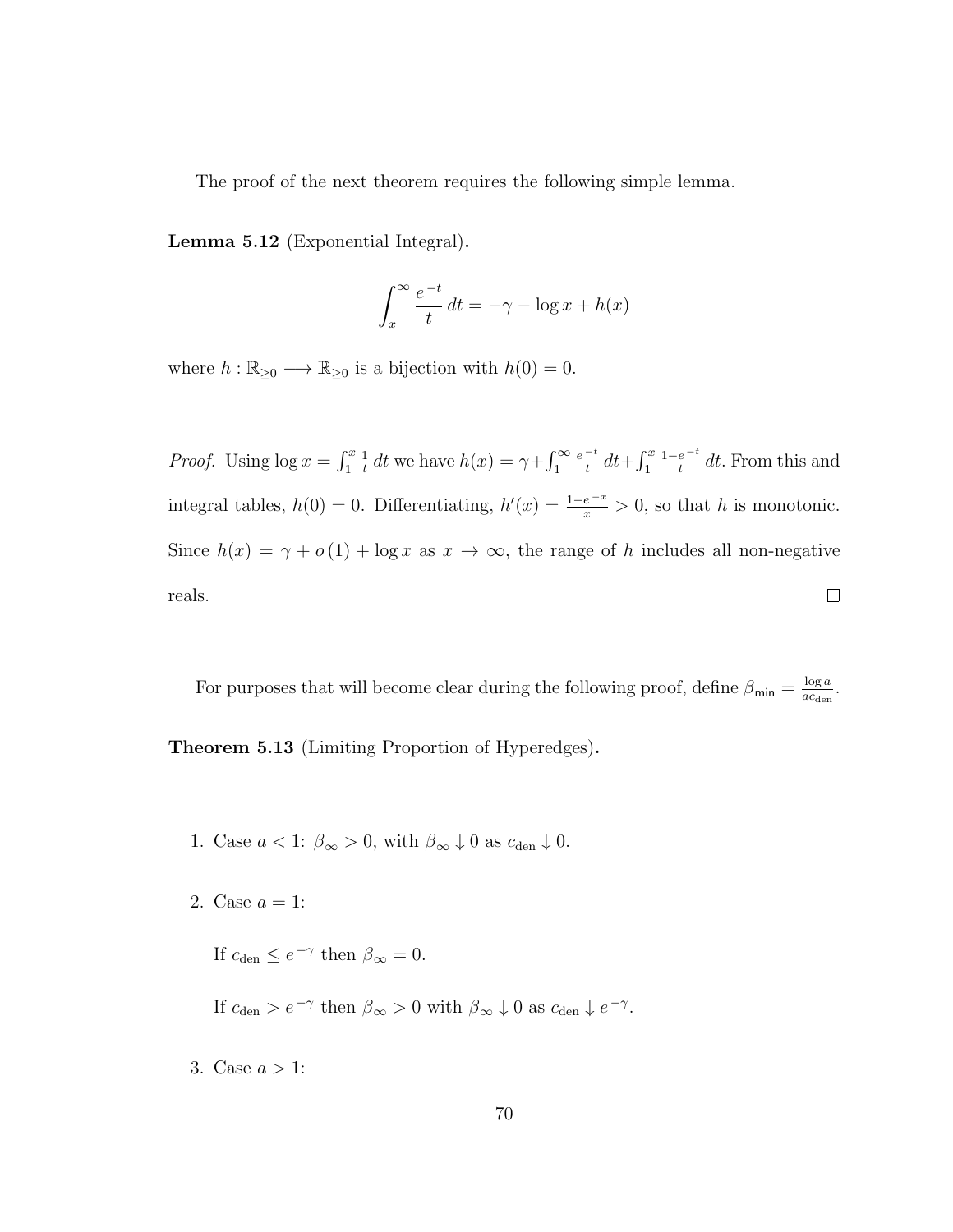The proof of the next theorem requires the following simple lemma.

Lemma 5.12 (Exponential Integral).

$$
\int_{x}^{\infty} \frac{e^{-t}}{t} dt = -\gamma - \log x + h(x)
$$

where  $h : \mathbb{R}_{\geq 0} \longrightarrow \mathbb{R}_{\geq 0}$  is a bijection with  $h(0) = 0$ .

*Proof.* Using  $\log x = \int_1^x$  $\frac{1}{t}$  dt we have  $h(x) = \gamma + \int_1^{\infty}$  $e^{-t}$  $\frac{-t}{t} dt + \int_1^x$  $1-e^{-t}$ 1  $\frac{e^{-t}}{t}$  dt. From this and integral tables,  $h(0) = 0$ . Differentiating,  $h'(x) = \frac{1-e^{-x}}{x} > 0$ , so that h is monotonic. Since  $h(x) = \gamma + o(1) + \log x$  as  $x \to \infty$ , the range of h includes all non-negative reals.  $\Box$ 

For purposes that will become clear during the following proof, define  $\beta_{\min} = \frac{\log a}{a_{\min}}$  $rac{\log a}{ac_{\text{den}}}.$ Theorem 5.13 (Limiting Proportion of Hyperedges).

- 1. Case  $a < 1$ :  $\beta_{\infty} > 0$ , with  $\beta_{\infty} \downarrow 0$  as  $c_{\text{den}} \downarrow 0$ .
- 2. Case  $a = 1$ :

If  $c_{\text{den}} \leq e^{-\gamma}$  then  $\beta_{\infty} = 0$ .

If  $c_{den} > e^{-\gamma}$  then  $\beta_{\infty} > 0$  with  $\beta_{\infty} \downarrow 0$  as  $c_{den} \downarrow e^{-\gamma}$ .

3. Case  $a > 1$ :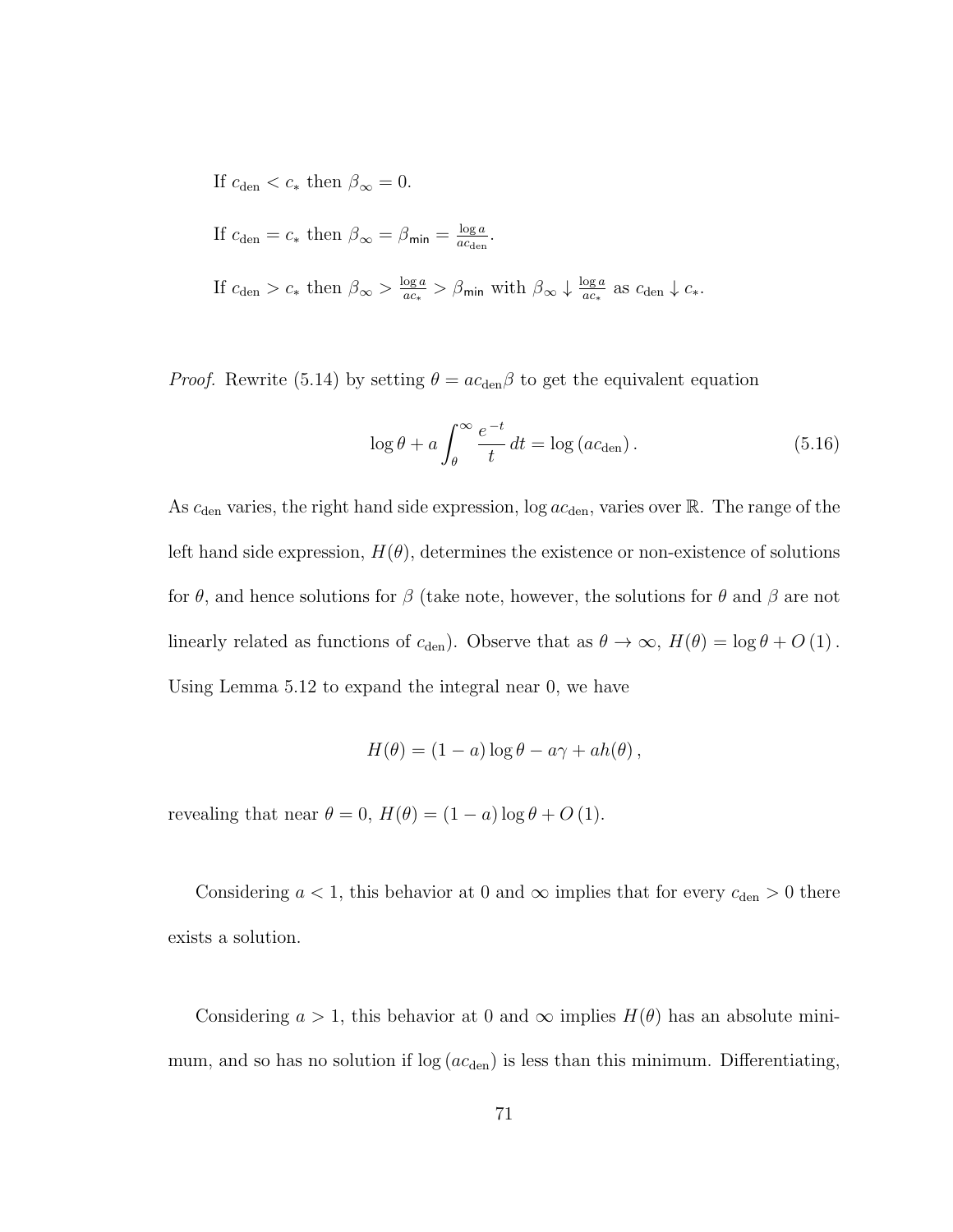If  $c_{\text{den}} < c_*$  then  $\beta_{\infty} = 0$ .

If  $c_{\text{den}} = c_*$  then  $\beta_{\infty} = \beta_{\text{min}} = \frac{\log a}{ac_{\text{den}}}$  $rac{\log a}{ac_{\text{den}}}.$ 

If  $c_{\text{den}} > c_*$  then  $\beta_{\infty} > \frac{\log a}{ac_*}$  $\frac{\log a}{ac_*} > \beta_{\text{min}}$  with  $\beta_{\infty} \downarrow \frac{\log a}{ac_*}$  $\frac{\log a}{ac_*}$  as  $c_{\text{den}} \downarrow c_*$ .

*Proof.* Rewrite (5.14) by setting  $\theta = ac_{den}\beta$  to get the equivalent equation

$$
\log \theta + a \int_{\theta}^{\infty} \frac{e^{-t}}{t} dt = \log (ac_{\text{den}}).
$$
 (5.16)

As  $c_{den}$  varies, the right hand side expression, log  $ac_{den}$ , varies over  $\mathbb R$ . The range of the left hand side expression,  $H(\theta)$ , determines the existence or non-existence of solutions for  $\theta$ , and hence solutions for  $\beta$  (take note, however, the solutions for  $\theta$  and  $\beta$  are not linearly related as functions of  $c_{den}$ ). Observe that as  $\theta \to \infty$ ,  $H(\theta) = \log \theta + O(1)$ . Using Lemma 5.12 to expand the integral near 0, we have

$$
H(\theta) = (1 - a) \log \theta - a\gamma + ah(\theta) ,
$$

revealing that near  $\theta = 0$ ,  $H(\theta) = (1 - a) \log \theta + O(1)$ .

Considering  $a < 1$ , this behavior at 0 and  $\infty$  implies that for every  $c_{den} > 0$  there exists a solution.

Considering  $a > 1$ , this behavior at 0 and  $\infty$  implies  $H(\theta)$  has an absolute minimum, and so has no solution if  $log (ac<sub>den</sub>)$  is less than this minimum. Differentiating,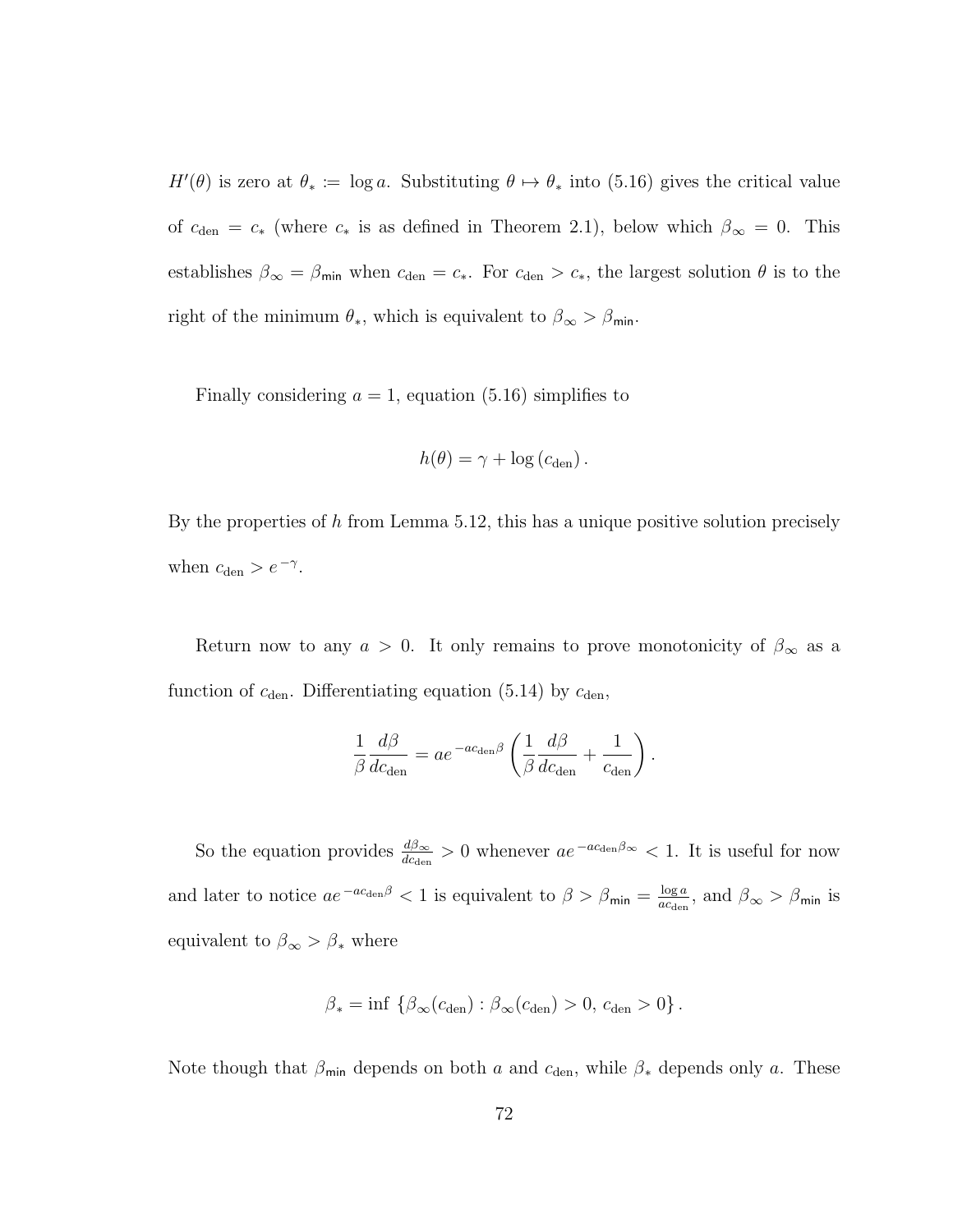$H'(\theta)$  is zero at  $\theta_* \coloneqq \log a$ . Substituting  $\theta \mapsto \theta_*$  into (5.16) gives the critical value of  $c_{den} = c_*$  (where  $c_*$  is as defined in Theorem 2.1), below which  $\beta_{\infty} = 0$ . This establishes  $\beta_{\infty} = \beta_{\min}$  when  $c_{\text{den}} = c_*$ . For  $c_{\text{den}} > c_*$ , the largest solution  $\theta$  is to the right of the minimum  $\theta_*$ , which is equivalent to  $\beta_{\infty} > \beta_{\min}$ .

Finally considering  $a = 1$ , equation (5.16) simplifies to

$$
h(\theta) = \gamma + \log (c_{\text{den}}).
$$

By the properties of h from Lemma 5.12, this has a unique positive solution precisely when  $c_{\text{den}} > e^{-\gamma}$ .

Return now to any  $a > 0$ . It only remains to prove monotonicity of  $\beta_{\infty}$  as a function of  $c_{den}$ . Differentiating equation (5.14) by  $c_{den}$ ,

$$
\frac{1}{\beta} \frac{d\beta}{dc_{\text{den}}} = ae^{-ac_{\text{den}}\beta} \left( \frac{1}{\beta} \frac{d\beta}{dc_{\text{den}}} + \frac{1}{c_{\text{den}}} \right)
$$

.

So the equation provides  $\frac{d\beta_{\infty}}{dc_{den}} > 0$  whenever  $ae^{-ac_{den}\beta_{\infty}} < 1$ . It is useful for now and later to notice  $ae^{-ac_{\text{den}}\beta} < 1$  is equivalent to  $\beta > \beta_{\text{min}} = \frac{\log a}{ac_{\text{den}}}$  $\frac{\log a}{a c_{\text{den}}},$  and  $\beta_{\infty} > \beta_{\text{min}}$  is equivalent to  $\beta_{\infty} > \beta_*$  where

$$
\beta_* = \inf \left\{ \beta_\infty(c_{\text{den}}) : \beta_\infty(c_{\text{den}}) > 0, c_{\text{den}} > 0 \right\}.
$$

Note though that  $\beta_{\text{min}}$  depends on both a and  $c_{\text{den}}$ , while  $\beta_*$  depends only a. These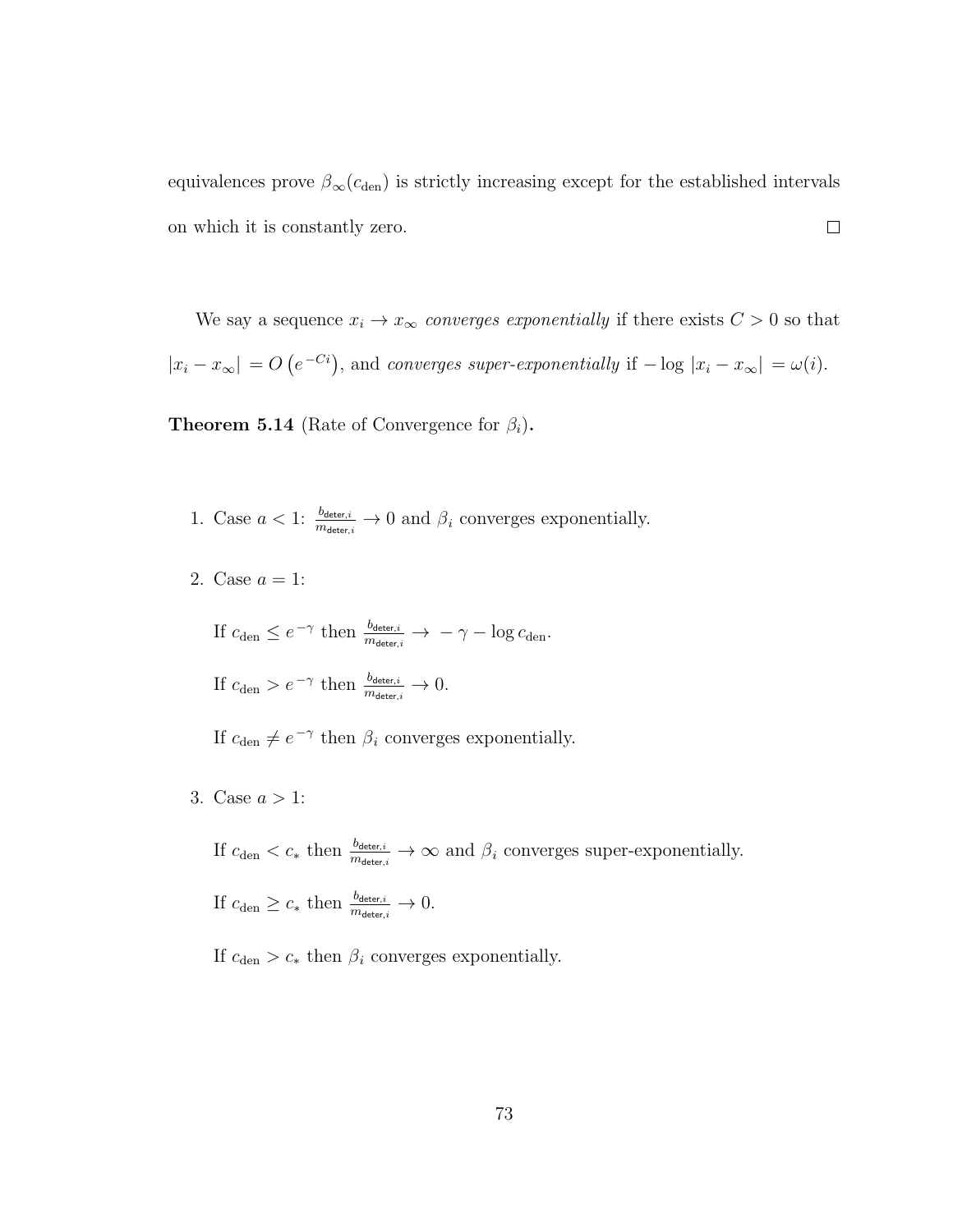equivalences prove  $\beta_{\infty}(c_{den})$  is strictly increasing except for the established intervals  $\Box$ on which it is constantly zero.

We say a sequence  $x_i \to x_\infty$  converges exponentially if there exists  $C > 0$  so that  $|x_i - x_{\infty}| = O(e^{-C_i})$ , and converges super-exponentially if  $-\log |x_i - x_{\infty}| = \omega(i)$ .

**Theorem 5.14** (Rate of Convergence for  $\beta_i$ ).

- 1. Case  $a < 1$ :  $\frac{b_{\text{detect},i}}{m_{\text{detect},i}} \to 0$  and  $\beta_i$  converges exponentially.
- 2. Case  $a = 1$ :

If  $c_{\text{den}} \leq e^{-\gamma}$  then  $\frac{b_{\text{detect},i}}{m_{\text{detect},i}} \to -\gamma - \log c_{\text{den}}$ .

If  $c_{\text{den}} > e^{-\gamma}$  then  $\frac{b_{\text{deter},i}}{m_{\text{deter},i}} \to 0$ .

If  $c_{den} \neq e^{-\gamma}$  then  $\beta_i$  converges exponentially.

3. Case  $a > 1$ :

If  $c_{den} < c_*$  then  $\frac{b_{\text{deter},i}}{m_{\text{deter},i}} \to \infty$  and  $\beta_i$  converges super-exponentially. If  $c_{\text{den}} \geq c_*$  then  $\frac{b_{\text{deter},i}}{m_{\text{deter},i}} \to 0$ .

If  $c_{\text{den}} > c_*$  then  $\beta_i$  converges exponentially.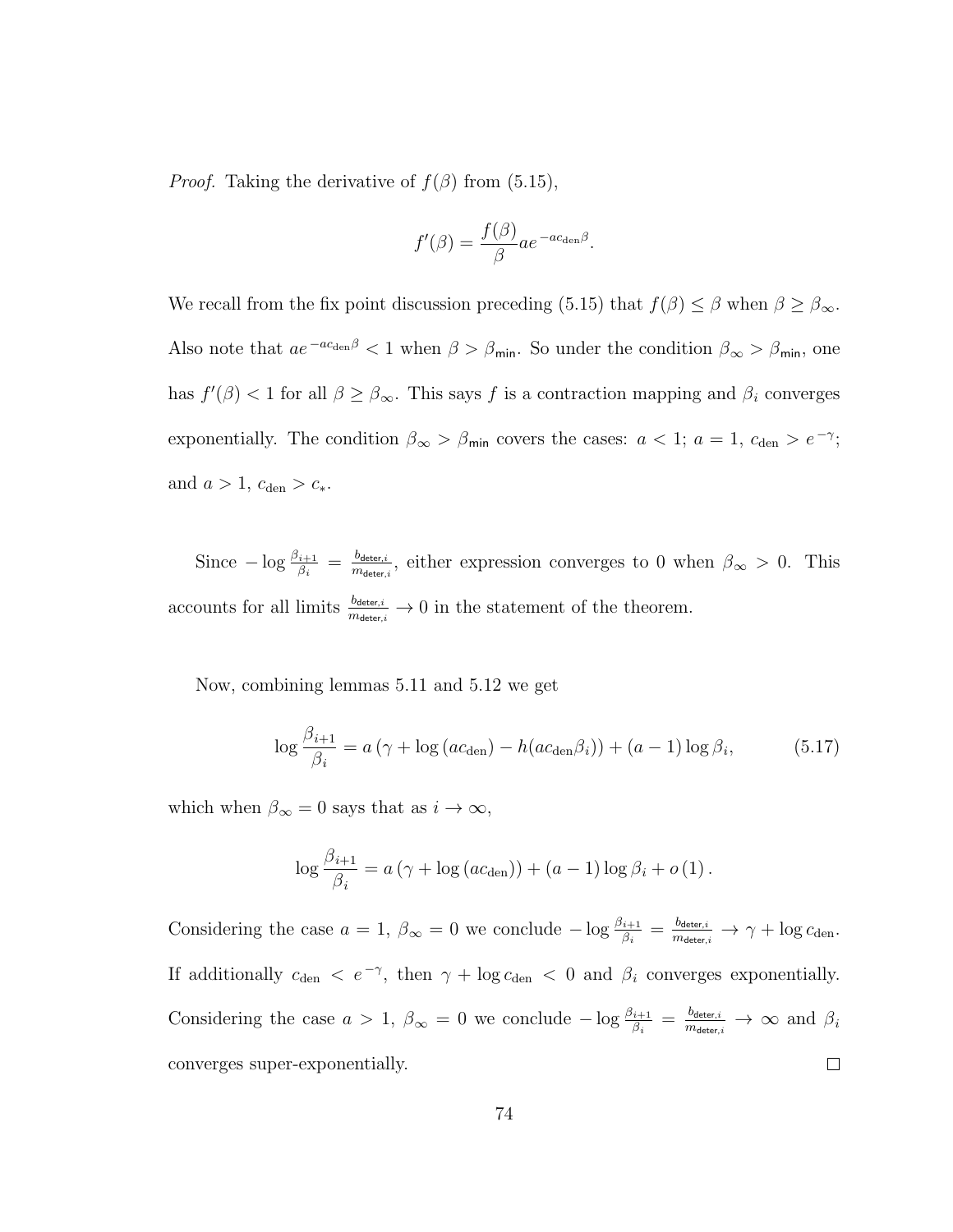*Proof.* Taking the derivative of  $f(\beta)$  from (5.15),

$$
f'(\beta) = \frac{f(\beta)}{\beta} a e^{-a c_{\text{den}} \beta}.
$$

We recall from the fix point discussion preceding (5.15) that  $f(\beta) \leq \beta$  when  $\beta \geq \beta_{\infty}$ . Also note that  $ae^{-ac_{den}\beta} < 1$  when  $\beta > \beta_{min}$ . So under the condition  $\beta_{\infty} > \beta_{min}$ , one has  $f'(\beta) < 1$  for all  $\beta \geq \beta_{\infty}$ . This says f is a contraction mapping and  $\beta_i$  converges exponentially. The condition  $\beta_{\infty} > \beta_{\min}$  covers the cases:  $a < 1$ ;  $a = 1$ ,  $c_{\text{den}} > e^{-\gamma}$ ; and  $a > 1$ ,  $c_{den} > c_*$ .

 $\text{Since } -\log \frac{\beta_{i+1}}{\beta_i} \, = \, \frac{b_{\mathsf{deter},i}}{m_{\mathsf{deter},i}}$  $\frac{b_{\text{detect},i}}{m_{\text{detect},i}}$ , either expression converges to 0 when  $\beta_{\infty} > 0$ . This accounts for all limits  $\frac{b_{\text{detect},i}}{m_{\text{detect},i}} \to 0$  in the statement of the theorem.

Now, combining lemmas 5.11 and 5.12 we get

$$
\log \frac{\beta_{i+1}}{\beta_i} = a \left( \gamma + \log \left( a c_{\text{den}} \right) - h \left( a c_{\text{den}} \beta_i \right) \right) + (a - 1) \log \beta_i, \tag{5.17}
$$

which when  $\beta_{\infty}=0$  says that as  $i\rightarrow\infty,$ 

$$
\log \frac{\beta_{i+1}}{\beta_i} = a(\gamma + \log (ac_{\text{den}})) + (a-1) \log \beta_i + o(1).
$$

Considering the case  $a = 1$ ,  $\beta_{\infty} = 0$  we conclude  $-\log \frac{\beta_{i+1}}{\beta_i} = \frac{b_{\text{detect}_i}}{m_{\text{detect}_i}} \rightarrow \gamma + \log c_{\text{den}}$ . If additionally  $c_{den} < e^{-\gamma}$ , then  $\gamma + \log c_{den} < 0$  and  $\beta_i$  converges exponentially. Considering the case  $a > 1$ ,  $\beta_{\infty} = 0$  we conclude  $-\log \frac{\beta_{i+1}}{\beta_i} = \frac{b_{\text{detect},i}}{m_{\text{detect},i}} \to \infty$  and  $\beta_i$ converges super-exponentially.  $\Box$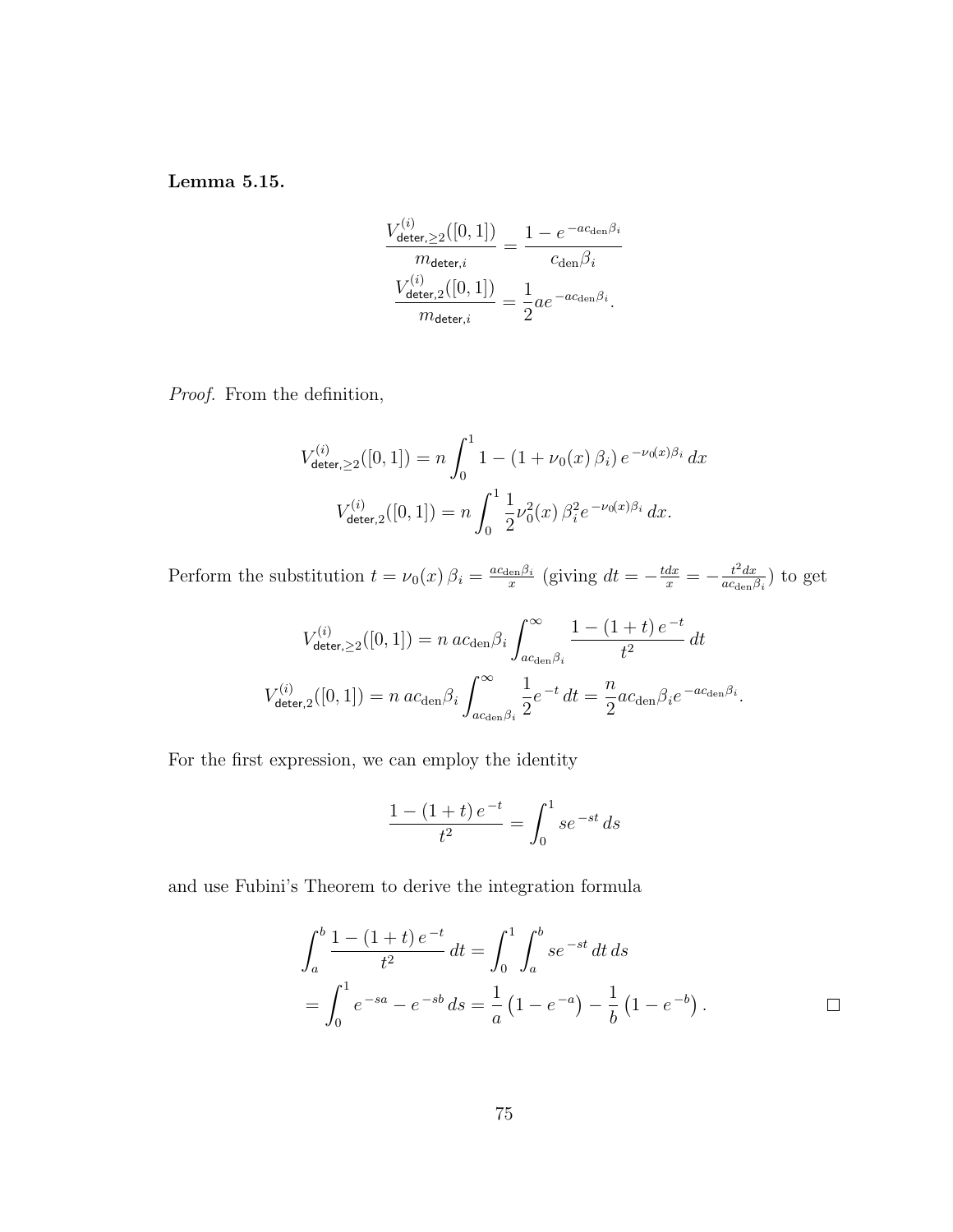Lemma 5.15.

$$
\frac{V_{\text{deter},\geq 2}^{(i)}([0,1])}{\frac{m_{\text{deter},i}}{m_{\text{deter},i}}} = \frac{1 - e^{-ac_{\text{den}}\beta_i}}{c_{\text{den}}\beta_i}
$$

$$
\frac{V_{\text{deter},2}^{(i)}([0,1])}{m_{\text{deter},i}} = \frac{1}{2}ae^{-ac_{\text{den}}\beta_i}.
$$

Proof. From the definition,

$$
V_{\text{deter},\geq 2}^{(i)}([0,1]) = n \int_0^1 1 - (1 + \nu_0(x)\,\beta_i) \, e^{-\nu_0(x)\beta_i} \, dx
$$

$$
V_{\text{deter},2}^{(i)}([0,1]) = n \int_0^1 \frac{1}{2} \nu_0^2(x)\,\beta_i^2 e^{-\nu_0(x)\beta_i} \, dx.
$$

Perform the substitution  $t = \nu_0(x) \beta_i = \frac{ac_{\text{den}} \beta_i}{x}$  $rac{e^{\ln \beta_i}}{x}$  (giving  $dt = -\frac{tdx}{x} = -\frac{t^2 dx}{ac_{den}}$ )  $\frac{t^2 dx}{ac_{\text{den}}\beta_i}$ ) to get

$$
V_{\text{deter},\geq 2}^{(i)}([0,1]) = n \ a c_{\text{den}} \beta_i \int_{ac_{\text{den}} \beta_i}^{\infty} \frac{1 - (1+t) e^{-t}}{t^2} dt
$$
  

$$
V_{\text{deter},2}^{(i)}([0,1]) = n \ a c_{\text{den}} \beta_i \int_{ac_{\text{den}} \beta_i}^{\infty} \frac{1}{2} e^{-t} dt = \frac{n}{2} a c_{\text{den}} \beta_i e^{-ac_{\text{den}} \beta_i}.
$$

For the first expression, we can employ the identity

$$
\frac{1 - (1+t) e^{-t}}{t^2} = \int_0^1 s e^{-st} ds
$$

and use Fubini's Theorem to derive the integration formula

$$
\int_{a}^{b} \frac{1 - (1+t) e^{-t}}{t^2} dt = \int_{0}^{1} \int_{a}^{b} s e^{-st} dt ds
$$
  
= 
$$
\int_{0}^{1} e^{-s a} - e^{-s b} ds = \frac{1}{a} (1 - e^{-a}) - \frac{1}{b} (1 - e^{-b}).
$$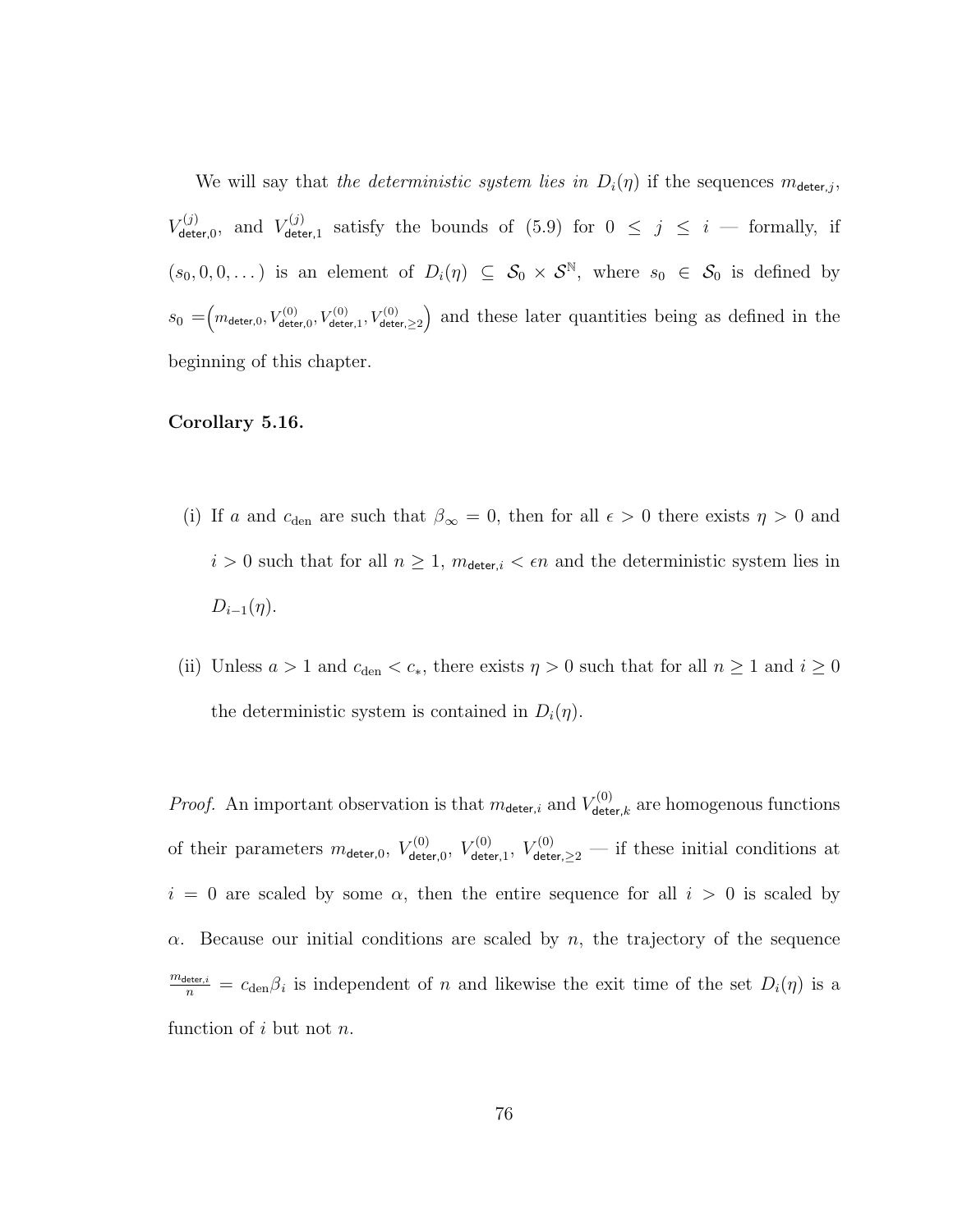We will say that the deterministic system lies in  $D_i(\eta)$  if the sequences  $m_{\text{deter},j}$ ,  $V_{\mathsf{det}}^{(j)}$  $V_{\mathsf{deter},0}^{(j)},$  and  $V_{\mathsf{deter},0}^{(j)}$  $\sigma^{(1)}_{\text{deter},1}$  satisfy the bounds of  $(5.9)$  for  $0 \leq j \leq i$  — formally, if  $(s_0, 0, 0, ...)$  is an element of  $D_i(\eta) \subseteq S_0 \times S^{\mathbb{N}},$  where  $s_0 \in S_0$  is defined by  $s_0 = (m_{\text{deter},0}, V_{\text{deter},0}^{(0)}, V_{\text{deter},1}^{(0)}, V_{\text{deter},22}^{(0)})$  and these later quantities being as defined in the beginning of this chapter.

## Corollary 5.16.

- (i) If a and  $c_{den}$  are such that  $\beta_{\infty} = 0$ , then for all  $\epsilon > 0$  there exists  $\eta > 0$  and  $i > 0$  such that for all  $n \geq 1$ ,  $m_{\text{detect},i} < \epsilon n$  and the deterministic system lies in  $D_{i-1}(\eta)$ .
- (ii) Unless  $a > 1$  and  $c_{den} < c_*$ , there exists  $\eta > 0$  such that for all  $n \ge 1$  and  $i \ge 0$ the deterministic system is contained in  $D_i(\eta)$ .

*Proof.* An important observation is that  $m_{\text{deter},i}$  and  $V_{\text{deter}}^{(0)}$  $\mathcal{L}^{(0)}_{\text{deter},k}$  are homogenous functions of their parameters  $m_{\text{deter,0}}$ ,  $V_{\text{deter}}^{(0)}$  $V^{(0)}_{\mathsf{deter},0},\ V^{(0)}_{\mathsf{dete}}$  $V_{\text{deter},1}^{(0)}$ ,  $V_{\text{deter},\geq 2}^{(0)}$  — if these initial conditions at  $i = 0$  are scaled by some  $\alpha$ , then the entire sequence for all  $i > 0$  is scaled by  $\alpha$ . Because our initial conditions are scaled by n, the trajectory of the sequence  $\frac{m_{\text{detect},i}}{n} = c_{\text{den}}\beta_i$  is independent of n and likewise the exit time of the set  $D_i(\eta)$  is a function of i but not  $n$ .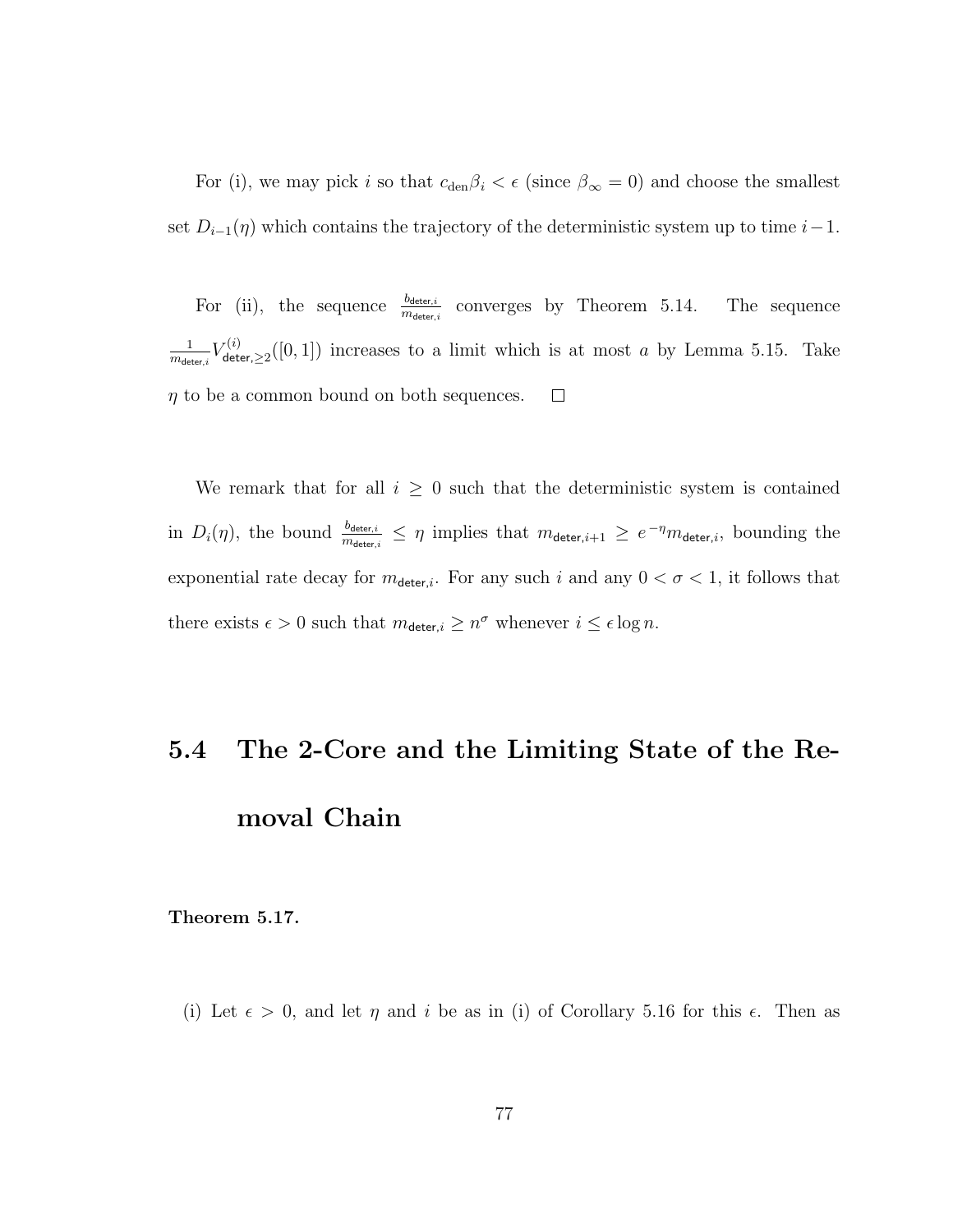For (i), we may pick i so that  $c_{den}\beta_i < \epsilon$  (since  $\beta_{\infty} = 0$ ) and choose the smallest set  $D_{i-1}(\eta)$  which contains the trajectory of the deterministic system up to time  $i-1$ .

For (ii), the sequence  $\frac{b_{\text{detect},i}}{m_{\text{detect},i}}$  converges by Theorem 5.14. The sequence  $\frac{1}{m_{\mathsf{detect},i}} V_{\mathsf{det}}^{(i)}$ 1  $\mathcal{L}^{(i)}_{\text{deter},\geq 2}([0,1])$  increases to a limit which is at most a by Lemma 5.15. Take  $\eta$  to be a common bound on both sequences.  $\Box$ 

We remark that for all  $i \geq 0$  such that the deterministic system is contained in  $D_i(\eta)$ , the bound  $\frac{b_{\text{detect},i}}{m_{\text{detect},i}} \leq \eta$  implies that  $m_{\text{detect},i+1} \geq e^{-\eta} m_{\text{detect},i}$ , bounding the exponential rate decay for  $m_{\text{deter},i}$ . For any such i and any  $0 < \sigma < 1$ , it follows that there exists  $\epsilon > 0$  such that  $m_{\text{deter},i} \geq n^{\sigma}$  whenever  $i \leq \epsilon \log n$ .

## 5.4 The 2-Core and the Limiting State of the Removal Chain

Theorem 5.17.

(i) Let  $\epsilon > 0$ , and let  $\eta$  and i be as in (i) of Corollary 5.16 for this  $\epsilon$ . Then as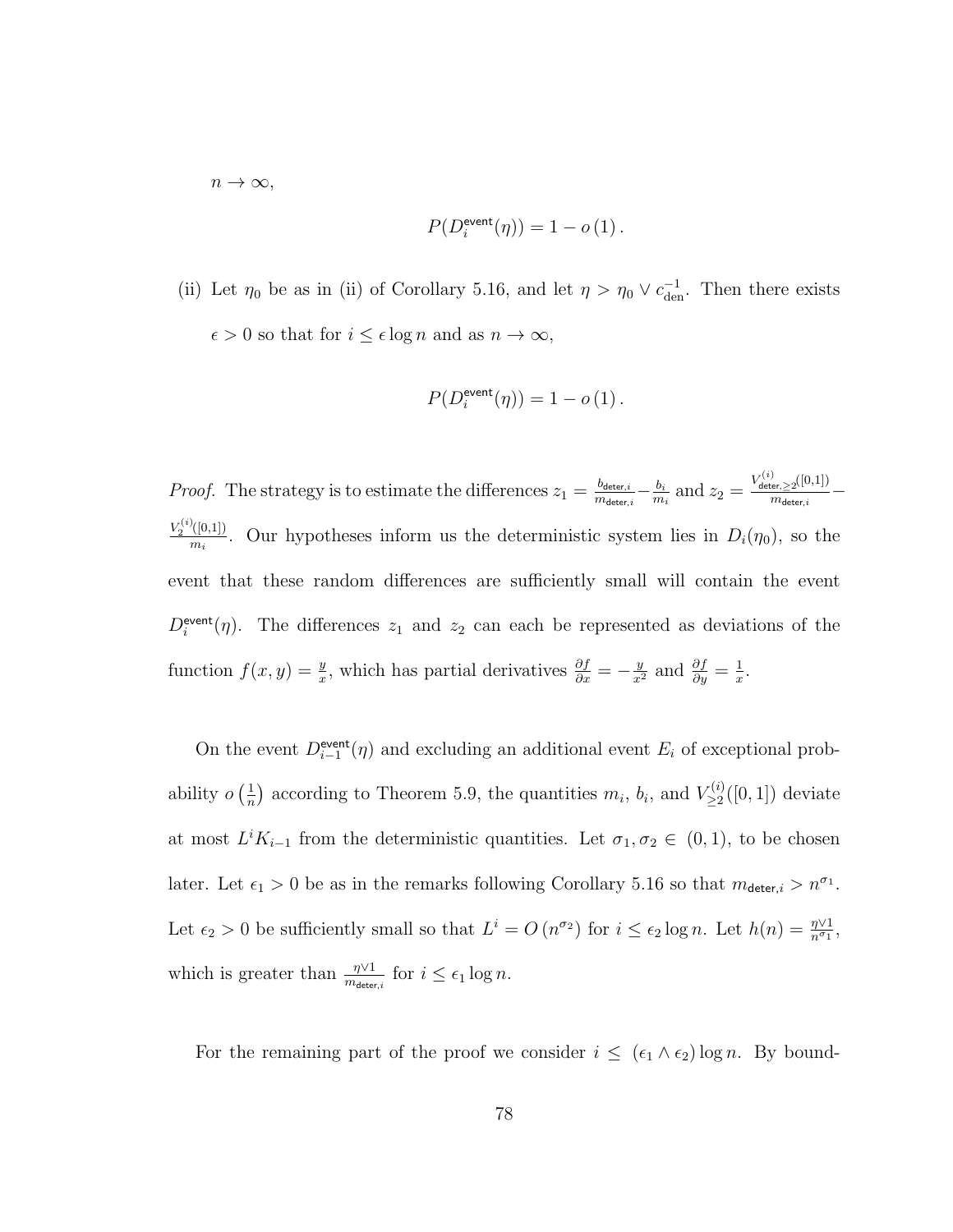$n \to \infty$ ,

$$
P(D_i^{\text{event}}(\eta)) = 1 - o(1).
$$

(ii) Let  $\eta_0$  be as in (ii) of Corollary 5.16, and let  $\eta > \eta_0 \vee c_{den}^{-1}$ . Then there exists  $\epsilon > 0$  so that for  $i \leq \epsilon \log n$  and as  $n \to \infty,$ 

$$
P(D_i^{\rm event}(\eta))=1-o\left(1\right).
$$

*Proof.* The strategy is to estimate the differences  $z_1 = \frac{b_{\text{deter},i}}{m_{\text{detor}}}$  $\frac{b_{\mathsf{deter},i}}{m_{\mathsf{deter},i}} - \frac{b_i}{m}$  $\frac{b_i}{m_i}$  and  $z_2 = \frac{V_{\mathsf{deter},\geq 2}^{(i)}([0,1])}{m_{\mathsf{deter},i}}$  $\frac{\sum_{i=1}^{n} \sum_{i=1}^{n} n_i}{m_{\text{deter},i}}$  —  $V_2^{(i)}([0,1])$  $\frac{\Gamma(|0,1|)}{m_i}$ . Our hypotheses inform us the deterministic system lies in  $D_i(\eta_0)$ , so the event that these random differences are sufficiently small will contain the event  $D_i^{\text{event}}(\eta)$ . The differences  $z_1$  and  $z_2$  can each be represented as deviations of the function  $f(x, y) = \frac{y}{x}$ , which has partial derivatives  $\frac{\partial f}{\partial x} = -\frac{y}{x^2}$  and  $\frac{\partial f}{\partial y} = \frac{1}{x}$  $\frac{1}{x}$ .

On the event  $D_{i-1}^{\text{event}}(\eta)$  and excluding an additional event  $E_i$  of exceptional probability  $o\left(\frac{1}{n}\right)$  $\frac{1}{n}$ ) according to Theorem 5.9, the quantities  $m_i$ ,  $b_i$ , and  $V_{\geq 2}^{(i)}$  $\sum_{\geq 2}^{(i)}([0,1])$  deviate at most  $L^i K_{i-1}$  from the deterministic quantities. Let  $\sigma_1, \sigma_2 \in (0,1)$ , to be chosen later. Let  $\epsilon_1 > 0$  be as in the remarks following Corollary 5.16 so that  $m_{\text{deter},i} > n^{\sigma_1}$ . Let  $\epsilon_2 > 0$  be sufficiently small so that  $L^i = O(n^{\sigma_2})$  for  $i \leq \epsilon_2 \log n$ . Let  $h(n) = \frac{\eta \vee 1}{n^{\sigma_1}}$ , which is greater than  $\frac{\eta \vee 1}{m_{\deter,i}}$  for  $i \leq \epsilon_1 \log n$ .

For the remaining part of the proof we consider  $i \leq (\epsilon_1 \wedge \epsilon_2) \log n$ . By bound-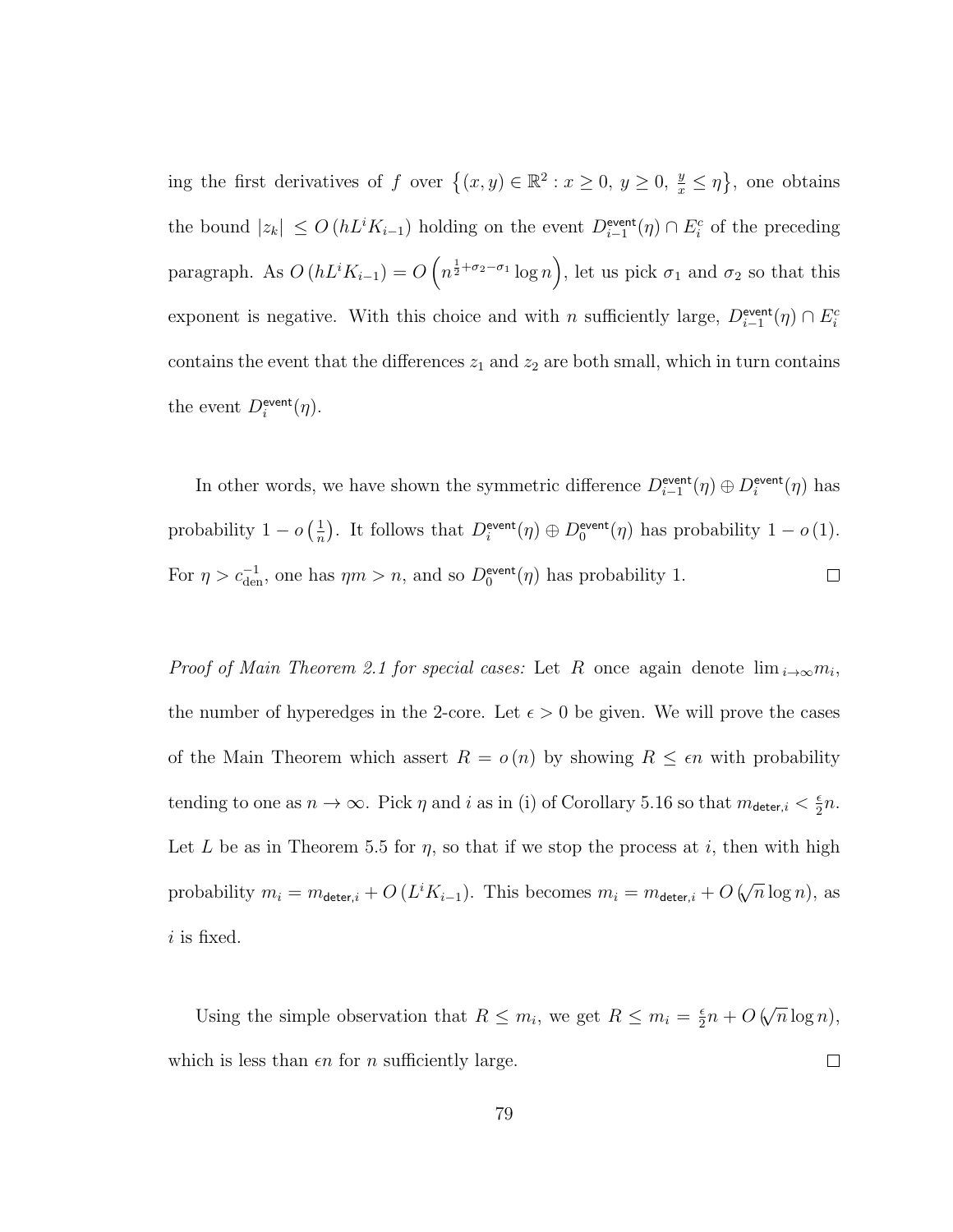ing the first derivatives of f over  $\{(x, y) \in \mathbb{R}^2 : x \ge 0, y \ge 0, \frac{y}{x} \le \eta\}$ , one obtains the bound  $|z_k| \leq O(hL^i K_{i-1})$  holding on the event  $D_{i-1}^{\text{event}}(\eta) \cap E_i^c$  of the preceding paragraph. As  $O(hL^i K_{i-1}) = O(n^{\frac{1}{2} + \sigma_2 - \sigma_1} \log n)$ , let us pick  $\sigma_1$  and  $\sigma_2$  so that this exponent is negative. With this choice and with n sufficiently large,  $D_{i-1}^{\text{event}}(\eta) \cap E_i^c$ contains the event that the differences  $z_1$  and  $z_2$  are both small, which in turn contains the event  $D_i^{\text{event}}(\eta)$ .

In other words, we have shown the symmetric difference  $D_{i-1}^{\text{event}}(\eta) \oplus D_i^{\text{event}}(\eta)$  has probability  $1 - o\left(\frac{1}{n}\right)$  $\frac{1}{n}$ . It follows that  $D_i^{\text{event}}(\eta) \oplus D_0^{\text{event}}(\eta)$  has probability  $1 - o(1)$ . For  $\eta > c_{den}^{-1}$ , one has  $\eta m > n$ , and so  $D_0^{\text{event}}(\eta)$  has probability 1.  $\Box$ 

*Proof of Main Theorem 2.1 for special cases:* Let R once again denote  $\lim_{i\to\infty} m_i$ , the number of hyperedges in the 2-core. Let  $\epsilon > 0$  be given. We will prove the cases of the Main Theorem which assert  $R = o(n)$  by showing  $R \leq \epsilon n$  with probability tending to one as  $n \to \infty$ . Pick  $\eta$  and i as in (i) of Corollary 5.16 so that  $m_{\text{detect},i} < \frac{\epsilon}{2}$  $rac{\epsilon}{2}n$ . Let L be as in Theorem 5.5 for  $\eta$ , so that if we stop the process at i, then with high probability  $m_i = m_{\text{deter},i} + O\left(L^i K_{i-1}\right)$ . This becomes  $m_i = m_{\text{deter},i} + O\left(\sqrt{\frac{m_{\text{deter},i}}{m_{\text{deter},i}}} + O\left(\sqrt{\frac{m_{\text{deter},i}}{m_{\text{deter},i}}} + O\left(\sqrt{\frac{m_{\text{deter},i}}{m_{\text{deter},i}}} + O\left(\sqrt{\frac{m_{\text{deter},i}}{m_{\text{deter},i}}} + O\left(\sqrt{\frac{m_{\text{deter},i}}{m_{\text{deter},i}}}$  $\overline{n}$  log n), as  $i$  is fixed.

√ Using the simple observation that  $R \leq m_i$ , we get  $R \leq m_i = \frac{\epsilon}{2}$  $\frac{\epsilon}{2}n + O$  (  $\overline{n} \log n$ , which is less than  $\epsilon n$  for n sufficiently large.  $\Box$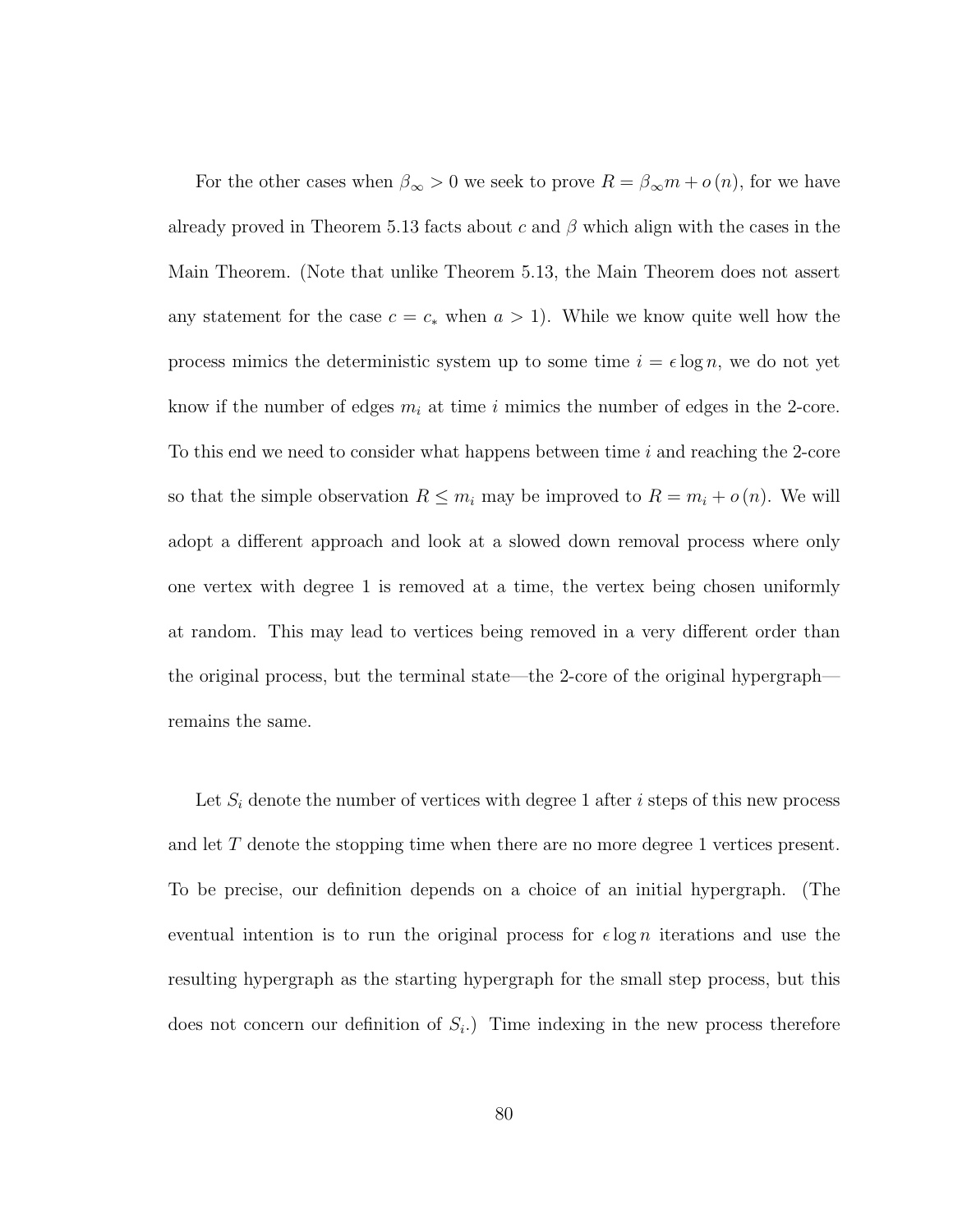For the other cases when  $\beta_{\infty} > 0$  we seek to prove  $R = \beta_{\infty} m + o(n)$ , for we have already proved in Theorem 5.13 facts about c and  $\beta$  which align with the cases in the Main Theorem. (Note that unlike Theorem 5.13, the Main Theorem does not assert any statement for the case  $c = c_*$  when  $a > 1$ ). While we know quite well how the process mimics the deterministic system up to some time  $i = \epsilon \log n$ , we do not yet know if the number of edges  $m_i$  at time i mimics the number of edges in the 2-core. To this end we need to consider what happens between time i and reaching the 2-core so that the simple observation  $R \leq m_i$  may be improved to  $R = m_i + o(n)$ . We will adopt a different approach and look at a slowed down removal process where only one vertex with degree 1 is removed at a time, the vertex being chosen uniformly at random. This may lead to vertices being removed in a very different order than the original process, but the terminal state—the 2-core of the original hypergraph remains the same.

Let  $S_i$  denote the number of vertices with degree 1 after i steps of this new process and let T denote the stopping time when there are no more degree 1 vertices present. To be precise, our definition depends on a choice of an initial hypergraph. (The eventual intention is to run the original process for  $\epsilon \log n$  iterations and use the resulting hypergraph as the starting hypergraph for the small step process, but this does not concern our definition of  $S_i$ . Time indexing in the new process therefore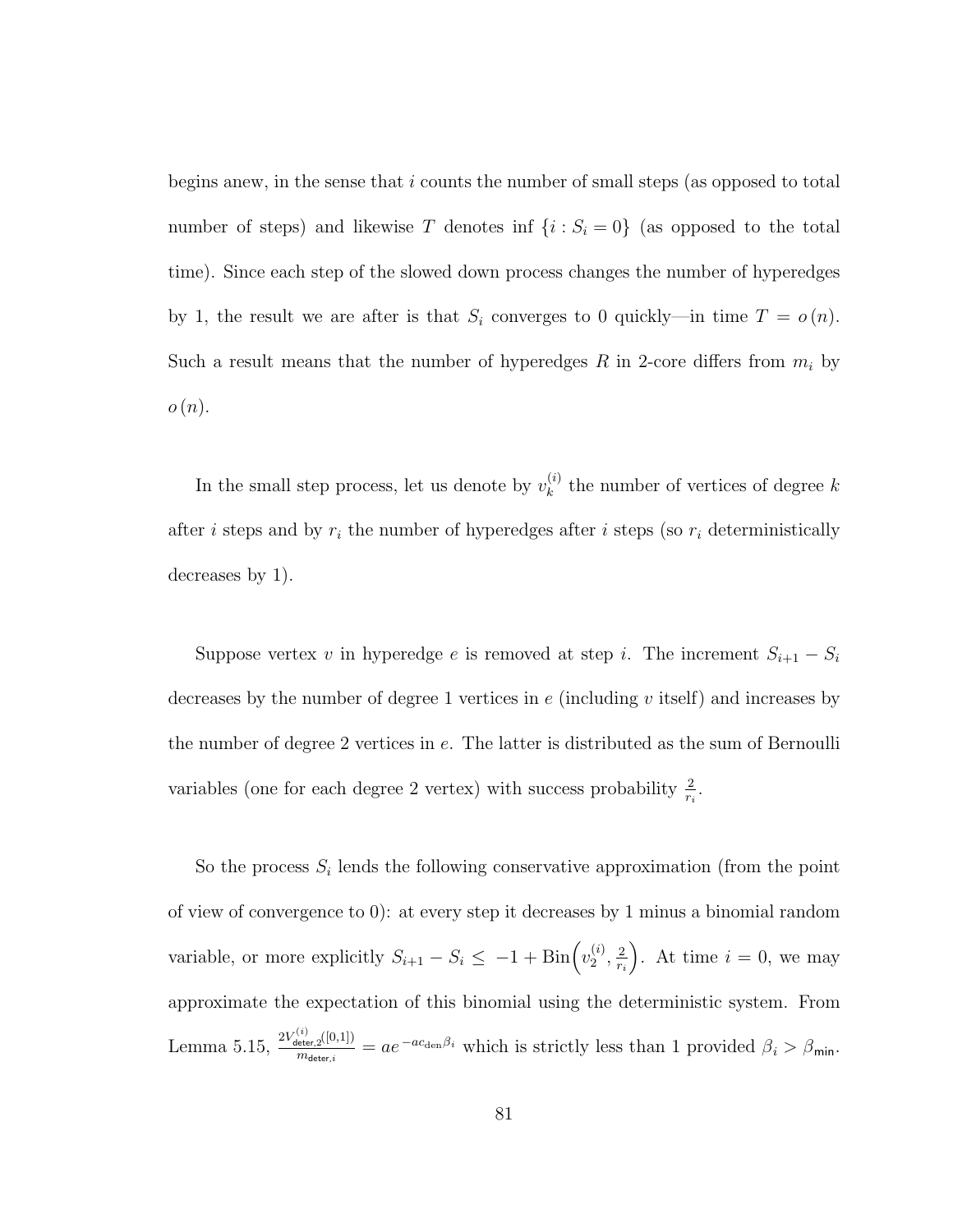begins anew, in the sense that  $i$  counts the number of small steps (as opposed to total number of steps) and likewise T denotes inf  $\{i : S_i = 0\}$  (as opposed to the total time). Since each step of the slowed down process changes the number of hyperedges by 1, the result we are after is that  $S_i$  converges to 0 quickly—in time  $T = o(n)$ . Such a result means that the number of hyperedges  $R$  in 2-core differs from  $m_i$  by  $o(n).$ 

In the small step process, let us denote by  $v_k^{(i)}$  $\kappa^{(i)}$  the number of vertices of degree k after *i* steps and by  $r_i$  the number of hyperedges after *i* steps (so  $r_i$  deterministically decreases by 1).

Suppose vertex v in hyperedge e is removed at step i. The increment  $S_{i+1} - S_i$ decreases by the number of degree 1 vertices in  $e$  (including v itself) and increases by the number of degree 2 vertices in e. The latter is distributed as the sum of Bernoulli variables (one for each degree 2 vertex) with success probability  $\frac{2}{r_i}$ .

So the process  $S_i$  lends the following conservative approximation (from the point of view of convergence to 0): at every step it decreases by 1 minus a binomial random variable, or more explicitly  $S_{i+1} - S_i \leq -1 + \text{Bin}\left(v_2^{(i)}\right)$  $\frac{(i)}{2}, \frac{2}{r_i}$ ri ). At time  $i = 0$ , we may approximate the expectation of this binomial using the deterministic system. From Lemma 5.15,  $\frac{2V_{\text{deter},2}^{(i)}([0,1])}{m}$  $\frac{\det_{\text{refer},2}([0,1])}{m_{\text{deter},i}} = ae^{-ac_{\text{den}}\beta_i}$  which is strictly less than 1 provided  $\beta_i > \beta_{\text{min}}$ .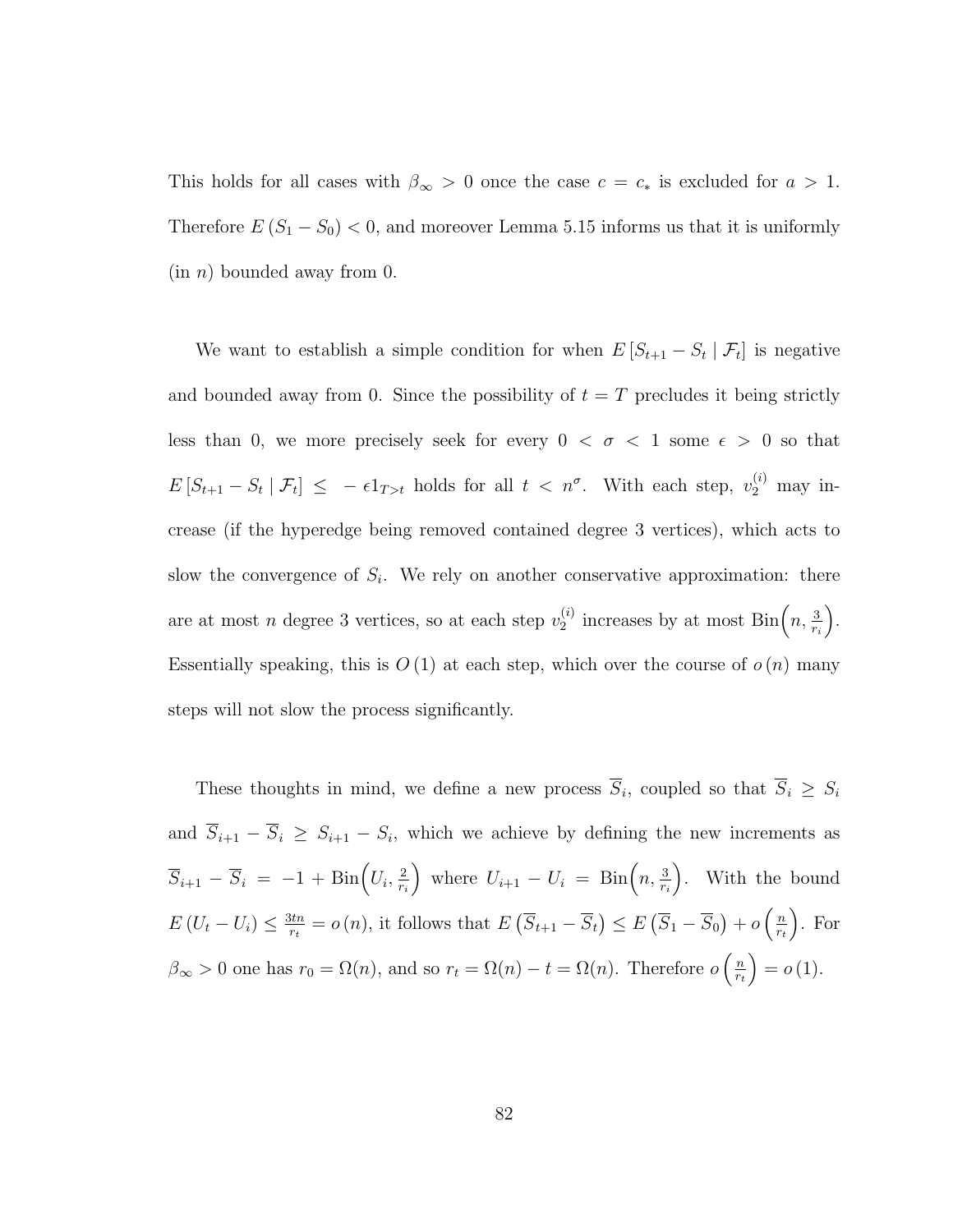This holds for all cases with  $\beta_{\infty} > 0$  once the case  $c = c_*$  is excluded for  $a > 1$ . Therefore  $E(S_1 - S_0) < 0$ , and moreover Lemma 5.15 informs us that it is uniformly  $(in n)$  bounded away from 0.

We want to establish a simple condition for when  $E[S_{t+1} - S_t | \mathcal{F}_t]$  is negative and bounded away from 0. Since the possibility of  $t = T$  precludes it being strictly less than 0, we more precisely seek for every  $0 < \sigma < 1$  some  $\epsilon > 0$  so that  $E[S_{t+1} - S_t | \mathcal{F}_t] \leq -\epsilon 1_{T>t}$  holds for all  $t < n^{\sigma}$ . With each step,  $v_2^{(i)}$  may increase (if the hyperedge being removed contained degree 3 vertices), which acts to slow the convergence of  $S_i$ . We rely on another conservative approximation: there are at most *n* degree 3 vertices, so at each step  $v_2^{(i)}$  $\sum_{2}^{(i)}$  increases by at most  $\text{Bin}\left(n, \frac{3}{r_i}\right)$  . Essentially speaking, this is  $O(1)$  at each step, which over the course of  $o(n)$  many steps will not slow the process significantly.

These thoughts in mind, we define a new process  $\overline{S}_i$ , coupled so that  $\overline{S}_i \geq S_i$ and  $\overline{S}_{i+1} - \overline{S}_i \geq S_{i+1} - S_i$ , which we achieve by defining the new increments as  $\overline{S}_{i+1} - \overline{S}_i = -1 + \text{Bin}\left(U_i, \frac{2}{r_i}\right)$ ri where  $U_{i+1} - U_i = \text{Bin}\left(n, \frac{3}{r_i}\right)$  . With the bound  $E(U_t-U_i) \leq \frac{3tn}{r_t}$  $\frac{3tn}{rt} = o(n)$ , it follows that  $E\left(\overline{S}_{t+1} - \overline{S}_{t}\right) \leq E\left(\overline{S}_{1} - \overline{S}_{0}\right) + o\left(\frac{n}{rt}\right)$  $r_t$  . For  $\beta_{\infty} > 0$  one has  $r_0 = \Omega(n)$ , and so  $r_t = \Omega(n) - t = \Omega(n)$ . Therefore  $o\left(\frac{n}{r_t}\right)$  $r_t$  $= o(1).$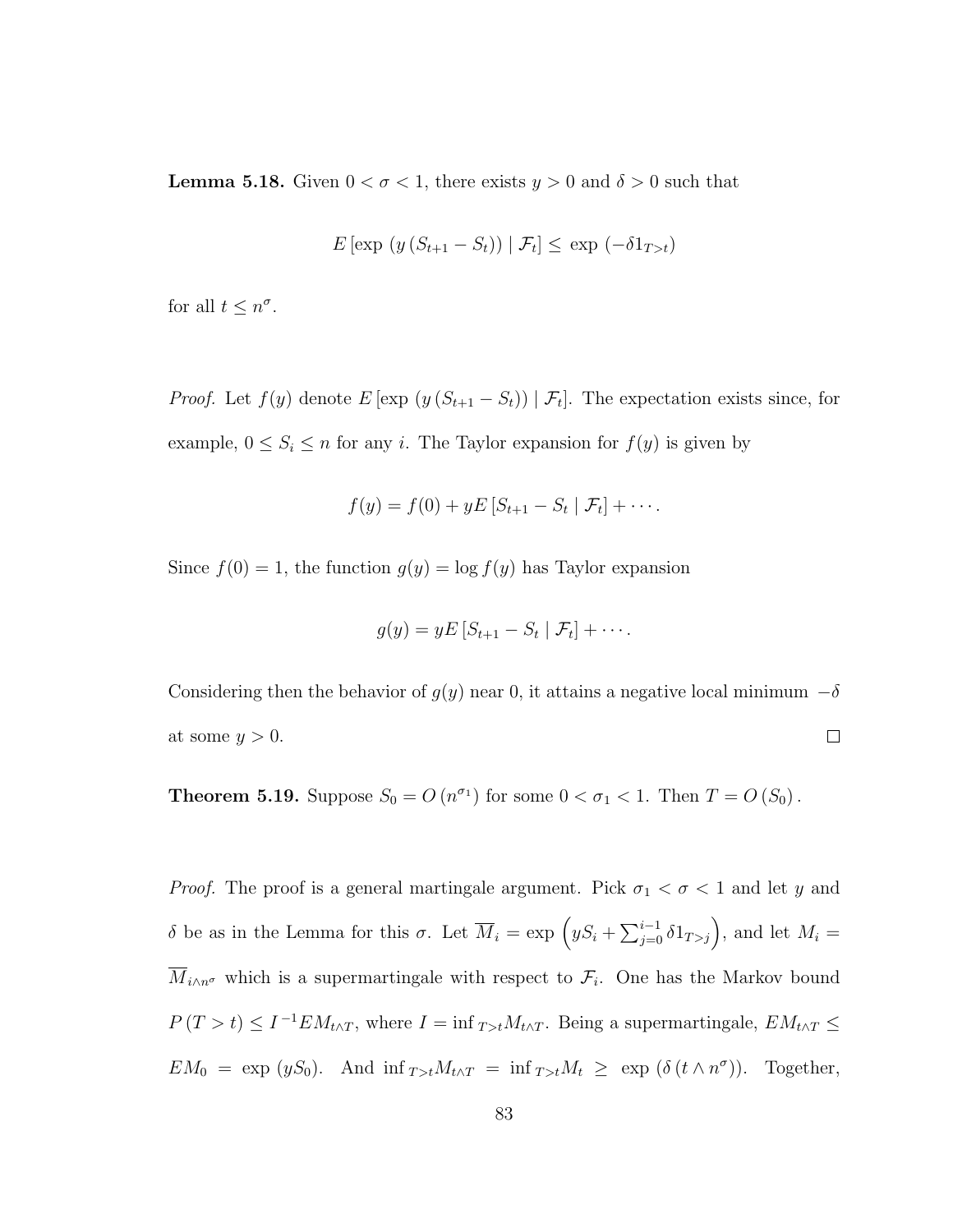**Lemma 5.18.** Given  $0 < \sigma < 1$ , there exists  $y > 0$  and  $\delta > 0$  such that

$$
E\left[\exp\left(y\left(S_{t+1}-S_t\right)\right) \mid \mathcal{F}_t\right] \le \exp\left(-\delta 1_{T>t}\right)
$$

for all  $t \leq n^{\sigma}$ .

*Proof.* Let  $f(y)$  denote  $E[\exp(y(S_{t+1} - S_t)) | \mathcal{F}_t]$ . The expectation exists since, for example,  $0 \leq S_i \leq n$  for any i. The Taylor expansion for  $f(y)$  is given by

$$
f(y) = f(0) + yE[S_{t+1} - S_t | \mathcal{F}_t] + \cdots
$$

Since  $f(0) = 1$ , the function  $g(y) = \log f(y)$  has Taylor expansion

$$
g(y) = yE\left[S_{t+1} - S_t | \mathcal{F}_t\right] + \cdots.
$$

Considering then the behavior of  $g(y)$  near 0, it attains a negative local minimum  $-\delta$ at some  $y > 0$ .  $\Box$ 

**Theorem 5.19.** Suppose  $S_0 = O(n^{\sigma_1})$  for some  $0 < \sigma_1 < 1$ . Then  $T = O(S_0)$ .

*Proof.* The proof is a general martingale argument. Pick  $\sigma_1 < \sigma < 1$  and let y and δ be as in the Lemma for this σ. Let  $\overline{M}_i = \exp\left(yS_i + \sum_{j=0}^{i-1} \delta 1_{T>j}\right)$ , and let  $M_i =$  $\overline{M}_{i\wedge n^{\sigma}}$  which is a supermartingale with respect to  $\mathcal{F}_i$ . One has the Markov bound  $P(T > t) \leq I^{-1} E M_{t \wedge T}$ , where  $I = \inf_{T > t} M_{t \wedge T}$ . Being a supermartingale,  $E M_{t \wedge T} \leq$  $EM_0 = \exp(yS_0)$ . And  $\inf_{T>t} M_{t\wedge T} = \inf_{T>t} M_t \geq \exp(\delta(t\wedge n^{\sigma}))$ . Together,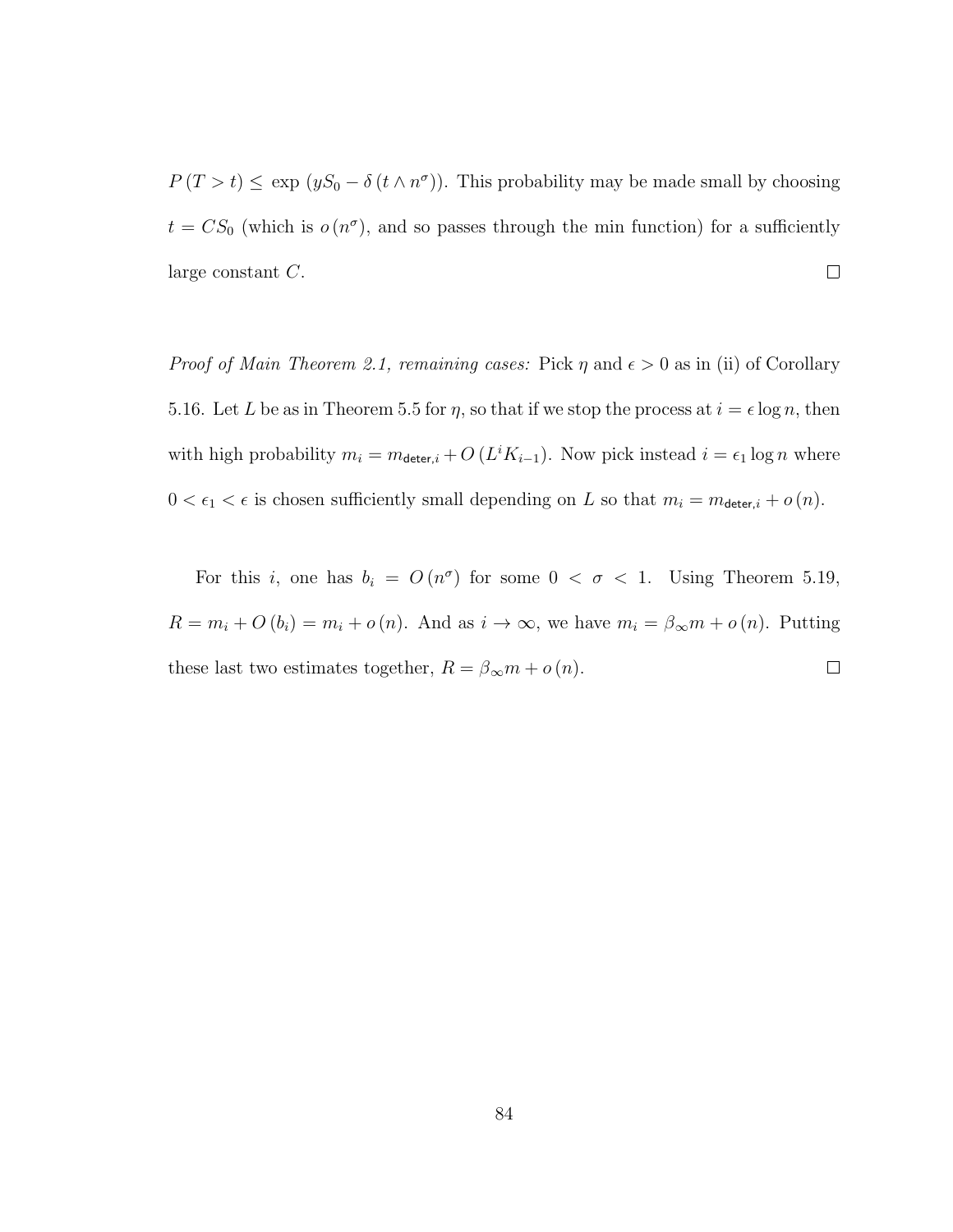$P(T > t) \leq \exp (yS_0 - \delta (t \wedge n^{\sigma}))$ . This probability may be made small by choosing  $t = CS_0$  (which is  $o(n^{\sigma})$ , and so passes through the min function) for a sufficiently large constant C.  $\Box$ 

*Proof of Main Theorem 2.1, remaining cases:* Pick  $\eta$  and  $\epsilon > 0$  as in (ii) of Corollary 5.16. Let L be as in Theorem 5.5 for  $\eta$ , so that if we stop the process at  $i = \epsilon \log n$ , then with high probability  $m_i = m_{\text{deter},i} + O\left(L^i K_{i-1}\right)$ . Now pick instead  $i = \epsilon_1 \log n$  where  $0 < \epsilon_1 < \epsilon$  is chosen sufficiently small depending on L so that  $m_i = m_{\text{deter},i} + o(n)$ .

For this i, one has  $b_i = O(n^{\sigma})$  for some  $0 < \sigma < 1$ . Using Theorem 5.19,  $R = m_i + O(b_i) = m_i + o(n)$ . And as  $i \to \infty$ , we have  $m_i = \beta_{\infty} m + o(n)$ . Putting these last two estimates together,  $R=\beta_{\infty}m+o\left(n\right).$  $\Box$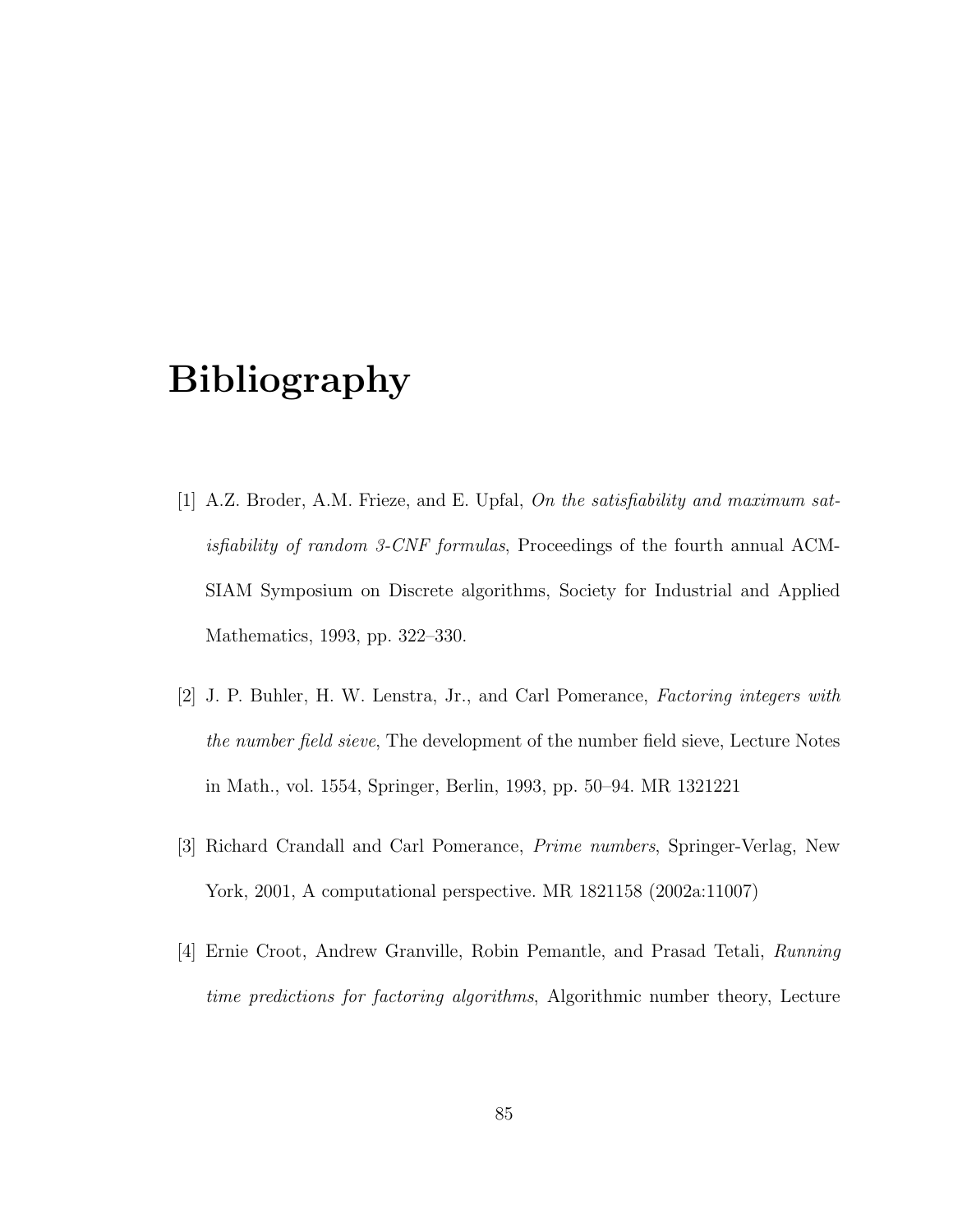## Bibliography

- [1] A.Z. Broder, A.M. Frieze, and E. Upfal, On the satisfiability and maximum satisfiability of random 3-CNF formulas, Proceedings of the fourth annual ACM-SIAM Symposium on Discrete algorithms, Society for Industrial and Applied Mathematics, 1993, pp. 322–330.
- [2] J. P. Buhler, H. W. Lenstra, Jr., and Carl Pomerance, Factoring integers with the number field sieve, The development of the number field sieve, Lecture Notes in Math., vol. 1554, Springer, Berlin, 1993, pp. 50–94. MR 1321221
- [3] Richard Crandall and Carl Pomerance, Prime numbers, Springer-Verlag, New York, 2001, A computational perspective. MR 1821158 (2002a:11007)
- [4] Ernie Croot, Andrew Granville, Robin Pemantle, and Prasad Tetali, Running time predictions for factoring algorithms, Algorithmic number theory, Lecture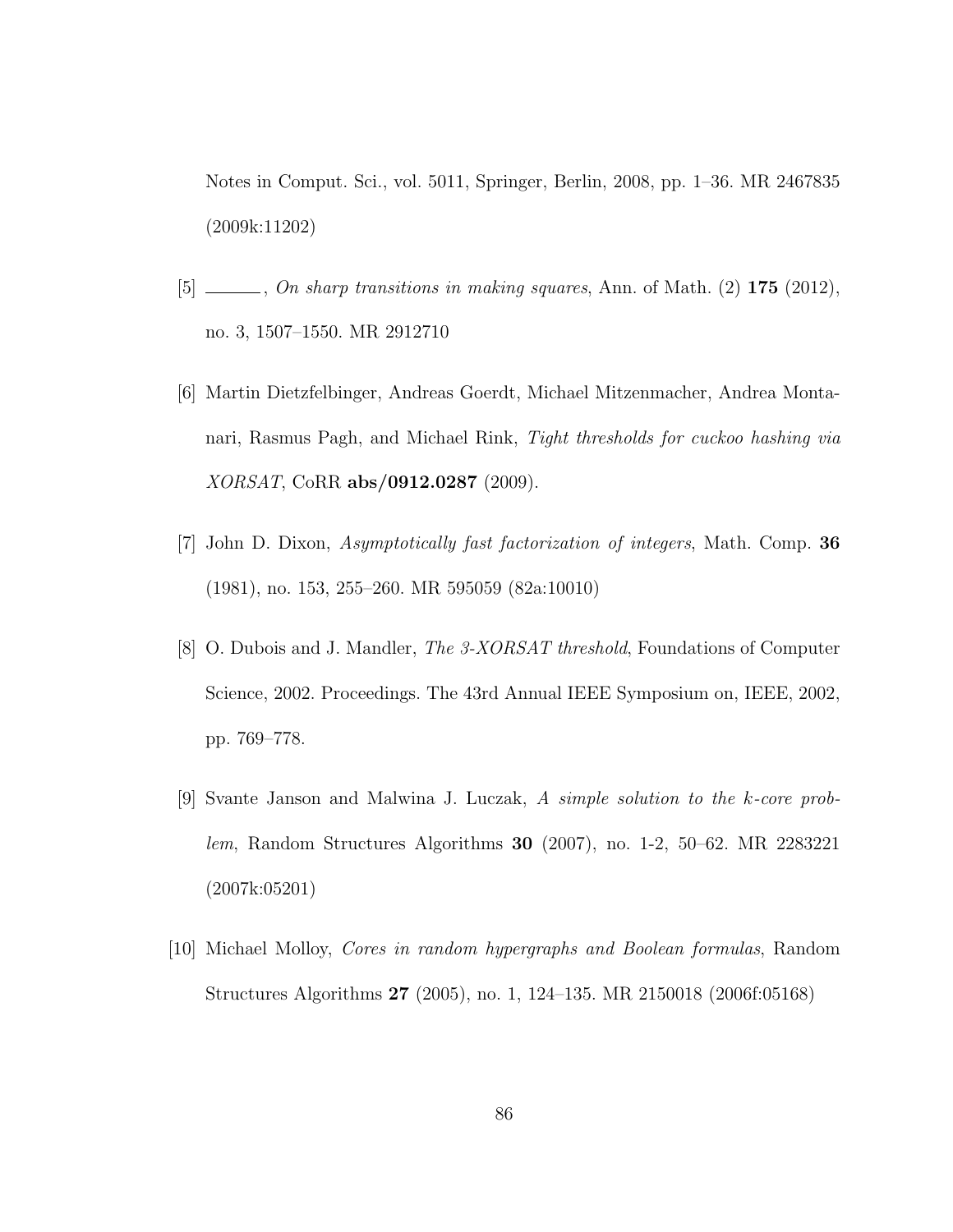Notes in Comput. Sci., vol. 5011, Springer, Berlin, 2008, pp. 1–36. MR 2467835 (2009k:11202)

- $[5]$   $\_\_\_\_\_$ , On sharp transitions in making squares, Ann. of Math.  $(2)$  175  $(2012)$ , no. 3, 1507–1550. MR 2912710
- [6] Martin Dietzfelbinger, Andreas Goerdt, Michael Mitzenmacher, Andrea Montanari, Rasmus Pagh, and Michael Rink, Tight thresholds for cuckoo hashing via XORSAT, CoRR abs/0912.0287 (2009).
- [7] John D. Dixon, Asymptotically fast factorization of integers, Math. Comp. 36 (1981), no. 153, 255–260. MR 595059 (82a:10010)
- [8] O. Dubois and J. Mandler, The 3-XORSAT threshold, Foundations of Computer Science, 2002. Proceedings. The 43rd Annual IEEE Symposium on, IEEE, 2002, pp. 769–778.
- [9] Svante Janson and Malwina J. Luczak, A simple solution to the k-core problem, Random Structures Algorithms 30 (2007), no. 1-2, 50–62. MR 2283221 (2007k:05201)
- [10] Michael Molloy, Cores in random hypergraphs and Boolean formulas, Random Structures Algorithms 27 (2005), no. 1, 124–135. MR 2150018 (2006f:05168)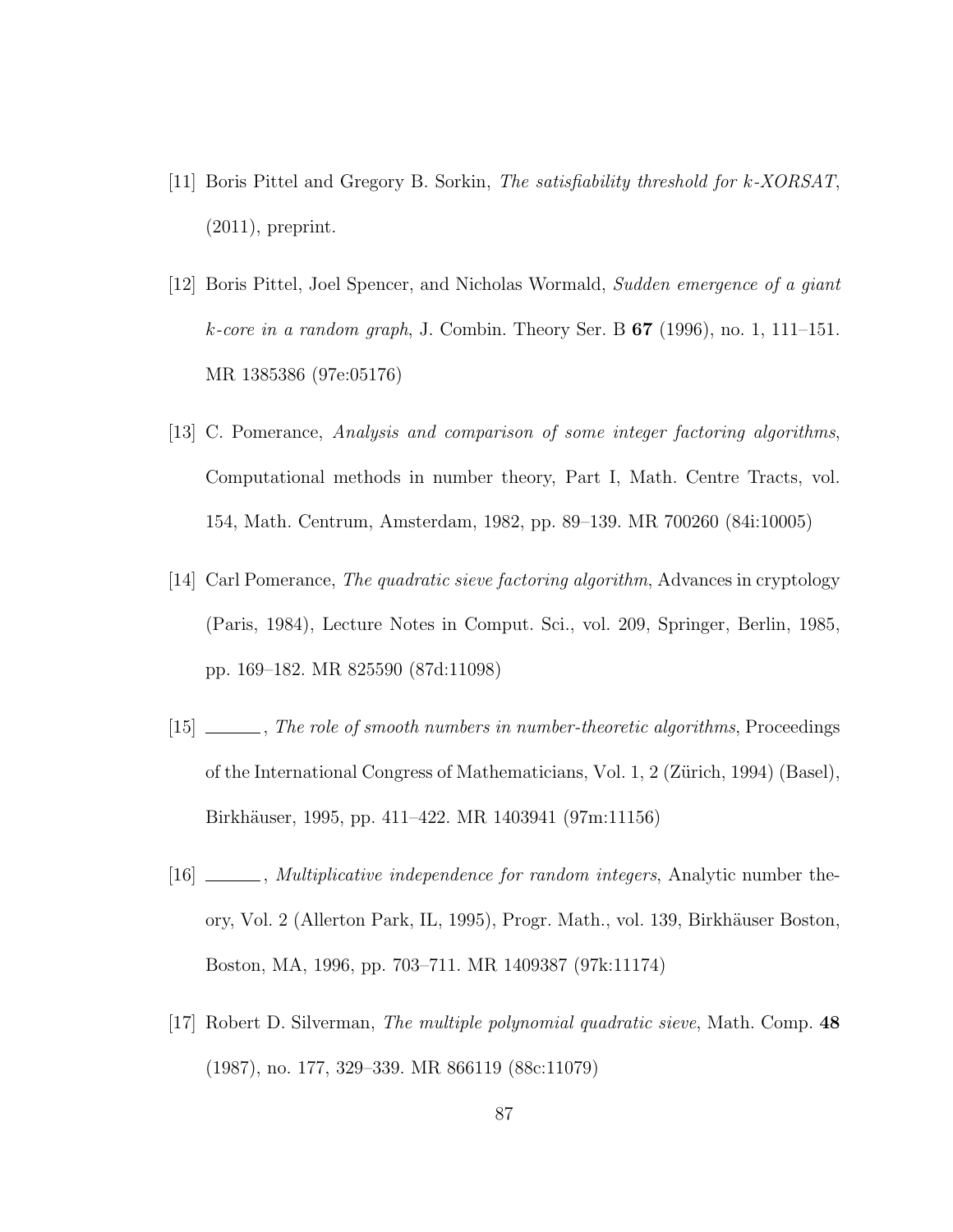- [11] Boris Pittel and Gregory B. Sorkin, The satisfiability threshold for k-XORSAT, (2011), preprint.
- [12] Boris Pittel, Joel Spencer, and Nicholas Wormald, Sudden emergence of a giant k-core in a random graph, J. Combin. Theory Ser. B  $67$  (1996), no. 1, 111–151. MR 1385386 (97e:05176)
- [13] C. Pomerance, Analysis and comparison of some integer factoring algorithms, Computational methods in number theory, Part I, Math. Centre Tracts, vol. 154, Math. Centrum, Amsterdam, 1982, pp. 89–139. MR 700260 (84i:10005)
- [14] Carl Pomerance, The quadratic sieve factoring algorithm, Advances in cryptology (Paris, 1984), Lecture Notes in Comput. Sci., vol. 209, Springer, Berlin, 1985, pp. 169–182. MR 825590 (87d:11098)
- [15] \_\_\_\_, The role of smooth numbers in number-theoretic algorithms, Proceedings of the International Congress of Mathematicians, Vol. 1, 2 (Zürich, 1994) (Basel), Birkh¨auser, 1995, pp. 411–422. MR 1403941 (97m:11156)
- [16] \_\_\_\_, *Multiplicative independence for random integers*, Analytic number theory, Vol. 2 (Allerton Park, IL, 1995), Progr. Math., vol. 139, Birkh¨auser Boston, Boston, MA, 1996, pp. 703–711. MR 1409387 (97k:11174)
- [17] Robert D. Silverman, The multiple polynomial quadratic sieve, Math. Comp. 48 (1987), no. 177, 329–339. MR 866119 (88c:11079)